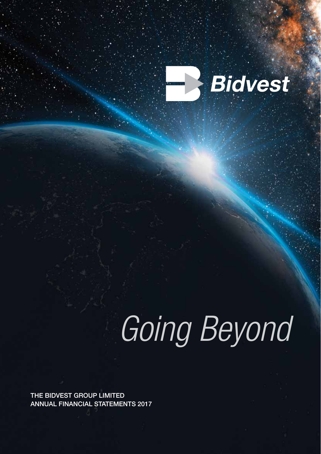

# Going Beyond

**THE BIDVEST GROUP LIMITED ANNUAL FINANCIAL STATEMENTS 2017**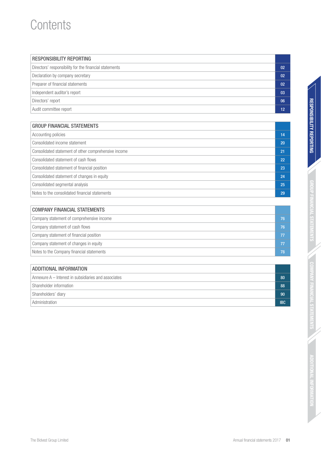### **Contents**

| <b>RESPONSIBILITY REPORTING</b>                        |                |
|--------------------------------------------------------|----------------|
| Directors' responsibility for the financial statements | 02             |
| Declaration by company secretary                       | 0 <sub>2</sub> |
| Preparer of financial statements                       | 0 <sub>2</sub> |
| Independent auditor's report                           | 03             |
| Directors' report                                      | 06             |
| Audit committee report                                 | 12             |

#### GROUP FINANCIAL STATEMENTS

| 14 |
|----|
| 20 |
| 21 |
| 22 |
| 23 |
| 24 |
| 25 |
| 29 |
|    |

### COMPANY FINANCIAL STATEMENTS Company statement of comprehensive income 76 Company statement of cash flows 76 Company statement of financial position **77** and 77 and 78 and 78 and 78 and 78 and 78 and 77 and 77 and 77 and 77 Company statement of changes in equity **77** Company statement of changes in equity Notes to the Company financial statements **78**

| ADDITIONAL INFORMATION                               |            |  |  |  |
|------------------------------------------------------|------------|--|--|--|
| Annexure A – Interest in subsidiaries and associates | 80         |  |  |  |
| Shareholder information                              | 88         |  |  |  |
| Shareholders' diary                                  | 90         |  |  |  |
| Administration                                       | <b>IBC</b> |  |  |  |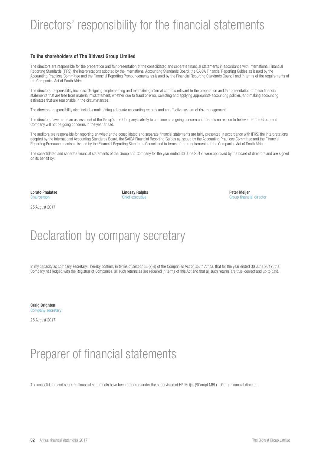### Directors' responsibility for the financial statements

#### **To the shareholders of The Bidvest Group Limited**

The directors are responsible for the preparation and fair presentation of the consolidated and separate financial statements in accordance with International Financial Reporting Standards (IFRS), the interpretations adopted by the International Accounting Standards Board, the SAICA Financial Reporting Guides as issued by the Accounting Practices Committee and the Financial Reporting Pronouncements as issued by the Financial Reporting Standards Council and in terms of the requirements of the Companies Act of South Africa.

The directors' responsibility includes: designing, implementing and maintaining internal controls relevant to the preparation and fair presentation of these financial statements that are free from material misstatement, whether due to fraud or error; selecting and applying appropriate accounting policies; and making accounting estimates that are reasonable in the circumstances.

The directors' responsibility also includes maintaining adequate accounting records and an effective system of risk management.

The directors have made an assessment of the Group's and Company's ability to continue as a going concern and there is no reason to believe that the Group and Company will not be going concerns in the year ahead.

The auditors are responsible for reporting on whether the consolidated and separate financial statements are fairly presented in accordance with IFRS, the interpretations adopted by the International Accounting Standards Board, the SAICA Financial Reporting Guides as issued by the Accounting Practices Committee and the Financial Reporting Pronouncements as issued by the Financial Reporting Standards Council and in terms of the requirements of the Companies Act of South Africa.

The consolidated and separate financial statements of the Group and Company for the year ended 30 June 2017, were approved by the board of directors and are signed on its behalf by:

**Lorato Phalatse Lindsay Ralphs Peter Meijer**

25 August 2017

Chairperson Chief executive Group financial director

### Declaration by company secretary

In my capacity as company secretary, I hereby confirm, in terms of section 88(2)(e) of the Companies Act of South Africa, that for the year ended 30 June 2017, the Company has lodged with the Registrar of Companies, all such returns as are required in terms of this Act and that all such returns are true, correct and up to date.

**Craig Brighten** Company secretary

25 August 2017

### Preparer of financial statements

The consolidated and separate financial statements have been prepared under the supervision of HP Meijer (BCompt MBL) – Group financial director.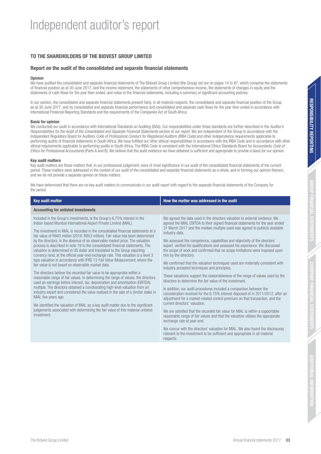#### **TO THE SHAREHOLDERS OF THE BIDVEST GROUP LIMITED**

#### **Report on the audit of the consolidated and separate financial statements**

#### **Opinion**

We have audited the consolidated and separate financial statements of The Bidvest Group Limited (the Group) set out on pages 14 to 87, which comprise the statements of financial position as at 30 June 2017, and the income statement, the statements of other comprehensive income, the statements of changes in equity and the statements of cash flows for the year then ended, and notes to the financial statements, including a summary of significant accounting policies.

In our opinion, the consolidated and separate financial statements present fairly, in all material respects, the consolidated and separate financial position of the Group as at 30 June 2017, and its consolidated and separate financial performance and consolidated and separate cash flows for the year then ended in accordance with International Financial Reporting Standards and the requirements of the Companies Act of South Africa.

#### **Basis for opinion**

We conducted our audit in accordance with International Standards on Auditing (ISAs). Our responsibilities under those standards are further described in the Auditor's Responsibilities for the Audit of the Consolidated and Separate Financial Statements section of our report. We are independent of the Group in accordance with the Independent Regulatory Board for Auditors Code of Professional Conduct for Registered Auditors (IRBA Code) and other independence requirements applicable to performing audits of financial statements in South Africa. We have fulfilled our other ethical responsibilities in accordance with the IRBA Code and in accordance with other ethical requirements applicable to performing audits in South Africa. The IRBA Code is consistent with the International Ethics Standards Board for Accountants Code of Ethics for Professional Accountants (Parts A and B). We believe that the audit evidence we have obtained is sufficient and appropriate to provide a basis for our opinion.

#### **Key audit matters**

Key audit matters are those matters that, in our professional judgement, were of most significance in our audit of the consolidated financial statements of the current period. These matters were addressed in the context of our audit of the consolidated and separate financial statements as a whole, and in forming our opinion thereon, and we do not provide a separate opinion on these matters.

We have determined that there are no key audit matters to communicate in our audit report with regard to the separate financial statements of the Company for the period.

| <b>Key audit matter</b>                                                                                                                                                                                                                                                                                                                                                                                                                                                                                                                                                                                                                                                                                                                                                                                                                                                                                                                                                                                                                                                                                                                                                                                                                                                                                                                                                                                                                   | How the matter was addressed in the audit                                                                                                                                                                                                                                                                                                                                                                                                                                                                                                                                                                                                                                                                                                                                                                                                                                                                                                                                                                                                                                                                                                                                                                                                                                                                                                                                                                                                                                           |
|-------------------------------------------------------------------------------------------------------------------------------------------------------------------------------------------------------------------------------------------------------------------------------------------------------------------------------------------------------------------------------------------------------------------------------------------------------------------------------------------------------------------------------------------------------------------------------------------------------------------------------------------------------------------------------------------------------------------------------------------------------------------------------------------------------------------------------------------------------------------------------------------------------------------------------------------------------------------------------------------------------------------------------------------------------------------------------------------------------------------------------------------------------------------------------------------------------------------------------------------------------------------------------------------------------------------------------------------------------------------------------------------------------------------------------------------|-------------------------------------------------------------------------------------------------------------------------------------------------------------------------------------------------------------------------------------------------------------------------------------------------------------------------------------------------------------------------------------------------------------------------------------------------------------------------------------------------------------------------------------------------------------------------------------------------------------------------------------------------------------------------------------------------------------------------------------------------------------------------------------------------------------------------------------------------------------------------------------------------------------------------------------------------------------------------------------------------------------------------------------------------------------------------------------------------------------------------------------------------------------------------------------------------------------------------------------------------------------------------------------------------------------------------------------------------------------------------------------------------------------------------------------------------------------------------------------|
| <b>Accounting for unlisted investments</b>                                                                                                                                                                                                                                                                                                                                                                                                                                                                                                                                                                                                                                                                                                                                                                                                                                                                                                                                                                                                                                                                                                                                                                                                                                                                                                                                                                                                |                                                                                                                                                                                                                                                                                                                                                                                                                                                                                                                                                                                                                                                                                                                                                                                                                                                                                                                                                                                                                                                                                                                                                                                                                                                                                                                                                                                                                                                                                     |
| Included in the Group's investments, is the Group's 6,75% interest in the<br>Indian-based Mumbai International Airport Private Limited (MIAL).<br>The investment in MIAL is recorded in the consolidated financial statements at a<br>fair value of R940 million (2016: R853 million). Fair value has been determined<br>by the directors, in the absence of an observable market price. The valuation<br>process is described in note 19 to the consolidated financial statements. The<br>valuation is determined in US dollar and translated to the Group reporting<br>currency rand, at the official year-end exchange rate. This valuation is a level 3<br>type valuation in accordance with IFRS 13 Fair Value Measurement, where the<br>fair value is not based on observable market data.<br>The directors believe the recorded fair value to be appropriate within a<br>reasonable range of fair values. In determining the range of values, the directors<br>used an earnings before interest, tax, depreciation and amortisation (EBITDA)<br>multiple. The directors obtained a corroborating high-level valuation from an<br>industry expert and considered the value realised in the sale of a similar stake in<br>MIAL five years ago.<br>We identified the valuation of MIAL as a key audit matter due to the significant<br>judgements associated with determining the fair value of this material unlisted<br>investment. | We agreed the data used in the directors valuation to external evidence. We<br>agreed the MIAL EBITDA to their signed financial statements for the year ended<br>31 March 2017 and the median multiple used was agreed to publicly available<br>industry data.<br>We assessed the competence, capabilities and objectivity of the directors'<br>expert, verified his qualifications and assessed his experience. We discussed<br>the scope of work and confirmed that no scope limitations were imposed upon<br>him by the directors.<br>We confirmed that the valuation techniques used are materially consistent with<br>industry accepted techniques and principles.<br>These valuations support the reasonableness of the range of values used by the<br>directors to determine the fair value of the investment.<br>In addition, our audit procedures included a comparison between the<br>consideration received for the 6.75% interest disposed of in 2011/2012, after an<br>adjustment for a market-related control premium on that transaction, and the<br>current directors' valuation.<br>We are satisfied that the recorded fair value for MIAL is within a supportable<br>reasonable range of fair values and that the valuation utilises the appropriate<br>exchange rate at year-end.<br>We concur with the directors' valuation for MIAL. We also found the disclosures<br>relevant to the investment to be sufficient and appropriate in all material<br>respects. |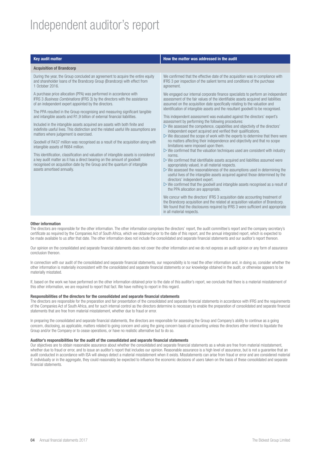### Independent auditor's report

#### **Acquisition of Brandcorp**

During the year, the Group concluded an agreement to acquire the entire equity and shareholder loans of the Brandcorp Group (Brandcorp) with effect from 1 October 2016.

A purchase price allocation (PPA) was performed in accordance with IFRS 3 Business Combinations (IFRS 3) by the directors with the assistance of an independent expert appointed by the directors.

The PPA resulted in the Group recognising and measuring significant tangible and intangible assets and R1,9 billion of external financial liabilities.

Included in the intangible assets acquired are assets with both finite and indefinite useful lives. This distinction and the related useful life assumptions are matters where judgement is exercised.

Goodwill of R437 million was recognised as a result of the acquisition along with intangible assets of R684 million.

This identification, classification and valuation of intangible assets is considered a key audit matter as it has a direct bearing on the amount of goodwill recognised on acquisition date by the Group and the quantum of intangible assets amortised annually.

#### **Key audit matter How the matter was addressed in the audit How the matter was addressed in the audit**

We confirmed that the effective date of the acquisition was in compliance with IFRS 3 per inspection of the salient terms and conditions of the purchase agreement.

We engaged our internal corporate finance specialists to perform an independent assessment of the fair values of the identifiable assets acquired and liabilities assumed on the acquisition date specifically relating to the valuation and identification of intangible assets and the resultant goodwill to be recognised.

This independent assessment was evaluated against the directors' expert's assessment by performing the following procedures:

- $\triangleright$  We assessed the competence, capabilities and objectivity of the directors' independent expert acquired and verified their qualifications.
- $\triangleright$  We discussed the scope of work with the experts to determine that there were no matters affecting their independence and objectivity and that no scope limitations were imposed upon them.
- $\triangleright$  We confirmed that the valuation techniques used are consistent with industry norms.
- $\triangleright$  We confirmed that identifiable assets acquired and liabilities assumed were appropriately valued, in all material respects.
- $\triangleright$  We assessed the reasonableness of the assumptions used in determining the useful lives of the intangible assets acquired against those determined by the directors' independent expert.
- $\triangleright$  We confirmed that the goodwill and intangible assets recognised as a result of the PPA allocation are appropriate.

We concur with the directors' IFRS 3 acquisition date accounting treatment of the Brandcorp acquisition and the related at acquisition valuation of Brandcorp. We found that the disclosures required by IFRS 3 were sufficient and appropriate in all material respects.

#### **Other information**

The directors are responsible for the other information. The other information comprises the directors' report, the audit committee's report and the company secretary's certificate as required by the Companies Act of South Africa, which we obtained prior to the date of this report, and the annual integrated report, which is expected to be made available to us after that date. The other information does not include the consolidated and separate financial statements and our auditor's report thereon.

Our opinion on the consolidated and separate financial statements does not cover the other information and we do not express an audit opinion or any form of assurance conclusion thereon.

In connection with our audit of the consolidated and separate financial statements, our responsibility is to read the other information and, in doing so, consider whether the other information is materially inconsistent with the consolidated and separate financial statements or our knowledge obtained in the audit, or otherwise appears to be materially misstated.

If, based on the work we have performed on the other information obtained prior to the date of this auditor's report, we conclude that there is a material misstatement of this other information, we are required to report that fact. We have nothing to report in this regard.

#### **Responsibilities of the directors for the consolidated and separate financial statements**

The directors are responsible for the preparation and fair presentation of the consolidated and separate financial statements in accordance with IFRS and the requirements of the Companies Act of South Africa, and for such internal control as the directors determine is necessary to enable the preparation of consolidated and separate financial statements that are free from material misstatement, whether due to fraud or error.

In preparing the consolidated and separate financial statements, the directors are responsible for assessing the Group and Company's ability to continue as a going concern, disclosing, as applicable, matters related to going concern and using the going concern basis of accounting unless the directors either intend to liquidate the Group and/or the Company or to cease operations, or have no realistic alternative but to do so.

#### **Auditor's responsibilities for the audit of the consolidated and separate financial statements**

Our objectives are to obtain reasonable assurance about whether the consolidated and separate financial statements as a whole are free from material misstatement, whether due to fraud or error, and to issue an auditor's report that includes our opinion. Reasonable assurance is a high level of assurance, but is not a quarantee that an audit conducted in accordance with ISA will always detect a material misstatement when it exists. Misstatements can arise from fraud or error and are considered material if, individually or in the aggregate, they could reasonably be expected to influence the economic decisions of users taken on the basis of these consolidated and separate financial statements.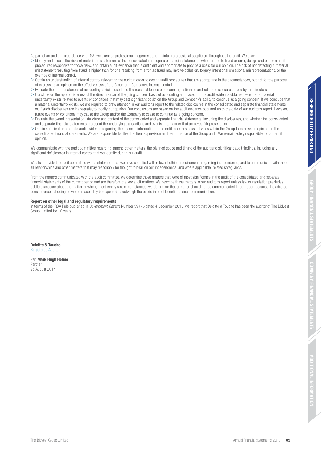As part of an audit in accordance with ISA, we exercise professional judgement and maintain professional scepticism throughout the audit. We also:

- $\triangleright$  Identify and assess the risks of material misstatement of the consolidated and separate financial statements, whether due to fraud or error, design and perform audit procedures responsive to those risks, and obtain audit evidence that is sufficient and appropriate to provide a basis for our opinion. The risk of not detecting a material misstatement resulting from fraud is higher than for one resulting from error, as fraud may involve collusion, forgery, intentional omissions, misrepresentations, or the override of internal control.
- $\triangleright$  Obtain an understanding of internal control relevant to the audit in order to design audit procedures that are appropriate in the circumstances, but not for the purpose of expressing an opinion on the effectiveness of the Group and Company's internal control.
- $\triangleright$  Evaluate the appropriateness of accounting policies used and the reasonableness of accounting estimates and related disclosures made by the directors.
- $\triangleright$  Conclude on the appropriateness of the directors use of the going concern basis of accounting and based on the audit evidence obtained, whether a material uncertainty exists related to events or conditions that may cast significant doubt on the Group and Company's ability to continue as a going concern. If we conclude that a material uncertainty exists, we are required to draw attention in our auditor's report to the related disclosures in the consolidated and separate financial statements or, if such disclosures are inadequate, to modify our opinion. Our conclusions are based on the audit evidence obtained up to the date of our auditor's report. However, future events or conditions may cause the Group and/or the Company to cease to continue as a going concern.
- $\triangleright$  Evaluate the overall presentation, structure and content of the consolidated and separate financial statements, including the disclosures, and whether the consolidated and separate financial statements represent the underlying transactions and events in a manner that achieves fair presentation.
- $\triangleright$  Obtain sufficient appropriate audit evidence regarding the financial information of the entities or business activities within the Group to express an opinion on the consolidated financial statements. We are responsible for the direction, supervision and performance of the Group audit. We remain solely responsible for our audit opinion.

We communicate with the audit committee regarding, among other matters, the planned scope and timing of the audit and significant audit findings, including any significant deficiencies in internal control that we identify during our audit.

We also provide the audit committee with a statement that we have complied with relevant ethical requirements regarding independence, and to communicate with them all relationships and other matters that may reasonably be thought to bear on our independence, and where applicable, related safeguards.

From the matters communicated with the audit committee, we determine those matters that were of most significance in the audit of the consolidated and separate financial statements of the current period and are therefore the key audit matters. We describe these matters in our auditor's report unless law or regulation precludes public disclosure about the matter or when, in extremely rare circumstances, we determine that a matter should not be communicated in our report because the adverse consequences of doing so would reasonably be expected to outweigh the public interest benefits of such communication.

#### **Report on other legal and regulatory requirements**

In terms of the IRBA Rule published in Government Gazette Number 39475 dated 4 December 2015, we report that Deloitte & Touche has been the auditor of The Bidvest Group Limited for 10 years.

**Deloitte & Touche**  Registered Auditor

Per: **Mark Hugh Holme** Partner 25 August 2017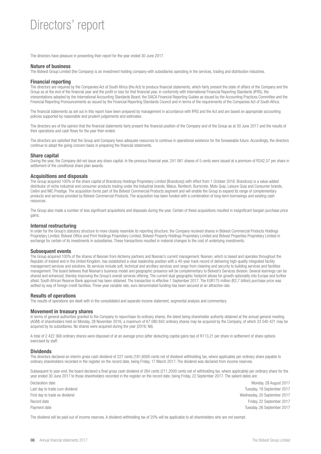### Directors' report

The directors have pleasure in presenting their report for the year ended 30 June 2017.

#### **Nature of business**

The Bidvest Group Limited (the Company) is an investment holding company with subsidiaries operating in the services, trading and distribution industries.

#### **Financial reporting**

The directors are required by the Companies Act of South Africa (the Act) to produce financial statements, which fairly present the state of affairs of the Company and the Group as at the end of the financial year and the profit or loss for that financial year, in conformity with International Financial Reporting Standards (IFRS), the interpretations adopted by the International Accounting Standards Board, the SAICA Financial Reporting Guides as issued by the Accounting Practices Committee and the Financial Reporting Pronouncements as issued by the Financial Reporting Standards Council and in terms of the requirements of the Companies Act of South Africa.

The financial statements as set out in this report have been prepared by management in accordance with IFRS and the Act and are based on appropriate accounting policies supported by reasonable and prudent judgements and estimates.

The directors are of the opinion that the financial statements fairly present the financial position of the Company and of the Group as at 30 June 2017 and the results of their operations and cash flows for the year then ended.

The directors are satisfied that the Group and Company have adequate resources to continue in operational existence for the foreseeable future. Accordingly, the directors continue to adopt the going concern basis in preparing the financial statements.

#### **Share capital**

During the year, the Company did not issue any share capital. In the previous financial year, 241 061 shares of 5 cents were issued at a premium of R342,57 per share in settlement of the conditional share plan awards.

#### **Acquisitions and disposals**

The Group acquired 100% of the share capital of Brandcorp Holdings Proprietary Limited (Brandcorp) with effect from 1 October 2016. Brandcorp is a value-added distributor of niche industrial and consumer products trading under the Industrial brands, Matus, Renttech, Burncrete, Moto Quip, Leisure Quip and Consumer brands, Cellini and MIC Prestige. The acquisition forms part of the Bidvest Commercial Products segment and will enable the Group to expand its range of complementary products and services provided by Bidvest Commercial Products. The acquisition has been funded with a combination of long-term borrowings and existing cash resources.

The Group also made a number of less significant acquisitions and disposals during the year. Certain of these acquisitions resulted in insignificant bargain purchase price gains.

#### **Internal restructuring**

In order for the Group's statutory structure to more closely resemble its reporting structure, the Company received shares in Bidvest Commercial Products Holdings Proprietary Limited, Bidvest Office and Print Holdings Proprietary Limited, Bidvest Property Holdings Proprietary Limited and Bidvest Properties Proprietary Limited in exchange for certain of its investments in subsidiaries. These transactions resulted in material changes to the cost of underlying investments.

#### **Subsequent events**

The Group acquired 100% of the shares of Noonan from Alchemy partners and Noonan's current management. Noonan, which is based and operates throughout the Republic of Ireland and in the United Kingdom, has established a clear leadership position with a 40-year track record of delivering high-quality integrated facility management services and solutions. Its services include soft, technical and ancillary services and range from cleaning and security to building services and facilities management. The board believes that Noonan's business model and geographic presence will be complementary to Bidvest's Services division. Several learnings can be shared and enhanced, thereby improving the Group's overall services offering. The current dual geographic footprint allows for growth optionality into Europe and further afield. South African Reserve Bank approval has been obtained. The transaction is effective 1 September 2017. The EUR175 million (R2,7 billion) purchase price was settled by way of foreign credit facilities. Three-year variable rate, euro denominated funding has been secured at an attractive rate.

#### **Results of operations**

The results of operations are dealt with in the consolidated and separate income statement, segmental analysis and commentary.

#### **Movement in treasury shares**

In terms of general authorities granted to the Company to repurchase its ordinary shares, the latest being shareholder authority obtained at the annual general meeting (AGM) of shareholders held on Monday, 28 November 2016, a maximum of 67 080 842 ordinary shares may be acquired by the Company, of which 33 540 421 may be acquired by its subsidiaries. No shares were acquired during the year (2016: Nil).

A total of 2 422 368 ordinary shares were disposed of at an average price (after deducting capital gains tax) of R113,21 per share in settlement of share options exercised by staff.

#### **Dividends**

The directors declared an interim gross cash dividend of 227 cents (181,6000 cents net of dividend withholding tax, where applicable) per ordinary share payable to ordinary shareholders recorded in the register on the record date, being Friday, 17 March 2017. The dividend was declared from income reserves.

Subsequent to year-end, the board declared a final gross cash dividend of 264 cents (211,2000 cents net of withholding tax, where applicable) per ordinary share for the year ended 30 June 2017 to those shareholders recorded in the register on the record date, being Friday, 22 September 2017. The salient dates are:

Last day to trade cum dividend Tuesday, 19 September 2017 First day to trade ex dividend Wednesday, 20 September 2017 Record date **Friday, 22 September 2017** Friday, 22 September 2017 Payment date Tuesday, 26 September 2017

Declaration date Monday, 28 August 2017

The dividend will be paid out of income reserves. A dividend withholding tax of 20% will be applicable to all shareholders who are not exempt.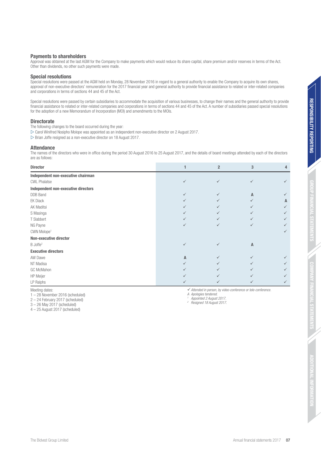#### **Payments to shareholders**

Approval was obtained at the last AGM for the Company to make payments which would reduce its share capital, share premium and/or reserves in terms of the Act. Other than dividends, no other such payments were made.

#### **Special resolutions**

Special resolutions were passed at the AGM held on Monday, 28 November 2016 in regard to a general authority to enable the Company to acquire its own shares, approval of non-executive directors' remuneration for the 2017 financial year and general authority to provide financial assistance to related or inter-related companies and corporations in terms of sections 44 and 45 of the Act.

Special resolutions were passed by certain subsidiaries to accommodate the acquisition of various businesses, to change their names and the general authority to provide financial assistance to related or inter-related companies and corporations in terms of sections 44 and 45 of the Act. A number of subsidiaries passed special resolutions for the adoption of a new Memorandum of Incorporation (MOI) and amendments to the MOIs.

#### **Directorate**

The following changes to the board occurred during the year:

 $\triangleright$  Carol Winifred Nosipho Molope was appointed as an independent non-executive director on 2 August 2017.

 $\triangleright$  Brian Joffe resigned as a non-executive director on 18 August 2017.

#### **Attendance**

The names of the directors who were in office during the period 30 August 2016 to 25 August 2017, and the details of board meetings attended by each of the directors are as follows:

| <b>Director</b>                     |                | $\overline{2}$ | 3            | 4 |
|-------------------------------------|----------------|----------------|--------------|---|
| Independent non-executive chairman  |                |                |              |   |
| <b>CWL Phalatse</b>                 | $\checkmark$   | ✓              |              |   |
| Independent non-executive directors |                |                |              |   |
| <b>DDB</b> Band                     | $\checkmark$   | ✓              | Α            |   |
| <b>EK Diack</b>                     | $\checkmark$   | ✓              |              | A |
| AK Maditsi                          | ✓              |                |              | ✓ |
| S Masinga                           | $\checkmark$   |                |              | ✓ |
| T Slabbert                          | ✓              |                |              | ✓ |
| NG Payne                            | $\checkmark$   | ✓              | ✓            |   |
| CWN Molope <sup>1</sup>             |                |                |              | ✓ |
| <b>Non-executive director</b>       |                |                |              |   |
| B Joffe <sup>2</sup>                | $\checkmark$   | ✓              | $\mathsf{A}$ |   |
| <b>Executive directors</b>          |                |                |              |   |
| AW Dawe                             | $\overline{A}$ |                |              |   |
| NT Madisa                           | ✓              |                |              |   |
| GC McMahon                          | ✓              |                |              |   |
| <b>HP</b> Meijer                    | $\checkmark$   |                |              | ✓ |
| LP Ralphs                           | ✓              | ✓              | $\checkmark$ | ✓ |

Meeting dates:

1 – 28 November 2016 (scheduled)

 $\checkmark$  Attended in person, by video-conference or tele-conference

A Apologies tendered.

 Appointed 2 August 2017. 2 Resigned 18 August 2017.

2 – 24 February 2017 (scheduled) 3 – 26 May 2017 (scheduled)

 $4 - 25$  August 2017 (scheduled)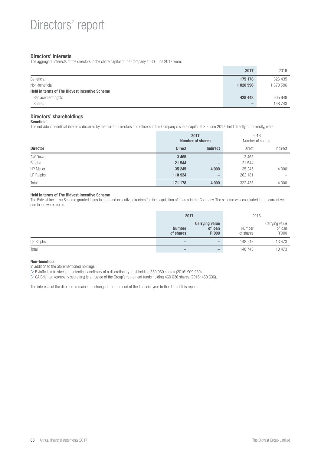#### **Directors' interests**

The aggregate interests of the directors in the share capital of the Company at 30 June 2017 were:

|                                                      | 2017                     | 2016    |
|------------------------------------------------------|--------------------------|---------|
| Beneficial                                           | 175 178                  | 326 435 |
| Non-beneficial                                       | 1 020 596                | 370 596 |
| <b>Held in terms of The Bidvest Incentive Scheme</b> |                          |         |
| Replacement rights                                   | 428 448                  | 605 948 |
| <b>Shares</b>                                        | $\overline{\phantom{a}}$ | 148743  |

#### **Directors' shareholdings**

**Beneficial**

The individual beneficial interests declared by the current directors and officers in the Company's share capital at 30 June 2017, held directly or indirectly, were:

|                 | 2017<br><b>Number of shares</b> |                          |               | 2016<br>Number of shares |
|-----------------|---------------------------------|--------------------------|---------------|--------------------------|
| <b>Director</b> | <b>Direct</b>                   | <b>Indirect</b>          | <b>Direct</b> | Indirect                 |
| AW Dawe         | 3 4 6 5                         | $\qquad \qquad$          | 3465          | -                        |
| <b>B</b> Joffe  | 21 544                          | $\qquad \qquad$          | 21 544        | $\overline{\phantom{a}}$ |
| HP Meijer       | 35 245                          | 4 0 0 0                  | 35 245        | 4 0 0 0                  |
| LP Ralphs       | 110 924                         | $\overline{\phantom{m}}$ | 262 181       | $\overline{\phantom{a}}$ |
| Total           | 171 178                         | 4 0 0 0                  | 322 435       | 4 0 0 0                  |

#### **Held in terms of The Bidvest Incentive Scheme**

The Bidvest Incentive Scheme granted loans to staff and executive directors for the acquisition of shares in the Company. The scheme was concluded in the current year and loans were repaid.

|           | 2017                         |                                           | 2016                |                                    |  |
|-----------|------------------------------|-------------------------------------------|---------------------|------------------------------------|--|
|           | <b>Number</b><br>of shares   | <b>Carrying value</b><br>of loan<br>R'000 | Number<br>of shares | Carrying value<br>of loan<br>R'000 |  |
| LP Ralphs | $\qquad \qquad \blacksquare$ | $\hspace{0.05cm}$                         | 148 743             | 13 473                             |  |
| Total     | $\overline{\phantom{a}}$     |                                           | 148743              | 13 473                             |  |

#### **Non-beneficial**

In addition to the aforementioned holdings:

 $\triangleright$  B Joffe is a trustee and potential beneficiary of a discretionary trust holding 559 960 shares (2016: 909 960).

 $\triangleright$  CA Brighten (company secretary) is a trustee of the Group's retirement funds holding 460 636 shares (2016: 460 636).

The interests of the directors remained unchanged from the end of the financial year to the date of this report.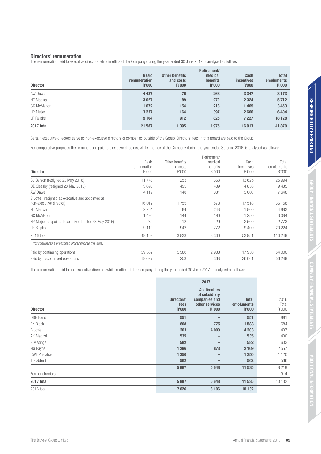**ADDITIONAL INFORMATION**

**SPIRITIONAL INFORMATIO** 

The remuneration paid to executive directors while in office of the Company during the year ended 30 June 2017 is analysed as follows:

| <b>Director</b>  | <b>Basic</b><br>remuneration<br>R'000 | <b>Other benefits</b><br>and costs<br>R'000 | Retirement/<br>medical<br><b>benefits</b><br><b>R'000</b> | Cash<br><i>incentives</i><br><b>R'000</b> | <b>Total</b><br>emoluments<br><b>R'000</b> |
|------------------|---------------------------------------|---------------------------------------------|-----------------------------------------------------------|-------------------------------------------|--------------------------------------------|
| AW Dawe          | 4 4 8 7                               | 76                                          | 263                                                       | 3 3 4 7                                   | 8 1 7 3                                    |
| NT Madisa        | 3 0 27                                | 89                                          | 272                                                       | 2 3 2 4                                   | 5712                                       |
| GC McMahon       | 1672                                  | 154                                         | 218                                                       | 1 4 0 9                                   | 3 4 5 3                                    |
| <b>HP</b> Meijer | 3 2 3 7                               | 164                                         | 397                                                       | 2606                                      | 6 4 0 4                                    |
| LP Ralphs        | 9 1 6 4                               | 912                                         | 825                                                       | 7 2 2 7                                   | 18 128                                     |
| 2017 total       | 21 587                                | 1 3 9 5                                     | 1975                                                      | 16913                                     | 41 870                                     |

Certain executive directors serve as non-executive directors of companies outside of the Group. Directors' fees in this regard are paid to the Group.

For comparative purposes the remuneration paid to executive directors, while in office of the Company during the year ended 30 June 2016, is analysed as follows:

| <b>Director</b>                                                                                                                                                                                             | Basic<br>remuneration<br>R'000              | Other benefits<br>and costs<br>R'000 | Retirement/<br>medical<br>benefits<br>R'000 | Cash<br>incentives<br>R'000             | Total<br>emoluments<br>R'000                |
|-------------------------------------------------------------------------------------------------------------------------------------------------------------------------------------------------------------|---------------------------------------------|--------------------------------------|---------------------------------------------|-----------------------------------------|---------------------------------------------|
| BL Berson (resigned 23 May 2016)                                                                                                                                                                            | 11748                                       | 253                                  | 368                                         | 13 625                                  | 25 9 94                                     |
| DE Cleasby (resigned 23 May 2016)                                                                                                                                                                           | 3693                                        | 495                                  | 439                                         | 4858                                    | 9485                                        |
| AW Dawe                                                                                                                                                                                                     | 4 1 1 9                                     | 148                                  | 381                                         | 3 0 0 0                                 | 7648                                        |
| B Joffe <sup>1</sup> (resigned as executive and appointed as<br>non-executive director)<br>NT Madisa<br><b>GC McMahon</b><br>HP Meijer <sup>1</sup> (appointed executive director 23 May 2016)<br>LP Ralphs | 16 012<br>2751<br>1 4 9 4<br>232<br>9 1 1 0 | 1755<br>84<br>144<br>12<br>942       | 873<br>248<br>196<br>29<br>772              | 17518<br>1800<br>1 250<br>2 500<br>9400 | 36 158<br>4883<br>3084<br>2 7 7 3<br>20 224 |
| 2016 total                                                                                                                                                                                                  | 49 159                                      | 3833                                 | 3 3 0 6                                     | 53 951                                  | 110 249                                     |
| <sup>1</sup> Not considered a prescribed officer prior to this date.                                                                                                                                        |                                             |                                      |                                             |                                         |                                             |
| Paid by continuing operations                                                                                                                                                                               | 29 532                                      | 3580                                 | 2938                                        | 17 950                                  | 54 000                                      |
| Paid by discontinued operations                                                                                                                                                                             | 19627                                       | 253                                  | 368                                         | 36 001                                  | 56 249                                      |

The remuneration paid to non-executive directors while in office of the Company during the year ended 30 June 2017 is analysed as follows:

|                     |                                    | 2017                                                                      |                                            |                        |
|---------------------|------------------------------------|---------------------------------------------------------------------------|--------------------------------------------|------------------------|
| <b>Director</b>     | Directors'<br>fees<br><b>R'000</b> | As directors<br>of subsidiary<br>companies and<br>other services<br>R'000 | <b>Total</b><br>emoluments<br><b>R'000</b> | 2016<br>Total<br>R'000 |
| <b>DDB</b> Band     | 551                                |                                                                           | 551                                        | 881                    |
| <b>EK Diack</b>     | 808                                | 775                                                                       | 1583                                       | 1 684                  |
| <b>B</b> Joffe      | 203                                | 4 0 0 0                                                                   | 4 2 0 3                                    | 407                    |
| AK Maditsi          | 535                                | $\qquad \qquad$                                                           | 535                                        | 400                    |
| S Masinga           | 582                                |                                                                           | 582                                        | 603                    |
| NG Payne            | 1 2 9 6                            | 873                                                                       | 2 1 6 9                                    | 2 5 5 7                |
| <b>CWL Phalatse</b> | 1 350                              |                                                                           | 1 3 5 0                                    | 1 1 2 0                |
| T Slabbert          | 562                                |                                                                           | 562                                        | 566                    |
|                     | 5887                               | 5648                                                                      | 11 535                                     | 8 2 1 8                |
| Former directors    | -                                  | $\qquad \qquad -$                                                         | -                                          | 1914                   |
| 2017 total          | 5887                               | 5648                                                                      | 11 535                                     | 10 132                 |
| 2016 total          | 7026                               | 3 1 0 6                                                                   | 10 132                                     |                        |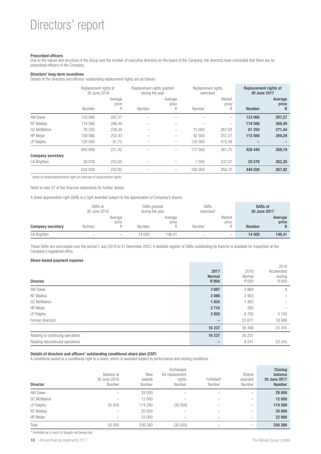### Directors' report

#### **Prescribed officers**

Due to the nature and structure of the Group and the number of executive directors on the board of the Company, the directors have concluded that there are no prescribed officers of the Company.

#### **Directors' long-term incentives**

Details of the directors and officers' outstanding replacement rights are as follows:

|                          | Replacement rights at<br>30 June 2016 |                       | Replacement rights granted<br>during the year |                       | Replacement rights<br>exercised |                                   | <b>Replacement rights at</b><br>30 June 2017 |                       |
|--------------------------|---------------------------------------|-----------------------|-----------------------------------------------|-----------------------|---------------------------------|-----------------------------------|----------------------------------------------|-----------------------|
|                          | Number                                | Average<br>price<br>R | Number                                        | Average<br>price<br>R | Number                          | Market<br>price <sup>1</sup><br>R | <b>Number</b>                                | Average<br>price<br>R |
| AW Dawe                  | 133 066                               | 267,27                |                                               |                       |                                 | -                                 | 133 066                                      | 267,27                |
| NT Madisa                | 118 566                               | 266.49                | -                                             |                       |                                 | -                                 | 118 566                                      | 266,49                |
| GC McMahon               | 76 250                                | 258.30                |                                               | -                     | 15 000                          | 267.03                            | 61 250                                       | 271,44                |
| <b>HP</b> Meijer         | 158 066                               | 252,43                |                                               | -                     | 42 500                          | 257.27                            | 115 566                                      | 269,29                |
| LP Ralphs                | 120 000                               | 61,75                 | -                                             | -                     | 120 000                         | 410.59                            |                                              |                       |
|                          | 605 948                               | 221,42                | -                                             | -                     | 177 500                         | 361.75                            | 428 448                                      | 268,19                |
| <b>Company secretary</b> |                                       |                       |                                               |                       |                                 |                                   |                                              |                       |
| <b>CA Brighten</b>       | 28 0 78                               | 253,05                |                                               |                       | 7500                            | 237,27                            | 20 578                                       | 262,26                |
|                          | 634 026                               | 222,82                |                                               | -                     | 185 000                         | 356.70                            | 449 026                                      | 267,92                |

<sup>1</sup> Value of share/replacement right on exercise of replacement rights.

Refer to note 27 of the financial statements for further details.

A share appreciation right (SAR) is a right awarded subject to the appreciation of Company's shares.

|                          | SARs at<br>30 June 2016  |                          | SARs granted<br>during the year |                  | <b>SARs</b><br>exercised |                          | <b>SARs at</b><br>30 June 2017 |                  |
|--------------------------|--------------------------|--------------------------|---------------------------------|------------------|--------------------------|--------------------------|--------------------------------|------------------|
| <b>Company secretary</b> | Number                   | Average<br>price         | Number                          | Average<br>price | Number                   | Market<br>price          | <b>Number</b>                  | Average<br>price |
| CA Brighten              | $\overline{\phantom{a}}$ | $\overline{\phantom{a}}$ | 14 000                          | 146.41           | $\overline{\phantom{a}}$ | $\overline{\phantom{a}}$ | 14 000                         | 146.41           |

These SARs are exercisable over the period 1 July 2019 to 31 December 2023. A detailed register of SARs outstanding by tranche is available for inspection at the Company's registered office.

#### **Share-based payment expense**

| <b>Director</b>                   | 2017<br><b>Normal</b><br>R'000 | 2016<br>Normal<br>R'000 | 2016<br>Accelerated<br>vesting<br>R'000 |
|-----------------------------------|--------------------------------|-------------------------|-----------------------------------------|
| AW Dawe                           | 3687                           | 2869                    | 9                                       |
| NT Madisa                         | 3 0 8 6                        | 2 4 8 3                 |                                         |
| GC McMahon                        | 1834                           | 1 4 8 3                 |                                         |
| <b>HP</b> Meijer                  | 3710                           | 292                     |                                         |
| LP Ralphs                         | 3 9 20                         | 6700                    | 5 1 5 0                                 |
| Former directors                  |                                | 22 671                  | 18 0 86                                 |
|                                   | 16 237                         | 36 498                  | 23 245                                  |
| Relating to continuing operations | 16 237                         | 30 257                  |                                         |
| Relating discontinued operations  |                                | 6 2 4 1                 | 23 245                                  |

#### **Details of directors and officers' outstanding conditional share plan (CSP)**

A conditional award is a conditional right to a share, which is awarded subject to performance and vesting conditions.

| <b>Director</b>   | Balance at<br>30 June 2016<br>Number | New<br>awards<br>Number | Exchanged<br>for replacement<br>rights<br>Number | Forfeited*<br>Number | Shares<br>awarded<br>Number | <b>Closing</b><br>balance<br>30 June 2017<br><b>Number</b> |
|-------------------|--------------------------------------|-------------------------|--------------------------------------------------|----------------------|-----------------------------|------------------------------------------------------------|
| AW Dawe           | $\overline{\phantom{a}}$             | 28 000                  |                                                  |                      | $\overline{\phantom{a}}$    | 28 000                                                     |
| <b>GC McMahon</b> | $\overline{\phantom{a}}$             | 12 000                  |                                                  |                      |                             | 12 000                                                     |
| LP Ralphs         | 35 000                               | 174 280                 | (35000)                                          | -                    | $\overline{\phantom{a}}$    | 174 280                                                    |
| NT Madisa         | $\overline{\phantom{a}}$             | 20 000                  |                                                  |                      |                             | 20 000                                                     |
| <b>HP</b> Meijer  | $\overline{\phantom{a}}$             | 22 000                  | -                                                | -                    | $\overline{\phantom{a}}$    | 22 000                                                     |
| Total             | 35 000                               | 256 280                 | (35000)                                          |                      | $\overline{\phantom{a}}$    | 256 280                                                    |

\* Forfeited as a result of targets not being met.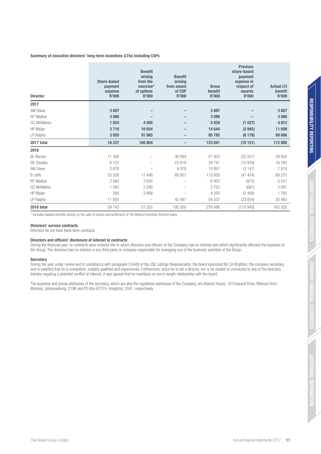#### **Summary of executive directors' long-term incentives (LTIs) including CSPs**

| <b>Director</b>   | Share-based<br>payment<br>expense<br><b>R'000</b> | <b>Benefit</b><br>arising<br>from the<br>exercise*<br>of options<br><b>R'000</b> | <b>Benefit</b><br>arising<br>from award<br>of CSP<br><b>R'000</b> | <b>Gross</b><br>benefit<br><b>R'000</b> | <b>Previous</b><br>share-based<br>payment<br>expense in<br>respect of<br>awards<br><b>R'000</b> | <b>Actual LTI</b><br>benefit<br>R'000 |
|-------------------|---------------------------------------------------|----------------------------------------------------------------------------------|-------------------------------------------------------------------|-----------------------------------------|-------------------------------------------------------------------------------------------------|---------------------------------------|
| 2017              |                                                   |                                                                                  |                                                                   |                                         |                                                                                                 |                                       |
| AW Dawe           | 3687                                              |                                                                                  |                                                                   | 3687                                    |                                                                                                 | 3687                                  |
| NT Madisa         | 3 0 8 6                                           |                                                                                  |                                                                   | 3 0 8 6                                 |                                                                                                 | 3 0 8 6                               |
| <b>GC McMahon</b> | 1834                                              | 4 0 0 5                                                                          |                                                                   | 5839                                    | (1027)                                                                                          | 4812                                  |
| <b>HP</b> Meijer  | 3710                                              | 10 934                                                                           |                                                                   | 14 644                                  | (2945)                                                                                          | 11 699                                |
| LP Ralphs         | 3 9 20                                            | 91 865                                                                           |                                                                   | 95 785                                  | (6179)                                                                                          | 89 606                                |
| 2017 total        | 16 237                                            | 106 804                                                                          | $\qquad \qquad -$                                                 | 123 041                                 | (10151)                                                                                         | 112 890                               |
| 2016              |                                                   |                                                                                  |                                                                   |                                         |                                                                                                 |                                       |
| <b>BL</b> Berson  | 11 309                                            |                                                                                  | 40 094                                                            | 51 403                                  | (22 551)                                                                                        | 28 852                                |
| DE Cleasby        | 6 1 2 2                                           | -                                                                                | 23 619                                                            | 29 741                                  | (12976)                                                                                         | 16765                                 |
| AW Dawe           | 2878                                              |                                                                                  | 8079                                                              | 10 957                                  | (3147)                                                                                          | 7810                                  |
| <b>B</b> Joffe    | 23 3 26                                           | 11 408                                                                           | 80 921                                                            | 115 655                                 | (47 424)                                                                                        | 68 231                                |
| NT Madisa         | 2 4 8 3                                           | 3 9 2 0                                                                          |                                                                   | 6 4 0 3                                 | (872)                                                                                           | 5 5 3 1                               |
| <b>GC McMahon</b> | 1 4 8 3                                           | 2 2 6 9                                                                          |                                                                   | 3752                                    | (661)                                                                                           | 3 0 9 1                               |
| <b>HP</b> Meijer  | 292                                               | 3958                                                                             |                                                                   | 4 2 5 0                                 | (2458)                                                                                          | 1792                                  |
| LP Ralphs         | 11 850                                            |                                                                                  | 42 487                                                            | 54 337                                  | (23 854)                                                                                        | 30 483                                |
| 2016 total        | 59 7 43                                           | 21 555                                                                           | 195 200                                                           | 276 498                                 | (113943)                                                                                        | 162 555                               |

\* Includes taxable benefits arising on the sale of shares and settlement of The Bidvest Incentive Scheme loans.

#### **Directors' service contracts**

Directors do not have fixed-term contracts.

#### **Directors and officers' disclosure of interest in contracts**

During the financial year, no contracts were entered into in which directors and officers of the Company had an interest and which significantly affected the business of the Group. The directors had no interest in any third party or company responsible for managing any of the business activities of the Group.

#### **Secretary**

During the year under review and in compliance with paragraph 3.84(h) of the JSE Listings Requirements, the board evaluated Mr CA Brighten, the company secretary, and is satisfied that he is competent, suitably qualified and experienced. Furthermore, since he is not a director, nor is he related or connected to any of the directors, thereby negating a potential conflict of interest, it was agreed that he maintains an arm's length relationship with the board.

The business and postal addresses of the secretary, which are also the registered addresses of the Company, are Bidvest House, 18 Crescent Drive, Melrose Arch, Melrose, Johannesburg, 2196 and PO Box 87274, Houghton, 2041, respectively.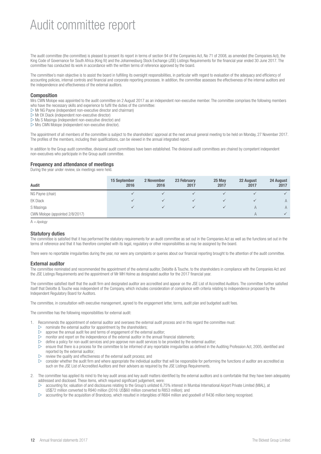### Audit committee report

The audit committee (the committee) is pleased to present its report in terms of section 94 of the Companies Act, No 71 of 2008, as amended (the Companies Act), the King Code of Governance for South Africa (King IV) and the Johannesburg Stock Exchange (JSE) Listings Requirements for the financial year ended 30 June 2017. The committee has conducted its work in accordance with the written terms of reference approved by the board.

The committee's main objective is to assist the board in fulfilling its oversight responsibilities, in particular with regard to evaluation of the adequacy and efficiency of accounting policies, internal controls and financial and corporate reporting processes. In addition, the committee assesses the effectiveness of the internal auditors and the independence and effectiveness of the external auditors.

#### **Composition**

Mrs CWN Molope was appointed to the audit committee on 2 August 2017 as an independent non-executive member. The committee comprises the following members who have the necessary skills and experience to fulfil the duties of the committee:

- $\triangleright$  Mr NG Payne (independent non-executive director and chairman)
- $D$  Mr EK Diack (independent non-executive director)
- $\triangleright$  Ms S Masinga (independent non-executive director) and
- $\triangleright$  Mrs CWN Molope (independent non-executive director).

The appointment of all members of the committee is subject to the shareholders' approval at the next annual general meeting to be held on Monday, 27 November 2017. The profiles of the members, including their qualifications, can be viewed in the annual integrated report.

In addition to the Group audit committee, divisional audit committees have been established. The divisional audit committees are chaired by competent independent non-executives who participate in the Group audit committee.

#### **Frequency and attendance of meetings**

During the year under review, six meetings were held.

| Audit                           | <b>15 September</b><br>2016 | 2 November<br>2016 | 23 February<br>2017 | 25 May<br>2017 | 22 August<br>2017 | 24 August<br>2017 |
|---------------------------------|-----------------------------|--------------------|---------------------|----------------|-------------------|-------------------|
| NG Payne (chair)                |                             |                    |                     |                |                   |                   |
| <b>EK Diack</b>                 |                             |                    |                     |                |                   | $\overline{A}$    |
| S Masinga                       |                             |                    |                     |                |                   | A                 |
| CWN Molope (appointed 2/8/2017) |                             |                    |                     |                |                   |                   |

 $A = A$ pology

#### **Statutory duties**

The committee is satisfied that it has performed the statutory requirements for an audit committee as set out in the Companies Act as well as the functions set out in the terms of reference and that it has therefore complied with its legal, regulatory or other responsibilities as may be assigned by the board.

There were no reportable irregularities during the year, nor were any complaints or queries about our financial reporting brought to the attention of the audit committee.

#### **External auditor**

The committee nominated and recommended the appointment of the external auditor, Deloitte & Touche, to the shareholders in compliance with the Companies Act and the JSE Listings Requirements and the appointment of Mr MH Holme as designated auditor for the 2017 financial year.

The committee satisfied itself that the audit firm and designated auditor are accredited and appear on the JSE List of Accredited Auditors. The committee further satisfied itself that Deloitte & Touche was independent of the Company, which includes consideration of compliance with criteria relating to independence proposed by the Independent Regulatory Board for Auditors.

The committee, in consultation with executive management, agreed to the engagement letter, terms, audit plan and budgeted audit fees.

The committee has the following responsibilities for external audit:

- 1. Recommends the appointment of external auditor and oversees the external audit process and in this regard the committee must:
	- $\triangleright$  nominate the external auditor for appointment by the shareholders;
	- $\triangleright$  approve the annual audit fee and terms of engagement of the external auditor;
	- $\triangleright$  monitor and report on the independence of the external auditor in the annual financial statements;
	- $\triangleright$  define a policy for non-audit services and pre-approve non-audit services to be provided by the external auditor;
	- $\triangleright$  ensure that there is a process for the committee to be informed of any reportable irregularities as defined in the Auditing Profession Act, 2005, identified and reported by the external auditor;
	- $\triangleright$  review the quality and effectiveness of the external audit process; and
	- consider whether the audit firm and where appropriate the individual auditor that will be responsible for performing the functions of auditor are accredited as such on the JSE List of Accredited Auditors and their advisers as required by the JSE Listings Requirements.
- 2. The committee has applied its mind to the key audit areas and key audit matters identified by the external auditors and is comfortable that they have been adequately addressed and disclosed. These items, which required significant judgement, were:
	- accounting for, valuation of and disclosures relating to the Group's unlisted 6,75% interest in Mumbai International Airport Private Limited (MIAL), at US\$72 million converted to R940 million (2016: US\$60 million converted to R853 million); and
	- $\triangleright$  accounting for the acquisition of Brandcorp, which resulted in intangibles of R684 million and goodwill of R436 million being recognised.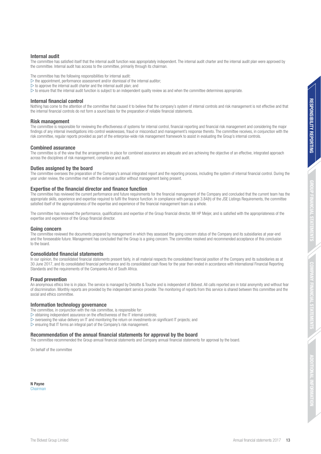**ADDITIONAL INFORMATION**

**JFORMATIO** 

The committee has satisfied itself that the internal audit function was appropriately independent. The internal audit charter and the internal audit plan were approved by the committee. Internal audit has access to the committee, primarily through its chairman.

The committee has the following responsibilities for internal audit:

 $\triangleright$  the appointment, performance assessment and/or dismissal of the internal auditor;

- $\triangleright$  to approve the internal audit charter and the internal audit plan; and
- $\triangleright$  to ensure that the internal audit function is subject to an independent quality review as and when the committee determines appropriate.

#### **Internal financial control**

Nothing has come to the attention of the committee that caused it to believe that the company's system of internal controls and risk management is not effective and that the internal financial controls do not form a sound basis for the preparation of reliable financial statements.

#### **Risk management**

The committee is responsible for reviewing the effectiveness of systems for internal control, financial reporting and financial risk management and considering the major findings of any internal investigations into control weaknesses, fraud or misconduct and management's response thereto. The committee receives, in conjunction with the risk committee, regular reports provided as part of the enterprise-wide risk management framework to assist in evaluating the Group's internal controls.

#### **Combined assurance**

The committee is of the view that the arrangements in place for combined assurance are adequate and are achieving the objective of an effective, integrated approach across the disciplines of risk management, compliance and audit.

#### **Duties assigned by the board**

The committee oversees the preparation of the Company's annual integrated report and the reporting process, including the system of internal financial control. During the year under review, the committee met with the external auditor without management being present.

#### **Expertise of the financial director and finance function**

The committee has reviewed the current performance and future requirements for the financial management of the Company and concluded that the current team has the appropriate skills, experience and expertise required to fulfil the finance function. In compliance with paragraph 3.84(h) of the JSE Listings Requirements, the committee satisfied itself of the appropriateness of the expertise and experience of the financial management team as a whole.

The committee has reviewed the performance, qualifications and expertise of the Group financial director, Mr HP Meijer, and is satisfied with the appropriateness of the expertise and experience of the Group financial director.

#### **Going concern**

The committee reviewed the documents prepared by management in which they assessed the going concern status of the Company and its subsidiaries at year-end and the foreseeable future. Management has concluded that the Group is a going concern. The committee resolved and recommended acceptance of this conclusion to the board.

#### **Consolidated financial statements**

In our opinion, the consolidated financial statements present fairly, in all material respects the consolidated financial position of the Company and its subsidiaries as at 30 June 2017, and its consolidated financial performance and its consolidated cash flows for the year then ended in accordance with International Financial Reporting Standards and the requirements of the Companies Act of South Africa.

#### **Fraud prevention**

An anonymous ethics line is in place. The service is managed by Deloitte & Touche and is independent of Bidvest. All calls reported are in total anonymity and without fear of discrimination. Monthly reports are provided by the independent service provider. The monitoring of reports from this service is shared between this committee and the social and ethics committee.

#### **Information technology governance**

The committee, in conjunction with the risk committee, is responsible for:

- $\triangleright$  obtaining independent assurance on the effectiveness of the IT internal controls;
- $\triangleright$  overseeing the value delivery on IT and monitoring the return on investments on significant IT projects; and
- $\triangleright$  ensuring that IT forms an integral part of the Company's risk management.

#### **Recommendation of the annual financial statements for approval by the board**

The committee recommended the Group annual financial statements and Company annual financial statements for approval by the board.

On behalf of the committee

**N Payne**  Chairman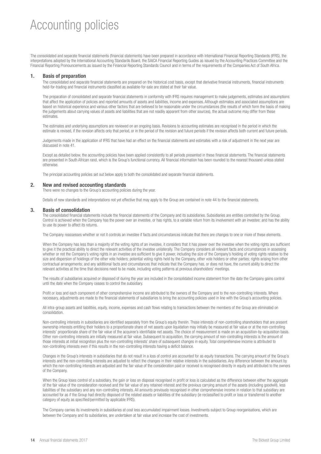### Accounting policies

The consolidated and separate financial statements (financial statements) have been prepared in accordance with International Financial Reporting Standards (IFRS), the interpretations adopted by the International Accounting Standards Board, the SAICA Financial Reporting Guides as issued by the Accounting Practices Committee and the Financial Reporting Pronouncements as issued by the Financial Reporting Standards Council and in terms of the requirements of the Companies Act of South Africa.

#### **1. Basis of preparation**

The consolidated and separate financial statements are prepared on the historical cost basis, except that derivative financial instruments, financial instruments held-for-trading and financial instruments classified as available-for-sale are stated at their fair value.

 The preparation of consolidated and separate financial statements in conformity with IFRS requires management to make judgements, estimates and assumptions that affect the application of policies and reported amounts of assets and liabilities, income and expenses. Although estimates and associated assumptions are based on historical experience and various other factors that are believed to be reasonable under the circumstances (the results of which form the basis of making the judgements about carrying values of assets and liabilities that are not readily apparent from other sources), the actual outcome may differ from these estimates.

 The estimates and underlying assumptions are reviewed on an ongoing basis. Revisions to accounting estimates are recognised in the period in which the estimate is revised, if the revision affects only that period, or in the period of the revision and future periods if the revision affects both current and future periods.

 Judgements made in the application of IFRS that have had an effect on the financial statements and estimates with a risk of adjustment in the next year are discussed in note 41.

Except as detailed below, the accounting policies have been applied consistently to all periods presented in these financial statements. The financial statements are presented in South African rand, which is the Group's functional currency. All financial information has been rounded to the nearest thousand unless stated otherwise.

The principal accounting policies set out below apply to both the consolidated and separate financial statements.

#### **2. New and revised accounting standards**

There were no changes to the Group's accounting policies during the year.

Details of new standards and interpretations not yet effective that may apply to the Group are contained in note 44 to the financial statements.

#### **3. Basis of consolidation**

 The consolidated financial statements include the financial statements of the Company and its subsidiaries. Subsidiaries are entities controlled by the Group. Control is achieved when the Company has the power over an investee, or has rights, to a variable return from its involvement with an investee; and has the ability to use its power to affect its returns.

The Company reassesses whether or not it controls an investee if facts and circumstances indicate that there are changes to one or more of these elements.

 When the Company has less than a majority of the voting rights of an investee, it considers that it has power over the investee when the voting rights are sufficient to give it the practical ability to direct the relevant activities of the investee unilaterally. The Company considers all relevant facts and circumstances in assessing whether or not the Company's voting rights in an investee are sufficient to give it power, including the size of the Company's holding of voting rights relative to the size and dispersion of holdings of the other vote holders; potential voting rights held by the Company, other vote holders or other parties; rights arising from other contractual arrangements; and any additional facts and circumstances that indicate that the Company has, or does not have, the current ability to direct the relevant activities at the time that decisions need to be made, including voting patterns at previous shareholders' meetings.

 The results of subsidiaries acquired or disposed of during the year are included in the consolidated income statement from the date the Company gains control until the date when the Company ceases to control the subsidiary.

 Profit or loss and each component of other comprehensive income are attributed to the owners of the Company and to the non-controlling interests. Where necessary, adjustments are made to the financial statements of subsidiaries to bring the accounting policies used in line with the Group's accounting policies.

 All intra-group assets and liabilities, equity, income, expenses and cash flows relating to transactions between the members of the Group are eliminated on consolidation.

 Non-controlling interests in subsidiaries are identified separately from the Group's equity therein. Those interests of non-controlling shareholders that are present ownership interests entitling their holders to a proportionate share of net assets upon liquidation may initially be measured at fair value or at the non-controlling interests' proportionate share of the fair value of the acquiree's identifiable net assets. The choice of measurement is made on an acquisition-by-acquisition basis. Other non-controlling interests are initially measured at fair value. Subsequent to acquisition, the carrying amount of non-controlling interests is the amount of those interests at initial recognition plus the non-controlling interests' share of subsequent changes in equity. Total comprehensive income is attributed to non-controlling interests even if this results in the non-controlling interests having a deficit balance.

 Changes in the Group's interests in subsidiaries that do not result in a loss of control are accounted for as equity transactions. The carrying amount of the Group's interests and the non-controlling interests are adjusted to reflect the changes in their relative interests in the subsidiaries. Any difference between the amount by which the non-controlling interests are adjusted and the fair value of the consideration paid or received is recognised directly in equity and attributed to the owners of the Company.

When the Group loses control of a subsidiary, the gain or loss on disposal recognised in profit or loss is calculated as the difference between either the aggregate of the fair value of the consideration received and the fair value of any retained interest and the previous carrying amount of the assets (including goodwill), less liabilities of the subsidiary and any non-controlling interests. All amounts previously recognised in other comprehensive income in relation to that subsidiary are accounted for as if the Group had directly disposed of the related assets or liabilities of the subsidiary (ie reclassified to profit or loss or transferred to another category of equity as specified/permitted by applicable IFRS).

 The Company carries its investments in subsidiaries at cost less accumulated impairment losses. Investments subject to Group reorganisations, which are between the Company and its subsidiaries, are undertaken at fair value and increase the cost of investments.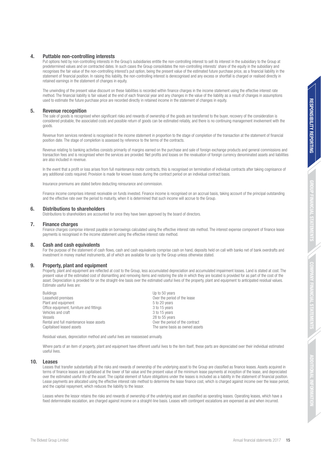#### **4. Puttable non-controlling interests**

 Put options held by non-controlling interests in the Group's subsidiaries entitle the non-controlling interest to sell its interest in the subsidiary to the Group at predetermined values and on contracted dates. In such cases the Group consolidates the non-controlling interests' share of the equity in the subsidiary and recognises the fair value of the non-controlling interest's put option, being the present value of the estimated future purchase price, as a financial liability in the statement of financial position. In raising this liability, the non-controlling interest is derecognised and any excess or shortfall is charged or realised directly in retained earnings in the statement of changes in equity.

 The unwinding of the present value discount on these liabilities is recorded within finance charges in the income statement using the effective interest rate method. The financial liability is fair valued at the end of each financial year and any changes in the value of the liability as a result of changes in assumptions used to estimate the future purchase price are recorded directly in retained income in the statement of changes in equity.

#### **5. Revenue recognition**

The sale of goods is recognised when significant risks and rewards of ownership of the goods are transferred to the buyer, recovery of the consideration is considered probable, the associated costs and possible return of goods can be estimated reliably, and there is no continuing management involvement with the goods.

 Revenue from services rendered is recognised in the income statement in proportion to the stage of completion of the transaction at the statement of financial position date. The stage of completion is assessed by reference to the terms of the contracts.

Revenue relating to banking activities consists primarily of margins earned on the purchase and sale of foreign exchange products and general commissions and transaction fees and is recognised when the services are provided. Net profits and losses on the revaluation of foreign currency denominated assets and liabilities are also included in revenue.

In the event that a profit or loss arises from full maintenance motor contracts, this is recognised on termination of individual contracts after taking cognisance of any additional costs required. Provision is made for known losses during the contract period on an individual contract basis.

Insurance premiums are stated before deducting reinsurance and commission.

 Finance income comprises interest receivable on funds invested. Finance income is recognised on an accrual basis, taking account of the principal outstanding and the effective rate over the period to maturity, when it is determined that such income will accrue to the Group.

#### **6. Distributions to shareholders**

Distributions to shareholders are accounted for once they have been approved by the board of directors.

#### **7. Finance charges**

 Finance charges comprise interest payable on borrowings calculated using the effective interest rate method. The interest expense component of finance lease payments is recognised in the income statement using the effective interest rate method.

#### **8. Cash and cash equivalents**

For the purpose of the statement of cash flows, cash and cash equivalents comprise cash on hand, deposits held on call with banks net of bank overdrafts and investment in money market instruments, all of which are available for use by the Group unless otherwise stated.

#### **9. Property, plant and equipment**

 Property, plant and equipment are reflected at cost to the Group, less accumulated depreciation and accumulated impairment losses. Land is stated at cost. The present value of the estimated cost of dismantling and removing items and restoring the site in which they are located is provided for as part of the cost of the asset. Depreciation is provided for on the straight-line basis over the estimated useful lives of the property, plant and equipment to anticipated residual values. Estimate useful lives are:

Buildings Up to 50 years<br>
Leasehold premises extending the set of the period of the period of the period of the period of the period of the period of the period of the period of the period of the period of the period of th Over the period of the lease<br>5 to 20 years Plant and equipment<br>Office equipment, furniture and fittings<br>3 to 15 years Office equipment, furniture and fittings Vehicles and craft  $\sim$  3 to 15 years Vessels<br>
Verthe period of the contract<br>
Over the period of the contract<br>
Over the period of the contract Rental and full maintenance lease assets<br>Capitalised leased assets The same basis as owned assets

Residual values, depreciation method and useful lives are reassessed annually.

Where parts of an item of property, plant and equipment have different useful lives to the item itself, these parts are depreciated over their individual estimated useful lives.

#### **10. Leases**

 Leases that transfer substantially all the risks and rewards of ownership of the underlying asset to the Group are classified as finance leases. Assets acquired in terms of finance leases are capitalised at the lower of fair value and the present value of the minimum lease payments at inception of the lease, and depreciated over the estimated useful life of the asset. The capital element of future obligations under the leases is included as a liability in the statement of financial position. Lease payments are allocated using the effective interest rate method to determine the lease finance cost, which is charged against income over the lease period, and the capital repayment, which reduces the liability to the lessor.

 Leases where the lessor retains the risks and rewards of ownership of the underlying asset are classified as operating leases. Operating leases, which have a fixed determinable escalation, are charged against income on a straight-line basis. Leases with contingent escalations are expensed as and when incurred.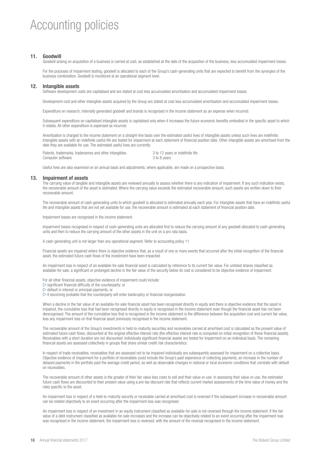### Accounting policies

#### **11. Goodwill**

Goodwill arising on acquisition of a business is carried at cost, as established at the date of the acquisition of the business, less accumulated impairment losses.

 For the purposes of impairment testing, goodwill is allocated to each of the Group's cash-generating units that are expected to benefit from the synergies of the business combination. Goodwill is monitored at an operational segment level.

#### **12. Intangible assets**

Software development costs are capitalised and are stated at cost less accumulated amortisation and accumulated impairment losses.

Development cost and other intangible assets acquired by the Group are stated at cost less accumulated amortisation and accumulated impairment losses.

Expenditure on research, internally generated goodwill and brands is recognised in the income statement as an expense when incurred.

 Subsequent expenditure on capitalised intangible assets is capitalised only when it increases the future economic benefits embodied in the specific asset to which it relates. All other expenditure is expensed as incurred.

 Amortisation is charged to the income statement on a straight-line basis over the estimated useful lives of intangible assets unless such lives are indefinite. Intangible assets with an indefinite useful life are tested for impairment at each statement of financial position date. Other intangible assets are amortised from the date they are available for use. The estimated useful lives are currently:

|                   | Patents, trademarks, tradenames and other intangibles |              | 3 to 12 years or indefinite life |
|-------------------|-------------------------------------------------------|--------------|----------------------------------|
| Computer software |                                                       | 3 to 8 years |                                  |

Useful lives are also examined on an annual basis and adjustments, where applicable, are made on a prospective basis.

#### **13. Impairment of assets**

The carrying value of tangible and intangible assets are reviewed annually to assess whether there is any indication of impairment. If any such indication exists, the recoverable amount of the asset is estimated. Where the carrying value exceeds the estimated recoverable amount, such assets are written down to their recoverable amount.

The recoverable amount of cash-generating units to which goodwill is allocated is estimated annually each year. For intangible assets that have an indefinite useful life and intangible assets that are not yet available for use, the recoverable amount is estimated at each statement of financial position date.

Impairment losses are recognised in the income statement.

 Impairment losses recognised in respect of cash-generating units are allocated first to reduce the carrying amount of any goodwill allocated to cash-generating units and then to reduce the carrying amount of the other assets in the unit on a pro rata basis.

A cash-generating unit is not larger than any operational segment. Refer to accounting policy 11.

 Financial assets are impaired where there is objective evidence that, as a result of one or more events that occurred after the initial recognition of the financial asset, the estimated future cash flows of the investment have been impacted.

 An impairment loss in respect of an available-for-sale financial asset is calculated by reference to its current fair value. For unlisted shares classified as available-for-sale, a significant or prolonged decline in the fair value of the security below its cost is considered to be objective evidence of impairment.

For all other financial assets, objective evidence of impairment could include:

 $\triangleright$  significant financial difficulty of the counterparty; or

 $\triangleright$  default in interest or principal payments; or

 $\triangleright$  it becoming probable that the counterparty will enter bankruptcy or financial reorganisation.

When a decline in the fair value of an available-for-sale financial asset has been recognised directly in equity and there is objective evidence that the asset is impaired, the cumulative loss that had been recognised directly in equity is recognised in the income statement even though the financial asset has not been derecognised. The amount of the cumulative loss that is recognised in the income statement is the difference between the acquisition cost and current fair value, less any impairment loss on that financial asset previously recognised in the income statement.

 The recoverable amount of the Group's investments in held-to-maturity securities and receivables carried at amortised cost is calculated as the present value of estimated future cash flows, discounted at the original effective interest rate (the effective interest rate is computed on initial recognition of these financial assets). Receivables with a short duration are not discounted. Individually significant financial assets are tested for impairment on an individual basis. The remaining financial assets are assessed collectively in groups that share similar credit risk characteristics.

 In respect of trade receivables, receivables that are assessed not to be impaired individually are subsequently assessed for impairment on a collective basis. Objective evidence of impairment for a portfolio of receivables could include the Group's past experience of collecting payments, an increase in the number of delayed payments in the portfolio past the average credit period, as well as observable changes in national or local economic conditions that correlate with default on receivables.

 The recoverable amount of other assets is the greater of their fair value less costs to sell and their value-in-use. In assessing their value-in-use, the estimated future cash flows are discounted to their present value using a pre-tax discount rate that reflects current market assessments of the time value of money and the risks specific to the asset.

 An impairment loss in respect of a held-to-maturity security or receivable carried at amortised cost is reversed if the subsequent increase in recoverable amount can be related objectively to an event occurring after the impairment loss was recognised.

 An impairment loss in respect of an investment in an equity instrument classified as available-for-sale is not reversed through the income statement. If the fair value of a debt instrument classified as available-for-sale increases and the increase can be objectively related to an event occurring after the impairment loss was recognised in the income statement, the impairment loss is reversed, with the amount of the reversal recognised in the income statement.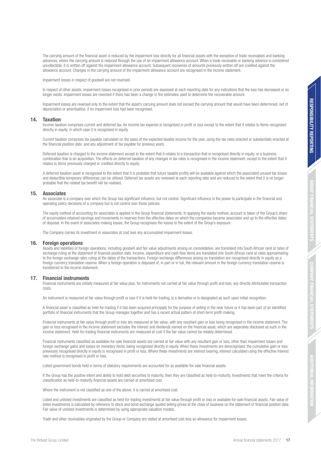The carrying amount of the financial asset is reduced by the impairment loss directly for all financial assets with the exception of trade receivables and banking advances, where the carrying amount is reduced through the use of an impairment allowance account. When a trade receivable or banking advance is considered uncollectible, it is written off against the impairment allowance account. Subsequent recoveries of amounts previously written off are credited against the allowance account. Changes in the carrying amount of the impairment allowance account are recognised in the income statement.

Impairment losses in respect of goodwill are not reversed.

In respect of other assets, impairment losses recognised in prior periods are assessed at each reporting date for any indications that the loss has decreased or no longer exists. Impairment losses are reversed if there has been a change in the estimates used to determine the recoverable amount.

 Impairment losses are reversed only to the extent that the asset's carrying amount does not exceed the carrying amount that would have been determined, net of depreciation or amortisation, if no impairment loss had been recognised.

#### **14. Taxation**

 Income taxation comprises current and deferred tax. An income tax expense is recognised in profit or loss except to the extent that it relates to items recognised directly in equity, in which case it is recognised in equity.

 Current taxation comprises tax payable calculated on the basis of the expected taxable income for the year, using the tax rates enacted or substantially enacted at the financial position date, and any adjustment of tax payable for previous years.

 Deferred taxation is charged to the income statement except to the extent that it relates to a transaction that is recognised directly in equity, or a business combination that is an acquisition. The effects on deferred taxation of any changes in tax rates is recognised in the income statement, except to the extent that it relates to items previously charged or credited directly to equity.

 A deferred taxation asset is recognised to the extent that it is probable that future taxable profits will be available against which the associated unused tax losses and deductible temporary differences can be utilised. Deferred tax assets are reviewed at each reporting date and are reduced to the extent that it is no longer probable that the related tax benefit will be realised.

#### **15. Associates**

An associate is a company over which the Group has significant influence, but not control. Significant influence is the power to participate in the financial and operating policy decisions of a company but is not control over those policies.

The equity method of accounting for associates is applied in the Group financial statements. In applying the equity method, account is taken of the Group's share of accumulated retained earnings and movements in reserves from the effective dates on which the companies became associates and up to the effective dates of disposal. In the event of associates making losses, the Group recognises the losses to the extent of the Group's exposure.

The Company carries its investment in associates at cost less any accumulated impairment losses.

#### **16. Foreign operations**

 Assets and liabilities of foreign operations, including goodwill and fair value adjustments arising on consolidation, are translated into South African rand at rates of exchange ruling at the statement of financial position date. Income, expenditure and cash flow items are translated into South African rand at rates approximating to the foreign exchange rates ruling at the dates of the transactions. Foreign exchange differences arising on translation are recognised directly in equity as a foreign currency translation reserve. When a foreign operation is disposed of, in part or in full, the relevant amount in the foreign currency translation reserve is transferred to the income statement.

#### **17. Financial instruments**

 Financial instruments are initially measured at fair value plus, for instruments not carried at fair value through profit and loss, any directly attributable transaction costs.

An instrument is measured at fair value through profit or loss if it is held-for-trading, is a derivative or is designated as such upon initial recognition.

 A financial asset is classified as held-for-trading if it has been acquired principally for the purpose of selling in the near future or it has been part of an identified portfolio of financial instruments that the Group manages together and has a recent actual pattern of short-term profit-making.

 Financial instruments at fair value through profit or loss are measured at fair value, with any resultant gain or loss being recognised in the income statement. The gain or loss recognised in the income statement excludes the interest and dividends earned on the financial asset, which are separately disclosed as such in the income statement. Held-for-trading financial instruments are measured at cost if the fair value cannot be reliably determined.

 Financial instruments classified as available-for-sale financial assets are carried at fair value with any resultant gain or loss, other than impairment losses and foreign exchange gains and losses on monetary items, being recognised directly in equity. When these investments are derecognised, the cumulative gain or loss previously recognised directly in equity is recognised in profit or loss. Where these investments are interest-bearing, interest calculated using the effective interest rate method is recognised in profit or loss.

Listed government bonds held in terms of statutory requirements are accounted for as available-for-sale financial assets.

 If the Group has the positive intent and ability to hold debt securities to maturity, then they are classified as held-to-maturity. Investments that meet the criteria for classification as held-to-maturity financial assets are carried at amortised cost.

Where the instrument is not classified as one of the above, it is carried at amortised cost.

 Listed and unlisted investments are classified as held-for-trading investments at fair value through profit or loss or available-for-sale financial assets. Fair value of listed investments is calculated by reference to stock and bond exchange quoted selling prices at the close of business on the statement of financial position date. Fair value of unlisted investments is determined by using appropriate valuation models.

Trade and other receivables originated by the Group or Company are stated at amortised cost less an allowance for impairment losses.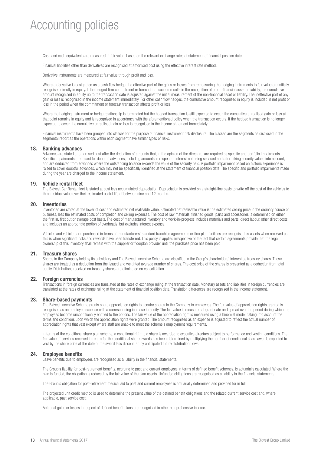### Accounting policies

Cash and cash equivalents are measured at fair value, based on the relevant exchange rates at statement of financial position date.

Financial liabilities other than derivatives are recognised at amortised cost using the effective interest rate method.

Derivative instruments are measured at fair value through profit and loss.

 Where a derivative is designated as a cash flow hedge, the effective part of the gains or losses from remeasuring the hedging instruments to fair value are initially recognised directly in equity. If the hedged firm commitment or forecast transaction results in the recognition of a non-financial asset or liability, the cumulative amount recognised in equity up to the transaction date is adjusted against the initial measurement of the non-financial asset or liability. The ineffective part of any gain or loss is recognised in the income statement immediately. For other cash flow hedges, the cumulative amount recognised in equity is included in net profit or loss in the period when the commitment or forecast transaction affects profit or loss.

Where the hedging instrument or hedge relationship is terminated but the hedged transaction is still expected to occur, the cumulative unrealised gain or loss at that point remains in equity and is recognised in accordance with the aforementioned policy when the transaction occurs. If the hedged transaction is no longer expected to occur, the cumulative unrealised gain or loss is recognised in the income statement immediately.

 Financial instruments have been grouped into classes for the purpose of financial instrument risk disclosure. The classes are the segments as disclosed in the segmental report as the operations within each segment have similar types of risks.

#### **18. Banking advances**

 Advances are stated at amortised cost after the deduction of amounts that, in the opinion of the directors, are required as specific and portfolio impairments. Specific impairments are raised for doubtful advances, including amounts in respect of interest not being serviced and after taking security values into account, and are deducted from advances where the outstanding balance exceeds the value of the security held. A portfolio impairment based on historic experience is raised to cover doubtful advances, which may not be specifically identified at the statement of financial position date. The specific and portfolio impairments made during the year are charged to the income statement.

#### **19. Vehicle rental fleet**

 The Bidvest Car Rental fleet is stated at cost less accumulated depreciation. Depreciation is provided on a straight-line basis to write off the cost of the vehicles to their residual value over their estimated useful life of between nine and 12 months.

#### **20. Inventories**

 Inventories are stated at the lower of cost and estimated net realisable value. Estimated net realisable value is the estimated selling price in the ordinary course of business, less the estimated costs of completion and selling expenses. The cost of raw materials, finished goods, parts and accessories is determined on either the first in, first out or average cost basis. The cost of manufactured inventory and work-in-progress includes materials and parts, direct labour, other direct costs and includes an appropriate portion of overheads, but excludes interest expense.

 Vehicles and vehicle parts purchased in terms of manufacturers' standard franchise agreements or floorplan facilities are recognised as assets when received as this is when significant risks and rewards have been transferred. This policy is applied irrespective of the fact that certain agreements provide that the legal ownership of this inventory shall remain with the supplier or floorplan provider until the purchase price has been paid.

#### **21. Treasury shares**

 Shares in the Company held by its subsidiary and The Bidvest Incentive Scheme are classified in the Group's shareholders' interest as treasury shares. These shares are treated as a deduction from the issued and weighted average number of shares. The cost price of the shares is presented as a deduction from total equity. Distributions received on treasury shares are eliminated on consolidation.

#### **22. Foreign currencies**

 Transactions in foreign currencies are translated at the rates of exchange ruling at the transaction date. Monetary assets and liabilities in foreign currencies are translated at the rates of exchange ruling at the statement of financial position date. Translation differences are recognised in the income statement.

#### **23. Share-based payments**

 The Bidvest Incentive Scheme grants share appreciation rights to acquire shares in the Company to employees. The fair value of appreciation rights granted is recognised as an employee expense with a corresponding increase in equity. The fair value is measured at grant date and spread over the period during which the employees become unconditionally entitled to the options. The fair value of the appreciation right is measured using a binomial model, taking into account the terms and conditions upon which the appreciation rights were granted. The amount recognised as an expense is adjusted to reflect the actual number of appreciation rights that vest except where staff are unable to meet the scheme's employment requirements.

 In terms of the conditional share plan scheme, a conditional right to a share is awarded to executive directors subject to performance and vesting conditions. The fair value of services received in return for the conditional share awards has been determined by multiplying the number of conditional share awards expected to vest by the share price at the date of the award less discounted by anticipated future distribution flows.

#### **24. Employee benefits**

Leave benefits due to employees are recognised as a liability in the financial statements.

 The Group's liability for post-retirement benefits, accruing to past and current employees in terms of defined benefit schemes, is actuarially calculated. Where the plan is funded, the obligation is reduced by the fair value of the plan assets. Unfunded obligations are recognised as a liability in the financial statements.

The Group's obligation for post-retirement medical aid to past and current employees is actuarially determined and provided for in full.

 The projected unit credit method is used to determine the present value of the defined benefit obligations and the related current service cost and, where applicable, past service cost.

Actuarial gains or losses in respect of defined benefit plans are recognised in other comprehensive income.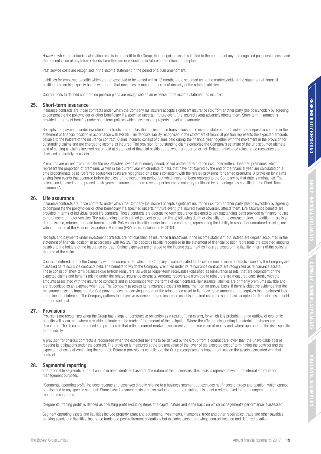However, when the actuarial calculation results in a benefit to the Group, the recognised asset is limited to the net total of any unrecognised past service costs and the present value of any future refunds from the plan or reductions in future contributions to the plan.

Past service costs are recognised in the income statement in the period of a plan amendment.

 Liabilities for employee benefits which are not expected to be settled within 12 months are discounted using the market yields at the statement of financial position date on high-quality bonds with terms that most closely match the terms of maturity of the related liabilities.

Contributions to defined contribution pension plans are recognised as an expense in the income statement as incurred.

#### **25. Short-term insurance**

 Insurance contracts are those contracts under which the Company (as insurer) accepts significant insurance risk from another party (the policyholder) by agreeing to compensate the policyholder or other beneficiary if a specified uncertain future event (the insured event) adversely affects them. Short-term insurance is provided in terms of benefits under short-term policies which cover motor, property, travel and warranty.

 Receipts and payments under investment contracts are not classified as insurance transactions in the income statement but instead are deposit accounted in the statement of financial position in accordance with IAS 39. The deposits liability recognised in the statement of financial position represents the expected amounts payable to the holders of the insurance contract. Claims incurred consist of claims paid during the financial year, together with the movement in the provision for outstanding claims and are charged to income as incurred. The provision for outstanding claims comprise the Company's estimate of the undiscounted ultimate cost of settling all claims incurred but unpaid at statement of financial position date, whether reported or not. Related anticipated reinsurance recoveries are disclosed separately as assets.

 Premiums are earned from the date the risk attaches, over the indemnity period, based on the pattern of the risk underwritten. Unearned premiums, which represent the proportion of premiums written in the current year which relate to risks that have not expired by the end of the financial year, are calculated on a time proportionate basis. Deferred acquisition costs are recognised on a basis consistent with the related provisions for earned premiums. A provision for claims arising from events that occurred before the close of the accounting period, but which have not been reported to the Company by that date is maintained. The calculation is based on the preceding six years' insurance premium revenue per insurance category multiplied by percentages as specified in the Short-Term Insurance Act.

#### **26. Life assurance**

 Insurance contracts are those contracts under which the Company (as insurer) accepts significant insurance risk from another party (the policyholder) by agreeing to compensate the policyholder or other beneficiary if a specified uncertain future event (the insured event) adversely affects them. Life assurance benefits are provided in terms of individual credit life contracts. These contracts are decreasing term assurance designed to pay outstanding loans provided by finance houses to purchasers of motor vehicles. The outstanding loan is settled (subject to certain limits) following death or disability of the contract holder. In addition, there is a dread disease, retrenchment and funeral benefit. Policyholder liabilities under insurance contracts, representing the liability in respect of unmatured policies, are dread disease, retrenchment and funeral benefit. Policyh valued in terms of the Financial Soundness Valuation (FSV) basis contained in PGN104.

Receipts and payments under investment contracts are not classified as insurance transactions in the income statement but instead are deposit accounted in the statement of financial position, in accordance with IAS 39. The deposit's liability recognised in the statement of financial position represents the expected amounts payable to the holders of the insurance contract. Claims expenses are charged to the income statement as incurred based on the liability in terms of the policy at the date of the claim.

 Contracts entered into by the Company with reinsurers under which the Company is compensated for losses on one or more contracts issued by the Company are classified as reinsurance contracts held. The benefits to which the Company is entitled under its reinsurance contracts are recognised as reinsurance assets. These consist of short-term balances due to/from reinsurers, as well as longer-term receivables (classified as reinsurance assets) that are dependent on the expected claims and benefits arising under the related insurance contracts. Amounts recoverable from/due to reinsurers are measured consistently with the amounts associated with the insurance contracts and in accordance with the terms of each contract. Reinsurance liabilities are primarily premiums payable and are recognised as an expense when due. The Company assesses its reinsurance assets for impairment on an annual basis. If there is objective evidence that the reinsurance asset is impaired, the Company reduces the carrying amount of the reinsurance asset to its recoverable amount and recognises the impairment loss in the income statement. The Company gathers the objective evidence that a reinsurance asset is impaired using the same basis adopted for financial assets held at amortised cost.

#### **27. Provisions**

Provisions are recognised when the Group has a legal or constructive obligation as a result of past events, for which it is probable that an outflow of economic benefits will occur, and where a reliable estimate can be made of the amount of the obligation. Where the effect of discounting is material, provisions are discounted. The discount rate used is a pre-tax rate that reflects current market assessments of the time value of money and, where appropriate, the risks specific to the liability.

 A provision for onerous contracts is recognised when the expected benefits to be derived by the Group from a contract are lower than the unavoidable cost of meeting its obligations under the contract. The provision is measured at the present value of the lower of the expected cost of terminating the contract and the expected net costs of continuing the contract. Before a provision is established, the Group recognises any impairment loss on the assets associated with that contract.

#### **28. Segmental reporting**

 The reportable segments of the Group have been identified based on the nature of the businesses. This basis is representative of the internal structure for management purposes.

 "Segmental operating profit" includes revenue and expenses directly relating to a business segment but excludes net finance charges and taxation, which cannot be allocated to any specific segment. Share-based payment costs are also excluded from the result as this is not a criteria used in the management of the reportable segments.

"Segmental trading profit" is defined as operating profit excluding items of a capital nature and is the basis on which management's performance is assessed.

 Segment operating assets and liabilities include property, plant and equipment, investments, inventories, trade and other receivables, trade and other payables, banking assets and liabilities, insurance funds and post-retirement obligations but excludes cash, borrowings, current taxation and deferred taxation.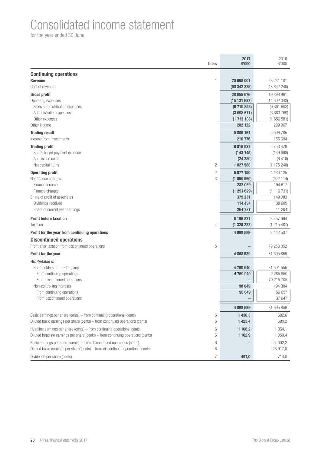### Consolidated income statement

|                                                                                  | <b>Notes</b>   | 2017<br><b>R'000</b>    | 2016<br>R'000          |
|----------------------------------------------------------------------------------|----------------|-------------------------|------------------------|
| <b>Continuing operations</b><br><b>Revenue</b>                                   | 1              | 70 998 001              | 68 241 101             |
| Cost of revenue                                                                  |                | (50342325)              | (48 342 240)           |
| <b>Gross profit</b>                                                              |                | 20 655 676              | 19 898 861             |
| Operating expenses<br>Sales and distribution expenses                            |                | (15131637)<br>(9719858) | (14602043)             |
| Administration expenses                                                          |                | (3698671)               | (9361693)<br>(3683769) |
| Other expenses                                                                   |                | (1713108)               | (1556581)              |
| Other income                                                                     |                | 282 122                 | 299 967                |
| <b>Trading result</b>                                                            |                | 5 806 161               | 5 596 785              |
| Income from investments                                                          |                | 210 776                 | 156 694                |
| <b>Trading profit</b>                                                            |                | 6 016 937               | 5 7 5 3 4 7 9          |
| Share-based payment expense                                                      |                | (143145)                | (139698)               |
| Acquisition costs                                                                |                | (24 230)                | (8416)                 |
| Net capital items                                                                | $\mathbf{2}$   | 1 027 588               | (1175240)              |
| <b>Operating profit</b>                                                          | $\mathbf{2}$   | 6877150                 | 4 4 3 0 1 2 5          |
| Net finance charges                                                              | 3              | (1059560)               | (922114)               |
| Finance income                                                                   |                | 232 069                 | 194 617                |
| Finance charges                                                                  |                | (1291629)               | (1116731)              |
| Share of profit of associates                                                    |                | 379 231                 | 149 983                |
| Dividends received                                                               |                | 114 494<br>264 737      | 138 689                |
| Share of current year earnings                                                   |                |                         | 11 294                 |
| <b>Profit before taxation</b>                                                    |                | 6 196 821               | 3 657 994              |
| Taxation                                                                         | 4              | (1328232)               | (1 215 487)            |
| Profit for the year from continuing operations                                   |                | 4868589                 | 2 442 507              |
| <b>Discontinued operations</b>                                                   |                |                         |                        |
| Profit after taxation from discontinued operations                               | 5              |                         | 79 253 352             |
| <b>Profit for the year</b>                                                       |                | 4 868 589               | 81 695 859             |
| Attributable to                                                                  |                |                         |                        |
| Shareholders of the Company                                                      |                | 4769940                 | 81 501 555             |
| From continuing operations                                                       |                | 4769940                 | 2 2 8 5 8 5 0          |
| From discontinued operations                                                     |                | 98 649                  | 79 215 705             |
| Non-controlling interests<br>From continuing operations                          |                | 98 649                  | 194 304<br>156 657     |
| From discontinued operations                                                     |                |                         | 37 647                 |
|                                                                                  |                |                         |                        |
|                                                                                  |                | 4868589                 | 81 695 859             |
| Basic earnings per share (cents) – from continuing operations (cents)            | 6              | 1 430,3                 | 692,6                  |
| Diluted basic earnings per share (cents) – from continuing operations (cents)    | 6              | 1 4 23,4                | 690,2                  |
| Headline earnings per share (cents) – from continuing operations (cents)         | 6              | 1 108,2                 | 1 0 5 4 , 1            |
| Diluted headline earnings per share (cents) - from continuing operations (cents) | 6              | 1 102,9                 | 1 0 5 0, 4             |
| Basic earnings per share (cents) – from discontinued operations (cents)          | 6              |                         | 24 002,2               |
| Diluted basic earnings per share (cents) – from discontinued operations (cents)  | 6              |                         | 23 917,0               |
| Dividends per share (cents)                                                      | $\overline{7}$ | 491,0                   | 714,0                  |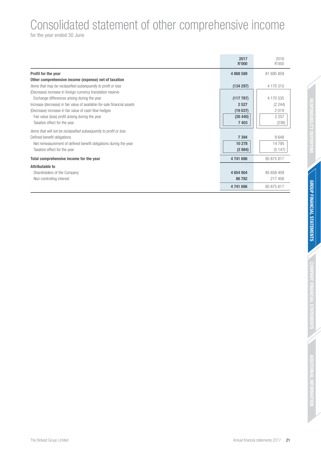### Consolidated statement of other comprehensive income

|                                                                          | 2017<br><b>R'000</b> | 2016<br>R'000 |
|--------------------------------------------------------------------------|----------------------|---------------|
| Profit for the year                                                      | 4868589              | 81 695 859    |
| Other comprehensive income (expense) net of taxation                     |                      |               |
| Items that may be reclassified subsequently to profit or loss            | (134 297)            | 4 170 310     |
| (Decrease) increase in foreign currency translation reserve              |                      |               |
| Exchange differences arising during the year                             | (117787)             | 4 170 535     |
| Increase (decrease) in fair value of available-for-sale financial assets | 2 5 2 7              | (2 244)       |
| (Decrease) increase in fair value of cash flow hedges                    | (19037)              | 2019          |
| Fair value (loss) profit arising during the year                         | (26 440)             | 2 2 5 7       |
| Taxation effect for the year                                             | 7403                 | (238)         |
| Items that will not be reclassified subsequently to profit or loss       |                      |               |
| Defined benefit obligations                                              | 7 3 9 4              | 9648          |
| Net remeasurement of defined benefit obligations during the year         | 10 278               | 14795         |
| Taxation effect for the year                                             | (2884)               | (5147)        |
| Total comprehensive income for the year                                  | 4741686              | 85 875 817    |
| <b>Attributable to</b>                                                   |                      |               |
| Shareholders of the Company                                              | 4 654 904            | 85 658 409    |
| Non-controlling interest                                                 | 86782                | 217 408       |
|                                                                          | 4 741 686            | 85 875 817    |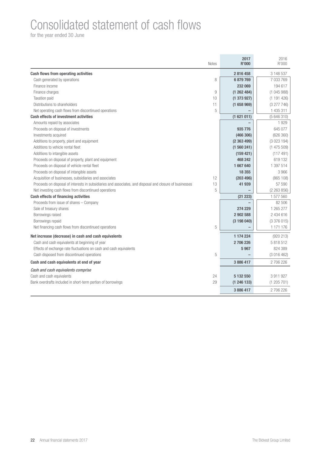### Consolidated statement of cash flows

|                                                                                                          | <b>Notes</b> | 2017<br><b>R'000</b> | 2016<br>R'000 |
|----------------------------------------------------------------------------------------------------------|--------------|----------------------|---------------|
| <b>Cash flows from operating activities</b>                                                              |              | 2816458              | 3 148 537     |
| Cash generated by operations                                                                             | 8            | 6879769              | 7 033 769     |
| Finance income                                                                                           |              | 232 069              | 194 617       |
| Finance charges                                                                                          | 9            | (1262484)            | (1045988)     |
| Taxation paid                                                                                            | 10           | (1373927)            | (1191426)     |
| Distributions to shareholders                                                                            | 11           | (1658969)            | (3277746)     |
| Net operating cash flows from discontinued operations                                                    | 5            |                      | 1 435 311     |
| <b>Cash effects of investment activities</b>                                                             |              | (1621011)            | (5646310)     |
| Amounts repaid by associates                                                                             |              |                      | 1929          |
| Proceeds on disposal of investments                                                                      |              | 935 776              | 645 077       |
| Investments acquired                                                                                     |              | (466 306)            | (626 360)     |
| Additions to property, plant and equipment                                                               |              | (2363499)            | (3023194)     |
| Additions to vehicle rental fleet                                                                        |              | (1560241)            | (1475509)     |
| Additions to intangible assets                                                                           |              | (159 421)            | (117491)      |
| Proceeds on disposal of property, plant and equipment                                                    |              | 468 242              | 619 132       |
| Proceeds on disposal of vehicle rental fleet                                                             |              | 1667640              | 1 397 514     |
| Proceeds on disposal of intangible assets                                                                |              | 18 355               | 3 9 6 6       |
| Acquisition of businesses, subsidiaries and associates                                                   | 12           | (203 496)            | (865 108)     |
| Proceeds on disposal of interests in subsidiaries and associates, and disposal and closure of businesses | 13           | 41 939               | 57 590        |
| Net investing cash flows from discontinued operations                                                    | 5            |                      | (2 263 856)   |
| <b>Cash effects of financing activities</b>                                                              |              | (21 223)             | 1 577 560     |
| Proceeds from issue of shares - Company                                                                  |              |                      | 82 506        |
| Sale of treasury shares                                                                                  |              | 274 229              | 1 265 277     |
| Borrowings raised                                                                                        |              | 2 902 588            | 2 434 616     |
| Borrowings repaid                                                                                        |              | (3198040)            | (3376015)     |
| Net financing cash flows from discontinued operations                                                    | 5            |                      | 1 171 176     |
| Net increase (decrease) in cash and cash equivalents                                                     |              | 1 174 224            | (920 213)     |
| Cash and cash equivalents at beginning of year                                                           |              | 2 706 226            | 5 818 512     |
| Effects of exchange rate fluctuations on cash and cash equivalents                                       |              | 5967                 | 824 389       |
| Cash disposed from discontinued operations                                                               | 5            |                      | (3 016 462)   |
| Cash and cash equivalents at end of year                                                                 |              | 3886417              | 2706226       |
| Cash and cash equivalents comprise                                                                       |              |                      |               |
| Cash and cash equivalents                                                                                | 24           | 5 132 550            | 3 911 927     |
| Bank overdrafts included in short-term portion of borrowings                                             | 29           | (1246133)            | (1205701)     |
|                                                                                                          |              | 3886417              | 2706226       |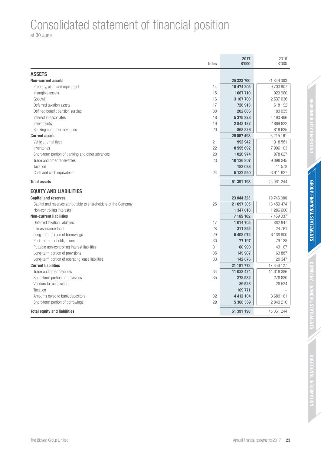## Consolidated statement of financial position

at 30 June

| <b>Notes</b>                                                           | 2017<br><b>R'000</b> | 2016<br>R'000 |
|------------------------------------------------------------------------|----------------------|---------------|
| <b>ASSETS</b>                                                          |                      |               |
| <b>Non-current assets</b>                                              | 25 323 700           | 21 846 083    |
| Property, plant and equipment<br>14                                    | 10 474 205           | 9700907       |
| 15<br>Intangible assets                                                | 1667710              | 929 960       |
| Goodwill<br>16                                                         | 3 167 700            | 2 537 036     |
| Deferred taxation assets<br>17                                         | 728 913              | 618 192       |
| Defined benefit pension surplus<br>30                                  | 202 886              | 180 035       |
| 18<br>Interest in associates                                           | 5 375 328            | 4 190 496     |
| 19<br>Investments                                                      | 2843132              | 2 869 822     |
| 20<br>Banking and other advances                                       | 863 826              | 819 635       |
| <b>Current assets</b>                                                  | 26 067 498           | 23 215 161    |
| Vehicle rental fleet<br>21                                             | 992 942              | 1 318 581     |
| 22<br>Inventories                                                      | 8 595 692            | 7 996 103     |
| Short-term portion of banking and other advances<br>20                 | 1 026 974            | 878 627       |
| Trade and other receivables<br>23                                      | 10 136 307           | 9 0 9 3 3 4 5 |
| Taxation                                                               | 183 033              | 11 578        |
| 24<br>Cash and cash equivalents                                        | 5 132 550            | 3 911 927     |
| <b>Total assets</b>                                                    | 51 391 198           | 45 061 244    |
| <b>EQUITY AND LIABILITIES</b>                                          |                      |               |
| <b>Capital and reserves</b>                                            | 23 044 323           | 19 746 080    |
| 25<br>Capital and reserves attributable to shareholders of the Company | 21 697 305           | 18 459 474    |
| Non-controlling interests                                              | 1 347 018            | 1 286 606     |
| <b>Non-current liabilities</b>                                         | 7 165 102            | 7 459 037     |
| Deferred taxation liabilities<br>17                                    | 1 014 705            | 882 847       |
| Life assurance fund<br>28                                              | 311 355              | 24 761        |
| 29<br>Long-term portion of borrowings                                  | 5 408 072            | 6 138 900     |
| 30<br>Post-retirement obligations                                      | 77 197               | 79 1 28       |
| 31<br>Puttable non-controlling interest liabilities                    | 60 990               | 49 167        |
| Long-term portion of provisions<br>35                                  | 149 907              | 163 887       |
| 33<br>Long-term portion of operating lease liabilities                 | 142 876              | 120 347       |
| <b>Current liabilities</b>                                             | 21 181 773           | 17 856 127    |
| 34<br>Trade and other payables                                         | 11 033 424           | 11 016 386    |
| 35<br>Short-term portion of provisions                                 | 278 582              | 278 830       |
| Vendors for acquisition                                                | 39 523               | 28 534        |
| Taxation                                                               | 109 771              |               |
| 32<br>Amounts owed to bank depositors                                  | 4 412 104            | 3689161       |
| 29<br>Short-term portion of borrowings                                 | 5 308 369            | 2 843 216     |
| <b>Total equity and liabilities</b>                                    | 51 391 198           | 45 061 244    |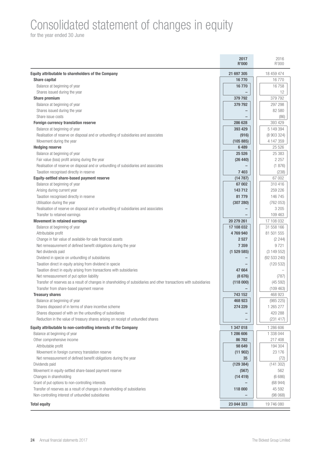## Consolidated statement of changes in equity

|                                                                                                                      | 2017<br><b>R'000</b>     | 2016<br>R'000            |
|----------------------------------------------------------------------------------------------------------------------|--------------------------|--------------------------|
| Equity attributable to shareholders of the Company                                                                   | 21 697 305               | 18 459 474               |
| <b>Share capital</b>                                                                                                 | 16770                    | 16770                    |
| Balance at beginning of year                                                                                         | 16770                    | 16758                    |
| Shares issued during the year                                                                                        |                          | 12                       |
| <b>Share premium</b>                                                                                                 | 379 792                  | 379 792                  |
| Balance at beginning of year                                                                                         | 379 792                  | 297 298                  |
| Shares issued during the year                                                                                        |                          | 82 580                   |
| Share issue costs                                                                                                    |                          | (86)                     |
| <b>Foreign currency translation reserve</b>                                                                          | 286 628                  | 393 429                  |
| Balance at beginning of year                                                                                         | 393 429                  | 5 149 394                |
| Realisation of reserve on disposal and or unbundling of subsidiaries and associates                                  | (916)                    | (8 903 324)              |
| Movement during the year                                                                                             | (105 885)                | 4 147 359                |
| <b>Hedging reserve</b>                                                                                               | 6489                     | 25 5 26                  |
| Balance at beginning of year                                                                                         | 25 5 26                  | 25 383                   |
| Fair value (loss) profit arising during the year                                                                     | (26 440)                 | 2 2 5 7                  |
| Realisation of reserve on disposal and or unbundling of subsidiaries and associates                                  |                          | (1 876)                  |
| Taxation recognised directly in reserve                                                                              | 7 4 0 3                  | (238)                    |
| Equity-settled share-based payment reserve                                                                           | (14787)                  | 67 002                   |
| Balance at beginning of year                                                                                         | 67 002                   | 310 416                  |
| Arising during current year                                                                                          | 143712                   | 259 226                  |
| Taxation recognised directly in reserve                                                                              | 81 779                   | 146 745                  |
| Utilisation during the year                                                                                          | (307 280)                | (762 053)                |
| Realisation of reserve on disposal and or unbundling of subsidiaries and associates                                  |                          | 3 2 0 5                  |
| Transfer to retained earnings                                                                                        |                          | 109 463                  |
| <b>Movement in retained earnings</b>                                                                                 | 20 279 261<br>17 108 032 | 17 108 032<br>31 558 166 |
| Balance at beginning of year                                                                                         | 4769940                  | 81 501 555               |
| Attributable profit<br>Change in fair value of available-for-sale financial assets                                   | 2527                     | (2 244)                  |
| Net remeasurement of defined benefit obligations during the year                                                     | 7 3 5 9                  | 9721                     |
| Net dividends paid                                                                                                   | (1529585)                | (3149552)                |
| Dividend in specie on unbundling of subsidiaries                                                                     |                          | (92 533 240)             |
| Taxation direct in equity arising from dividend in specie                                                            |                          | (120532)                 |
| Taxation direct in equity arising from transactions with subsidiaries                                                | 47 664                   |                          |
| Net remeasurement of put option liability                                                                            | (8676)                   | (787)                    |
| Transfer of reserves as a result of changes in shareholding of subsidiaries and other transactions with subsidiaries | (118000)                 | (45592)                  |
| Transfer from share-based payment reserve                                                                            |                          | (109 463)                |
| <b>Treasury shares</b>                                                                                               | 743 152                  | 468 923                  |
| Balance at beginning of year                                                                                         | 468 923                  | (985 225)                |
| Shares disposed of in terms of share incentive scheme                                                                | 274 229                  | 1 265 277                |
| Shares disposed of with on the unbundling of subsidiaries                                                            |                          | 420 288                  |
| Reduction in the value of treasury shares arising on receipt of unbundled shares                                     |                          | (231 417)                |
| Equity attributable to non-controlling interests of the Company                                                      | 1 347 018                | 1 286 606                |
| Balance at beginning of year                                                                                         | 1 286 606                | 1 338 044                |
| Other comprehensive income                                                                                           | 86782                    | 217 408                  |
| Attributable profit                                                                                                  | 98 649                   | 194 304                  |
| Movement in foreign currency translation reserve                                                                     | (11902)                  | 23 176                   |
| Net remeasurement of defined benefit obligations during the year                                                     | 35                       | (72)                     |
| Dividends paid                                                                                                       | (129 384)                | (141302)                 |
| Movement in equity-settled share-based payment reserve                                                               | (567)                    | 562                      |
| Changes in shareholding                                                                                              | (14419)                  | (6686)                   |
| Grant of put options to non-controlling interests                                                                    |                          | (68944)                  |
| Transfer of reserves as a result of changes in shareholding of subsidiaries                                          | 118 000                  | 45 592                   |
| Non-controlling interest of unbundled subsidiaries                                                                   |                          | (98 068)                 |
| <b>Total equity</b>                                                                                                  | 23 044 323               | 19 746 080               |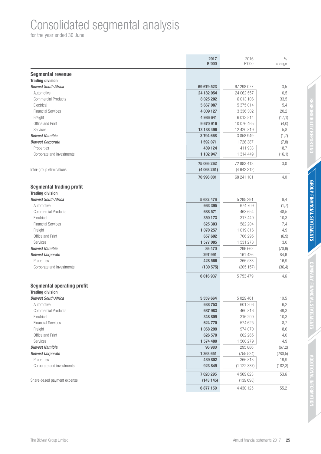### Consolidated segmental analysis

|                                   | 2017<br>R'000        | 2016<br>R'000        | $\%$<br>change      |
|-----------------------------------|----------------------|----------------------|---------------------|
| <b>Segmental revenue</b>          |                      |                      |                     |
| <b>Trading division</b>           |                      |                      |                     |
| <b>Bidvest South Africa</b>       | 69 679 523           | 67 298 077           | 3,5                 |
| Automotive                        | 24 182 054           | 24 062 557           | 0,5                 |
| <b>Commercial Products</b>        | 8 0 25 20 2          | 6 013 106            | 33,5                |
| Electrical                        | 5 667 087            | 5 375 014            | 5,4                 |
| <b>Financial Services</b>         | 4 009 127            | 3 336 302            | 20,2                |
| Freight                           | 4 986 641            | 6 013 814            | (17,1)              |
| Office and Print                  | 9670916              | 10 076 465           | (4,0)               |
| Services                          | 13 138 496           | 12 420 819           | 5,8                 |
| <b>Bidvest Namibia</b>            | 3794668              | 3 858 949            | (1,7)               |
| <b>Bidvest Corporate</b>          | 1 592 071            | 1726387              | (7, 8)              |
| Properties                        | 489 124              | 411 938              | 18,7                |
| Corporate and investments         | 1 102 947            | 1 314 449            | (16,1)              |
|                                   | 75 066 262           | 72 883 413           | 3,0                 |
| Inter-group eliminations          | (4068261)            | (4642312)            |                     |
|                                   | 70 998 001           | 68 241 101           | 4,0                 |
| <b>Segmental trading profit</b>   |                      |                      |                     |
| <b>Trading division</b>           |                      |                      |                     |
| <b>Bidvest South Africa</b>       | 5 632 476            | 5 295 391            | 6,4                 |
| Automotive                        | 663 395              | 674 709              | (1,7)               |
| <b>Commercial Products</b>        | 688 571              | 463 654              | 48,5                |
| Electrical                        | 350 173              | 317 440              | 10,3                |
| <b>Financial Services</b>         | 625 303              | 582 204              | 7,4                 |
| Freight                           | 1 070 257            | 1019816              | 4,9                 |
| Office and Print                  | 657 692              | 706 295              | (6, 9)              |
| Services                          | 1 577 085            | 1 531 273            | 3,0                 |
| <b>Bidvest Namibia</b>            | 86 470               | 296 662              | (70, 9)             |
| <b>Bidvest Corporate</b>          | 297 991              | 161 426              | 84,6                |
| Properties                        | 428 566              | 366 583              | 16,9                |
| Corporate and investments         | (130 575)            | (205 157)            | (36, 4)             |
|                                   | 6 016 937            | 5753479              | 4,6                 |
| <b>Segmental operating profit</b> |                      |                      |                     |
| <b>Trading division</b>           |                      |                      |                     |
| <b>Bidvest South Africa</b>       | 5 559 664            | 5 0 29 4 61          | 10,5                |
| Automotive                        | 638 753              | 601 206              | 6,2                 |
| <b>Commercial Products</b>        | 687 983              | 460 816              | 49,3                |
| Electrical                        | 348 809              | 316 200              | 10,3                |
| <b>Financial Services</b>         | 624 770<br>1 058 299 | 574 625              | 8,7                 |
| Freight                           |                      | 974 070              | 8,6                 |
| Office and Print<br>Services      | 626 570<br>1 574 480 | 602 265              | 4,0                 |
| <b>Bidvest Namibia</b>            | 96 980               | 1 500 279<br>295 886 | 4,9                 |
| <b>Bidvest Corporate</b>          | 1 363 651            | (755 524)            | (67, 2)<br>(280, 5) |
| Properties                        | 439 802              | 366 813              | 19,9                |
| Corporate and investments         | 923 849              | (1 122 337)          | (182, 3)            |
|                                   |                      |                      |                     |
|                                   | 7 020 295            | 4 5 6 9 8 2 3        | 53,6                |
| Share-based payment expense       | (143145)             | (139698)             |                     |
|                                   | 6 877 150            | 4 4 3 0 1 2 5        | 55,2                |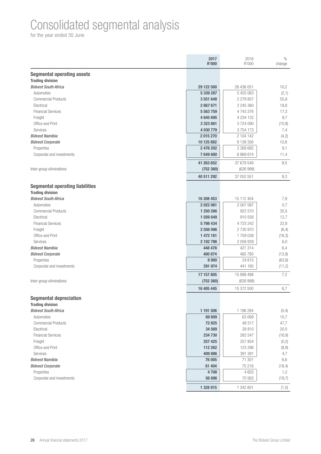### Consolidated segmental analysis

|                                         | 2017<br><b>R'000</b> | 2016<br>R'000      | $\%$<br>change |
|-----------------------------------------|----------------------|--------------------|----------------|
| <b>Segmental operating assets</b>       |                      |                    |                |
| <b>Trading division</b>                 |                      |                    |                |
| <b>Bidvest South Africa</b>             | 29 122 500           | 26 436 051         | 10,2           |
| Automotive                              | 5 339 287            | 5 455 063          | (2,1)          |
| <b>Commercial Products</b>              | 3 551 648            | 2 279 857          | 55,8           |
| Electrical                              | 2667671              | 2 245 360          | 18,8           |
| <b>Financial Services</b>               | 5 5 63 7 59          | 4743376            | 17,3           |
| Freight                                 | 4645695              | 4 2 3 4 1 3 2      | 9,7            |
| Office and Print                        | 3 323 661            | 3724090            | (10, 8)        |
| Services                                | 4 030 779            | 3754173            | 7,4            |
| <b>Bidvest Namibia</b>                  | 2015270              | 2 104 142          | (4,2)          |
| <b>Bidvest Corporate</b>                | 10 125 882           | 9 139 356          | 10,8           |
| Properties                              | 2 476 202            | 2 269 682          | 9,1            |
| Corporate and investments               | 7649680              | 6 869 674          | 11,4           |
|                                         | 41 263 652           | 37 679 549         | 9,5            |
| Inter-group eliminations                | (752 360)            | (626998)           |                |
|                                         | 40 511 292           | 37 052 551         | 9,3            |
| <b>Segmental operating liabilities</b>  |                      |                    |                |
| <b>Trading division</b>                 |                      |                    |                |
| <b>Bidvest South Africa</b>             | 16 308 453           | 15 112 404         | 7,9            |
| Automotive                              | 2 022 061            | 2 007 087          | 0,7            |
| <b>Commercial Products</b>              | 1 250 266            | 922 570            | 35,5           |
| Electrical                              | 1 026 649            | 910 558            | 12,7           |
| <b>Financial Services</b>               | 5798434              | 4723242            | 22,8           |
| Freight                                 | 2 556 096            | 2730970            | (6, 4)         |
| Office and Print                        | 1 472 161            | 1759038            | (16,3)         |
| Services                                | 2 182 786            | 2 058 939          | 6,0            |
| <b>Bidvest Namibia</b>                  | 448 478              | 421 314            | 6,4            |
| <b>Bidvest Corporate</b>                | 400 874              | 465 780            | (13, 9)        |
| Properties<br>Corporate and investments | 8 9 0 0<br>391 974   | 24 615<br>441 165  | (63, 8)        |
|                                         |                      |                    | (11,2)         |
|                                         | 17 157 805           | 15 999 498         | 7,2            |
| Inter-group eliminations                | (752 360)            | (626998)           |                |
|                                         | 16 405 445           | 15 372 500         | 6,7            |
| <b>Segmental depreciation</b>           |                      |                    |                |
| <b>Trading division</b>                 |                      |                    |                |
| <b>Bidvest South Africa</b>             | 1 191 506            | 1 196 284          | (0, 4)         |
| Automotive                              | 69 809               | 63 069             | 10,7           |
| <b>Commercial Products</b>              | 72 825               | 49 317             | 47,7           |
| Electrical<br><b>Financial Services</b> | 34 569<br>234 730    | 28 810             | 20,0           |
|                                         | 257 425              | 282 547<br>257 854 | (16, 9)        |
| Freight<br>Office and Print             | 112 262              | 123 296            | (0,2)          |
| Services                                | 409 886              | 391 391            | (8, 9)<br>4,7  |
| <b>Bidvest Namibia</b>                  | 76 005               | 71 301             | 6,6            |
| <b>Bidvest Corporate</b>                | 61 404               | 75 216             | (18, 4)        |
| Properties                              | 4708                 | 4653               | 1,2            |
| Corporate and investments               | 56 696               | 70 563             | (19,7)         |
|                                         |                      |                    |                |
|                                         | 1 328 915            | 1 342 801          | (1, 0)         |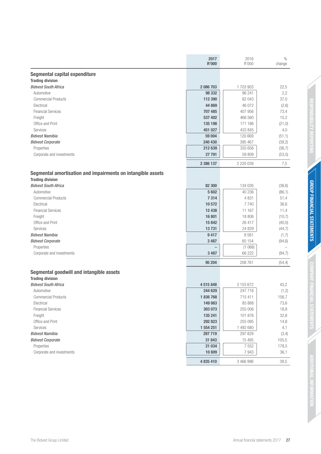|                                                                                        | 2017<br>R'000            | 2016<br>R'000     | $\%$<br>change     |
|----------------------------------------------------------------------------------------|--------------------------|-------------------|--------------------|
| Segmental capital expenditure                                                          |                          |                   |                    |
| <b>Trading division</b>                                                                |                          |                   |                    |
| <b>Bidvest South Africa</b>                                                            | 2 086 703                | 1 703 903         | 22,5               |
| Automotive                                                                             | 98 332                   | 96 241            | 2,2                |
| <b>Commercial Products</b>                                                             | 112 390                  | 82 043            | 37,0               |
| Electrical                                                                             | 44 869                   | 46 072            | (2,6)              |
| <b>Financial Services</b>                                                              | 707 485                  | 407 956           | 73,4               |
| Freight                                                                                | 537 402                  | 466 560           | 15,2               |
| Office and Print                                                                       | 135 198                  | 171 186           | (21, 0)            |
| Services                                                                               | 451 027                  | 433 845           | 4,0                |
| <b>Bidvest Namibia</b>                                                                 | 59 004                   | 120 669           | (51,1)             |
| <b>Bidvest Corporate</b>                                                               | 240 430                  | 395 467           | (39,2)             |
| Properties                                                                             | 212 639                  | 335 658           | (36, 7)            |
| Corporate and investments                                                              | 27 791                   | 59 809            | (53, 5)            |
|                                                                                        | 2 386 137                | 2 2 2 0 3 9       | 7,5                |
| Segmental amortisation and impairments on intangible assets<br><b>Trading division</b> |                          |                   |                    |
|                                                                                        |                          |                   |                    |
| <b>Bidvest South Africa</b><br>Automotive                                              | 82 300<br>5 6 0 2        | 134 026<br>40 236 | (38, 6)<br>(86, 1) |
| <b>Commercial Products</b>                                                             | 7 3 1 4                  | 4 8 3 1           | 51,4               |
| Electrical                                                                             | 10572                    | 7740              | 36,6               |
| <b>Financial Services</b>                                                              | 12 438                   | 11 167            | 11,4               |
| Freight                                                                                | 16 801                   | 18 806            |                    |
| Office and Print                                                                       | 15 842                   | 26 417            | (10,7)<br>(40, 0)  |
| Services                                                                               | 13731                    | 24 8 29           | (44,7)             |
| <b>Bidvest Namibia</b>                                                                 | 9417                     | 9581              | (1,7)              |
| <b>Bidvest Corporate</b>                                                               | 3 4 8 7                  | 65 154            | (94, 6)            |
| Properties                                                                             | $\overline{\phantom{0}}$ | (1068)            |                    |
| Corporate and investments                                                              | 3 4 8 7                  | 66 222            | (94,7)             |
|                                                                                        | 95 204                   | 208 761           | (54, 4)            |
| Segmental goodwill and intangible assets                                               |                          |                   |                    |
| <b>Trading division</b>                                                                |                          |                   |                    |
| <b>Bidvest South Africa</b>                                                            | 4 515 848                | 3 153 672         | 43,2               |
| Automotive                                                                             | 244 629                  | 247716            | (1,2)              |
| <b>Commercial Products</b>                                                             | 1836768                  | 715 411           | 156,7              |
| Electrical                                                                             | 149 063                  | 85 888            | 73,6               |
| <b>Financial Services</b>                                                              | 303 073                  | 255 006           | 18,8               |
| Freight                                                                                | 135 241                  | 101 876           | 32,8               |
| Office and Print                                                                       | 292 823                  | 255 095           | 14,8               |
| Services                                                                               | 1 554 251                | 1 492 680         | 4,1                |
| <b>Bidvest Namibia</b>                                                                 | 287 719                  | 297 829           | (3, 4)             |
| <b>Bidvest Corporate</b>                                                               | 31 843                   | 15 4 95           | 105,5              |
| Properties                                                                             | 21 0 34                  | 7 5 5 2           | 178,5              |
| Corporate and investments                                                              | 10 809                   | 7943              | 36,1               |
|                                                                                        | 4 835 410                | 3 466 996         | 39,5               |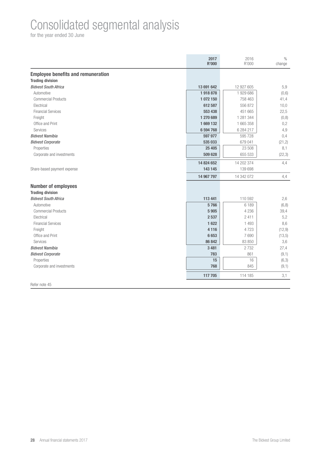### Consolidated segmental analysis

for the year ended 30 June

|                                           | 2017<br>R'000 | 2016<br>R'000 | $\frac{0}{0}$<br>change |
|-------------------------------------------|---------------|---------------|-------------------------|
| <b>Employee benefits and remuneration</b> |               |               |                         |
| <b>Trading division</b>                   |               |               |                         |
| <b>Bidvest South Africa</b>               | 13 691 642    | 12 927 605    | 5,9                     |
| Automotive                                | 1918878       | 1 929 686     | (0,6)                   |
| <b>Commercial Products</b>                | 1 072 150     | 758 463       | 41,4                    |
| Electrical                                | 612 587       | 556872        | 10,0                    |
| <b>Financial Services</b>                 | 553 438       | 451 665       | 22,5                    |
| Freight                                   | 1 270 689     | 1 281 344     | (0, 8)                  |
| Office and Print                          | 1669132       | 1 665 358     | 0,2                     |
| Services                                  | 6 594 768     | 6 284 217     | 4,9                     |
| <b>Bidvest Namibia</b>                    | 597 977       | 595 728       | 0,4                     |
| <b>Bidvest Corporate</b>                  | 535 033       | 679 041       | (21, 2)                 |
| Properties                                | 25 4 05       | 23 508        | 8,1                     |
| Corporate and investments                 | 509 628       | 655 533       | (22,3)                  |
|                                           | 14 824 652    | 14 202 374    | 4,4                     |
| Share-based payment expense               | 143 145       | 139 698       |                         |
|                                           | 14 967 797    | 14 342 072    | 4,4                     |
| <b>Number of employees</b>                |               |               |                         |
| <b>Trading division</b>                   |               |               |                         |
| <b>Bidvest South Africa</b>               | 113 441       | 110 592       | 2,6                     |
| Automotive                                | 5766          | 6 1 8 9       | (6, 8)                  |
| <b>Commercial Products</b>                | 5 9 0 5       | 4 2 3 6       | 39,4                    |
| Electrical                                | 2 5 3 7       | 2411          | 5,2                     |
| <b>Financial Services</b>                 | 1622          | 1 4 9 3       | 8,6                     |
| Freight                                   | 4 1 1 6       | 4723          | (12, 9)                 |
| Office and Print                          | 6653          | 7690          | (13,5)                  |
| Services                                  | 86 842        | 83 850        | 3,6                     |
| <b>Bidvest Namibia</b>                    | 3 4 8 1       | 2732          | 27,4                    |
| <b>Bidvest Corporate</b>                  | 783           | 861           | (9,1)                   |
| Properties                                | 15            | 16            | (6,3)                   |
| Corporate and investments                 | 768           | 845           | (9,1)                   |
|                                           | 117 705       | 114 185       | 3,1                     |
| Refer note 45                             |               |               |                         |

28 Annual financial statements 2017 **The Bidvest Group Limited**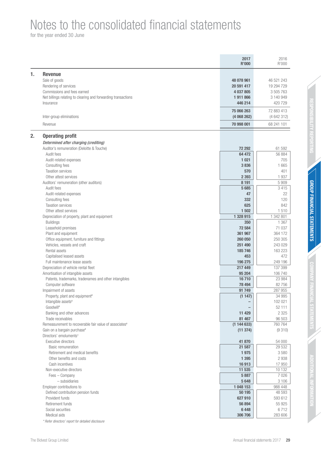### Notes to the consolidated financial statements

|    |                                                                    | 2017<br><b>R'000</b> | 2016<br>R'000     |
|----|--------------------------------------------------------------------|----------------------|-------------------|
| 1. | <b>Revenue</b>                                                     |                      |                   |
|    | Sale of goods                                                      | 48 078 961           | 46 521 243        |
|    | Rendering of services                                              | 20 591 417           | 19 294 729        |
|    | Commissions and fees earned                                        | 4 037 805            | 3 505 763         |
|    | Net billings relating to clearing and forwarding transactions      | 1911866              | 3 140 949         |
|    | Insurance                                                          | 446 214              | 420 729           |
|    |                                                                    | 75 066 263           | 72 883 413        |
|    | Inter-group eliminations                                           | (4068262)            | (4 642 312)       |
|    | Revenue                                                            | 70 998 001           | 68 241 101        |
| 2. | <b>Operating profit</b>                                            |                      |                   |
|    | Determined after charging (crediting)                              |                      |                   |
|    | Auditor's remuneration (Deloitte & Touche)                         | 72 292               | 61 592            |
|    | Audit fees                                                         | 64 472               | 56 884            |
|    | Audit-related expenses                                             | 1 0 21               | 705               |
|    | Consulting fees                                                    | 3836                 | 1 6 6 5           |
|    | <b>Taxation services</b>                                           | 570                  | 401               |
|    | Other attest services                                              | 2 3 9 3              | 1937              |
|    | Auditors' remuneration (other auditors)                            | 8 1 9 1              | 5909              |
|    | Audit fees                                                         | 5685                 | 3 4 1 5           |
|    | Audit-related expenses                                             | 47                   | 22                |
|    | Consulting fees                                                    | 332                  | 120               |
|    | <b>Taxation services</b>                                           | 625                  | 842               |
|    | Other attest services                                              | 1 502                | 1510              |
|    | Depreciation of property, plant and equipment                      | 1 328 915            | 1 342 801         |
|    | <b>Buildings</b><br>Leasehold premises                             | 350<br>72 584        | 1 3 6 7<br>71 037 |
|    | Plant and equipment                                                | 361 967              | 364 172           |
|    | Office equipment, furniture and fittings                           | 260 050              | 250 305           |
|    | Vehicles, vessels and craft                                        | 251 490              | 243 029           |
|    | Rental assets                                                      | 185 746              | 163 223           |
|    | Capitalised leased assets                                          | 453                  | 472               |
|    | Full maintenance lease assets                                      | 196 275              | 249 196           |
|    | Depreciation of vehicle rental fleet                               | 217 449              | 137 399           |
|    | Amortisation of intangible assets                                  | 95 204               | 106 740           |
|    | Patents, trademarks, tradenames and other intangibles              | 16710                | 23 984            |
|    | Computer software                                                  | 78 494               | 82756             |
|    | Impairment of assets                                               | 91 749               | 287 955           |
|    | Property, plant and equipment <sup>#</sup>                         | (1147)               | 34 995            |
|    | Intangible assets#                                                 |                      | 102 021           |
|    | Goodwill#                                                          |                      | 52 111            |
|    | Banking and other advances                                         | 11 429               | 2 3 2 5           |
|    | Trade receivables                                                  | 81 467               | 96 503            |
|    | Remeasurement to recoverable fair value of associates <sup>#</sup> | (1144633)            | 760 764           |
|    | Gain on a bargain purchase#<br>Directors' emoluments*              | (11374)              | (9310)            |
|    | Executive directors                                                | 41 870               | 54 000            |
|    | Basic remuneration                                                 | 21 587               | 29 532            |
|    | Retirement and medical benefits                                    | 1975                 | 3580              |
|    | Other benefits and costs                                           | 1 3 9 5              | 2938              |
|    | Cash incentives                                                    | 16913                | 17 950            |
|    | Non-executive directors                                            | 11 535               | 10 132            |
|    | Fees - Company                                                     | 5887                 | 7 0 26            |
|    | - subsidiaries                                                     | 5648                 | 3 1 0 6           |
|    | Employer contributions to                                          | 1 048 153            | 988 448           |
|    | Defined contribution pension funds                                 | 50 195               | 48 593            |
|    | Provident funds                                                    | 627 910              | 593 612           |
|    | Retirement funds                                                   | 56 894               | 55 925            |
|    | Social securities                                                  | 6 4 4 8              | 6712              |
|    | Medical aids                                                       | 306 706              | 283 606           |
|    | * Refer directors' report for detailed disclosure                  |                      |                   |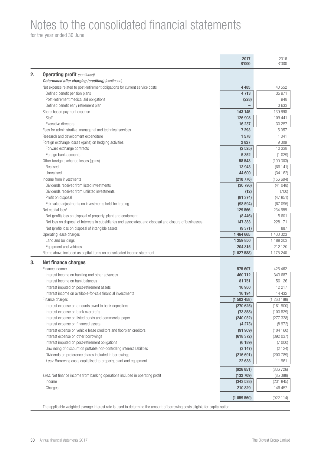### Notes to the consolidated financial statements

for the year ended 30 June

|                                                                                                          | 2017<br><b>R'000</b> | 2016<br>R'000      |
|----------------------------------------------------------------------------------------------------------|----------------------|--------------------|
| 2.<br><b>Operating profit (continued)</b>                                                                |                      |                    |
| Determined after charging (crediting) (continued)                                                        |                      |                    |
| Net expense related to post-retirement obligations for current service costs                             | 4 4 8 5              | 40 552             |
| Defined benefit pension plans                                                                            | 4713                 | 35 971             |
| Post-retirement medical aid obligations                                                                  | (228)                | 948                |
| Defined benefit early retirement plan                                                                    |                      | 3633               |
| Share-based payment expense                                                                              | 143 145              | 139 698            |
| Staff                                                                                                    | 126 908              | 109 441            |
| Executive directors                                                                                      | 16 237               | 30 257             |
| Fees for administrative, managerial and technical services                                               | 7 2 9 3              | 5 0 5 7            |
| Research and development expenditure                                                                     | 1578                 | 1 0 4 1            |
| Foreign exchange losses (gains) on hedging activities                                                    | 2827                 | 9 3 0 9            |
| Forward exchange contracts                                                                               | (2525)               | 10 338             |
| Foreign bank accounts                                                                                    | 5 3 5 2              | (1029)             |
| Other foreign exchange losses (gains)                                                                    | 58 543               | (100303)           |
| Realised                                                                                                 | 13 943               | (66141)            |
| Unrealised                                                                                               | 44 600               | (34162)            |
| Income from investments                                                                                  | (210 776)            | (156694)           |
| Dividends received from listed investments                                                               | (30796)              | (41048)            |
| Dividends received from unlisted investments                                                             | (12)                 | (700)              |
| Profit on disposal                                                                                       | (81374)              | (47851)            |
| Fair value adjustments on investments held-for-trading<br>Net capital loss#                              | (98594)<br>129 566   | (67095)<br>234 659 |
| Net (profit) loss on disposal of property, plant and equipment                                           | (8446)               | 5 601              |
| Net loss on disposal of interests in subsidiaries and associates, and disposal and closure of businesses | 147 383              | 228 171            |
| Net (profit) loss on disposal of intangible assets                                                       | (9371)               | 887                |
| Operating lease charges                                                                                  | 1 464 665            | 1 400 323          |
| Land and buildings                                                                                       | 1 259 850            | 1 188 203          |
| Equipment and vehicles                                                                                   | 204 815              | 212 120            |
| #Items above included as capital items on consolidated income statement                                  | (1027588)            | 1 175 240          |
| 3.<br><b>Net finance charges</b>                                                                         |                      |                    |
| Finance income                                                                                           | 575 607              | 426 462            |
| Interest income on banking and other advances                                                            | 460712               | 343 687            |
| Interest income on bank balances                                                                         | 81 751               | 56 126             |
| Interest imputed on post-retirement assets                                                               | 16 950               | 12 217             |
| Interest income on available-for-sale financial investments                                              | 16 194               | 14 4 32            |
| Finance charges                                                                                          | (1502458)            | (1263188)          |
| Interest expense on amounts owed to bank depositors                                                      | (270625)             | (181900)           |
| Interest expense on bank overdrafts                                                                      | (73858)              | (100 829)          |
| Interest expense on listed bonds and commercial paper                                                    | (240032)             | (277338)           |
| Interest expense on financed assets                                                                      | (4273)               | (8972)             |
| Interest expense on vehicle lease creditors and floorplan creditors                                      | (91909)              | (104 160)          |
| Interest expense on other borrowings                                                                     | (618 372)            | (392 037)          |
| Interest imputed on post-retirement obligations                                                          | (6189)               | (7000)             |
| Unwinding of discount on puttable non-controlling interest liabilities                                   | (3147)               | (2124)             |
| Dividends on preference shares included in borrowings                                                    | (216691)             | (200789)           |
| Less: Borrowing costs capitalised to property, plant and equipment                                       | 22 638               | 11 961             |
|                                                                                                          | (926 851)            | (836 726)          |
| Less: Net finance income from banking operations included in operating profit                            | (132709)             | (85388)            |
| Income                                                                                                   | (343538)             | (231845)           |
| Charges                                                                                                  | 210 829              | 146 457            |
|                                                                                                          | (1059560)            | (922 114)          |

The applicable weighted average interest rate is used to determine the amount of borrowing costs eligible for capitalisation.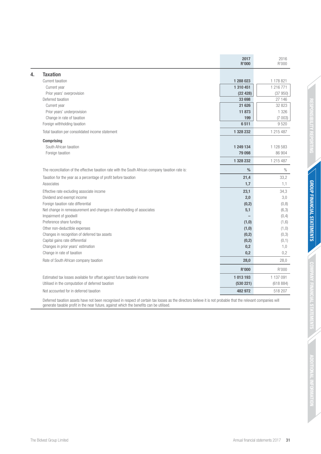|    |                                                                                                    | 2017<br><b>R'000</b> | 2016<br>R'000 |
|----|----------------------------------------------------------------------------------------------------|----------------------|---------------|
| 4. | <b>Taxation</b>                                                                                    |                      |               |
|    | Current taxation                                                                                   | 1 288 023            | 1 178 821     |
|    | Current year                                                                                       | 1 310 451            | 1 216 771     |
|    | Prior years' overprovision                                                                         | (22428)              | (37950)       |
|    | Deferred taxation                                                                                  | 33 698               | 27 146        |
|    | Current year                                                                                       | 21 626               | 32 823        |
|    | Prior years' underprovision                                                                        | 11873                | 1 3 2 6       |
|    | Change in rate of taxation                                                                         | 199                  | (7003)        |
|    | Foreign withholding taxation                                                                       | 6511                 | 9520          |
|    | Total taxation per consolidated income statement                                                   | 1 328 232            | 1 215 487     |
|    | <b>Comprising</b>                                                                                  |                      |               |
|    | South African taxation                                                                             | 1 249 134            | 1 1 28 5 8 3  |
|    | Foreign taxation                                                                                   | 79 098               | 86 904        |
|    |                                                                                                    | 1 328 232            | 1 215 487     |
|    | The reconciliation of the effective taxation rate with the South African company taxation rate is: | $\%$                 | $\%$          |
|    | Taxation for the year as a percentage of profit before taxation                                    | 21,4                 | 33,2          |
|    | Associates                                                                                         | 1,7                  | 1,1           |
|    | Effective rate excluding associate income                                                          | 23,1                 | 34,3          |
|    | Dividend and exempt income                                                                         | 2,0                  | 3,0           |
|    | Foreign taxation rate differential                                                                 | (0,2)                | (0, 8)        |
|    | Net change in remeasurement and changes in shareholding of associates                              | 5,1                  | (6,3)         |
|    | Impairment of goodwill                                                                             |                      | (0, 4)        |
|    | Preference share funding                                                                           | (1,0)                | (1,6)         |
|    | Other non-deductible expenses                                                                      | (1, 0)               | (1, 0)        |
|    | Changes in recognition of deferred tax assets                                                      | (0,2)                | (0,3)         |
|    | Capital gains rate differential                                                                    | (0,2)                | (0,1)         |
|    | Changes in prior years' estimation                                                                 | 0,2                  | 1,0           |
|    | Change in rate of taxation                                                                         | 0,2                  | 0,2           |
|    | Rate of South African company taxation                                                             | 28,0                 | 28,0          |
|    |                                                                                                    | <b>R'000</b>         | R'000         |
|    | Estimated tax losses available for offset against future taxable income                            | 1013193              | 1 137 091     |
|    | Utilised in the computation of deferred taxation                                                   | (530 221)            | (618884)      |
|    | Not accounted for in deferred taxation                                                             | 482 972              | 518 207       |
|    |                                                                                                    |                      |               |

Deferred taxation assets have not been recognised in respect of certain tax losses as the directors believe it is not probable that the relevant companies will generate taxable profit in the near future, against which the benefits can be utilised.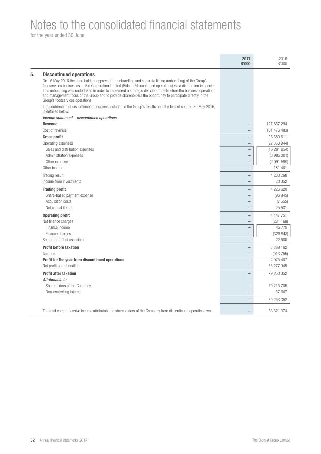## Notes to the consolidated financial statements

|                                                                                                                                                                                                                                                                                                                                                                                                                                                                                                        | 2017<br><b>R'000</b>     | 2016<br>R'000 |
|--------------------------------------------------------------------------------------------------------------------------------------------------------------------------------------------------------------------------------------------------------------------------------------------------------------------------------------------------------------------------------------------------------------------------------------------------------------------------------------------------------|--------------------------|---------------|
| <b>Discontinued operations</b>                                                                                                                                                                                                                                                                                                                                                                                                                                                                         |                          |               |
| On 16 May 2016 the shareholders approved the unbundling and separate listing (unbundling) of the Group's<br>foodservices businesses as Bid Corporation Limited (Bidcorp/discontinued operations) via a distribution in specie.<br>This unbundling was undertaken in order to implement a strategic decision to restructure the business operations<br>and management focus of the Group and to provide shareholders the opportunity to participate directly in the<br>Group's foodservices operations. |                          |               |
| The contribution of discontinued operations included in the Group's results until the loss of control, 30 May 2016,<br>is detailed below:                                                                                                                                                                                                                                                                                                                                                              |                          |               |
| Income statement - discontinued operations                                                                                                                                                                                                                                                                                                                                                                                                                                                             |                          |               |
| <b>Revenue</b>                                                                                                                                                                                                                                                                                                                                                                                                                                                                                         |                          | 127 857 294   |
| Cost of revenue                                                                                                                                                                                                                                                                                                                                                                                                                                                                                        |                          | (101476483)   |
| <b>Gross profit</b>                                                                                                                                                                                                                                                                                                                                                                                                                                                                                    | $\overline{\phantom{0}}$ | 26 380 811    |
| Operating expenses                                                                                                                                                                                                                                                                                                                                                                                                                                                                                     |                          | (22 358 944)  |
| Sales and distribution expenses                                                                                                                                                                                                                                                                                                                                                                                                                                                                        | $\overline{\phantom{0}}$ | (16281954)    |
| Administration expenses                                                                                                                                                                                                                                                                                                                                                                                                                                                                                | $\overline{\phantom{0}}$ | (3985391)     |
| Other expenses                                                                                                                                                                                                                                                                                                                                                                                                                                                                                         | $\overline{\phantom{0}}$ | (2091599)     |
| Other income                                                                                                                                                                                                                                                                                                                                                                                                                                                                                           | $\overline{\phantom{a}}$ | 181 401       |
| Trading result                                                                                                                                                                                                                                                                                                                                                                                                                                                                                         | $\overline{\phantom{0}}$ | 4 203 268     |
| Income from investments                                                                                                                                                                                                                                                                                                                                                                                                                                                                                | $\overline{\phantom{0}}$ | 23 352        |
| <b>Trading profit</b>                                                                                                                                                                                                                                                                                                                                                                                                                                                                                  |                          | 4 226 620     |
| Share-based payment expense                                                                                                                                                                                                                                                                                                                                                                                                                                                                            |                          | (96845)       |
| Acquisition costs                                                                                                                                                                                                                                                                                                                                                                                                                                                                                      |                          | (7555)        |
| Net capital items                                                                                                                                                                                                                                                                                                                                                                                                                                                                                      |                          | 25 531        |
| <b>Operating profit</b>                                                                                                                                                                                                                                                                                                                                                                                                                                                                                | $\overline{\phantom{0}}$ | 4 147 751     |
| Net finance charges                                                                                                                                                                                                                                                                                                                                                                                                                                                                                    | $\overline{\phantom{0}}$ | (281169)      |
| Finance income                                                                                                                                                                                                                                                                                                                                                                                                                                                                                         | $\qquad \qquad -$        | 45 7 7 9      |
| Finance charges                                                                                                                                                                                                                                                                                                                                                                                                                                                                                        | $\overline{\phantom{0}}$ | (326948)      |
| Share of profit of associates                                                                                                                                                                                                                                                                                                                                                                                                                                                                          | $\overline{\phantom{0}}$ | 22 580        |
| <b>Profit before taxation</b>                                                                                                                                                                                                                                                                                                                                                                                                                                                                          | $\overline{\phantom{0}}$ | 3 889 162     |
| Taxation                                                                                                                                                                                                                                                                                                                                                                                                                                                                                               |                          | (913755)      |
| Profit for the year from discontinued operations                                                                                                                                                                                                                                                                                                                                                                                                                                                       | $\overline{\phantom{0}}$ | 2 975 407     |
| Net profit on unbundling                                                                                                                                                                                                                                                                                                                                                                                                                                                                               | $\overline{\phantom{0}}$ | 76 277 945    |
| <b>Profit after taxation</b>                                                                                                                                                                                                                                                                                                                                                                                                                                                                           |                          | 79 253 352    |
| Attributable to                                                                                                                                                                                                                                                                                                                                                                                                                                                                                        |                          |               |
| Shareholders of the Company                                                                                                                                                                                                                                                                                                                                                                                                                                                                            |                          | 79 215 705    |
| Non-controlling interest                                                                                                                                                                                                                                                                                                                                                                                                                                                                               |                          | 37 647        |
|                                                                                                                                                                                                                                                                                                                                                                                                                                                                                                        | $\overline{\phantom{0}}$ | 79 253 352    |
| The total comprehensive income attributable to shareholders of the Company from discontinued operations was                                                                                                                                                                                                                                                                                                                                                                                            |                          | 83 321 374    |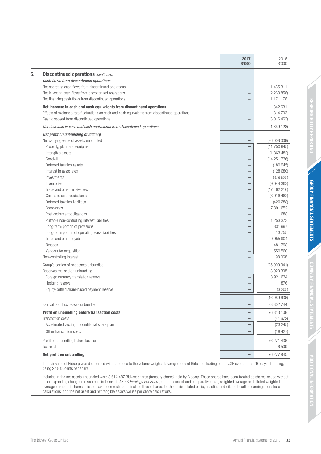|                                                                                                 | 2017<br><b>R'000</b>     | 2016<br>R'000 |
|-------------------------------------------------------------------------------------------------|--------------------------|---------------|
| <b>Discontinued operations (continued)</b>                                                      |                          |               |
| Cash flows from discontinued operations                                                         |                          |               |
| Net operating cash flows from discontinued operations                                           | -                        | 1 435 311     |
| Net investing cash flows from discontinued operations                                           | -                        | (2 263 856)   |
| Net financing cash flows from discontinued operations                                           | $\overline{\phantom{0}}$ | 1 171 176     |
| Net increase in cash and cash equivalents from discontinued operations                          | -                        | 342 631       |
| Effects of exchange rate fluctuations on cash and cash equivalents from discontinued operations | -                        | 814 703       |
| Cash disposed from discontinued operations                                                      | $\overline{\phantom{0}}$ | (3 016 462)   |
| Net decrease in cash and cash equivalents from discontinued operations                          | $\qquad \qquad -$        | (1859128)     |
| Net profit on unbundling of Bidcorp                                                             |                          |               |
| Net carrying value of assets unbundled                                                          | $\qquad \qquad -$        | (26008009)    |
| Property, plant and equipment                                                                   | $\overline{\phantom{0}}$ | (11 750 945)  |
| Intangible assets                                                                               | $\qquad \qquad -$        | (1363482)     |
| Goodwill                                                                                        | -                        | (14251736)    |
| Deferred taxation assets                                                                        | -                        | (180945)      |
| Interest in associates                                                                          | -                        | (128680)      |
| Investments                                                                                     | $\overline{\phantom{0}}$ | (379625)      |
| Inventories                                                                                     | -                        | (9044363)     |
| Trade and other receivables                                                                     | -                        | (17462210)    |
| Cash and cash equivalents                                                                       | -                        | (3 016 462)   |
| Deferred taxation liabilities                                                                   | -                        | (420 288)     |
| Borrowings                                                                                      | $\overline{\phantom{0}}$ | 7 891 652     |
| Post-retirement obligations                                                                     | -                        | 11 688        |
| Puttable non-controlling interest liabilities                                                   | -                        | 1 253 373     |
| Long-term portion of provisions                                                                 | -                        | 831 997       |
| Long-term portion of operating lease liabilities                                                | -                        | 13755         |
| Trade and other payables                                                                        | $\overline{\phantom{0}}$ | 20 955 904    |
| Taxation                                                                                        | -                        | 481798        |
| Vendors for acquisition                                                                         | $\qquad \qquad -$        | 550 560       |
| Non-controlling interest                                                                        | $\overline{\phantom{0}}$ | 98 068        |
| Group's portion of net assets unbundled                                                         | $\overline{\phantom{0}}$ | (25909941)    |
| Reserves realised on unbundling                                                                 | -                        | 8 9 20 30 5   |
| Foreign currency translation reserve                                                            | $\overline{\phantom{0}}$ | 8 921 634     |
| Hedging reserve                                                                                 | -                        | 1876          |
| Equity-settled share-based payment reserve                                                      | -                        | (3 205)       |
|                                                                                                 |                          | (16989636)    |
| Fair value of businesses unbundled                                                              | -                        | 93 302 744    |
| Profit on unbundling before transaction costs                                                   | $\qquad \qquad -$        | 76 313 108    |
| Transaction costs                                                                               | -                        | (41672)       |
| Accelerated vesting of conditional share plan                                                   | $\overline{\phantom{0}}$ | (23 245)      |
| Other transaction costs                                                                         | -                        | (18 427)      |
| Profit on unbundling before taxation                                                            | -                        | 76 271 436    |
| Tax relief                                                                                      |                          | 6509          |
| Net profit on unbundling                                                                        | -                        | 76 277 945    |
|                                                                                                 |                          |               |

The fair value of Bidcorp was determined with reference to the volume weighted average price of Bidcorp's trading on the JSE over the first 10 days of trading, being 27 818 cents per share.

Included in the net assets unbundled were 3 614 487 Bidvest shares (treasury shares) held by Bidcorp. These shares have been treated as shares issued without a corresponding change in resources, in terms of IAS 33 Earnings Per Share, and the current and comparative total, weighted average and diluted weighted average number of shares in issue have been restated to include these shares, for the basic, diluted basic, headline and diluted headline earnings per share calculations; and the net asset and net tangible assets values per share calculations.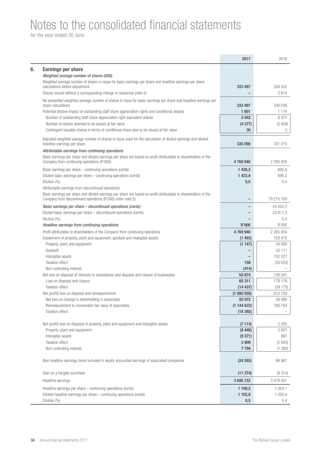## Notes to the consolidated financial statements

|                                                                                                                                      | 2017                 | 2016             |
|--------------------------------------------------------------------------------------------------------------------------------------|----------------------|------------------|
| <b>Earnings per share</b>                                                                                                            |                      |                  |
| Weighted average number of shares (000)                                                                                              |                      |                  |
| Weighted average number of shares in issue for basic earnings per share and headline earnings per share                              |                      |                  |
| calculations before adjustment                                                                                                       | 333 497              | 326 422          |
| Shares issued without a corresponding change in resources (note 5)                                                                   |                      | 3614             |
| Re-presented weighted average number of shares in issue for basic earnings per share and headline earnings per<br>share calculations | 333 497              | 330 036          |
| Potential dilutive impact of outstanding staff share appreciation rights and conditional awards                                      | 1601                 | 1 1 7 4          |
| Number of outstanding staff share appreciation right equivalent shares                                                               | 5942                 | 6975             |
| Number of shares deemed to be issued at fair value                                                                                   | (4377)               | (5806)           |
| Contingent issuable shares in terms of conditional share plan to be issued at fair value                                             | 36                   | 5                |
| Adjusted weighted average number of shares in issue used for the calculation of diluted earnings and diluted                         |                      |                  |
| headline earnings per share                                                                                                          | 335 098              | 331 210          |
| Attributable earnings from continuing operations                                                                                     |                      |                  |
| Basic earnings per share and diluted earnings per share are based on profit attributable to shareholders of the                      |                      |                  |
| Company from continuing operations (R'000)                                                                                           | 4769940              | 2 2 8 5 8 5 0    |
| Basic earnings per share – continuing operations (cents)                                                                             | 1 430,3              | 692,6            |
| Diluted basic earnings per share – continuing operations (cents)                                                                     | 1 423,4              | 690,2            |
| Dilution (%)<br>Attributable earnings from discontinued operations                                                                   | 0,5                  | 0,4              |
| Basic earnings per share and diluted earnings per share are based on profit attributable to shareholders of the                      |                      |                  |
| Company from discontinued operations (R'000) (refer note 5)                                                                          |                      | 79 215 705       |
| Basic earnings per share - discontinued operations (cents)                                                                           |                      | 24 002,2         |
| Diluted basic earnings per share – discontinued operations (cents)                                                                   |                      | 23 917,0         |
| Dilution (%)                                                                                                                         |                      | 0,4              |
| Headline earnings from continuing operations                                                                                         | <b>R'000</b>         | R'000            |
| Profit attributable to shareholders of the Company from continuing operations                                                        | 4769940              | 2 2 8 5 8 5 0    |
| Impairment of property, plant and equipment; goodwill and intangible assets                                                          | (1403)               | 153 475          |
| Property, plant and equipment<br>Goodwill                                                                                            | (1147)               | 34 995<br>52 111 |
| Intangible assets                                                                                                                    |                      | 102 021          |
| <b>Taxation effect</b>                                                                                                               | 158                  | (35652)          |
| Non-controlling interest                                                                                                             | (414)                |                  |
| Net loss on disposal of interests in subsidiaries and disposal and closure of businesses                                             | 50 874               | 139 001          |
| Loss on disposal and closure                                                                                                         | 65 311               | 178 176          |
| <b>Taxation effect</b>                                                                                                               | (14437)              | (39 175)         |
| Net (profit) loss on disposal and remeasurement                                                                                      | (1 080 926)          | 810759           |
| Net loss on change in shareholding in associates                                                                                     | 82 072               | 49 995           |
| Remeasurement to recoverable fair value of associates<br><b>Taxation effect</b>                                                      | (1144633)<br>(18365) | 760 764          |
|                                                                                                                                      |                      |                  |
| Net (profit) loss on disposal of property, plant and equipment and intangible assets                                                 | (7114)               | 2 2 6 5          |
| Property, plant and equipment                                                                                                        | (8446)               | 5 601            |
| Intangible assets                                                                                                                    | (9371)               | 887              |
| <b>Taxation effect</b>                                                                                                               | 2 9 0 9              | (2843)           |
| Non-controlling interest                                                                                                             | 7794                 | (1380)           |
| Non-headline earnings items included in equity-accounted earnings of associated companies                                            | (24 265)             | 96 961           |
|                                                                                                                                      |                      |                  |
| Gain on a bargain purchase                                                                                                           | (11374)              | (9310)           |
| Headline earnings                                                                                                                    | 3695732              | 3 479 001        |
| Headline earnings per share – continuing operations (cents)                                                                          | 1 108,2              | 1 0 5 4 , 1      |
| Diluted headline earnings per share - continuing operations (cents)                                                                  | 1 102,9              | 1 0 5 0, 4       |
| Dilution (%)                                                                                                                         | 0,5                  | 0,4              |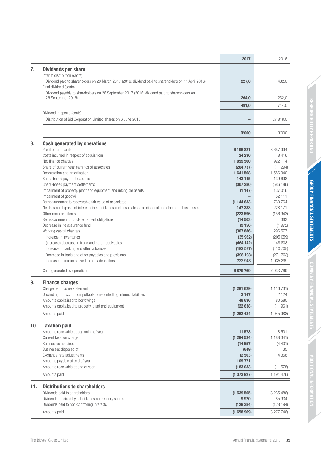| 7 <sub>1</sub><br><b>Dividends per share</b><br>Interim distribution (cents)<br>Dividend paid to shareholders on 20 March 2017 (2016: dividend paid to shareholders on 11 April 2016)<br>482,0<br>227,0<br>Final dividend (cents)<br>Dividend payable to shareholders on 26 September 2017 (2016: dividend paid to shareholders on<br>26 September 2016)<br>264,0<br>232,0<br>491,0<br>714,0<br>Dividend in specie (cents)<br>Distribution of Bid Corporation Limited shares on 6 June 2016<br>27 818,0<br><b>R'000</b><br>R'000<br><b>Cash generated by operations</b><br>8.<br>Profit before taxation<br>6 196 821<br>3 657 994<br>Costs incurred in respect of acquisitions<br>24 230<br>8416<br>Net finance charges<br>1 059 560<br>922 114<br>Share of current year earnings of associates<br>(11294)<br>(264 737)<br>Depreciation and amortisation<br>1 586 940<br>1641568<br>Share-based payment expense<br>143 145<br>139 698<br>Share-based payment settlements<br>(307 280)<br>(586 186)<br>Impairment of property, plant and equipment and intangible assets<br>137 016<br>(1147)<br>Impairment of goodwill<br>52 111<br>Remeasurement to recoverable fair value of associates<br>(1144633)<br>760 764<br>Net loss on disposal of interests in subsidiaries and associates, and disposal and closure of businesses<br>147 383<br>228 171<br>Other non-cash items<br>(223 596)<br>(156943)<br>Remeasurement of post-retirement obligations<br>363<br>(14503)<br>Decrease in life assurance fund<br>(1972)<br>(9156)<br>Working capital changes<br>(367 886)<br>296 577<br>Increase in inventories<br>(205 059)<br>(35952)<br>(Increase) decrease in trade and other receivables<br>148 808<br>(464142)<br>Increase in banking and other advances<br>(192537)<br>(410708)<br>Decrease in trade and other payables and provisions<br>(271763)<br>(398198)<br>Increase in amounts owed to bank depositors<br>722 943<br>1 035 299<br>Cash generated by operations<br>7 033 769<br>6879769<br>9.<br><b>Finance charges</b><br>Charge per income statement<br>(1291629)<br>(1116731)<br>2 1 2 4<br>Unwinding of discount on puttable non-controlling interest liabilities<br>3 1 4 7<br>48 636<br>80 580<br>Amounts capitalised to borrowings<br>Amounts capitalised to property, plant and equipment<br>(22638)<br>(11961)<br>(1262484)<br>(1045988)<br>Amounts paid<br>10.<br><b>Taxation paid</b><br>Amounts receivable at beginning of year<br>8501<br>11 578<br>Current taxation charge<br>(1294534)<br>(1188341)<br>Businesses acquired<br>(4401)<br>(14557)<br>Businesses disposed of<br>(649)<br>35<br>Exchange rate adjustments<br>4 3 5 8<br>(2503)<br>Amounts payable at end of year<br>109 771<br>Amounts receivable at end of year<br>(183033)<br>(11 578)<br>Amounts paid<br>(1373927)<br>(1191426)<br><b>Distributions to shareholders</b><br>11.<br>Dividends paid to shareholders<br>(1539505)<br>(3235486)<br>Dividends received by subsidiaries on treasury shares<br>9 9 20<br>85 934<br>Dividends paid to non-controlling interests<br>(128194)<br>(129 384)<br>Amounts paid<br>(1658969)<br>(3277746) |  | 2017 | 2016 |
|----------------------------------------------------------------------------------------------------------------------------------------------------------------------------------------------------------------------------------------------------------------------------------------------------------------------------------------------------------------------------------------------------------------------------------------------------------------------------------------------------------------------------------------------------------------------------------------------------------------------------------------------------------------------------------------------------------------------------------------------------------------------------------------------------------------------------------------------------------------------------------------------------------------------------------------------------------------------------------------------------------------------------------------------------------------------------------------------------------------------------------------------------------------------------------------------------------------------------------------------------------------------------------------------------------------------------------------------------------------------------------------------------------------------------------------------------------------------------------------------------------------------------------------------------------------------------------------------------------------------------------------------------------------------------------------------------------------------------------------------------------------------------------------------------------------------------------------------------------------------------------------------------------------------------------------------------------------------------------------------------------------------------------------------------------------------------------------------------------------------------------------------------------------------------------------------------------------------------------------------------------------------------------------------------------------------------------------------------------------------------------------------------------------------------------------------------------------------------------------------------------------------------------------------------------------------------------------------------------------------------------------------------------------------------------------------------------------------------------------------------------------------------------------------------------------------------------------------------------------------------------------------------------------------------------------------------------------------------------------------------------------------------------------------------------------------------------------------------------------------------------|--|------|------|
|                                                                                                                                                                                                                                                                                                                                                                                                                                                                                                                                                                                                                                                                                                                                                                                                                                                                                                                                                                                                                                                                                                                                                                                                                                                                                                                                                                                                                                                                                                                                                                                                                                                                                                                                                                                                                                                                                                                                                                                                                                                                                                                                                                                                                                                                                                                                                                                                                                                                                                                                                                                                                                                                                                                                                                                                                                                                                                                                                                                                                                                                                                                                  |  |      |      |
|                                                                                                                                                                                                                                                                                                                                                                                                                                                                                                                                                                                                                                                                                                                                                                                                                                                                                                                                                                                                                                                                                                                                                                                                                                                                                                                                                                                                                                                                                                                                                                                                                                                                                                                                                                                                                                                                                                                                                                                                                                                                                                                                                                                                                                                                                                                                                                                                                                                                                                                                                                                                                                                                                                                                                                                                                                                                                                                                                                                                                                                                                                                                  |  |      |      |
|                                                                                                                                                                                                                                                                                                                                                                                                                                                                                                                                                                                                                                                                                                                                                                                                                                                                                                                                                                                                                                                                                                                                                                                                                                                                                                                                                                                                                                                                                                                                                                                                                                                                                                                                                                                                                                                                                                                                                                                                                                                                                                                                                                                                                                                                                                                                                                                                                                                                                                                                                                                                                                                                                                                                                                                                                                                                                                                                                                                                                                                                                                                                  |  |      |      |
|                                                                                                                                                                                                                                                                                                                                                                                                                                                                                                                                                                                                                                                                                                                                                                                                                                                                                                                                                                                                                                                                                                                                                                                                                                                                                                                                                                                                                                                                                                                                                                                                                                                                                                                                                                                                                                                                                                                                                                                                                                                                                                                                                                                                                                                                                                                                                                                                                                                                                                                                                                                                                                                                                                                                                                                                                                                                                                                                                                                                                                                                                                                                  |  |      |      |
|                                                                                                                                                                                                                                                                                                                                                                                                                                                                                                                                                                                                                                                                                                                                                                                                                                                                                                                                                                                                                                                                                                                                                                                                                                                                                                                                                                                                                                                                                                                                                                                                                                                                                                                                                                                                                                                                                                                                                                                                                                                                                                                                                                                                                                                                                                                                                                                                                                                                                                                                                                                                                                                                                                                                                                                                                                                                                                                                                                                                                                                                                                                                  |  |      |      |
|                                                                                                                                                                                                                                                                                                                                                                                                                                                                                                                                                                                                                                                                                                                                                                                                                                                                                                                                                                                                                                                                                                                                                                                                                                                                                                                                                                                                                                                                                                                                                                                                                                                                                                                                                                                                                                                                                                                                                                                                                                                                                                                                                                                                                                                                                                                                                                                                                                                                                                                                                                                                                                                                                                                                                                                                                                                                                                                                                                                                                                                                                                                                  |  |      |      |
|                                                                                                                                                                                                                                                                                                                                                                                                                                                                                                                                                                                                                                                                                                                                                                                                                                                                                                                                                                                                                                                                                                                                                                                                                                                                                                                                                                                                                                                                                                                                                                                                                                                                                                                                                                                                                                                                                                                                                                                                                                                                                                                                                                                                                                                                                                                                                                                                                                                                                                                                                                                                                                                                                                                                                                                                                                                                                                                                                                                                                                                                                                                                  |  |      |      |
|                                                                                                                                                                                                                                                                                                                                                                                                                                                                                                                                                                                                                                                                                                                                                                                                                                                                                                                                                                                                                                                                                                                                                                                                                                                                                                                                                                                                                                                                                                                                                                                                                                                                                                                                                                                                                                                                                                                                                                                                                                                                                                                                                                                                                                                                                                                                                                                                                                                                                                                                                                                                                                                                                                                                                                                                                                                                                                                                                                                                                                                                                                                                  |  |      |      |
|                                                                                                                                                                                                                                                                                                                                                                                                                                                                                                                                                                                                                                                                                                                                                                                                                                                                                                                                                                                                                                                                                                                                                                                                                                                                                                                                                                                                                                                                                                                                                                                                                                                                                                                                                                                                                                                                                                                                                                                                                                                                                                                                                                                                                                                                                                                                                                                                                                                                                                                                                                                                                                                                                                                                                                                                                                                                                                                                                                                                                                                                                                                                  |  |      |      |
|                                                                                                                                                                                                                                                                                                                                                                                                                                                                                                                                                                                                                                                                                                                                                                                                                                                                                                                                                                                                                                                                                                                                                                                                                                                                                                                                                                                                                                                                                                                                                                                                                                                                                                                                                                                                                                                                                                                                                                                                                                                                                                                                                                                                                                                                                                                                                                                                                                                                                                                                                                                                                                                                                                                                                                                                                                                                                                                                                                                                                                                                                                                                  |  |      |      |
|                                                                                                                                                                                                                                                                                                                                                                                                                                                                                                                                                                                                                                                                                                                                                                                                                                                                                                                                                                                                                                                                                                                                                                                                                                                                                                                                                                                                                                                                                                                                                                                                                                                                                                                                                                                                                                                                                                                                                                                                                                                                                                                                                                                                                                                                                                                                                                                                                                                                                                                                                                                                                                                                                                                                                                                                                                                                                                                                                                                                                                                                                                                                  |  |      |      |
|                                                                                                                                                                                                                                                                                                                                                                                                                                                                                                                                                                                                                                                                                                                                                                                                                                                                                                                                                                                                                                                                                                                                                                                                                                                                                                                                                                                                                                                                                                                                                                                                                                                                                                                                                                                                                                                                                                                                                                                                                                                                                                                                                                                                                                                                                                                                                                                                                                                                                                                                                                                                                                                                                                                                                                                                                                                                                                                                                                                                                                                                                                                                  |  |      |      |
|                                                                                                                                                                                                                                                                                                                                                                                                                                                                                                                                                                                                                                                                                                                                                                                                                                                                                                                                                                                                                                                                                                                                                                                                                                                                                                                                                                                                                                                                                                                                                                                                                                                                                                                                                                                                                                                                                                                                                                                                                                                                                                                                                                                                                                                                                                                                                                                                                                                                                                                                                                                                                                                                                                                                                                                                                                                                                                                                                                                                                                                                                                                                  |  |      |      |
|                                                                                                                                                                                                                                                                                                                                                                                                                                                                                                                                                                                                                                                                                                                                                                                                                                                                                                                                                                                                                                                                                                                                                                                                                                                                                                                                                                                                                                                                                                                                                                                                                                                                                                                                                                                                                                                                                                                                                                                                                                                                                                                                                                                                                                                                                                                                                                                                                                                                                                                                                                                                                                                                                                                                                                                                                                                                                                                                                                                                                                                                                                                                  |  |      |      |
|                                                                                                                                                                                                                                                                                                                                                                                                                                                                                                                                                                                                                                                                                                                                                                                                                                                                                                                                                                                                                                                                                                                                                                                                                                                                                                                                                                                                                                                                                                                                                                                                                                                                                                                                                                                                                                                                                                                                                                                                                                                                                                                                                                                                                                                                                                                                                                                                                                                                                                                                                                                                                                                                                                                                                                                                                                                                                                                                                                                                                                                                                                                                  |  |      |      |
|                                                                                                                                                                                                                                                                                                                                                                                                                                                                                                                                                                                                                                                                                                                                                                                                                                                                                                                                                                                                                                                                                                                                                                                                                                                                                                                                                                                                                                                                                                                                                                                                                                                                                                                                                                                                                                                                                                                                                                                                                                                                                                                                                                                                                                                                                                                                                                                                                                                                                                                                                                                                                                                                                                                                                                                                                                                                                                                                                                                                                                                                                                                                  |  |      |      |
|                                                                                                                                                                                                                                                                                                                                                                                                                                                                                                                                                                                                                                                                                                                                                                                                                                                                                                                                                                                                                                                                                                                                                                                                                                                                                                                                                                                                                                                                                                                                                                                                                                                                                                                                                                                                                                                                                                                                                                                                                                                                                                                                                                                                                                                                                                                                                                                                                                                                                                                                                                                                                                                                                                                                                                                                                                                                                                                                                                                                                                                                                                                                  |  |      |      |
|                                                                                                                                                                                                                                                                                                                                                                                                                                                                                                                                                                                                                                                                                                                                                                                                                                                                                                                                                                                                                                                                                                                                                                                                                                                                                                                                                                                                                                                                                                                                                                                                                                                                                                                                                                                                                                                                                                                                                                                                                                                                                                                                                                                                                                                                                                                                                                                                                                                                                                                                                                                                                                                                                                                                                                                                                                                                                                                                                                                                                                                                                                                                  |  |      |      |
|                                                                                                                                                                                                                                                                                                                                                                                                                                                                                                                                                                                                                                                                                                                                                                                                                                                                                                                                                                                                                                                                                                                                                                                                                                                                                                                                                                                                                                                                                                                                                                                                                                                                                                                                                                                                                                                                                                                                                                                                                                                                                                                                                                                                                                                                                                                                                                                                                                                                                                                                                                                                                                                                                                                                                                                                                                                                                                                                                                                                                                                                                                                                  |  |      |      |
|                                                                                                                                                                                                                                                                                                                                                                                                                                                                                                                                                                                                                                                                                                                                                                                                                                                                                                                                                                                                                                                                                                                                                                                                                                                                                                                                                                                                                                                                                                                                                                                                                                                                                                                                                                                                                                                                                                                                                                                                                                                                                                                                                                                                                                                                                                                                                                                                                                                                                                                                                                                                                                                                                                                                                                                                                                                                                                                                                                                                                                                                                                                                  |  |      |      |
|                                                                                                                                                                                                                                                                                                                                                                                                                                                                                                                                                                                                                                                                                                                                                                                                                                                                                                                                                                                                                                                                                                                                                                                                                                                                                                                                                                                                                                                                                                                                                                                                                                                                                                                                                                                                                                                                                                                                                                                                                                                                                                                                                                                                                                                                                                                                                                                                                                                                                                                                                                                                                                                                                                                                                                                                                                                                                                                                                                                                                                                                                                                                  |  |      |      |
|                                                                                                                                                                                                                                                                                                                                                                                                                                                                                                                                                                                                                                                                                                                                                                                                                                                                                                                                                                                                                                                                                                                                                                                                                                                                                                                                                                                                                                                                                                                                                                                                                                                                                                                                                                                                                                                                                                                                                                                                                                                                                                                                                                                                                                                                                                                                                                                                                                                                                                                                                                                                                                                                                                                                                                                                                                                                                                                                                                                                                                                                                                                                  |  |      |      |
|                                                                                                                                                                                                                                                                                                                                                                                                                                                                                                                                                                                                                                                                                                                                                                                                                                                                                                                                                                                                                                                                                                                                                                                                                                                                                                                                                                                                                                                                                                                                                                                                                                                                                                                                                                                                                                                                                                                                                                                                                                                                                                                                                                                                                                                                                                                                                                                                                                                                                                                                                                                                                                                                                                                                                                                                                                                                                                                                                                                                                                                                                                                                  |  |      |      |
|                                                                                                                                                                                                                                                                                                                                                                                                                                                                                                                                                                                                                                                                                                                                                                                                                                                                                                                                                                                                                                                                                                                                                                                                                                                                                                                                                                                                                                                                                                                                                                                                                                                                                                                                                                                                                                                                                                                                                                                                                                                                                                                                                                                                                                                                                                                                                                                                                                                                                                                                                                                                                                                                                                                                                                                                                                                                                                                                                                                                                                                                                                                                  |  |      |      |
|                                                                                                                                                                                                                                                                                                                                                                                                                                                                                                                                                                                                                                                                                                                                                                                                                                                                                                                                                                                                                                                                                                                                                                                                                                                                                                                                                                                                                                                                                                                                                                                                                                                                                                                                                                                                                                                                                                                                                                                                                                                                                                                                                                                                                                                                                                                                                                                                                                                                                                                                                                                                                                                                                                                                                                                                                                                                                                                                                                                                                                                                                                                                  |  |      |      |
|                                                                                                                                                                                                                                                                                                                                                                                                                                                                                                                                                                                                                                                                                                                                                                                                                                                                                                                                                                                                                                                                                                                                                                                                                                                                                                                                                                                                                                                                                                                                                                                                                                                                                                                                                                                                                                                                                                                                                                                                                                                                                                                                                                                                                                                                                                                                                                                                                                                                                                                                                                                                                                                                                                                                                                                                                                                                                                                                                                                                                                                                                                                                  |  |      |      |
|                                                                                                                                                                                                                                                                                                                                                                                                                                                                                                                                                                                                                                                                                                                                                                                                                                                                                                                                                                                                                                                                                                                                                                                                                                                                                                                                                                                                                                                                                                                                                                                                                                                                                                                                                                                                                                                                                                                                                                                                                                                                                                                                                                                                                                                                                                                                                                                                                                                                                                                                                                                                                                                                                                                                                                                                                                                                                                                                                                                                                                                                                                                                  |  |      |      |
|                                                                                                                                                                                                                                                                                                                                                                                                                                                                                                                                                                                                                                                                                                                                                                                                                                                                                                                                                                                                                                                                                                                                                                                                                                                                                                                                                                                                                                                                                                                                                                                                                                                                                                                                                                                                                                                                                                                                                                                                                                                                                                                                                                                                                                                                                                                                                                                                                                                                                                                                                                                                                                                                                                                                                                                                                                                                                                                                                                                                                                                                                                                                  |  |      |      |
|                                                                                                                                                                                                                                                                                                                                                                                                                                                                                                                                                                                                                                                                                                                                                                                                                                                                                                                                                                                                                                                                                                                                                                                                                                                                                                                                                                                                                                                                                                                                                                                                                                                                                                                                                                                                                                                                                                                                                                                                                                                                                                                                                                                                                                                                                                                                                                                                                                                                                                                                                                                                                                                                                                                                                                                                                                                                                                                                                                                                                                                                                                                                  |  |      |      |
|                                                                                                                                                                                                                                                                                                                                                                                                                                                                                                                                                                                                                                                                                                                                                                                                                                                                                                                                                                                                                                                                                                                                                                                                                                                                                                                                                                                                                                                                                                                                                                                                                                                                                                                                                                                                                                                                                                                                                                                                                                                                                                                                                                                                                                                                                                                                                                                                                                                                                                                                                                                                                                                                                                                                                                                                                                                                                                                                                                                                                                                                                                                                  |  |      |      |
|                                                                                                                                                                                                                                                                                                                                                                                                                                                                                                                                                                                                                                                                                                                                                                                                                                                                                                                                                                                                                                                                                                                                                                                                                                                                                                                                                                                                                                                                                                                                                                                                                                                                                                                                                                                                                                                                                                                                                                                                                                                                                                                                                                                                                                                                                                                                                                                                                                                                                                                                                                                                                                                                                                                                                                                                                                                                                                                                                                                                                                                                                                                                  |  |      |      |
|                                                                                                                                                                                                                                                                                                                                                                                                                                                                                                                                                                                                                                                                                                                                                                                                                                                                                                                                                                                                                                                                                                                                                                                                                                                                                                                                                                                                                                                                                                                                                                                                                                                                                                                                                                                                                                                                                                                                                                                                                                                                                                                                                                                                                                                                                                                                                                                                                                                                                                                                                                                                                                                                                                                                                                                                                                                                                                                                                                                                                                                                                                                                  |  |      |      |
|                                                                                                                                                                                                                                                                                                                                                                                                                                                                                                                                                                                                                                                                                                                                                                                                                                                                                                                                                                                                                                                                                                                                                                                                                                                                                                                                                                                                                                                                                                                                                                                                                                                                                                                                                                                                                                                                                                                                                                                                                                                                                                                                                                                                                                                                                                                                                                                                                                                                                                                                                                                                                                                                                                                                                                                                                                                                                                                                                                                                                                                                                                                                  |  |      |      |
|                                                                                                                                                                                                                                                                                                                                                                                                                                                                                                                                                                                                                                                                                                                                                                                                                                                                                                                                                                                                                                                                                                                                                                                                                                                                                                                                                                                                                                                                                                                                                                                                                                                                                                                                                                                                                                                                                                                                                                                                                                                                                                                                                                                                                                                                                                                                                                                                                                                                                                                                                                                                                                                                                                                                                                                                                                                                                                                                                                                                                                                                                                                                  |  |      |      |
|                                                                                                                                                                                                                                                                                                                                                                                                                                                                                                                                                                                                                                                                                                                                                                                                                                                                                                                                                                                                                                                                                                                                                                                                                                                                                                                                                                                                                                                                                                                                                                                                                                                                                                                                                                                                                                                                                                                                                                                                                                                                                                                                                                                                                                                                                                                                                                                                                                                                                                                                                                                                                                                                                                                                                                                                                                                                                                                                                                                                                                                                                                                                  |  |      |      |
|                                                                                                                                                                                                                                                                                                                                                                                                                                                                                                                                                                                                                                                                                                                                                                                                                                                                                                                                                                                                                                                                                                                                                                                                                                                                                                                                                                                                                                                                                                                                                                                                                                                                                                                                                                                                                                                                                                                                                                                                                                                                                                                                                                                                                                                                                                                                                                                                                                                                                                                                                                                                                                                                                                                                                                                                                                                                                                                                                                                                                                                                                                                                  |  |      |      |
|                                                                                                                                                                                                                                                                                                                                                                                                                                                                                                                                                                                                                                                                                                                                                                                                                                                                                                                                                                                                                                                                                                                                                                                                                                                                                                                                                                                                                                                                                                                                                                                                                                                                                                                                                                                                                                                                                                                                                                                                                                                                                                                                                                                                                                                                                                                                                                                                                                                                                                                                                                                                                                                                                                                                                                                                                                                                                                                                                                                                                                                                                                                                  |  |      |      |
|                                                                                                                                                                                                                                                                                                                                                                                                                                                                                                                                                                                                                                                                                                                                                                                                                                                                                                                                                                                                                                                                                                                                                                                                                                                                                                                                                                                                                                                                                                                                                                                                                                                                                                                                                                                                                                                                                                                                                                                                                                                                                                                                                                                                                                                                                                                                                                                                                                                                                                                                                                                                                                                                                                                                                                                                                                                                                                                                                                                                                                                                                                                                  |  |      |      |
|                                                                                                                                                                                                                                                                                                                                                                                                                                                                                                                                                                                                                                                                                                                                                                                                                                                                                                                                                                                                                                                                                                                                                                                                                                                                                                                                                                                                                                                                                                                                                                                                                                                                                                                                                                                                                                                                                                                                                                                                                                                                                                                                                                                                                                                                                                                                                                                                                                                                                                                                                                                                                                                                                                                                                                                                                                                                                                                                                                                                                                                                                                                                  |  |      |      |
|                                                                                                                                                                                                                                                                                                                                                                                                                                                                                                                                                                                                                                                                                                                                                                                                                                                                                                                                                                                                                                                                                                                                                                                                                                                                                                                                                                                                                                                                                                                                                                                                                                                                                                                                                                                                                                                                                                                                                                                                                                                                                                                                                                                                                                                                                                                                                                                                                                                                                                                                                                                                                                                                                                                                                                                                                                                                                                                                                                                                                                                                                                                                  |  |      |      |
|                                                                                                                                                                                                                                                                                                                                                                                                                                                                                                                                                                                                                                                                                                                                                                                                                                                                                                                                                                                                                                                                                                                                                                                                                                                                                                                                                                                                                                                                                                                                                                                                                                                                                                                                                                                                                                                                                                                                                                                                                                                                                                                                                                                                                                                                                                                                                                                                                                                                                                                                                                                                                                                                                                                                                                                                                                                                                                                                                                                                                                                                                                                                  |  |      |      |
|                                                                                                                                                                                                                                                                                                                                                                                                                                                                                                                                                                                                                                                                                                                                                                                                                                                                                                                                                                                                                                                                                                                                                                                                                                                                                                                                                                                                                                                                                                                                                                                                                                                                                                                                                                                                                                                                                                                                                                                                                                                                                                                                                                                                                                                                                                                                                                                                                                                                                                                                                                                                                                                                                                                                                                                                                                                                                                                                                                                                                                                                                                                                  |  |      |      |
|                                                                                                                                                                                                                                                                                                                                                                                                                                                                                                                                                                                                                                                                                                                                                                                                                                                                                                                                                                                                                                                                                                                                                                                                                                                                                                                                                                                                                                                                                                                                                                                                                                                                                                                                                                                                                                                                                                                                                                                                                                                                                                                                                                                                                                                                                                                                                                                                                                                                                                                                                                                                                                                                                                                                                                                                                                                                                                                                                                                                                                                                                                                                  |  |      |      |
|                                                                                                                                                                                                                                                                                                                                                                                                                                                                                                                                                                                                                                                                                                                                                                                                                                                                                                                                                                                                                                                                                                                                                                                                                                                                                                                                                                                                                                                                                                                                                                                                                                                                                                                                                                                                                                                                                                                                                                                                                                                                                                                                                                                                                                                                                                                                                                                                                                                                                                                                                                                                                                                                                                                                                                                                                                                                                                                                                                                                                                                                                                                                  |  |      |      |
|                                                                                                                                                                                                                                                                                                                                                                                                                                                                                                                                                                                                                                                                                                                                                                                                                                                                                                                                                                                                                                                                                                                                                                                                                                                                                                                                                                                                                                                                                                                                                                                                                                                                                                                                                                                                                                                                                                                                                                                                                                                                                                                                                                                                                                                                                                                                                                                                                                                                                                                                                                                                                                                                                                                                                                                                                                                                                                                                                                                                                                                                                                                                  |  |      |      |
|                                                                                                                                                                                                                                                                                                                                                                                                                                                                                                                                                                                                                                                                                                                                                                                                                                                                                                                                                                                                                                                                                                                                                                                                                                                                                                                                                                                                                                                                                                                                                                                                                                                                                                                                                                                                                                                                                                                                                                                                                                                                                                                                                                                                                                                                                                                                                                                                                                                                                                                                                                                                                                                                                                                                                                                                                                                                                                                                                                                                                                                                                                                                  |  |      |      |
|                                                                                                                                                                                                                                                                                                                                                                                                                                                                                                                                                                                                                                                                                                                                                                                                                                                                                                                                                                                                                                                                                                                                                                                                                                                                                                                                                                                                                                                                                                                                                                                                                                                                                                                                                                                                                                                                                                                                                                                                                                                                                                                                                                                                                                                                                                                                                                                                                                                                                                                                                                                                                                                                                                                                                                                                                                                                                                                                                                                                                                                                                                                                  |  |      |      |
|                                                                                                                                                                                                                                                                                                                                                                                                                                                                                                                                                                                                                                                                                                                                                                                                                                                                                                                                                                                                                                                                                                                                                                                                                                                                                                                                                                                                                                                                                                                                                                                                                                                                                                                                                                                                                                                                                                                                                                                                                                                                                                                                                                                                                                                                                                                                                                                                                                                                                                                                                                                                                                                                                                                                                                                                                                                                                                                                                                                                                                                                                                                                  |  |      |      |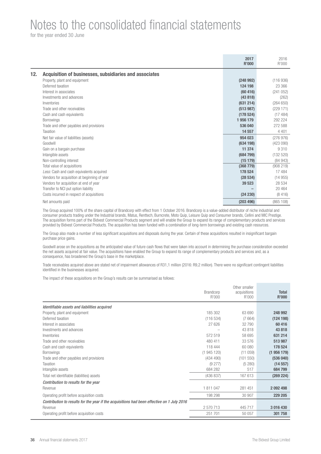for the year ended 30 June

|     |                                                        | 2017<br>R'000 | 2016<br>R'000 |
|-----|--------------------------------------------------------|---------------|---------------|
| 12. | Acquisition of businesses, subsidiaries and associates |               |               |
|     | Property, plant and equipment                          | (248992)      | (116936)      |
|     | Deferred taxation                                      | 124 198       | 23 366        |
|     | Interest in associates                                 | (60, 416)     | (241052)      |
|     | Investments and advances                               | (43818)       | (262)         |
|     | Inventories                                            | (631 214)     | (264650)      |
|     | Trade and other receivables                            | (513987)      | (229 171)     |
|     | Cash and cash equivalents                              | (178524)      | (17484)       |
|     | <b>Borrowings</b>                                      | 1956179       | 292 224       |
|     | Trade and other payables and provisions                | 536 040       | 272 588       |
|     | Taxation                                               | 14 5 57       | 4 4 0 1       |
|     | Net fair value of liabilities (assets)                 | 954 023       | (276976)      |
|     | Goodwill                                               | (634198)      | (423090)      |
|     | Gain on a bargain purchase                             | 11 374        | 9310          |
|     | Intangible assets                                      | (684799)      | (132 520)     |
|     | Non-controlling interest                               | (15179)       | (84943)       |
|     | Total value of acquisitions                            | (368779)      | (908219)      |
|     | Less: Cash and cash equivalents acquired               | 178 524       | 17484         |
|     | Vendors for acquisition at beginning of year           | (28534)       | (14955)       |
|     | Vendors for acquisition at end of year                 | 39 523        | 28 534        |
|     | Transfer to NCI put option liability                   |               | 20 4 64       |
|     | Costs incurred in respect of acquisitions              | (24 230)      | (8416)        |
|     | Net amounts paid                                       | (203 496)     | (865 108)     |

The Group acquired 100% of the share capital of Brandcorp with effect from 1 October 2016. Brandcorp is a value-added distributor of niche industrial and consumer products trading under the Industrial brands, Matus, Renttech, Burncrete, Moto Quip, Leisure Quip and Consumer brands, Cellini and MIC Prestige. The acquisition forms part of the Bidvest Commercial Products segment and will enable the Group to expand its range of complementary products and services provided by Bidvest Commercial Products. The acquisition has been funded with a combination of long-term borrowings and existing cash resources.

The Group also made a number of less significant acquisitions and disposals during the year. Certain of these acquisitions resulted in insignificant bargain purchase price gains.

Goodwill arose on the acquisitions as the anticipated value of future cash flows that were taken into account in determining the purchase consideration exceeded the net assets acquired at fair value. The acquisitions have enabled the Group to expand its range of complementary products and services and, as a consequence, has broadened the Group's base in the marketplace.

Trade receivables acquired above are stated net of impairment allowances of R31,1 million (2016: R9,2 million). There were no significant contingent liabilities identified in the businesses acquired.

The impact of these acquisitions on the Group's results can be summarised as follows:

|                                                                                            | <b>Brandcorp</b><br>R'000 | Other smaller<br>acquisitions<br>R'000 | <b>Total</b><br>R'000 |
|--------------------------------------------------------------------------------------------|---------------------------|----------------------------------------|-----------------------|
| Identifiable assets and liabilities acquired                                               |                           |                                        |                       |
| Property, plant and equipment                                                              | 185 302                   | 63 690                                 | 248 992               |
| Deferred taxation                                                                          | (116534)                  | (7664)                                 | (124198)              |
| Interest in associates                                                                     | 27 626                    | 32 790                                 | 60 416                |
| Investments and advances                                                                   |                           | 43 818                                 | 43 818                |
| Inventories                                                                                | 572 519                   | 58 695                                 | 631 214               |
| Trade and other receivables                                                                | 480 411                   | 33 576                                 | 513 987               |
| Cash and cash equivalents                                                                  | 118 444                   | 60 080                                 | 178 524               |
| <b>Borrowings</b>                                                                          | (1945120)                 | (11059)                                | (1956179)             |
| Trade and other payables and provisions                                                    | (434 490)                 | (101550)                               | (536040)              |
| Taxation                                                                                   | (9277)                    | (5280)                                 | (14557)               |
| Intangible assets                                                                          | 684 282                   | 517                                    | 684 799               |
| Total net identifiable (liabilities) assets                                                | (436 837)                 | 167 613                                | (269 224)             |
| Contribution to results for the year                                                       |                           |                                        |                       |
| Revenue                                                                                    | 1811047                   | 281 451                                | 2092498               |
| Operating profit before acquisition costs                                                  | 198 298                   | 30 907                                 | 229 205               |
| Contribution to results for the year if the acquisitions had been effective on 1 July 2016 |                           |                                        |                       |
| Revenue                                                                                    | 2 570 713                 | 445 717                                | 3 016 430             |
| Operating profit before acquisition costs                                                  | 251 701                   | 50 057                                 | 301 758               |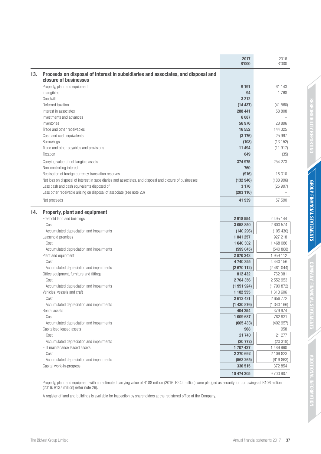|     |                                                                                                            | 2017<br><b>R'000</b> | 2016<br>R'000 |
|-----|------------------------------------------------------------------------------------------------------------|----------------------|---------------|
| 13. | Proceeds on disposal of interest in subsidiaries and associates, and disposal and<br>closure of businesses |                      |               |
|     | Property, plant and equipment                                                                              | 9 1 9 1              | 61 143        |
|     | Intangibles                                                                                                | 94                   | 1768          |
|     | Goodwill                                                                                                   | 3 2 1 2              |               |
|     | Deferred taxation                                                                                          | (14437)              | (41 560)      |
|     | Interest in associates                                                                                     | 288 441              | 58 808        |
|     | Investments and advances                                                                                   | 6 0 87               |               |
|     | Inventories                                                                                                | 56 976               | 28 896        |
|     | Trade and other receivables                                                                                | 16 552               | 144 325       |
|     | Cash and cash equivalents                                                                                  | (3176)               | 25 997        |
|     | Borrowings                                                                                                 | (108)                | (13152)       |
|     | Trade and other payables and provisions                                                                    | 11 494               | (11917)       |
|     | Taxation                                                                                                   | 649                  | (35)          |
|     | Carrying value of net tangible assets                                                                      | 374 975              | 254 273       |
|     | Non-controlling interest                                                                                   | 760                  |               |
|     | Realisation of foreign currency translation reserves                                                       | (916)                | 18 310        |
|     | Net loss on disposal of interest in subsidiaries and associates, and disposal and closure of businesses    | (132946)             | (188996)      |
|     | Less cash and cash equivalents disposed of                                                                 | 3 1 7 6              | (25997)       |
|     | Less other receivable arising on disposal of associate (see note 23)                                       | (203 110)            |               |
|     | Net proceeds                                                                                               | 41 939               | 57 590        |
| 14. | <b>Property, plant and equipment</b>                                                                       |                      |               |
|     | Freehold land and buildings                                                                                | 2918554              | 2 495 144     |
|     | Cost                                                                                                       | 3 058 850            | 2 600 574     |
|     | Accumulated depreciation and impairments                                                                   | (140 296)            | (105 430)     |
|     | Leasehold premises                                                                                         | 1 041 257            | 927 218       |
|     | Cost                                                                                                       | 1640 302             | 1 468 086     |
|     | Accumulated depreciation and impairments                                                                   | (599045)             | (540 868)     |
|     | Plant and equipment                                                                                        | 2070243              | 1 959 112     |
|     | Cost                                                                                                       | 4740355              | 4 440 156     |
|     | Accumulated depreciation and impairments                                                                   | (2670112)            | (2481044)     |
|     | Office equipment, furniture and fittings                                                                   | 812 432              | 762 081       |
|     | Cost                                                                                                       | 2764356              | 2 552 953     |
|     | Accumulated depreciation and impairments                                                                   | (1951924)            | (1790872)     |
|     | Vehicles, vessels and craft                                                                                | 1 182 555            | 1 313 606     |
|     | Cost                                                                                                       | 2613431              | 2 656 772     |
|     | Accumulated depreciation and impairments                                                                   | (1430876)            | (1343166)     |
|     | Rental assets                                                                                              | 404 254              | 379 974       |
|     | Cost                                                                                                       | 1 009 687            | 782 931       |
|     | Accumulated depreciation and impairments                                                                   | (605 433)            | (402957)      |
|     | Capitalised leased assets                                                                                  | 968                  | 958           |
|     | Cost                                                                                                       | 21 740               | 21 277        |
|     | Accumulated depreciation and impairments                                                                   | (20 772)             | (20319)       |
|     | Full maintenance leased assets                                                                             | 1 707 427            | 1 489 960     |
|     | Cost                                                                                                       | 2 270 692            | 2 109 823     |
|     | Accumulated depreciation and impairments                                                                   | (563 265)            | (619863)      |
|     | Capital work-in-progress                                                                                   | 336 515              | 372 854       |
|     |                                                                                                            | 10 474 205           | 9700907       |

Property, plant and equipment with an estimated carrying value of R188 million (2016: R242 million) were pledged as security for borrowings of R106 million (2016: R137 million) (refer note 29).

A register of land and buildings is available for inspection by shareholders at the registered office of the Company.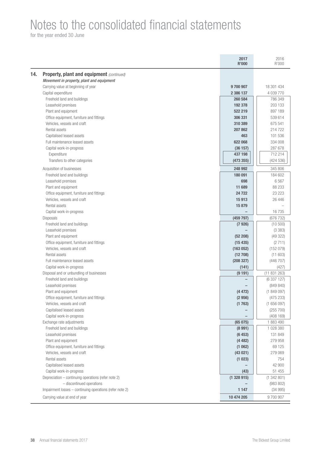for the year ended 30 June

|                                                                                  | 2017<br><b>R'000</b> | 2016<br>R'000          |
|----------------------------------------------------------------------------------|----------------------|------------------------|
| <b>Property, plant and equipment (continued)</b>                                 |                      |                        |
| Movement in property, plant and equipment                                        |                      |                        |
| Carrying value at beginning of year                                              | 9700907              | 18 301 434             |
| Capital expenditure                                                              | 2 386 137            | 4 039 770              |
| Freehold land and buildings                                                      | 260 584              | 786 349                |
| Leasehold premises                                                               | 192 378              | 203 133                |
| Plant and equipment                                                              | 522 219              | 897 189                |
| Office equipment, furniture and fittings                                         | 306 331              | 539 614                |
| Vehicles, vessels and craft                                                      | 310 389              | 675 541                |
| Rental assets                                                                    | 207 862              | 214722                 |
| Capitalised leased assets                                                        | 463                  | 101 536                |
| Full maintenance leased assets                                                   | 622 068              | 334 008                |
| Capital work-in-progress                                                         | (36157)              | 287 678                |
| Expenditure                                                                      | 437 198              | 712 214                |
| Transfers to other categories                                                    | (473355)             | (424 536)              |
| Acquisition of businesses                                                        | 248 992              | 345 806                |
| Freehold land and buildings                                                      | 180 091              | 184 602                |
| Leasehold premises                                                               | 698                  | 6567                   |
| Plant and equipment                                                              | 11 689               | 88 233                 |
| Office equipment, furniture and fittings                                         | 24 7 22              | 23 2 23                |
| Vehicles, vessels and craft                                                      | 15913                | 26 44 6                |
| Rental assets                                                                    | 15879                |                        |
| Capital work-in-progress                                                         |                      | 16 7 35                |
| Disposals                                                                        | (459 797)            | (676 732)              |
| Freehold land and buildings                                                      | (7926)               | (10500)                |
| Leasehold premises                                                               |                      | (3383)                 |
| Plant and equipment                                                              | (52 208)             | (49322)                |
| Office equipment, furniture and fittings                                         | (15435)              | (2711)                 |
| Vehicles, vessels and craft                                                      | (163 052)            | (152079)               |
| Rental assets                                                                    | (12708)              | (11603)                |
| Full maintenance leased assets                                                   | (208 327)            | (446 707)              |
| Capital work-in-progress                                                         | (141)                | (427)                  |
| Disposal and or unbundling of businesses                                         | (9191)               | (11831263)             |
| Freehold land and buildings                                                      |                      | (6 337 127)            |
| Leasehold premises                                                               |                      | (849 840)              |
| Plant and equipment                                                              | (4472)               | (1849097)              |
| Office equipment, furniture and fittings                                         | (2956)               | (475 233)              |
| Vehicles, vessels and craft                                                      | (1763)               | (1656097)              |
| Capitalised leased assets                                                        |                      | (255 700)              |
| Capital work-in-progress                                                         |                      | (408 169)              |
| Exchange rate adjustments                                                        | (65075)              | 1883490                |
| Freehold land and buildings                                                      | (8991)               | 1 028 380              |
| Leasehold premises                                                               | (6453)               | 131 849                |
| Plant and equipment                                                              | (4482)               | 279 958                |
| Office equipment, furniture and fittings                                         | (1062)               | 69 1 25                |
| Vehicles, vessels and craft                                                      | (43021)              | 279 069                |
|                                                                                  | (1023)               | 754                    |
| Rental assets                                                                    |                      | 42 900                 |
| Capitalised leased assets                                                        |                      |                        |
| Capital work-in-progress                                                         | (43)                 | 51 455                 |
|                                                                                  |                      |                        |
| Depreciation - continuing operations (refer note 2)<br>- discontinued operations | (1328915)            | (1342801)<br>(983 802) |
| Impairment losses - continuing operations (refer note 2)                         | 1 1 4 7              | (34995)                |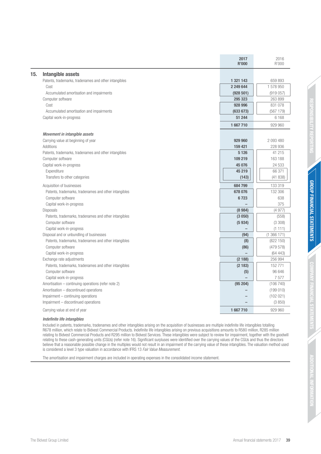|                                                       | 2017<br><b>R'000</b> | 2016<br>R'000 |
|-------------------------------------------------------|----------------------|---------------|
| <b>Intangible assets</b>                              |                      |               |
| Patents, trademarks, tradenames and other intangibles | 1 321 143            | 659 893       |
| Cost                                                  | 2 249 644            | 1 578 950     |
| Accumulated amortisation and impairments              | (928501)             | (919057)      |
| Computer software                                     | 295 323              | 263 899       |
| Cost                                                  | 928 996              | 831 078       |
| Accumulated amortisation and impairments              | (633673)             | (567 179)     |
| Capital work-in-progress                              | 51 244               | 6 1 6 8       |
|                                                       | 1667710              | 929 960       |
| Movement in intangible assets                         |                      |               |
| Carrying value at beginning of year                   | 929 960              | 2 093 480     |
| Additions                                             | 159 421              | 228 936       |
| Patents, trademarks, tradenames and other intangibles | 5 1 2 6              | 41 215        |
| Computer software                                     | 109 219              | 163 188       |
| Capital work-in-progress                              | 45 076               | 24 533        |
| Expenditure                                           | 45 219               | 66 371        |
| Transfers to other categories                         | (143)                | (41838)       |
| Acquisition of businesses                             | 684 799              | 133 319       |
| Patents, trademarks, tradenames and other intangibles | 678 076              | 132 306       |
| Computer software                                     | 6723                 | 638           |
| Capital work-in-progress                              |                      | 375           |
| <b>Disposals</b>                                      | (8984)               | (4977)        |
| Patents, trademarks, tradenames and other intangibles | (3 050)              | (558)         |
| Computer software                                     | (5934)               | (3308)        |
| Capital work-in-progress                              |                      | (1111)        |
| Disposal and or unbundling of businesses              | (94)                 | (1366171)     |
| Patents, trademarks, tradenames and other intangibles | (8)                  | (822 150)     |
| Computer software                                     | (86)                 | (479578)      |
| Capital work-in-progress                              |                      | (64443)       |
| Exchange rate adjustments                             | (2188)               | 256 994       |
| Patents, trademarks, tradenames and other intangibles | (2183)               | 152 771       |
| Computer software                                     | (5)                  | 96 646        |
| Capital work-in-progress                              |                      | 7577          |
| Amortisation - continuing operations (refer note 2)   | (95 204)             | (106740)      |
| Amortisation - discontinued operations                |                      | (199010)      |
| Impairment - continuing operations                    |                      | (102 021)     |
| Impairment - discontinued operations                  |                      | (3850)        |
| Carrying value at end of year                         | 1667710              | 929 960       |
| Indefinite life intangibles                           |                      |               |

Included in patents, trademarks, tradenames and other intangibles arising on the acquisition of businesses are multiple indefinite life intangibles totalling R678 million, which relate to Bidvest Commercial Products. Indefinite life intangibles arising on previous acquisitions amounts to R580 million, R285 million relating to Bidvest Commercial Products and R295 million to Bidvest Services. These intangibles were subject to review for impairment, together with the goodwill relating to these cash-generating units (CGUs) (refer note 16). Significant surpluses were identified over the carrying values of the CGUs and thus the directors believe that a reasonable possible change in the multiples would not result in an impairment of the carrying value of these intangibles. The valuation method used is considered a level 3 type valuation in accordance with IFRS 13 Fair Value Measurement.

The amortisation and impairment charges are included in operating expenses in the consolidated income statement.

g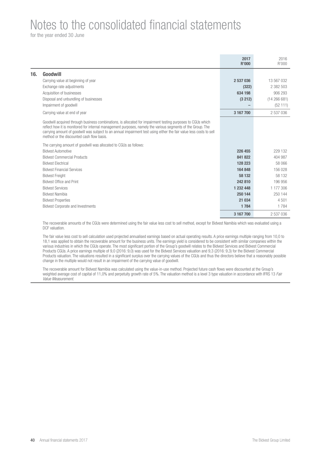for the year ended 30 June

|     |                                                                                                                                                                                                                                                                                                                                                                                                | 2017<br><b>R'000</b> | 2016<br>R'000 |
|-----|------------------------------------------------------------------------------------------------------------------------------------------------------------------------------------------------------------------------------------------------------------------------------------------------------------------------------------------------------------------------------------------------|----------------------|---------------|
| 16. | Goodwill                                                                                                                                                                                                                                                                                                                                                                                       |                      |               |
|     | Carrying value at beginning of year                                                                                                                                                                                                                                                                                                                                                            | 2 537 036            | 13 567 032    |
|     | Exchange rate adjustments                                                                                                                                                                                                                                                                                                                                                                      | (322)                | 2 382 503     |
|     | Acquisition of businesses                                                                                                                                                                                                                                                                                                                                                                      | 634 198              | 906 293       |
|     | Disposal and unbundling of businesses                                                                                                                                                                                                                                                                                                                                                          | (3 212)              | (14266681)    |
|     | Impairment of goodwill                                                                                                                                                                                                                                                                                                                                                                         |                      | (52111)       |
|     | Carrying value at end of year                                                                                                                                                                                                                                                                                                                                                                  | 3 167 700            | 2 537 036     |
|     | Goodwill acquired through business combinations, is allocated for impairment testing purposes to CGUs which<br>reflect how it is monitored for internal management purposes, namely the various segments of the Group. The<br>carrying amount of goodwill was subject to an annual impairment test using either the fair value less costs to sell<br>method or the discounted cash flow basis. |                      |               |
|     | The carrying amount of goodwill was allocated to CGUs as follows:                                                                                                                                                                                                                                                                                                                              |                      |               |
|     | <b>Bidvest Automotive</b>                                                                                                                                                                                                                                                                                                                                                                      | 226 455              | 229 132       |
|     | <b>Bidvest Commercial Products</b>                                                                                                                                                                                                                                                                                                                                                             | 841 822              | 404 987       |
|     | <b>Bidvest Electrical</b>                                                                                                                                                                                                                                                                                                                                                                      | 128 223              | 58 066        |
|     | <b>Bidvest Financial Services</b>                                                                                                                                                                                                                                                                                                                                                              | 164 848              | 156 028       |
|     | <b>Bidvest Freight</b>                                                                                                                                                                                                                                                                                                                                                                         | 58 132               | 58 132        |
|     | <b>Bidvest Office and Print</b>                                                                                                                                                                                                                                                                                                                                                                | 242 810              | 196 956       |
|     | <b>Bidvest Services</b>                                                                                                                                                                                                                                                                                                                                                                        | 1 232 448            | 1 177 306     |
|     | <b>Bidvest Namibia</b>                                                                                                                                                                                                                                                                                                                                                                         | 250 144              | 250 144       |
|     | <b>Bidvest Properties</b>                                                                                                                                                                                                                                                                                                                                                                      | 21 0 34              | 4501          |
|     | <b>Bidvest Corporate and Investments</b>                                                                                                                                                                                                                                                                                                                                                       | 1 7 8 4              | 1 7 8 4       |
|     |                                                                                                                                                                                                                                                                                                                                                                                                | 3 167 700            | 2 537 036     |

The recoverable amounts of the CGUs were determined using the fair value less cost to sell method, except for Bidvest Namibia which was evaluated using a DCF valuation.

The fair value less cost to sell calculation used projected annualised earnings based on actual operating results. A price earnings multiple ranging from 10,0 to 18,1 was applied to obtain the recoverable amount for the business units. The earnings yield is considered to be consistent with similar companies within the various industries in which the CGUs operate. The most significant portion of the Group's goodwill relates to the Bidvest Services and Bidvest Commercial Products CGUs. A price earnings multiple of 9,0 (2016: 9,0) was used for the Bidvest Services valuation and 9,3 (2016: 9,3) for the Bidvest Commercial Products valuation. The valuations resulted in a significant surplus over the carrying values of the CGUs and thus the directors believe that a reasonably possible change in the multiple would not result in an impairment of the carrying value of goodwill.

The recoverable amount for Bidvest Namibia was calculated using the value-in-use method. Projected future cash flows were discounted at the Group's weighted average cost of capital of 11,0% and perpetuity growth rate of 5%. The valuation method is a level 3 type valuation in accordance with IFRS 13 Fair Value Measurement.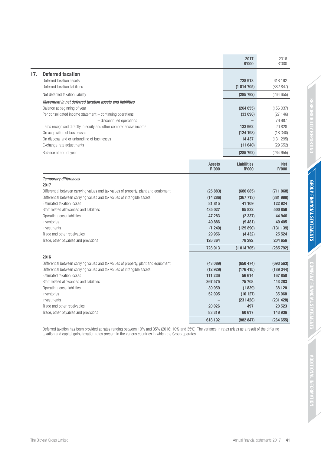|     |                                                                                                    |                               | 2017<br><b>R'000</b>               | 2016<br>R'000              |
|-----|----------------------------------------------------------------------------------------------------|-------------------------------|------------------------------------|----------------------------|
| 17. | <b>Deferred taxation</b><br>Deferred taxation assets                                               |                               | 728 913                            | 618 192                    |
|     | Deferred taxation liabilities                                                                      |                               | (1014705)                          | (882 847)                  |
|     | Net deferred taxation liability                                                                    |                               | (285 792)                          | (264655)                   |
|     | Movement in net deferred taxation assets and liabilities<br>Balance at beginning of year           |                               | (264655)                           | (156037)                   |
|     | Per consolidated income statement - continuing operations<br>- discontinued operations             |                               | (33698)                            | (27146)<br>76 987          |
|     | Items recognised directly in equity and other comprehensive income<br>On acquisition of businesses |                               | 133 962<br>(124198)                | 20 828<br>(18340)          |
|     | On disposal and or unbundling of businesses<br>Exchange rate adjustments                           |                               | 14 437<br>(11640)                  | (131 295)<br>(29652)       |
|     | Balance at end of year                                                                             |                               | (285 792)                          | (264655)                   |
|     |                                                                                                    | <b>Assets</b><br><b>R'000</b> | <b>Liabilities</b><br><b>R'000</b> | <b>Net</b><br><b>R'000</b> |
|     | <b>Temporary differences</b>                                                                       |                               |                                    |                            |
|     | 2017                                                                                               |                               |                                    |                            |
|     | Differential between carrying values and tax values of property, plant and equipment               | (25883)                       | (686085)                           | (711968)                   |
|     | Differential between carrying values and tax values of intangible assets                           | (14286)                       | (367713)                           | (381999)                   |
|     | <b>Estimated taxation losses</b>                                                                   | 81815                         | 41 109                             | 122 924                    |
|     | Staff related allowances and liabilities                                                           | 435 027                       | 65 832                             | 500 859                    |
|     | Operating lease liabilities                                                                        | 47 283                        | (2337)                             | 44 946                     |
|     | Inventories                                                                                        | 49886                         | (9481)                             | 40 40 5                    |
|     | Investments                                                                                        | (1249)                        | (129 890)                          | (131139)                   |
|     | Trade and other receivables<br>Trade, other payables and provisions                                | 29 956<br>126 364             | (4432)<br>78 292                   | 25 5 24<br>204 656         |
|     |                                                                                                    | 728 913                       |                                    |                            |
|     |                                                                                                    |                               | (1014705)                          | (285 792)                  |
|     | 2016                                                                                               |                               |                                    |                            |
|     | Differential between carrying values and tax values of property, plant and equipment               | (43089)                       | (650 474)                          | (693 563)                  |
|     | Differential between carrying values and tax values of intangible assets                           | (12929)                       | (176 415)                          | (189 344)                  |
|     | <b>Estimated taxation losses</b>                                                                   | 111 236                       | 56 614                             | 167850                     |
|     | Staff related allowances and liabilities                                                           | 367 575                       | 75 708                             | 443 283                    |
|     | Operating lease liabilities                                                                        | 39 959                        | (1839)                             | 38 120                     |
|     | Inventories<br>Investments                                                                         | 52 095                        | (16127)                            | 35 968                     |
|     | Trade and other receivables                                                                        | 20 0 26                       | (231 428)<br>497                   | (231 428)<br>20 523        |
|     | Trade, other payables and provisions                                                               | 83 319                        | 60 617                             | 143 936                    |
|     |                                                                                                    | 618 192                       | (882 847)                          | (264655)                   |

Deferred taxation has been provided at rates ranging between 10% and 35% (2016: 10% and 35%). The variance in rates arises as a result of the differing taxation and capital gains taxation rates present in the various countries in which the Group operates.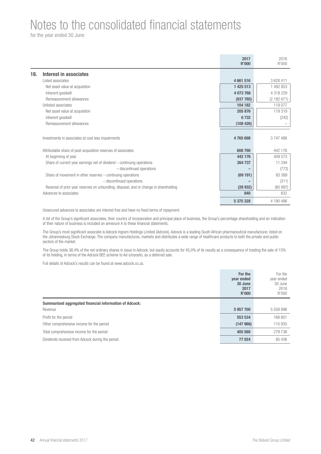for the year ended 30 June

|                                                                                        | 2017<br><b>R'000</b> | 2016<br>R'000 |
|----------------------------------------------------------------------------------------|----------------------|---------------|
| Interest in associates<br>18.                                                          |                      |               |
| Listed associates                                                                      | 4661516              | 3 628 411     |
| Net asset value at acquisition                                                         | 1 425 513            | 1 492 853     |
| Inherent goodwill                                                                      | 4 073 768            | 4 318 229     |
| Remeasurement allowances                                                               | (837 765)            | (2182671)     |
| Unlisted associates                                                                    | 104 182              | 119 077       |
| Net asset value at acquisition                                                         | 205 876              | 119 319       |
| Inherent goodwill                                                                      | 6732                 | (242)         |
| Remeasurement allowances                                                               | (108426)             |               |
|                                                                                        |                      |               |
| Investments in associates at cost less impairments                                     | 4765698              | 3747488       |
| Attributable share of post-acquisition reserves of associates                          | 608 790              | 442 176       |
| At beginning of year                                                                   | 442 176              | 409 573       |
| Share of current year earnings net of dividend $-$ continuing operations               | 264 737              | 11 294        |
| - discontinued operations                                                              |                      | (772)         |
| Share of movement in other reserves - continuing operations                            | (69191)              | 83 389        |
| - discontinued operations                                                              |                      | (311)         |
| Reversal of prior year reserves on unbundling, disposal, and or change in shareholding | (28932)              | (60997)       |
| Advances to associates                                                                 | 840                  | 832           |
|                                                                                        | 5 375 328            | 4 190 496     |

Unsecured advances to associates are interest free and have no fixed terms of repayment.

A list of the Group's significant associates, their country of incorporation and principal place of business, the Group's percentage shareholding and an indication of their nature of business is included on annexure A to these financial statements.

The Group's most significant associate is Adcock Ingram Holdings Limited (Adcock). Adcock is a leading South African pharmaceutical manufacturer, listed on the Johannesburg Stock Exchange. The company manufactures, markets and distributes a wide range of healthcare products to both the private and public sectors of the market.

The Group holds 38,4% of the net ordinary shares in issue in Adcock, but equity accounts for 45,0% of its results as a consequence of treating the sale of 15% of its holding, in terms of the Adcock BEE scheme to Ad-izinyosito, as a deferred sale.

Full details of Adcock's results can be found at www.adcock.co.za.

|                                                        | For the<br>year ended<br>30 June<br>2017<br><b>R'000</b> | For the<br>year ended<br>30 June<br>2016<br>R'000 |
|--------------------------------------------------------|----------------------------------------------------------|---------------------------------------------------|
| Summarised aggregated financial information of Adcock: |                                                          |                                                   |
| Revenue                                                | 5957700                                                  | 5 559 896                                         |
| Profit for the period                                  | 553 534                                                  | 168 801                                           |
| Other comprehensive income for the period              | (147966)                                                 | 110 935                                           |
| Total comprehensive income for the period              | 405 568                                                  | 279 736                                           |
| Dividends received from Adcock during the period       | 77 024                                                   | 85 436                                            |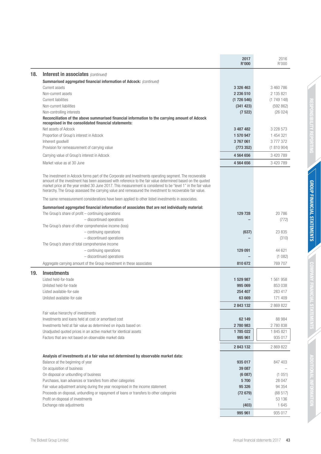| <b>Interest in associates (continued)</b><br>18.<br>Summarised aggregated financial information of Adcock: (continued)<br><b>Current assets</b><br>3 3 2 6 4 6 3<br>3 460 786<br>Non-current assets<br>2 236 510<br>2 135 821<br><b>Current liabilities</b><br>(1726546)<br>(1749148)<br>Non-current liabilities<br>(341 423)<br>(592 862)<br>Non-controlling interests<br>(26024)<br>(7522)<br>Reconciliation of the above summarised financial information to the carrying amount of Adcock<br>recognised in the consolidated financial statements:<br>Net assets of Adcock<br>3 2 2 8 5 7 3<br>3 487 482<br>Proportion of Group's interest in Adcock<br>1 454 321<br>1 570 947<br>Inherent goodwill<br>3767061<br>3777372<br>Provision for remeasurement of carrying value<br>(1810904)<br>(773 352)<br>4 564 656<br>3 420 789<br>Carrying value of Group's interest in Adcock<br>Market value as at 30 June<br>4 564 656<br>3 420 789<br>The investment in Adcock forms part of the Corporate and Investments operating segment. The recoverable<br>amount of the investment has been assessed with reference to the fair value determined based on the quoted<br>market price at the year ended 30 June 2017. This measurement is considered to be "level 1" in the fair value<br>hierarchy. The Group assessed the carrying value and remeasured the investment to recoverable fair value.<br>The same remeasurement considerations have been applied to other listed investments in associates.<br>Summarised aggregated financial information of associates that are not individually material:<br>The Group's share of profit $-$ continuing operations<br>20786<br>129 728<br>- discontinued operations<br>(772)<br>The Group's share of other comprehensive income (loss)<br>$-$ continuing operations<br>23 835<br>(637)<br>- discontinued operations<br>(310)<br>The Group's share of total comprehensive income<br>$-$ continuing operations<br>129 091<br>44 621<br>- discontinued operations<br>(1082)<br>769 707<br>Aggregate carrying amount of the Group investment in these associates<br>810 672<br>19.<br><b>Investments</b><br>Listed held-for-trade<br>1 529 987<br>1 561 958<br>Unlisted held-for-trade<br>995 069<br>853 038<br>Listed available-for-sale<br>254 407<br>283 417<br>63 669<br>171 409<br>Unlisted available-for-sale<br>2843132<br>2 869 822<br>Fair value hierarchy of investments<br>Investments and loans held at cost or amortised cost<br>62 149<br>88 984<br>Investments held at fair value as determined on inputs based on:<br>2780983<br>2780838<br>Unadjusted quoted prices in an active market for identical assets<br>1785 022<br>1 845 821<br>Factors that are not based on observable market data<br>935 017<br>995 961<br>2843132<br>2 869 822<br>Analysis of investments at a fair value not determined by observable market data:<br>Balance at the beginning of year<br>935 017<br>847 403<br>On acquisition of business<br>39 087<br>On disposal or unbundling of business<br>(1051)<br>(6087)<br>Purchases, loan advances or transfers from other categories<br>5700<br>28 047<br>Fair value adjustment arising during the year recognised in the income statement<br>95 326<br>94 354<br>Proceeds on disposal, unbundling or repayment of loans or transfers to other categories<br>(88517)<br>(72679)<br>Profit on disposal of investments<br>53 136<br>Exchange rate adjustments<br>1 645<br>(403)<br>995 961<br>935 017 |  | 2017<br><b>R'000</b> | 2016<br>R'000 |
|------------------------------------------------------------------------------------------------------------------------------------------------------------------------------------------------------------------------------------------------------------------------------------------------------------------------------------------------------------------------------------------------------------------------------------------------------------------------------------------------------------------------------------------------------------------------------------------------------------------------------------------------------------------------------------------------------------------------------------------------------------------------------------------------------------------------------------------------------------------------------------------------------------------------------------------------------------------------------------------------------------------------------------------------------------------------------------------------------------------------------------------------------------------------------------------------------------------------------------------------------------------------------------------------------------------------------------------------------------------------------------------------------------------------------------------------------------------------------------------------------------------------------------------------------------------------------------------------------------------------------------------------------------------------------------------------------------------------------------------------------------------------------------------------------------------------------------------------------------------------------------------------------------------------------------------------------------------------------------------------------------------------------------------------------------------------------------------------------------------------------------------------------------------------------------------------------------------------------------------------------------------------------------------------------------------------------------------------------------------------------------------------------------------------------------------------------------------------------------------------------------------------------------------------------------------------------------------------------------------------------------------------------------------------------------------------------------------------------------------------------------------------------------------------------------------------------------------------------------------------------------------------------------------------------------------------------------------------------------------------------------------------------------------------------------------------------------------------------------------------------------------------------------------------------------------------------------------------------------------------------------------------------------------------------------------------------------------------------------------------------------------------------------------------------------------------------------------------------------------|--|----------------------|---------------|
|                                                                                                                                                                                                                                                                                                                                                                                                                                                                                                                                                                                                                                                                                                                                                                                                                                                                                                                                                                                                                                                                                                                                                                                                                                                                                                                                                                                                                                                                                                                                                                                                                                                                                                                                                                                                                                                                                                                                                                                                                                                                                                                                                                                                                                                                                                                                                                                                                                                                                                                                                                                                                                                                                                                                                                                                                                                                                                                                                                                                                                                                                                                                                                                                                                                                                                                                                                                                                                                                                          |  |                      |               |
|                                                                                                                                                                                                                                                                                                                                                                                                                                                                                                                                                                                                                                                                                                                                                                                                                                                                                                                                                                                                                                                                                                                                                                                                                                                                                                                                                                                                                                                                                                                                                                                                                                                                                                                                                                                                                                                                                                                                                                                                                                                                                                                                                                                                                                                                                                                                                                                                                                                                                                                                                                                                                                                                                                                                                                                                                                                                                                                                                                                                                                                                                                                                                                                                                                                                                                                                                                                                                                                                                          |  |                      |               |
|                                                                                                                                                                                                                                                                                                                                                                                                                                                                                                                                                                                                                                                                                                                                                                                                                                                                                                                                                                                                                                                                                                                                                                                                                                                                                                                                                                                                                                                                                                                                                                                                                                                                                                                                                                                                                                                                                                                                                                                                                                                                                                                                                                                                                                                                                                                                                                                                                                                                                                                                                                                                                                                                                                                                                                                                                                                                                                                                                                                                                                                                                                                                                                                                                                                                                                                                                                                                                                                                                          |  |                      |               |
|                                                                                                                                                                                                                                                                                                                                                                                                                                                                                                                                                                                                                                                                                                                                                                                                                                                                                                                                                                                                                                                                                                                                                                                                                                                                                                                                                                                                                                                                                                                                                                                                                                                                                                                                                                                                                                                                                                                                                                                                                                                                                                                                                                                                                                                                                                                                                                                                                                                                                                                                                                                                                                                                                                                                                                                                                                                                                                                                                                                                                                                                                                                                                                                                                                                                                                                                                                                                                                                                                          |  |                      |               |
|                                                                                                                                                                                                                                                                                                                                                                                                                                                                                                                                                                                                                                                                                                                                                                                                                                                                                                                                                                                                                                                                                                                                                                                                                                                                                                                                                                                                                                                                                                                                                                                                                                                                                                                                                                                                                                                                                                                                                                                                                                                                                                                                                                                                                                                                                                                                                                                                                                                                                                                                                                                                                                                                                                                                                                                                                                                                                                                                                                                                                                                                                                                                                                                                                                                                                                                                                                                                                                                                                          |  |                      |               |
|                                                                                                                                                                                                                                                                                                                                                                                                                                                                                                                                                                                                                                                                                                                                                                                                                                                                                                                                                                                                                                                                                                                                                                                                                                                                                                                                                                                                                                                                                                                                                                                                                                                                                                                                                                                                                                                                                                                                                                                                                                                                                                                                                                                                                                                                                                                                                                                                                                                                                                                                                                                                                                                                                                                                                                                                                                                                                                                                                                                                                                                                                                                                                                                                                                                                                                                                                                                                                                                                                          |  |                      |               |
|                                                                                                                                                                                                                                                                                                                                                                                                                                                                                                                                                                                                                                                                                                                                                                                                                                                                                                                                                                                                                                                                                                                                                                                                                                                                                                                                                                                                                                                                                                                                                                                                                                                                                                                                                                                                                                                                                                                                                                                                                                                                                                                                                                                                                                                                                                                                                                                                                                                                                                                                                                                                                                                                                                                                                                                                                                                                                                                                                                                                                                                                                                                                                                                                                                                                                                                                                                                                                                                                                          |  |                      |               |
|                                                                                                                                                                                                                                                                                                                                                                                                                                                                                                                                                                                                                                                                                                                                                                                                                                                                                                                                                                                                                                                                                                                                                                                                                                                                                                                                                                                                                                                                                                                                                                                                                                                                                                                                                                                                                                                                                                                                                                                                                                                                                                                                                                                                                                                                                                                                                                                                                                                                                                                                                                                                                                                                                                                                                                                                                                                                                                                                                                                                                                                                                                                                                                                                                                                                                                                                                                                                                                                                                          |  |                      |               |
|                                                                                                                                                                                                                                                                                                                                                                                                                                                                                                                                                                                                                                                                                                                                                                                                                                                                                                                                                                                                                                                                                                                                                                                                                                                                                                                                                                                                                                                                                                                                                                                                                                                                                                                                                                                                                                                                                                                                                                                                                                                                                                                                                                                                                                                                                                                                                                                                                                                                                                                                                                                                                                                                                                                                                                                                                                                                                                                                                                                                                                                                                                                                                                                                                                                                                                                                                                                                                                                                                          |  |                      |               |
|                                                                                                                                                                                                                                                                                                                                                                                                                                                                                                                                                                                                                                                                                                                                                                                                                                                                                                                                                                                                                                                                                                                                                                                                                                                                                                                                                                                                                                                                                                                                                                                                                                                                                                                                                                                                                                                                                                                                                                                                                                                                                                                                                                                                                                                                                                                                                                                                                                                                                                                                                                                                                                                                                                                                                                                                                                                                                                                                                                                                                                                                                                                                                                                                                                                                                                                                                                                                                                                                                          |  |                      |               |
|                                                                                                                                                                                                                                                                                                                                                                                                                                                                                                                                                                                                                                                                                                                                                                                                                                                                                                                                                                                                                                                                                                                                                                                                                                                                                                                                                                                                                                                                                                                                                                                                                                                                                                                                                                                                                                                                                                                                                                                                                                                                                                                                                                                                                                                                                                                                                                                                                                                                                                                                                                                                                                                                                                                                                                                                                                                                                                                                                                                                                                                                                                                                                                                                                                                                                                                                                                                                                                                                                          |  |                      |               |
|                                                                                                                                                                                                                                                                                                                                                                                                                                                                                                                                                                                                                                                                                                                                                                                                                                                                                                                                                                                                                                                                                                                                                                                                                                                                                                                                                                                                                                                                                                                                                                                                                                                                                                                                                                                                                                                                                                                                                                                                                                                                                                                                                                                                                                                                                                                                                                                                                                                                                                                                                                                                                                                                                                                                                                                                                                                                                                                                                                                                                                                                                                                                                                                                                                                                                                                                                                                                                                                                                          |  |                      |               |
|                                                                                                                                                                                                                                                                                                                                                                                                                                                                                                                                                                                                                                                                                                                                                                                                                                                                                                                                                                                                                                                                                                                                                                                                                                                                                                                                                                                                                                                                                                                                                                                                                                                                                                                                                                                                                                                                                                                                                                                                                                                                                                                                                                                                                                                                                                                                                                                                                                                                                                                                                                                                                                                                                                                                                                                                                                                                                                                                                                                                                                                                                                                                                                                                                                                                                                                                                                                                                                                                                          |  |                      |               |
|                                                                                                                                                                                                                                                                                                                                                                                                                                                                                                                                                                                                                                                                                                                                                                                                                                                                                                                                                                                                                                                                                                                                                                                                                                                                                                                                                                                                                                                                                                                                                                                                                                                                                                                                                                                                                                                                                                                                                                                                                                                                                                                                                                                                                                                                                                                                                                                                                                                                                                                                                                                                                                                                                                                                                                                                                                                                                                                                                                                                                                                                                                                                                                                                                                                                                                                                                                                                                                                                                          |  |                      |               |
|                                                                                                                                                                                                                                                                                                                                                                                                                                                                                                                                                                                                                                                                                                                                                                                                                                                                                                                                                                                                                                                                                                                                                                                                                                                                                                                                                                                                                                                                                                                                                                                                                                                                                                                                                                                                                                                                                                                                                                                                                                                                                                                                                                                                                                                                                                                                                                                                                                                                                                                                                                                                                                                                                                                                                                                                                                                                                                                                                                                                                                                                                                                                                                                                                                                                                                                                                                                                                                                                                          |  |                      |               |
|                                                                                                                                                                                                                                                                                                                                                                                                                                                                                                                                                                                                                                                                                                                                                                                                                                                                                                                                                                                                                                                                                                                                                                                                                                                                                                                                                                                                                                                                                                                                                                                                                                                                                                                                                                                                                                                                                                                                                                                                                                                                                                                                                                                                                                                                                                                                                                                                                                                                                                                                                                                                                                                                                                                                                                                                                                                                                                                                                                                                                                                                                                                                                                                                                                                                                                                                                                                                                                                                                          |  |                      |               |
|                                                                                                                                                                                                                                                                                                                                                                                                                                                                                                                                                                                                                                                                                                                                                                                                                                                                                                                                                                                                                                                                                                                                                                                                                                                                                                                                                                                                                                                                                                                                                                                                                                                                                                                                                                                                                                                                                                                                                                                                                                                                                                                                                                                                                                                                                                                                                                                                                                                                                                                                                                                                                                                                                                                                                                                                                                                                                                                                                                                                                                                                                                                                                                                                                                                                                                                                                                                                                                                                                          |  |                      |               |
|                                                                                                                                                                                                                                                                                                                                                                                                                                                                                                                                                                                                                                                                                                                                                                                                                                                                                                                                                                                                                                                                                                                                                                                                                                                                                                                                                                                                                                                                                                                                                                                                                                                                                                                                                                                                                                                                                                                                                                                                                                                                                                                                                                                                                                                                                                                                                                                                                                                                                                                                                                                                                                                                                                                                                                                                                                                                                                                                                                                                                                                                                                                                                                                                                                                                                                                                                                                                                                                                                          |  |                      |               |
|                                                                                                                                                                                                                                                                                                                                                                                                                                                                                                                                                                                                                                                                                                                                                                                                                                                                                                                                                                                                                                                                                                                                                                                                                                                                                                                                                                                                                                                                                                                                                                                                                                                                                                                                                                                                                                                                                                                                                                                                                                                                                                                                                                                                                                                                                                                                                                                                                                                                                                                                                                                                                                                                                                                                                                                                                                                                                                                                                                                                                                                                                                                                                                                                                                                                                                                                                                                                                                                                                          |  |                      |               |
|                                                                                                                                                                                                                                                                                                                                                                                                                                                                                                                                                                                                                                                                                                                                                                                                                                                                                                                                                                                                                                                                                                                                                                                                                                                                                                                                                                                                                                                                                                                                                                                                                                                                                                                                                                                                                                                                                                                                                                                                                                                                                                                                                                                                                                                                                                                                                                                                                                                                                                                                                                                                                                                                                                                                                                                                                                                                                                                                                                                                                                                                                                                                                                                                                                                                                                                                                                                                                                                                                          |  |                      |               |
|                                                                                                                                                                                                                                                                                                                                                                                                                                                                                                                                                                                                                                                                                                                                                                                                                                                                                                                                                                                                                                                                                                                                                                                                                                                                                                                                                                                                                                                                                                                                                                                                                                                                                                                                                                                                                                                                                                                                                                                                                                                                                                                                                                                                                                                                                                                                                                                                                                                                                                                                                                                                                                                                                                                                                                                                                                                                                                                                                                                                                                                                                                                                                                                                                                                                                                                                                                                                                                                                                          |  |                      |               |
|                                                                                                                                                                                                                                                                                                                                                                                                                                                                                                                                                                                                                                                                                                                                                                                                                                                                                                                                                                                                                                                                                                                                                                                                                                                                                                                                                                                                                                                                                                                                                                                                                                                                                                                                                                                                                                                                                                                                                                                                                                                                                                                                                                                                                                                                                                                                                                                                                                                                                                                                                                                                                                                                                                                                                                                                                                                                                                                                                                                                                                                                                                                                                                                                                                                                                                                                                                                                                                                                                          |  |                      |               |
|                                                                                                                                                                                                                                                                                                                                                                                                                                                                                                                                                                                                                                                                                                                                                                                                                                                                                                                                                                                                                                                                                                                                                                                                                                                                                                                                                                                                                                                                                                                                                                                                                                                                                                                                                                                                                                                                                                                                                                                                                                                                                                                                                                                                                                                                                                                                                                                                                                                                                                                                                                                                                                                                                                                                                                                                                                                                                                                                                                                                                                                                                                                                                                                                                                                                                                                                                                                                                                                                                          |  |                      |               |
|                                                                                                                                                                                                                                                                                                                                                                                                                                                                                                                                                                                                                                                                                                                                                                                                                                                                                                                                                                                                                                                                                                                                                                                                                                                                                                                                                                                                                                                                                                                                                                                                                                                                                                                                                                                                                                                                                                                                                                                                                                                                                                                                                                                                                                                                                                                                                                                                                                                                                                                                                                                                                                                                                                                                                                                                                                                                                                                                                                                                                                                                                                                                                                                                                                                                                                                                                                                                                                                                                          |  |                      |               |
|                                                                                                                                                                                                                                                                                                                                                                                                                                                                                                                                                                                                                                                                                                                                                                                                                                                                                                                                                                                                                                                                                                                                                                                                                                                                                                                                                                                                                                                                                                                                                                                                                                                                                                                                                                                                                                                                                                                                                                                                                                                                                                                                                                                                                                                                                                                                                                                                                                                                                                                                                                                                                                                                                                                                                                                                                                                                                                                                                                                                                                                                                                                                                                                                                                                                                                                                                                                                                                                                                          |  |                      |               |
|                                                                                                                                                                                                                                                                                                                                                                                                                                                                                                                                                                                                                                                                                                                                                                                                                                                                                                                                                                                                                                                                                                                                                                                                                                                                                                                                                                                                                                                                                                                                                                                                                                                                                                                                                                                                                                                                                                                                                                                                                                                                                                                                                                                                                                                                                                                                                                                                                                                                                                                                                                                                                                                                                                                                                                                                                                                                                                                                                                                                                                                                                                                                                                                                                                                                                                                                                                                                                                                                                          |  |                      |               |
|                                                                                                                                                                                                                                                                                                                                                                                                                                                                                                                                                                                                                                                                                                                                                                                                                                                                                                                                                                                                                                                                                                                                                                                                                                                                                                                                                                                                                                                                                                                                                                                                                                                                                                                                                                                                                                                                                                                                                                                                                                                                                                                                                                                                                                                                                                                                                                                                                                                                                                                                                                                                                                                                                                                                                                                                                                                                                                                                                                                                                                                                                                                                                                                                                                                                                                                                                                                                                                                                                          |  |                      |               |
|                                                                                                                                                                                                                                                                                                                                                                                                                                                                                                                                                                                                                                                                                                                                                                                                                                                                                                                                                                                                                                                                                                                                                                                                                                                                                                                                                                                                                                                                                                                                                                                                                                                                                                                                                                                                                                                                                                                                                                                                                                                                                                                                                                                                                                                                                                                                                                                                                                                                                                                                                                                                                                                                                                                                                                                                                                                                                                                                                                                                                                                                                                                                                                                                                                                                                                                                                                                                                                                                                          |  |                      |               |
|                                                                                                                                                                                                                                                                                                                                                                                                                                                                                                                                                                                                                                                                                                                                                                                                                                                                                                                                                                                                                                                                                                                                                                                                                                                                                                                                                                                                                                                                                                                                                                                                                                                                                                                                                                                                                                                                                                                                                                                                                                                                                                                                                                                                                                                                                                                                                                                                                                                                                                                                                                                                                                                                                                                                                                                                                                                                                                                                                                                                                                                                                                                                                                                                                                                                                                                                                                                                                                                                                          |  |                      |               |
|                                                                                                                                                                                                                                                                                                                                                                                                                                                                                                                                                                                                                                                                                                                                                                                                                                                                                                                                                                                                                                                                                                                                                                                                                                                                                                                                                                                                                                                                                                                                                                                                                                                                                                                                                                                                                                                                                                                                                                                                                                                                                                                                                                                                                                                                                                                                                                                                                                                                                                                                                                                                                                                                                                                                                                                                                                                                                                                                                                                                                                                                                                                                                                                                                                                                                                                                                                                                                                                                                          |  |                      |               |
|                                                                                                                                                                                                                                                                                                                                                                                                                                                                                                                                                                                                                                                                                                                                                                                                                                                                                                                                                                                                                                                                                                                                                                                                                                                                                                                                                                                                                                                                                                                                                                                                                                                                                                                                                                                                                                                                                                                                                                                                                                                                                                                                                                                                                                                                                                                                                                                                                                                                                                                                                                                                                                                                                                                                                                                                                                                                                                                                                                                                                                                                                                                                                                                                                                                                                                                                                                                                                                                                                          |  |                      |               |
|                                                                                                                                                                                                                                                                                                                                                                                                                                                                                                                                                                                                                                                                                                                                                                                                                                                                                                                                                                                                                                                                                                                                                                                                                                                                                                                                                                                                                                                                                                                                                                                                                                                                                                                                                                                                                                                                                                                                                                                                                                                                                                                                                                                                                                                                                                                                                                                                                                                                                                                                                                                                                                                                                                                                                                                                                                                                                                                                                                                                                                                                                                                                                                                                                                                                                                                                                                                                                                                                                          |  |                      |               |
|                                                                                                                                                                                                                                                                                                                                                                                                                                                                                                                                                                                                                                                                                                                                                                                                                                                                                                                                                                                                                                                                                                                                                                                                                                                                                                                                                                                                                                                                                                                                                                                                                                                                                                                                                                                                                                                                                                                                                                                                                                                                                                                                                                                                                                                                                                                                                                                                                                                                                                                                                                                                                                                                                                                                                                                                                                                                                                                                                                                                                                                                                                                                                                                                                                                                                                                                                                                                                                                                                          |  |                      |               |
|                                                                                                                                                                                                                                                                                                                                                                                                                                                                                                                                                                                                                                                                                                                                                                                                                                                                                                                                                                                                                                                                                                                                                                                                                                                                                                                                                                                                                                                                                                                                                                                                                                                                                                                                                                                                                                                                                                                                                                                                                                                                                                                                                                                                                                                                                                                                                                                                                                                                                                                                                                                                                                                                                                                                                                                                                                                                                                                                                                                                                                                                                                                                                                                                                                                                                                                                                                                                                                                                                          |  |                      |               |
|                                                                                                                                                                                                                                                                                                                                                                                                                                                                                                                                                                                                                                                                                                                                                                                                                                                                                                                                                                                                                                                                                                                                                                                                                                                                                                                                                                                                                                                                                                                                                                                                                                                                                                                                                                                                                                                                                                                                                                                                                                                                                                                                                                                                                                                                                                                                                                                                                                                                                                                                                                                                                                                                                                                                                                                                                                                                                                                                                                                                                                                                                                                                                                                                                                                                                                                                                                                                                                                                                          |  |                      |               |
|                                                                                                                                                                                                                                                                                                                                                                                                                                                                                                                                                                                                                                                                                                                                                                                                                                                                                                                                                                                                                                                                                                                                                                                                                                                                                                                                                                                                                                                                                                                                                                                                                                                                                                                                                                                                                                                                                                                                                                                                                                                                                                                                                                                                                                                                                                                                                                                                                                                                                                                                                                                                                                                                                                                                                                                                                                                                                                                                                                                                                                                                                                                                                                                                                                                                                                                                                                                                                                                                                          |  |                      |               |
|                                                                                                                                                                                                                                                                                                                                                                                                                                                                                                                                                                                                                                                                                                                                                                                                                                                                                                                                                                                                                                                                                                                                                                                                                                                                                                                                                                                                                                                                                                                                                                                                                                                                                                                                                                                                                                                                                                                                                                                                                                                                                                                                                                                                                                                                                                                                                                                                                                                                                                                                                                                                                                                                                                                                                                                                                                                                                                                                                                                                                                                                                                                                                                                                                                                                                                                                                                                                                                                                                          |  |                      |               |
|                                                                                                                                                                                                                                                                                                                                                                                                                                                                                                                                                                                                                                                                                                                                                                                                                                                                                                                                                                                                                                                                                                                                                                                                                                                                                                                                                                                                                                                                                                                                                                                                                                                                                                                                                                                                                                                                                                                                                                                                                                                                                                                                                                                                                                                                                                                                                                                                                                                                                                                                                                                                                                                                                                                                                                                                                                                                                                                                                                                                                                                                                                                                                                                                                                                                                                                                                                                                                                                                                          |  |                      |               |
|                                                                                                                                                                                                                                                                                                                                                                                                                                                                                                                                                                                                                                                                                                                                                                                                                                                                                                                                                                                                                                                                                                                                                                                                                                                                                                                                                                                                                                                                                                                                                                                                                                                                                                                                                                                                                                                                                                                                                                                                                                                                                                                                                                                                                                                                                                                                                                                                                                                                                                                                                                                                                                                                                                                                                                                                                                                                                                                                                                                                                                                                                                                                                                                                                                                                                                                                                                                                                                                                                          |  |                      |               |
|                                                                                                                                                                                                                                                                                                                                                                                                                                                                                                                                                                                                                                                                                                                                                                                                                                                                                                                                                                                                                                                                                                                                                                                                                                                                                                                                                                                                                                                                                                                                                                                                                                                                                                                                                                                                                                                                                                                                                                                                                                                                                                                                                                                                                                                                                                                                                                                                                                                                                                                                                                                                                                                                                                                                                                                                                                                                                                                                                                                                                                                                                                                                                                                                                                                                                                                                                                                                                                                                                          |  |                      |               |
|                                                                                                                                                                                                                                                                                                                                                                                                                                                                                                                                                                                                                                                                                                                                                                                                                                                                                                                                                                                                                                                                                                                                                                                                                                                                                                                                                                                                                                                                                                                                                                                                                                                                                                                                                                                                                                                                                                                                                                                                                                                                                                                                                                                                                                                                                                                                                                                                                                                                                                                                                                                                                                                                                                                                                                                                                                                                                                                                                                                                                                                                                                                                                                                                                                                                                                                                                                                                                                                                                          |  |                      |               |
|                                                                                                                                                                                                                                                                                                                                                                                                                                                                                                                                                                                                                                                                                                                                                                                                                                                                                                                                                                                                                                                                                                                                                                                                                                                                                                                                                                                                                                                                                                                                                                                                                                                                                                                                                                                                                                                                                                                                                                                                                                                                                                                                                                                                                                                                                                                                                                                                                                                                                                                                                                                                                                                                                                                                                                                                                                                                                                                                                                                                                                                                                                                                                                                                                                                                                                                                                                                                                                                                                          |  |                      |               |
|                                                                                                                                                                                                                                                                                                                                                                                                                                                                                                                                                                                                                                                                                                                                                                                                                                                                                                                                                                                                                                                                                                                                                                                                                                                                                                                                                                                                                                                                                                                                                                                                                                                                                                                                                                                                                                                                                                                                                                                                                                                                                                                                                                                                                                                                                                                                                                                                                                                                                                                                                                                                                                                                                                                                                                                                                                                                                                                                                                                                                                                                                                                                                                                                                                                                                                                                                                                                                                                                                          |  |                      |               |
|                                                                                                                                                                                                                                                                                                                                                                                                                                                                                                                                                                                                                                                                                                                                                                                                                                                                                                                                                                                                                                                                                                                                                                                                                                                                                                                                                                                                                                                                                                                                                                                                                                                                                                                                                                                                                                                                                                                                                                                                                                                                                                                                                                                                                                                                                                                                                                                                                                                                                                                                                                                                                                                                                                                                                                                                                                                                                                                                                                                                                                                                                                                                                                                                                                                                                                                                                                                                                                                                                          |  |                      |               |
|                                                                                                                                                                                                                                                                                                                                                                                                                                                                                                                                                                                                                                                                                                                                                                                                                                                                                                                                                                                                                                                                                                                                                                                                                                                                                                                                                                                                                                                                                                                                                                                                                                                                                                                                                                                                                                                                                                                                                                                                                                                                                                                                                                                                                                                                                                                                                                                                                                                                                                                                                                                                                                                                                                                                                                                                                                                                                                                                                                                                                                                                                                                                                                                                                                                                                                                                                                                                                                                                                          |  |                      |               |
|                                                                                                                                                                                                                                                                                                                                                                                                                                                                                                                                                                                                                                                                                                                                                                                                                                                                                                                                                                                                                                                                                                                                                                                                                                                                                                                                                                                                                                                                                                                                                                                                                                                                                                                                                                                                                                                                                                                                                                                                                                                                                                                                                                                                                                                                                                                                                                                                                                                                                                                                                                                                                                                                                                                                                                                                                                                                                                                                                                                                                                                                                                                                                                                                                                                                                                                                                                                                                                                                                          |  |                      |               |
|                                                                                                                                                                                                                                                                                                                                                                                                                                                                                                                                                                                                                                                                                                                                                                                                                                                                                                                                                                                                                                                                                                                                                                                                                                                                                                                                                                                                                                                                                                                                                                                                                                                                                                                                                                                                                                                                                                                                                                                                                                                                                                                                                                                                                                                                                                                                                                                                                                                                                                                                                                                                                                                                                                                                                                                                                                                                                                                                                                                                                                                                                                                                                                                                                                                                                                                                                                                                                                                                                          |  |                      |               |
|                                                                                                                                                                                                                                                                                                                                                                                                                                                                                                                                                                                                                                                                                                                                                                                                                                                                                                                                                                                                                                                                                                                                                                                                                                                                                                                                                                                                                                                                                                                                                                                                                                                                                                                                                                                                                                                                                                                                                                                                                                                                                                                                                                                                                                                                                                                                                                                                                                                                                                                                                                                                                                                                                                                                                                                                                                                                                                                                                                                                                                                                                                                                                                                                                                                                                                                                                                                                                                                                                          |  |                      |               |
|                                                                                                                                                                                                                                                                                                                                                                                                                                                                                                                                                                                                                                                                                                                                                                                                                                                                                                                                                                                                                                                                                                                                                                                                                                                                                                                                                                                                                                                                                                                                                                                                                                                                                                                                                                                                                                                                                                                                                                                                                                                                                                                                                                                                                                                                                                                                                                                                                                                                                                                                                                                                                                                                                                                                                                                                                                                                                                                                                                                                                                                                                                                                                                                                                                                                                                                                                                                                                                                                                          |  |                      |               |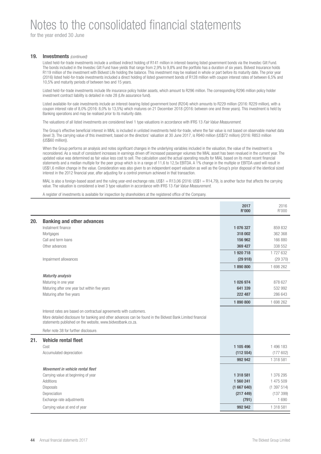for the year ended 30 June

### **19.** Investments (continued)

Listed held-for-trade investments include a unitised indirect holding of R141 million in interest-bearing listed government bonds via the Investec Gilt Fund. The bonds included in the Investec Gilt Fund have yields that range from 2,9% to 9,8% and the portfolio has a duration of six years. Bidvest Insurance holds R119 million of the investment with Bidvest Life holding the balance. This investment may be realised in whole or part before its maturity date. The prior year (2016) listed held-for-trade investments included a direct holding of listed government bonds of R128 million with coupon interest rates of between 6,5% and 10,5% and maturity periods of between two and 15 years.

Listed held-for-trade investments include life insurance policy holder assets, which amount to R296 million. The corresponding R296 million policy holder investment contract liability is detailed in note 28 (Life assurance fund).

Listed available-for-sale investments include an interest-bearing listed government bond (R204) which amounts to R229 million (2016: R229 million), with a coupon interest rate of 8,0% (2016: 8,0% to 13,5%) which matures on 21 December 2018 (2016: between one and three years). This investment is held by Banking operations and may be realised prior to its maturity date.

The valuations of all listed investments are considered level 1 type valuations in accordance with IFRS 13 Fair Value Measurement.

The Group's effective beneficial interest in MIAL is included in unlisted investments held-for-trade, where the fair value is not based on observable market data (level 3). The carrying value of this investment, based on the directors' valuation at 30 June 2017, is R940 million (US\$72 million) (2016: R853 million (US\$60 million)).

When the Group performs an analysis and notes significant changes in the underlying variables included in the valuation, the value of the investment is reconsidered. As a result of consistent increases in earnings driven off increased passenger volumes the MIAL asset has been revalued in the current year. The updated value was determined as fair value less cost to sell. The calculation used the actual operating results for MIAL based on its most recent financial statements and a median multiple for the peer group which is in a range of 11.6 to 12.5x EBITDA. A 1% change in the multiple or EBITDA used will result in US\$1,6 million change in the value. Consideration was also given to an independent expert valuation as well as the Group's prior disposal of the identical sized interest in the 2012 financial year, after adjusting for a control premium achieved in that transaction.

MIAL is also a foreign-based asset and the ruling year-end exchange rate, US\$1 = R13,06 (2016: US\$1 = R14,79), is another factor that affects the carrying value. The valuation is considered a level 3 type valuation in accordance with IFRS 13 Fair Value Measurement.

A register of investments is available for inspection by shareholders at the registered office of the Company.

|     |                                                                                                                                                                                                                                                 | 2017<br><b>R'000</b> | 2016<br>R'000 |
|-----|-------------------------------------------------------------------------------------------------------------------------------------------------------------------------------------------------------------------------------------------------|----------------------|---------------|
| 20. | <b>Banking and other advances</b>                                                                                                                                                                                                               |                      |               |
|     | Instalment finance                                                                                                                                                                                                                              | 1 076 327            | 859 832       |
|     | Mortgages                                                                                                                                                                                                                                       | 318 002              | 362 368       |
|     | Call and term loans                                                                                                                                                                                                                             | 156 962              | 166 880       |
|     | Other advances                                                                                                                                                                                                                                  | 369 427              | 338 552       |
|     |                                                                                                                                                                                                                                                 | 1 920 718            | 1727632       |
|     | Impairment allowances                                                                                                                                                                                                                           | (29918)              | (29370)       |
|     |                                                                                                                                                                                                                                                 | 1890800              | 1 698 262     |
|     | <b>Maturity analysis</b>                                                                                                                                                                                                                        |                      |               |
|     | Maturing in one year                                                                                                                                                                                                                            | 1 026 974            | 878 627       |
|     | Maturing after one year but within five years                                                                                                                                                                                                   | 641 339              | 532 992       |
|     | Maturing after five years                                                                                                                                                                                                                       | 222 487              | 286 643       |
|     |                                                                                                                                                                                                                                                 | 1890800              | 1 698 262     |
|     | Interest rates are based on contractual agreements with customers.<br>More detailed disclosure for banking and other advances can be found in the Bidvest Bank Limited financial<br>statements published on the website, www.bidvestbank.co.za. |                      |               |
|     | Refer note 38 for further disclosure.                                                                                                                                                                                                           |                      |               |
| 21. | Vehicle rental fleet                                                                                                                                                                                                                            |                      |               |
|     | Cost                                                                                                                                                                                                                                            | 1 105 496            | 1 496 183     |
|     | Accumulated depreciation                                                                                                                                                                                                                        | (112554)             | (177602)      |
|     |                                                                                                                                                                                                                                                 | 992 942              | 1 318 581     |
|     | Movement in vehicle rental fleet                                                                                                                                                                                                                |                      |               |
|     | Carrying value at beginning of year                                                                                                                                                                                                             | 1 318 581            | 1 376 295     |
|     | Additions                                                                                                                                                                                                                                       | 1 560 241            | 1 475 509     |
|     | Disposals                                                                                                                                                                                                                                       | (1667640)            | (1397514)     |
|     | Depreciation                                                                                                                                                                                                                                    | (217449)             | (137399)      |
|     | Exchange rate adjustments                                                                                                                                                                                                                       | (791)                | 1690          |
|     | Carrying value at end of year                                                                                                                                                                                                                   | 992 942              | 1 318 581     |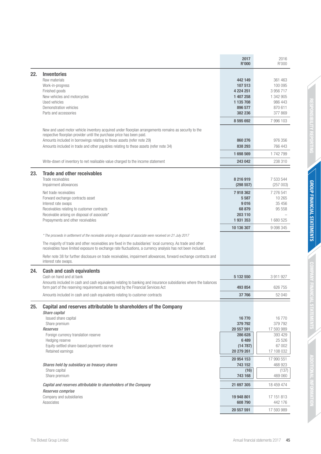|     |                                                                                                                                                                                                                                                                                                                                                                                                                                                                                           | 2017<br><b>R'000</b>                                                            | 2016<br>R'000                                                                 |
|-----|-------------------------------------------------------------------------------------------------------------------------------------------------------------------------------------------------------------------------------------------------------------------------------------------------------------------------------------------------------------------------------------------------------------------------------------------------------------------------------------------|---------------------------------------------------------------------------------|-------------------------------------------------------------------------------|
| 22. | <b>Inventories</b><br>Raw materials<br>Work-in-progress<br>Finished goods<br>New vehicles and motorcycles<br>Used vehicles<br>Demonstration vehicles<br>Parts and accessories                                                                                                                                                                                                                                                                                                             | 442 149<br>107 513<br>4 224 251<br>1 407 258<br>1 135 708<br>896 577<br>382 236 | 361 463<br>100 095<br>3 956 717<br>1 342 905<br>986 443<br>870 611<br>377 869 |
|     |                                                                                                                                                                                                                                                                                                                                                                                                                                                                                           | 8 595 692                                                                       | 7 996 103                                                                     |
|     | New and used motor vehicle inventory acquired under floorplan arrangements remains as security to the<br>respective floorplan provider until the purchase price has been paid.<br>Amounts included in borrowings relating to these assets (refer note 29)<br>Amounts included in trade and other payables relating to these assets (refer note 34)                                                                                                                                        | 860 276<br>838 293<br>1698569                                                   | 976 356<br>766 443<br>1742799                                                 |
|     | Write-down of inventory to net realisable value charged to the income statement                                                                                                                                                                                                                                                                                                                                                                                                           | 243 042                                                                         | 238 310                                                                       |
| 23. | <b>Trade and other receivables</b><br>Trade receivables<br>Impairment allowances                                                                                                                                                                                                                                                                                                                                                                                                          | 8 216 919<br>(298 557)                                                          | 7 533 544<br>(257003)                                                         |
|     | Net trade receivables<br>Forward exchange contracts asset<br>Interest rate swaps<br>Receivables relating to customer contracts<br>Receivable arising on disposal of associate*<br>Prepayments and other receivables                                                                                                                                                                                                                                                                       | 7918362<br>5 5 8 7<br>9016<br>68 879<br>203 110<br>1931353                      | 7 276 541<br>10 265<br>35 4 56<br>95 558<br>1 680 525                         |
|     |                                                                                                                                                                                                                                                                                                                                                                                                                                                                                           | 10 136 307                                                                      | 9 0 9 3 3 4 5                                                                 |
|     | * The proceeds in settlement of the receivable arising on disposal of associate were received on 21 July 2017<br>The majority of trade and other receivables are fixed in the subsidiaries' local currency. As trade and other<br>receivables have limited exposure to exchange rate fluctuations, a currency analysis has not been included.<br>Refer note 38 for further disclosure on trade receivables, impairment allowances, forward exchange contracts and<br>interest rate swaps. |                                                                                 |                                                                               |
| 24. | <b>Cash and cash equivalents</b><br>Cash on hand and at bank<br>Amounts included in cash and cash equivalents relating to banking and insurance subsidiaries where the balances                                                                                                                                                                                                                                                                                                           | 5 132 550                                                                       | 3 911 927                                                                     |
|     | form part of the reserving requirements as required by the Financial Services Act<br>Amounts included in cash and cash equivalents relating to customer contracts                                                                                                                                                                                                                                                                                                                         | 493 854<br>37 766                                                               | 626 755<br>52 040                                                             |
| 25. | Capital and reserves attributable to shareholders of the Company<br>Share capital<br>Issued share capital<br>Share premium                                                                                                                                                                                                                                                                                                                                                                | 16770<br>379 792                                                                | 16770<br>379 792                                                              |
|     | Reserves<br>Foreign currency translation reserve<br>Hedging reserve<br>Equity-settled share-based payment reserve<br>Retained earnings                                                                                                                                                                                                                                                                                                                                                    | 20 557 591<br>286 628<br>6489<br>(14787)<br>20 279 261                          | 17 593 989<br>393 429<br>25 5 26<br>67 002<br>17 108 032                      |
|     | Shares held by subsidiary as treasury shares<br>Share capital<br>Share premium                                                                                                                                                                                                                                                                                                                                                                                                            | 20 954 153<br>743 152<br>(16)<br>743 168                                        | 17 990 551<br>468 923<br>(137)<br>469 060                                     |
|     | Capital and reserves attributable to shareholders of the Company                                                                                                                                                                                                                                                                                                                                                                                                                          | 21 697 305                                                                      | 18 459 474                                                                    |
|     | Reserves comprise<br>Company and subsidiaries<br>Associates                                                                                                                                                                                                                                                                                                                                                                                                                               | 19 948 801<br>608 790                                                           | 17 151 813<br>442 176                                                         |
|     |                                                                                                                                                                                                                                                                                                                                                                                                                                                                                           | 20 557 591                                                                      | 17 593 989                                                                    |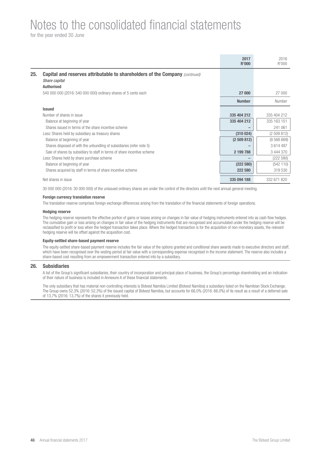for the year ended 30 June

|     |                                                                                                      | 2017<br><b>R'000</b> | 2016<br>R'000 |
|-----|------------------------------------------------------------------------------------------------------|----------------------|---------------|
| 25. | <b>Capital and reserves attributable to shareholders of the Company (continued)</b><br>Share capital |                      |               |
|     | <b>Authorised</b>                                                                                    |                      |               |
|     | 540 000 000 (2016: 540 000 000) ordinary shares of 5 cents each                                      | 27 000               | 27 000        |
|     |                                                                                                      | <b>Number</b>        | Number        |
|     | <b>Issued</b>                                                                                        |                      |               |
|     | Number of shares in issue                                                                            | 335 404 212          | 335 404 212   |
|     | Balance at beginning of year                                                                         | 335 404 212          | 335 163 151   |
|     | Shares issued in terms of the share incentive scheme                                                 |                      | 241 061       |
|     | Less: Shares held by subsidiary as treasury shares                                                   | (310024)             | (2509812)     |
|     | Balance at beginning of year                                                                         | (2509812)            | (9568669)     |
|     | Shares disposed of with the unbundling of subsidiaries (refer note 5)                                |                      | 3614487       |
|     | Sale of shares by subsidiary to staff in terms of share incentive scheme                             | 2 199 788            | 3 444 370     |
|     | Less: Shares held by share purchase scheme                                                           |                      | (222 580)     |
|     | Balance at beginning of year                                                                         | (222580)             | (542110)      |
|     | Shares acquired by staff in terms of share incentive scheme                                          | 222 580              | 319 530       |
|     | Net shares in issue                                                                                  | 335 094 188          | 332 671 820   |

30 000 000 (2016: 30 000 000) of the unissued ordinary shares are under the control of the directors until the next annual general meeting.

#### **Foreign currency translation reserve**

The translation reserve comprises foreign exchange differences arising from the translation of the financial statements of foreign operations.

#### **Hedging reserve**

The hedging reserve represents the effective portion of gains or losses arising on changes in fair value of hedging instruments entered into as cash flow hedges. The cumulative gain or loss arising on changes in fair value of the hedging instruments that are recognised and accumulated under the hedging reserve will be reclassified to profit or loss when the hedged transaction takes place. Where the hedged transaction is for the acquisition of non-monetary assets, the relevant hedging reserve will be offset against the acquisition cost.

### **Equity-settled share-based payment reserve**

The equity-settled share-based payment reserve includes the fair value of the options granted and conditional share awards made to executive directors and staff, which have been recognised over the vesting period at fair value with a corresponding expense recognised in the income statement. The reserve also includes a share-based cost resulting from an empowerment transaction entered into by a subsidiary.

#### **26. Subsidiaries**

A list of the Group's significant subsidiaries, their country of incorporation and principal place of business, the Group's percentage shareholding and an indication of their nature of business is included in Annexure A of these financial statements.

The only subsidiary that has material non-controlling interests is Bidvest Namibia Limited (Bidvest Namibia) a subsidiary listed on the Namibian Stock Exchange. The Group owns 52,3% (2016: 52,3%) of the issued capital of Bidvest Namibia, but accounts for 66,0% (2016: 66,0%) of its result as a result of a deferred sale of 13,7% (2016: 13,7%) of the shares it previously held.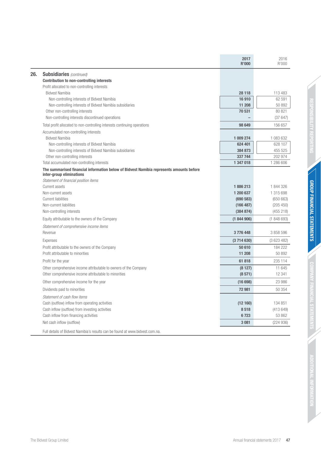|                                                                                                                     | 2017<br><b>R'000</b> | 2016<br>R'000      |
|---------------------------------------------------------------------------------------------------------------------|----------------------|--------------------|
| <b>Subsidiaries</b> (continued)                                                                                     |                      |                    |
| <b>Contribution to non-controlling interests</b>                                                                    |                      |                    |
| Profit allocated to non-controlling interests                                                                       |                      |                    |
| <b>Bidvest Namibia</b>                                                                                              | 28 118               | 113 483            |
| Non-controlling interests of Bidvest Namibia                                                                        | 16910                | 62 591             |
| Non-controlling interests of Bidvest Namibia subsidiaries                                                           | 11 208               | 50 892             |
| Other non-controlling interests                                                                                     | 70 531               | 80 821             |
| Non-controlling interests discontinued operations                                                                   |                      | (37647)            |
| Total profit allocated to non-controlling interests continuing operations                                           | 98 649               | 156 657            |
| Accumulated non-controlling interests                                                                               |                      |                    |
| <b>Bidvest Namibia</b>                                                                                              | 1 009 274            | 1 083 632          |
| Non-controlling interests of Bidvest Namibia                                                                        | 624 401              | 628 107            |
| Non-controlling interests of Bidvest Namibia subsidiaries                                                           | 384 873              | 455 525<br>202 974 |
| Other non-controlling interests<br>Total accumulated non-controlling interests                                      | 337 744<br>1 347 018 | 1 286 606          |
|                                                                                                                     |                      |                    |
| The summarised financial information below of Bidvest Namibia represents amounts before<br>inter-group eliminations |                      |                    |
| Statement of financial position items                                                                               |                      |                    |
| Current assets                                                                                                      | 1886213              | 1 844 326          |
| Non-current assets                                                                                                  | 1 200 637            | 1 315 698          |
| <b>Current liabilities</b>                                                                                          | (690583)             | (650663)           |
| Non-current liabilities                                                                                             | (166 487)            | (205 450)          |
| Non-controlling interests                                                                                           | (384 874)            | (455 218)          |
| Equity attributable to the owners of the Company                                                                    | (1844906)            | (1848693)          |
| Statement of comprehensive income items                                                                             |                      |                    |
| Revenue                                                                                                             | 3776448              | 3 858 596          |
| Expenses                                                                                                            | (3714630)            | (3623482)          |
| Profit attributable to the owners of the Company                                                                    | 50 610               | 184 222            |
| Profit attributable to minorities                                                                                   | 11 208               | 50 892             |
| Profit for the year                                                                                                 | 61818                | 235 114            |
| Other comprehensive income attributable to owners of the Company                                                    | (8127)               | 11 645             |
| Other comprehensive income attributable to minorities                                                               | (8571)               | 12 341             |
| Other comprehensive income for the year                                                                             | (16698)              | 23 986             |
| Dividends paid to minorities                                                                                        | 72 981               | 50 354             |
| Statement of cash flow items                                                                                        |                      |                    |
| Cash (outflow) inflow from operating activities                                                                     | (12160)              | 134 851            |
| Cash inflow (outflow) from investing activities                                                                     | 8518                 | (413649)           |
| Cash inflow from financing activities                                                                               | 6723                 | 53 862             |
| Net cash inflow (outflow)                                                                                           | 3 0 8 1              | (224936)           |
| Full details of Bidvest Namibia's results can be found at www.bidvest.com.na.                                       |                      |                    |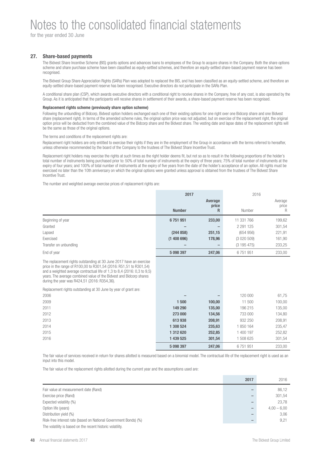for the year ended 30 June

## **27. Share-based payments**

The Bidvest Share Incentive Scheme (BIS) grants options and advances loans to employees of the Group to acquire shares in the Company. Both the share options scheme and share purchase scheme have been classified as equity-settled schemes, and therefore an equity-settled share-based payment reserve has been recognised.

The Bidvest Group Share Appreciation Rights (SARs) Plan was adopted to replaced the BIS, and has been classified as an equity-settled scheme, and therefore an equity-settled share-based payment reserve has been recognised. Executive directors do not participate in the SARs Plan.

A conditional share plan (CSP), which awards executive directors with a conditional right to receive shares in the Company, free of any cost, is also operated by the Group. As it is anticipated that the participants will receive shares in settlement of their awards, a share-based payment reserve has been recognised.

#### **Replacement rights scheme (previously share option scheme)**

Following the unbundling of Bidcorp, Bidvest option holders exchanged each one of their existing options for one right over one Bidcorp share and one Bidvest share (replacement right). In terms of the amended scheme rules, the original option price was not adjusted, but on exercise of the replacement right, the original option price will be deducted from the combined value of the Bidcorp share and the Bidvest share. The vesting date and lapse dates of the replacement rights will be the same as those of the original options.

The terms and conditions of the replacement rights are:

Replacement right holders are only entitled to exercise their rights if they are in the employment of the Group in accordance with the terms referred to hereafter, unless otherwise recommended by the board of the Company to the trustees of The Bidvest Share Incentive Trust.

Replacement right holders may exercise the rights at such times as the right holder deems fit, but not so as to result in the following proportions of the holder's total number of instruments being purchased prior to: 50% of total number of instruments at the expiry of three years; 75% of total number of instruments at the expiry of four years; and 100% of total number of instruments at the expiry of five years from the date of the holder's acceptance of an option. All rights must be exercised no later than the 10th anniversary on which the original options were granted unless approval is obtained from the trustees of The Bidvest Share Incentive Trust.

The number and weighted average exercise prices of replacement rights are:

|                                                                                                                                                                                                                                                                                                                                              | 2017          |            | 2016          |            |
|----------------------------------------------------------------------------------------------------------------------------------------------------------------------------------------------------------------------------------------------------------------------------------------------------------------------------------------------|---------------|------------|---------------|------------|
|                                                                                                                                                                                                                                                                                                                                              |               | Average    |               | Average    |
|                                                                                                                                                                                                                                                                                                                                              | <b>Number</b> | price<br>R | Number        | price<br>R |
| Beginning of year                                                                                                                                                                                                                                                                                                                            | 6751951       | 233,00     | 11 331 766    | 199,62     |
| Granted                                                                                                                                                                                                                                                                                                                                      |               |            | 2 2 9 1 1 2 5 | 301,54     |
| Lapsed                                                                                                                                                                                                                                                                                                                                       | (244858)      | 251,15     | (654956)      | 221,91     |
| Exercised                                                                                                                                                                                                                                                                                                                                    | (1408696)     | 178,96     | (3020509)     | 161,90     |
| Transfer on unbundling                                                                                                                                                                                                                                                                                                                       |               |            | (3195475)     | 233,25     |
| End of year                                                                                                                                                                                                                                                                                                                                  | 5 098 397     | 247,06     | 6751951       | 233,00     |
| The replacement rights outstanding at 30 June 2017 have an exercise<br>price in the range of R100,00 to R301,54 (2016: R51,51 to R301,54)<br>and a weighted average contractual life of 1,3 to 8,4 (2016: 0,3 to 9,5)<br>years. The average combined value of the Bidvest and Bidcorp shares<br>during the year was R424,51 (2016: R354,36). |               |            |               |            |
| Replacement rights outstanding at 30 June by year of grant are:<br>2006                                                                                                                                                                                                                                                                      |               |            | 120 000       | 61,75      |
| 2009                                                                                                                                                                                                                                                                                                                                         | 1500          | 100,00     | 11 500        | 100,00     |
| 2011                                                                                                                                                                                                                                                                                                                                         | 149 290       | 135,00     | 196 215       | 135,00     |
| 2012                                                                                                                                                                                                                                                                                                                                         | 273 000       | 134,56     | 733 000       | 134,80     |
| 2013                                                                                                                                                                                                                                                                                                                                         | 613938        | 208,91     | 932 250       | 208,91     |
| 2014                                                                                                                                                                                                                                                                                                                                         | 1 308 524     | 235,63     | 1850164       | 235,47     |
| 2015                                                                                                                                                                                                                                                                                                                                         | 1 312 620     | 252,85     | 1 400 197     | 252,82     |
| 2016                                                                                                                                                                                                                                                                                                                                         | 1 439 525     | 301,54     | 1 508 625     | 301,54     |
|                                                                                                                                                                                                                                                                                                                                              | 5 098 397     | 247,06     | 6751951       | 233,00     |

The fair value of services received in return for shares allotted is measured based on a binomial model. The contractual life of the replacement right is used as an input into this model

The fair value of the replacement rights allotted during the current year and the assumptions used are:

|                                                                  | 2017 | 2016          |
|------------------------------------------------------------------|------|---------------|
| Fair value at measurement date (Rand)                            |      | 86,12         |
| Exercise price (Rand)                                            |      | 301.54        |
| Expected volatility (%)                                          |      | 23.78         |
| Option life (years)                                              |      | $4,00 - 6,00$ |
| Distribution yield (%)                                           |      | 3.06          |
| Risk-free interest rate (based on National Government Bonds) (%) |      | 9.21          |
| The volatility is based on the recent historic volatility.       |      |               |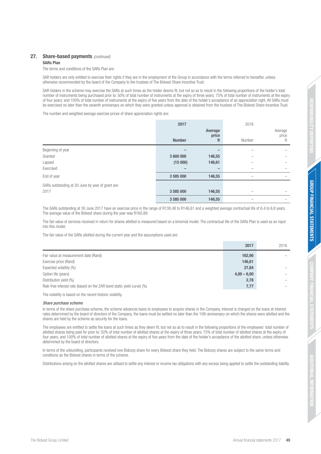NOILIONAL

## **27.** Share-based payments (continued)

## **SARs Plan**

The terms and conditions of the SARs Plan are:

SAR holders are only entitled to exercise their rights if they are in the employment of the Group in accordance with the terms referred to hereafter, unless otherwise recommended by the board of the Company to the trustees of The Bidvest Share Incentive Trust.

SAR holders in the scheme may exercise the SARs at such times as the holder deems fit, but not so as to result in the following proportions of the holder's total number of instruments being purchased prior to: 50% of total number of instruments at the expiry of three years; 75% of total number of instruments at the expiry of four years; and 100% of total number of instruments at the expiry of five years from the date of the holder's acceptance of an appreciation right. All SARs must be exercised no later than the seventh anniversary on which they were granted unless approval is obtained from the trustees of The Bidvest Share Incentive Trust.

The number and weighted average exercise prices of share appreciation rights are:

|                                                   | 2017<br><b>Number</b> | Average<br>price<br>R | 2016<br>Number | Average<br>price<br>R |
|---------------------------------------------------|-----------------------|-----------------------|----------------|-----------------------|
| Beginning of year                                 |                       |                       |                |                       |
| Granted                                           | 3 600 000             | 146,55                |                |                       |
| Lapsed                                            | (15000)               | 146,61                |                |                       |
| Exercised                                         |                       |                       |                |                       |
| End of year                                       | 3585000               | 146,55                |                |                       |
| SARs outstanding at 30 June by year of grant are: |                       |                       |                |                       |
| 2017                                              | 3585000               | 146,55                |                |                       |
|                                                   | 3585000               | 146,55                |                |                       |

The SARs outstanding at 30 June 2017 have an exercise price in the range of R138,48 to R146,61 and a weighted average contractual life of 6,4 to 6,8 years. The average value of the Bidvest share during the year was R160,89.

The fair value of services received in return for shares allotted is measured based on a binomial model. The contractual life of the SARs Plan is used as an input into this model.

The fair value of the SARs allotted during the current year and the assumptions used are:

|                                                                        | 2017          | 2016 |
|------------------------------------------------------------------------|---------------|------|
| Fair value at measurement date (Rand)                                  | 162,90        |      |
| Exercise price (Rand)                                                  | 146,61        |      |
| Expected volatility (%)                                                | 27,84         |      |
| Option life (years)                                                    | $4,00 - 6,00$ |      |
| Distribution yield (%)                                                 | 2,78          |      |
| Risk-free interest rate (based on the ZAR bond static yield curve) (%) | 7,77          |      |
|                                                                        |               |      |

The volatility is based on the recent historic volatility.

## Share purchase scheme

In terms of the share purchase scheme, the scheme advances loans to employees to acquire shares in the Company. Interest is charged on the loans at interest rates determined by the board of directors of the Company, the loans must be settled no later than the 10th anniversary on which the shares were allotted and the shares are held by the scheme as security for the loans.

The employees are entitled to settle the loans at such times as they deem fit, but not so as to result in the following proportions of the employees' total number of allotted shares being paid for prior to: 50% of total number of allotted shares at the expiry of three years; 75% of total number of allotted shares at the expiry of four years; and 100% of total number of allotted shares at the expiry of five years from the date of the holder's acceptance of the allotted share, unless otherwise determined by the board of directors.

In terms of the unbundling, participants received one Bidcorp share for every Bidvest share they held. The Bidcorp shares are subject to the same terms and conditions as the Bidvest shares in terms of the scheme.

Distributions arising on the allotted shares are utilised to settle any interest or income tax obligations with any excess being applied to settle the outstanding liability.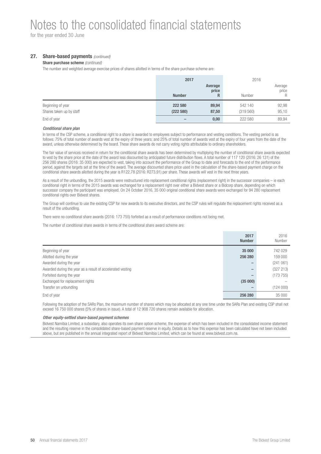for the year ended 30 June

## **27.** Share-based payments (continued)

### **Share purchase scheme** (continued)

The number and weighted average exercise prices of shares allotted in terms of the share purchase scheme are:

|                                               | 2017                 |                       | 2016                 |                       |
|-----------------------------------------------|----------------------|-----------------------|----------------------|-----------------------|
|                                               | <b>Number</b>        | Average<br>price<br>R | Number               | Average<br>price<br>R |
| Beginning of year<br>Shares taken up by staff | 222 580<br>(222 580) | 89,94<br>87,50        | 542 140<br>(319 560) | 92.98<br>95,10        |
| End of year                                   |                      | 0,00                  | 222 580              | 89.94                 |

#### Conditional share plan

In terms of the CSP scheme, a conditional right to a share is awarded to employees subject to performance and vesting conditions. The vesting period is as follows: 75% of total number of awards vest at the expiry of three years; and 25% of total number of awards vest at the expiry of four years from the date of the award, unless otherwise determined by the board. These share awards do not carry voting rights attributable to ordinary shareholders.

The fair value of services received in return for the conditional share awards has been determined by multiplying the number of conditional share awards expected to vest by the share price at the date of the award less discounted by anticipated future distribution flows. A total number of 117 120 (2016: 26 131) of the 256 280 shares (2016: 35 000) are expected to vest, taking into account the performance of the Group to date and forecasts to the end of the performance period, against the targets set at the time of the award. The average discounted share price used in the calculation of the share-based payment charge on the conditional share awards allotted during the year is R122,78 (2016: R273,91) per share. These awards will vest in the next three years.

As a result of the unbundling, the 2015 awards were restructured into replacement conditional rights (replacement right) in the successor companies – ie each conditional right in terms of the 2015 awards was exchanged for a replacement right over either a Bidvest share or a Bidcorp share, depending on which successor company the participant was employed. On 24 October 2016, 35 000 original conditional share awards were exchanged for 94 280 replacement conditional rights over Bidvest shares.

The Group will continue to use the existing CSP for new awards to its executive directors, and the CSP rules will regulate the replacement rights received as a result of the unbundling.

There were no conditional share awards (2016: 173 755) forfeited as a result of performance conditions not being met.

The number of conditional share awards in terms of the conditional share award scheme are:

|                                                            | 2017<br><b>Number</b> | 2016<br>Number |
|------------------------------------------------------------|-----------------------|----------------|
| Beginning of year                                          | 35 000                | 742 029        |
| Allotted during the year                                   | 256 280               | 159 000        |
| Awarded during the year                                    |                       | (241061)       |
| Awarded during the year as a result of accelerated vesting | -                     | (327 213)      |
| Forfeited during the year                                  |                       | (173755)       |
| Exchanged for replacement rights                           | (35000)               |                |
| Transfer on unbundling                                     |                       | (124000)       |
| End of year                                                | 256 280               | 35 000         |

Following the adoption of the SARs Plan, the maximum number of shares which may be allocated at any one time under the SARs Plan and existing CSP shall not exceed 16 750 000 shares (5% of shares in issue). A total of 12 908 720 shares remain available for allocation.

### Other equity-settled share-based payment schemes

Bidvest Namibia Limited, a subsidiary, also operates its own share option scheme, the expense of which has been included in the consolidated income statement and the resulting reserve in the consolidated share-based payment reserve in equity. Details as to how this expense has been calculated have not been included above, but are published in the annual integrated report of Bidvest Namibia Limited, which can be found at www.bidvest.com.na.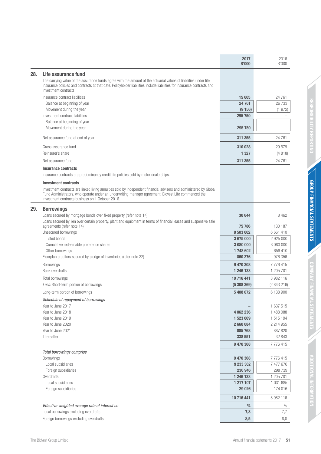|     |                                                                                                                                                                                                                                                                                | 2017<br><b>R'000</b> | 2016<br>R'000          |
|-----|--------------------------------------------------------------------------------------------------------------------------------------------------------------------------------------------------------------------------------------------------------------------------------|----------------------|------------------------|
| 28. | Life assurance fund                                                                                                                                                                                                                                                            |                      |                        |
|     | The carrying value of the assurance funds agree with the amount of the actuarial values of liabilities under life<br>insurance policies and contracts at that date. Policyholder liabilities include liabilities for insurance contracts and<br>investment contracts.          |                      |                        |
|     | Insurance contract liabilities                                                                                                                                                                                                                                                 | 15 605               | 24 7 61                |
|     | Balance at beginning of year                                                                                                                                                                                                                                                   | 24 761               | 26 733                 |
|     | Movement during the year                                                                                                                                                                                                                                                       | (9156)               | (1972)                 |
|     | Investment contract liabilities                                                                                                                                                                                                                                                | 295 750              |                        |
|     | Balance at beginning of year                                                                                                                                                                                                                                                   |                      |                        |
|     | Movement during the year                                                                                                                                                                                                                                                       | 295 750              |                        |
|     | Net assurance fund at end of year                                                                                                                                                                                                                                              | 311 355              | 24 7 61                |
|     | Gross assurance fund                                                                                                                                                                                                                                                           | 310 028              | 29 579                 |
|     | Reinsurer's share                                                                                                                                                                                                                                                              | 1 3 2 7              | (4818)                 |
|     | Net assurance fund                                                                                                                                                                                                                                                             | 311 355              | 24 7 61                |
|     | <b>Insurance contracts</b>                                                                                                                                                                                                                                                     |                      |                        |
|     | Insurance contracts are predominantly credit life policies sold by motor dealerships.                                                                                                                                                                                          |                      |                        |
|     | <b>Investment contracts</b>                                                                                                                                                                                                                                                    |                      |                        |
|     | Investment contracts are linked living annuities sold by independent financial advisers and administered by Global<br>Fund Administrators, who operate under an underwriting manager agreement. Bidvest Life commenced the<br>investment contracts business on 1 October 2016. |                      |                        |
| 29. | <b>Borrowings</b>                                                                                                                                                                                                                                                              |                      |                        |
|     | Loans secured by mortgage bonds over fixed property (refer note 14)                                                                                                                                                                                                            | 30 644               | 8 4 6 2                |
|     | Loans secured by lien over certain property, plant and equipment in terms of financial leases and suspensive sale                                                                                                                                                              |                      |                        |
|     | agreements (refer note 14)                                                                                                                                                                                                                                                     | 75 786               | 130 187                |
|     | Unsecured borrowings                                                                                                                                                                                                                                                           | 8 503 602            | 6 661 410              |
|     | Listed bonds<br>Cumulative redeemable preference shares                                                                                                                                                                                                                        | 3675000<br>3 080 000 | 2 925 000<br>3 080 000 |
|     | Other borrowings                                                                                                                                                                                                                                                               | 1748602              | 656 410                |
|     | Floorplan creditors secured by pledge of inventories (refer note 22)                                                                                                                                                                                                           | 860 276              | 976 356                |
|     | <b>Borrowings</b>                                                                                                                                                                                                                                                              | 9470308              | 7776415                |
|     | <b>Bank overdrafts</b>                                                                                                                                                                                                                                                         | 1 246 133            | 1 205 701              |
|     | Total borrowings                                                                                                                                                                                                                                                               | 10 716 441           | 8 982 116              |
|     | Less: Short-term portion of borrowings                                                                                                                                                                                                                                         | (5308369)            | (2843216)              |
|     | Long-term portion of borrowings                                                                                                                                                                                                                                                | 5 408 072            | 6 138 900              |
|     | Schedule of repayment of borrowings                                                                                                                                                                                                                                            |                      |                        |
|     | Year to June 2017                                                                                                                                                                                                                                                              |                      | 1 637 515              |
|     | Year to June 2018                                                                                                                                                                                                                                                              | 4 062 236            | 1 488 088              |
|     | Year to June 2019                                                                                                                                                                                                                                                              | 1 523 669            | 1 515 194              |
|     | Year to June 2020                                                                                                                                                                                                                                                              | 2 660 084            | 2 2 1 4 9 5 5          |
|     | Year to June 2021<br>Thereafter                                                                                                                                                                                                                                                | 885 768<br>338 551   | 887 820<br>32 843      |
|     |                                                                                                                                                                                                                                                                                | 9 470 308            | 7776415                |
|     | <b>Total borrowings comprise</b>                                                                                                                                                                                                                                               |                      |                        |
|     | Borrowings                                                                                                                                                                                                                                                                     | 9 470 308            | 7776415                |
|     | Local subsidiaries                                                                                                                                                                                                                                                             | 9 233 362            | 7 477 676              |
|     | Foreign subsidiaries                                                                                                                                                                                                                                                           | 236 946              | 298 739                |
|     | Overdrafts                                                                                                                                                                                                                                                                     | 1 246 133            | 1 205 701              |
|     | Local subsidiaries<br>Foreign subsidiaries                                                                                                                                                                                                                                     | 1 217 107<br>29 0 26 | 1 031 685<br>174 016   |
|     |                                                                                                                                                                                                                                                                                |                      |                        |
|     |                                                                                                                                                                                                                                                                                | 10 716 441           | 8 982 116              |
|     | Effective weighted average rate of interest on<br>Local borrowings excluding overdrafts                                                                                                                                                                                        | $\frac{0}{0}$<br>7,8 | $\%$<br>7,7            |
|     | Foreign borrowings excluding overdrafts                                                                                                                                                                                                                                        | 8,5                  | 8,0                    |
|     |                                                                                                                                                                                                                                                                                |                      |                        |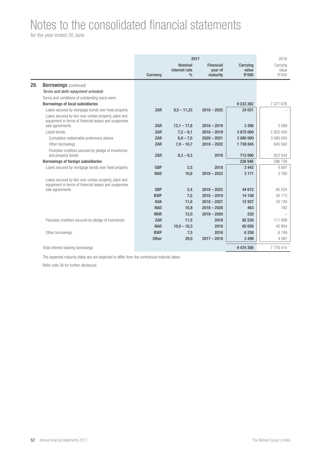for the year ended 30 June

|     |                                                                                                                 | <b>Currency</b>  | 2017<br><b>Nominal</b><br>interest rate<br>$\frac{0}{0}$ | <b>Financial</b><br>vear of<br>maturity | <b>Carrying</b><br>value<br>R'000 | 2016<br>Carrying<br>value<br>R'000 |
|-----|-----------------------------------------------------------------------------------------------------------------|------------------|----------------------------------------------------------|-----------------------------------------|-----------------------------------|------------------------------------|
| 29. | <b>Borrowings</b> (continued)                                                                                   |                  |                                                          |                                         |                                   |                                    |
|     | Terms and debt repayment schedule                                                                               |                  |                                                          |                                         |                                   |                                    |
|     | Terms and conditions of outstanding loans were:                                                                 |                  |                                                          |                                         |                                   |                                    |
|     | <b>Borrowings of local subsidiaries</b>                                                                         |                  |                                                          |                                         | 9 233 362                         | 7477676                            |
|     | Loans secured by mortgage bonds over fixed property                                                             | <b>ZAR</b>       | $9,5 - 11,23$                                            | $2018 - 2025$                           | 24 031                            |                                    |
|     | Loans secured by lien over certain property, plant and<br>equipment in terms of financial leases and suspensive |                  |                                                          |                                         |                                   |                                    |
|     | sale agreements                                                                                                 | <b>ZAR</b>       | $12.1 - 17.8$                                            | $2018 - 2019$                           | 3 3 9 6                           | 3569                               |
|     | Listed bonds                                                                                                    | <b>ZAR</b>       | $7,2 - 9,1$                                              | $2018 - 2019$                           | 3675000                           | 2 925 000                          |
|     | Cumulative redeemable preference shares                                                                         | <b>ZAR</b>       | $6,9 - 7,0$                                              | $2020 - 2021$                           | 3 080 000                         | 3 080 000                          |
|     | Other borrowings                                                                                                | <b>ZAR</b>       | $7.9 - 10.7$                                             | $2018 - 2022$                           | 1738845                           | 645 563                            |
|     | Floorplan creditors secured by pledge of inventories<br>and property bonds                                      | <b>ZAR</b>       | $8,3 - 9,3$                                              | 2018                                    | 712 090                           | 823 544                            |
|     | <b>Borrowings of foreign subsidiaries</b>                                                                       |                  |                                                          |                                         | 236 946                           | 298 739                            |
|     | Loans secured by mortgage bonds over fixed property                                                             | <b>GBP</b>       | 2,5                                                      | 2018                                    | 3 4 4 2                           | 4697                               |
|     |                                                                                                                 | <b>NAD</b>       | 10.8                                                     | $2018 - 2023$                           | 3 1 7 1                           | 3765                               |
|     | Loans secured by lien over certain property, plant and<br>equipment in terms of financial leases and suspensive |                  |                                                          |                                         |                                   |                                    |
|     | sale agreements                                                                                                 | <b>GBP</b>       | 2,4                                                      | $2018 - 2022$                           | 44 672                            | 85 5 24                            |
|     |                                                                                                                 | <b>BWP</b>       | 7,5                                                      | $2018 - 2019$                           | 14 10 8                           | 20 173                             |
|     |                                                                                                                 | A <sub>0</sub> A | 11,0                                                     | $2018 - 2021$                           | 12 9 27                           | 20 740                             |
|     |                                                                                                                 | <b>NAD</b>       | 10,8                                                     | $2018 - 2020$                           | 463                               | 182                                |
|     |                                                                                                                 | <b>MUR</b>       | 12,0                                                     | $2018 - 2020$                           | 220                               |                                    |
|     | Floorplan creditors secured by pledge of inventories                                                            | <b>ZAR</b>       | 11,5                                                     | 2018                                    | 82 530                            | 111 858                            |
|     |                                                                                                                 | <b>NAD</b>       | $10,0 - 10,3$                                            | 2018                                    | 65 656                            | 40 954                             |
|     | Other borrowings                                                                                                | <b>BWP</b>       | 7,5                                                      | 2018                                    | 6 2 5 8                           | 6749                               |
|     |                                                                                                                 | <b>Other</b>     | 29,0                                                     | $2017 - 2018$                           | 3 4 9 9                           | 4 0 9 7                            |
|     | Total interest-bearing borrowings                                                                               |                  |                                                          |                                         | 9 470 308                         | 7776415                            |

The expected maturity dates are not expected to differ from the contractual maturity dates.

Refer note 38 for further disclosure.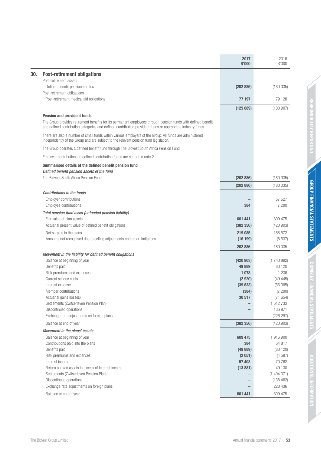|                                                                                                                                                                                                                              | 2017<br><b>R'000</b> | 2016<br>R'000        |
|------------------------------------------------------------------------------------------------------------------------------------------------------------------------------------------------------------------------------|----------------------|----------------------|
| <b>Post-retirement obligations</b>                                                                                                                                                                                           |                      |                      |
| Post-retirement assets                                                                                                                                                                                                       |                      |                      |
| Defined benefit pension surplus                                                                                                                                                                                              | (202 886)            | (180035)             |
| Post-retirement obligations                                                                                                                                                                                                  |                      |                      |
| Post-retirement medical aid obligations                                                                                                                                                                                      | 77 197               | 79 128               |
|                                                                                                                                                                                                                              | (125689)             | (100907)             |
| Pension and provident funds                                                                                                                                                                                                  |                      |                      |
| The Group provides retirement benefits for its permanent employees through pension funds with defined benefit<br>and defined contribution categories and defined contribution provident funds or appropriate industry funds. |                      |                      |
| There are also a number of small funds within various employers of the Group. All funds are administered<br>independently of the Group and are subject to the relevant pension fund legislation.                             |                      |                      |
| The Group operates a defined benefit fund through The Bidvest South Africa Pension Fund.                                                                                                                                     |                      |                      |
| Employer contributions to defined contribution funds are set out in note 2.                                                                                                                                                  |                      |                      |
| Summarised details of the defined benefit pension fund                                                                                                                                                                       |                      |                      |
| Defined benefit pension assets of the fund                                                                                                                                                                                   |                      |                      |
| The Bidvest South Africa Pension Fund                                                                                                                                                                                        | (202 886)            | (180035)             |
|                                                                                                                                                                                                                              | (202 886)            | (180035)             |
| <b>Contributions to the funds</b>                                                                                                                                                                                            |                      | 57 527               |
| Employer contributions<br>Employee contributions                                                                                                                                                                             | 384                  | 7 2 9 0              |
| Total pension fund asset (unfunded pension liability)                                                                                                                                                                        |                      |                      |
| Fair value of plan assets                                                                                                                                                                                                    | 601 441              | 609 475              |
| Actuarial present value of defined benefit obligations                                                                                                                                                                       | (382 356)            | (420903)             |
| Net surplus in the plans                                                                                                                                                                                                     | 219 085              | 188 572              |
| Amounts not recognised due to ceiling adjustments and other limitations                                                                                                                                                      | (16199)              | (8537)               |
|                                                                                                                                                                                                                              | 202 886              | 180 035              |
| Movement in the liability for defined benefit obligations                                                                                                                                                                    |                      |                      |
| Balance at beginning of year                                                                                                                                                                                                 | (420903)             | (1743892)            |
| Benefits paid                                                                                                                                                                                                                | 49 889               | 83 1 20              |
| Risk premiums and expenses                                                                                                                                                                                                   | 1 0 7 8              | 1 2 3 6              |
| Current service costs                                                                                                                                                                                                        | (2920)               | (49445)              |
| Interest expense<br>Member contributions                                                                                                                                                                                     | (39633)              | (56385)              |
| Actuarial gains (losses)                                                                                                                                                                                                     | (384)<br>30 517      | (7290)<br>(71654)    |
| Settlements (Zwitserleven Pension Plan)                                                                                                                                                                                      |                      | 1 512 733            |
| Discontinued operations                                                                                                                                                                                                      |                      | 136 971              |
| Exchange rate adjustments on foreign plans                                                                                                                                                                                   |                      | (226 297)            |
| Balance at end of year                                                                                                                                                                                                       | (382 356)            | (420903)             |
| Movement in the plans' assets                                                                                                                                                                                                |                      |                      |
| Balance at beginning of year                                                                                                                                                                                                 | 609 475              | 1916900              |
| Contributions paid into the plans                                                                                                                                                                                            | 384                  | 64 817               |
| Benefits paid                                                                                                                                                                                                                | (49889)              | (83 120)             |
| Risk premiums and expenses                                                                                                                                                                                                   | (2 051)              | (4597)               |
| Interest income                                                                                                                                                                                                              | 57 403               | 70 762               |
| Return on plan assets in excess of interest income                                                                                                                                                                           | (13881)              | 49 130               |
| Settlements (Zwitserleven Pension Plan)                                                                                                                                                                                      |                      | (1494371)            |
| Discontinued operations                                                                                                                                                                                                      |                      | (138 482)<br>228 436 |
| Exchange rate adjustments on foreign plans                                                                                                                                                                                   |                      |                      |
| Balance at end of year                                                                                                                                                                                                       | 601 441              | 609 475              |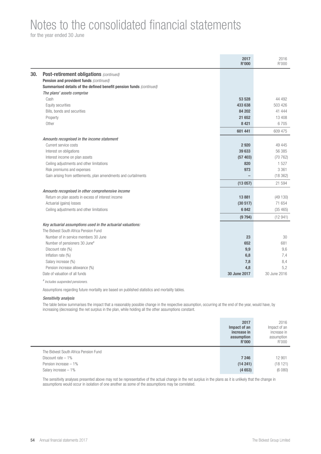for the year ended 30 June

|     |                                                                     | 2017<br><b>R'000</b> | 2016<br>R'000 |
|-----|---------------------------------------------------------------------|----------------------|---------------|
| 30. | <b>Post-retirement obligations (continued)</b>                      |                      |               |
|     | Pension and provident funds (continued)                             |                      |               |
|     | Summarised details of the defined benefit pension funds (continued) |                      |               |
|     | The plans' assets comprise                                          |                      |               |
|     | Cash                                                                | 53 528               | 44 492        |
|     | Equity securities                                                   | 433 638              | 503 426       |
|     | Bills, bonds and securities                                         | 84 202               | 41 444        |
|     | Property                                                            | 21 652               | 13 408        |
|     | Other                                                               | 8 4 21               | 6705          |
|     |                                                                     | 601 441              | 609 475       |
|     | Amounts recognised in the income statement                          |                      |               |
|     | Current service costs                                               | 2920                 | 49 4 45       |
|     | Interest on obligations                                             | 39 633               | 56 385        |
|     | Interest income on plan assets                                      | (57 403)             | (70762)       |
|     | Ceiling adjustments and other limitations                           | 820                  | 1527          |
|     | Risk premiums and expenses                                          | 973                  | 3 3 6 1       |
|     | Gain arising from settlements, plan amendments and curtailments     |                      | (18362)       |
|     |                                                                     | (13057)              | 21 594        |
|     | Amounts recognised in other comprehensive income                    |                      |               |
|     | Return on plan assets in excess of interest income                  | 13881                | (49130)       |
|     | Actuarial (gains) losses                                            | (30517)              | 71 654        |
|     | Ceiling adjustments and other limitations                           | 6842                 | (35 465)      |
|     |                                                                     | (9794)               | (12941)       |
|     | Key actuarial assumptions used in the actuarial valuations:         |                      |               |
|     | The Bidvest South Africa Pension Fund                               |                      |               |
|     | Number of in service members 30 June                                | 23                   | 30            |
|     | Number of pensioners 30 June#                                       | 652                  | 681           |
|     | Discount rate (%)                                                   | 9,9                  | 9,6           |
|     | Inflation rate (%)                                                  | 6,8                  | 7,4           |
|     | Salary increase (%)                                                 | 7,8                  | 8,4           |
|     | Pension increase allowance (%)                                      | 4,8                  | 5,2           |
|     | Date of valuation of all funds                                      | 30 June 2017         | 30 June 2016  |
|     | # Includes suspended pensioners.                                    |                      |               |

Assumptions regarding future mortality are based on published statistics and mortality tables.

### Sensitivity analysis

The table below summarises the impact that a reasonably possible change in the respective assumption, occurring at the end of the year, would have, by increasing (decreasing) the net surplus in the plan, while holding all the other assumptions constant.

|                                       | 2017<br>Impact of an<br>increase in<br>assumption<br><b>R'000</b> | 2016<br>Impact of an<br>increase in<br>assumption<br>R'000 |
|---------------------------------------|-------------------------------------------------------------------|------------------------------------------------------------|
| The Bidvest South Africa Pension Fund |                                                                   |                                                            |
| Discount rate $-1\%$                  | 7 246                                                             | 12 901                                                     |
|                                       |                                                                   |                                                            |
| Pension increase - 1%                 | (14241)                                                           | (18121)                                                    |

The sensitivity analyses presented above may not be representative of the actual change in the net surplus in the plans as it is unlikely that the change in assumptions would occur in isolation of one another as some of the assumptions may be correlated.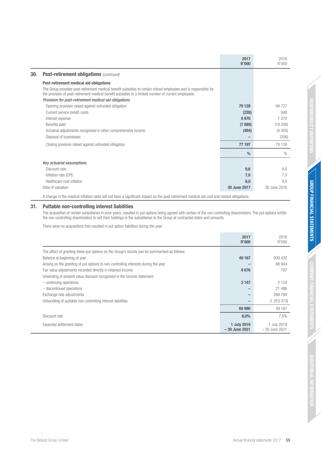|                                                                                                                                                                                                                          | 2017<br>R'000 | 2016<br>R'000 |
|--------------------------------------------------------------------------------------------------------------------------------------------------------------------------------------------------------------------------|---------------|---------------|
| <b>Post-retirement obligations (continued)</b><br>30.                                                                                                                                                                    |               |               |
| Post-retirement medical aid obligations                                                                                                                                                                                  |               |               |
| The Group provides post-retirement medical benefit subsidies to certain retired employees and is responsible for<br>the provision of post-retirement medical benefit subsidies to a limited number of current employees. |               |               |
| Provision for post-retirement medical aid obligations                                                                                                                                                                    |               |               |
| Opening provision raised against unfunded obligation                                                                                                                                                                     | 79 128        | 94 727        |
| Current service (relief) costs                                                                                                                                                                                           | (228)         | 948           |
| Interest expense                                                                                                                                                                                                         | 6670          | 7 370         |
| Benefits paid                                                                                                                                                                                                            | (7889)        | (19206)       |
| Actuarial adjustments recognised in other comprehensive income                                                                                                                                                           | (484)         | (4355)        |
| Disposal of businesses                                                                                                                                                                                                   |               | (356)         |
| Closing provision raised against unfunded obligation                                                                                                                                                                     | 77 197        | 79 1 28       |
|                                                                                                                                                                                                                          | $\frac{0}{0}$ | $\%$          |
| Key actuarial assumptions                                                                                                                                                                                                |               |               |
| Discount rate                                                                                                                                                                                                            | 9,6           | 9,6           |
| Inflation rate (CPI)                                                                                                                                                                                                     | 7,0           | 7,0           |
| Healthcare cost inflation                                                                                                                                                                                                | 9,0           | 9,0           |
| Date of valuation                                                                                                                                                                                                        | 30 June 2017  | 30 June 2016  |
| A change in the medical inflation rates will not have a significant impact on the post-retirement medical aid cost and related obligations.                                                                              |               |               |

## **31. Puttable non-controlling interest liabilities**

The acquisition of certain subsidiaries in prior years, resulted in put options being agreed with certain of the non-controlling shareholders. The put options entitle the non-controlling shareholders to sell their holdings in the subsidiaries to the Group at contracted dates and amounts.

There were no acquisitions that resulted in put option liabilities during the year:

|                                                                                               | 2017<br>R'000                  | 2016<br>R'000                  |
|-----------------------------------------------------------------------------------------------|--------------------------------|--------------------------------|
| The affect of granting these put options on the Group's results can be summarised as follows: |                                |                                |
| Balance at beginning of year                                                                  | 49 167                         | 939 430                        |
| Arising on the granting of put options to non-controlling interests during the year           |                                | 68 944                         |
| Fair value adjustments recorded directly in retained income                                   | 8676                           | 787                            |
| Unwinding of present value discount recognised in the income statement                        |                                |                                |
| $-$ continuing operations                                                                     | 3 1 4 7                        | 2 1 2 4                        |
| - discontinued operations                                                                     |                                | 21 48 6                        |
| Exchange rate adjustments                                                                     |                                | 269 769                        |
| Unbundling of puttable non-controlling interest liabilities                                   |                                | (1253373)                      |
|                                                                                               | 60 990                         | 49 167                         |
| Discount rate                                                                                 | 6,0%                           | 7,5%                           |
| Expected settlement dates                                                                     | 1 July 2019<br>$-30$ June 2021 | 1 July 2019<br>$-30$ June 2021 |

RESPONSIBILITY REPORTING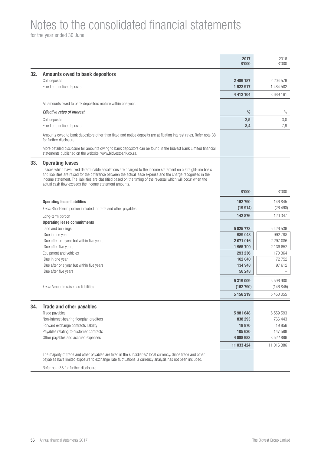for the year ended 30 June

| 32.<br><b>Amounts owed to bank depositors</b><br>Call deposits<br>2 489 187<br>2 204 579<br>Fixed and notice deposits<br>1 922 917<br>1 484 582<br>4 4 1 2 1 0 4<br>3 689 161<br>All amounts owed to bank depositors mature within one year.<br>$\frac{0}{0}$<br>$\%$<br><b>Effective rates of interest</b><br>Call deposits<br>3,0<br>2,5<br>7,9<br>Fixed and notice deposits<br>8,4<br>Amounts owed to bank depositors other than fixed and notice deposits are at floating interest rates. Refer note 38<br>for further disclosure.<br>More detailed disclosure for amounts owing to bank depositors can be found in the Bidvest Bank Limited financial<br>statements published on the website, www.bidvestbank.co.za.<br>33.<br><b>Operating leases</b><br>Leases which have fixed determinable escalations are charged to the income statement on a straight-line basis<br>and liabilities are raised for the difference between the actual lease expense and the charge recognised in the<br>income statement. The liabilities are classified based on the timing of the reversal which will occur when the<br>actual cash flow exceeds the income statement amounts.<br>R'000<br><b>R'000</b><br><b>Operating lease liabilities</b><br>162 790<br>146 845<br>(19914)<br>(26 498)<br>Less: Short-term portion included in trade and other payables<br>120 347<br>142 876<br>Long-term portion<br><b>Operating lease commitments</b><br>Land and buildings<br>5 426 536<br>5 0 25 7 7 3<br>992 798<br>989 048<br>Due in one year<br>2 297 086<br>Due after one year but within five years<br>2071016<br>2 136 652<br>Due after five years<br>1 965 709<br>170 364<br>Equipment and vehicles<br>293 236<br>72752<br>102 040<br>Due in one year<br>97612<br>Due after one year but within five years<br>134 948<br>Due after five years<br>56 248<br>5 319 009<br>5 596 900<br>Less: Amounts raised as liabilities<br>(162790)<br>(146 845)<br>5 156 219<br>5 450 055<br>34.<br><b>Trade and other payables</b><br>Trade payables<br>5981648<br>6 559 593<br>Non-interest-bearing floorplan creditors<br>766 443<br>838 293<br>Forward exchange contracts liability<br>19856<br>18 870<br>Payables relating to customer contracts<br>147 598<br>105 630<br>Other payables and accrued expenses<br>4 088 983<br>3 522 896<br>11 033 424<br>11 016 386<br>The majority of trade and other payables are fixed in the subsidiaries' local currency. Since trade and other<br>payables have limited exposure to exchange rate fluctuations, a currency analysis has not been included.<br>Refer note 38 for further disclosure. |  | 2017<br><b>R'000</b> | 2016<br>R'000 |
|-------------------------------------------------------------------------------------------------------------------------------------------------------------------------------------------------------------------------------------------------------------------------------------------------------------------------------------------------------------------------------------------------------------------------------------------------------------------------------------------------------------------------------------------------------------------------------------------------------------------------------------------------------------------------------------------------------------------------------------------------------------------------------------------------------------------------------------------------------------------------------------------------------------------------------------------------------------------------------------------------------------------------------------------------------------------------------------------------------------------------------------------------------------------------------------------------------------------------------------------------------------------------------------------------------------------------------------------------------------------------------------------------------------------------------------------------------------------------------------------------------------------------------------------------------------------------------------------------------------------------------------------------------------------------------------------------------------------------------------------------------------------------------------------------------------------------------------------------------------------------------------------------------------------------------------------------------------------------------------------------------------------------------------------------------------------------------------------------------------------------------------------------------------------------------------------------------------------------------------------------------------------------------------------------------------------------------------------------------------------------------------------------------------------------------------------------------------------------------------------------------------------------------------------------------------------------------------------------------------------------------|--|----------------------|---------------|
|                                                                                                                                                                                                                                                                                                                                                                                                                                                                                                                                                                                                                                                                                                                                                                                                                                                                                                                                                                                                                                                                                                                                                                                                                                                                                                                                                                                                                                                                                                                                                                                                                                                                                                                                                                                                                                                                                                                                                                                                                                                                                                                                                                                                                                                                                                                                                                                                                                                                                                                                                                                                                               |  |                      |               |
|                                                                                                                                                                                                                                                                                                                                                                                                                                                                                                                                                                                                                                                                                                                                                                                                                                                                                                                                                                                                                                                                                                                                                                                                                                                                                                                                                                                                                                                                                                                                                                                                                                                                                                                                                                                                                                                                                                                                                                                                                                                                                                                                                                                                                                                                                                                                                                                                                                                                                                                                                                                                                               |  |                      |               |
|                                                                                                                                                                                                                                                                                                                                                                                                                                                                                                                                                                                                                                                                                                                                                                                                                                                                                                                                                                                                                                                                                                                                                                                                                                                                                                                                                                                                                                                                                                                                                                                                                                                                                                                                                                                                                                                                                                                                                                                                                                                                                                                                                                                                                                                                                                                                                                                                                                                                                                                                                                                                                               |  |                      |               |
|                                                                                                                                                                                                                                                                                                                                                                                                                                                                                                                                                                                                                                                                                                                                                                                                                                                                                                                                                                                                                                                                                                                                                                                                                                                                                                                                                                                                                                                                                                                                                                                                                                                                                                                                                                                                                                                                                                                                                                                                                                                                                                                                                                                                                                                                                                                                                                                                                                                                                                                                                                                                                               |  |                      |               |
|                                                                                                                                                                                                                                                                                                                                                                                                                                                                                                                                                                                                                                                                                                                                                                                                                                                                                                                                                                                                                                                                                                                                                                                                                                                                                                                                                                                                                                                                                                                                                                                                                                                                                                                                                                                                                                                                                                                                                                                                                                                                                                                                                                                                                                                                                                                                                                                                                                                                                                                                                                                                                               |  |                      |               |
|                                                                                                                                                                                                                                                                                                                                                                                                                                                                                                                                                                                                                                                                                                                                                                                                                                                                                                                                                                                                                                                                                                                                                                                                                                                                                                                                                                                                                                                                                                                                                                                                                                                                                                                                                                                                                                                                                                                                                                                                                                                                                                                                                                                                                                                                                                                                                                                                                                                                                                                                                                                                                               |  |                      |               |
|                                                                                                                                                                                                                                                                                                                                                                                                                                                                                                                                                                                                                                                                                                                                                                                                                                                                                                                                                                                                                                                                                                                                                                                                                                                                                                                                                                                                                                                                                                                                                                                                                                                                                                                                                                                                                                                                                                                                                                                                                                                                                                                                                                                                                                                                                                                                                                                                                                                                                                                                                                                                                               |  |                      |               |
|                                                                                                                                                                                                                                                                                                                                                                                                                                                                                                                                                                                                                                                                                                                                                                                                                                                                                                                                                                                                                                                                                                                                                                                                                                                                                                                                                                                                                                                                                                                                                                                                                                                                                                                                                                                                                                                                                                                                                                                                                                                                                                                                                                                                                                                                                                                                                                                                                                                                                                                                                                                                                               |  |                      |               |
|                                                                                                                                                                                                                                                                                                                                                                                                                                                                                                                                                                                                                                                                                                                                                                                                                                                                                                                                                                                                                                                                                                                                                                                                                                                                                                                                                                                                                                                                                                                                                                                                                                                                                                                                                                                                                                                                                                                                                                                                                                                                                                                                                                                                                                                                                                                                                                                                                                                                                                                                                                                                                               |  |                      |               |
|                                                                                                                                                                                                                                                                                                                                                                                                                                                                                                                                                                                                                                                                                                                                                                                                                                                                                                                                                                                                                                                                                                                                                                                                                                                                                                                                                                                                                                                                                                                                                                                                                                                                                                                                                                                                                                                                                                                                                                                                                                                                                                                                                                                                                                                                                                                                                                                                                                                                                                                                                                                                                               |  |                      |               |
|                                                                                                                                                                                                                                                                                                                                                                                                                                                                                                                                                                                                                                                                                                                                                                                                                                                                                                                                                                                                                                                                                                                                                                                                                                                                                                                                                                                                                                                                                                                                                                                                                                                                                                                                                                                                                                                                                                                                                                                                                                                                                                                                                                                                                                                                                                                                                                                                                                                                                                                                                                                                                               |  |                      |               |
|                                                                                                                                                                                                                                                                                                                                                                                                                                                                                                                                                                                                                                                                                                                                                                                                                                                                                                                                                                                                                                                                                                                                                                                                                                                                                                                                                                                                                                                                                                                                                                                                                                                                                                                                                                                                                                                                                                                                                                                                                                                                                                                                                                                                                                                                                                                                                                                                                                                                                                                                                                                                                               |  |                      |               |
|                                                                                                                                                                                                                                                                                                                                                                                                                                                                                                                                                                                                                                                                                                                                                                                                                                                                                                                                                                                                                                                                                                                                                                                                                                                                                                                                                                                                                                                                                                                                                                                                                                                                                                                                                                                                                                                                                                                                                                                                                                                                                                                                                                                                                                                                                                                                                                                                                                                                                                                                                                                                                               |  |                      |               |
|                                                                                                                                                                                                                                                                                                                                                                                                                                                                                                                                                                                                                                                                                                                                                                                                                                                                                                                                                                                                                                                                                                                                                                                                                                                                                                                                                                                                                                                                                                                                                                                                                                                                                                                                                                                                                                                                                                                                                                                                                                                                                                                                                                                                                                                                                                                                                                                                                                                                                                                                                                                                                               |  |                      |               |
|                                                                                                                                                                                                                                                                                                                                                                                                                                                                                                                                                                                                                                                                                                                                                                                                                                                                                                                                                                                                                                                                                                                                                                                                                                                                                                                                                                                                                                                                                                                                                                                                                                                                                                                                                                                                                                                                                                                                                                                                                                                                                                                                                                                                                                                                                                                                                                                                                                                                                                                                                                                                                               |  |                      |               |
|                                                                                                                                                                                                                                                                                                                                                                                                                                                                                                                                                                                                                                                                                                                                                                                                                                                                                                                                                                                                                                                                                                                                                                                                                                                                                                                                                                                                                                                                                                                                                                                                                                                                                                                                                                                                                                                                                                                                                                                                                                                                                                                                                                                                                                                                                                                                                                                                                                                                                                                                                                                                                               |  |                      |               |
|                                                                                                                                                                                                                                                                                                                                                                                                                                                                                                                                                                                                                                                                                                                                                                                                                                                                                                                                                                                                                                                                                                                                                                                                                                                                                                                                                                                                                                                                                                                                                                                                                                                                                                                                                                                                                                                                                                                                                                                                                                                                                                                                                                                                                                                                                                                                                                                                                                                                                                                                                                                                                               |  |                      |               |
|                                                                                                                                                                                                                                                                                                                                                                                                                                                                                                                                                                                                                                                                                                                                                                                                                                                                                                                                                                                                                                                                                                                                                                                                                                                                                                                                                                                                                                                                                                                                                                                                                                                                                                                                                                                                                                                                                                                                                                                                                                                                                                                                                                                                                                                                                                                                                                                                                                                                                                                                                                                                                               |  |                      |               |
|                                                                                                                                                                                                                                                                                                                                                                                                                                                                                                                                                                                                                                                                                                                                                                                                                                                                                                                                                                                                                                                                                                                                                                                                                                                                                                                                                                                                                                                                                                                                                                                                                                                                                                                                                                                                                                                                                                                                                                                                                                                                                                                                                                                                                                                                                                                                                                                                                                                                                                                                                                                                                               |  |                      |               |
|                                                                                                                                                                                                                                                                                                                                                                                                                                                                                                                                                                                                                                                                                                                                                                                                                                                                                                                                                                                                                                                                                                                                                                                                                                                                                                                                                                                                                                                                                                                                                                                                                                                                                                                                                                                                                                                                                                                                                                                                                                                                                                                                                                                                                                                                                                                                                                                                                                                                                                                                                                                                                               |  |                      |               |
|                                                                                                                                                                                                                                                                                                                                                                                                                                                                                                                                                                                                                                                                                                                                                                                                                                                                                                                                                                                                                                                                                                                                                                                                                                                                                                                                                                                                                                                                                                                                                                                                                                                                                                                                                                                                                                                                                                                                                                                                                                                                                                                                                                                                                                                                                                                                                                                                                                                                                                                                                                                                                               |  |                      |               |
|                                                                                                                                                                                                                                                                                                                                                                                                                                                                                                                                                                                                                                                                                                                                                                                                                                                                                                                                                                                                                                                                                                                                                                                                                                                                                                                                                                                                                                                                                                                                                                                                                                                                                                                                                                                                                                                                                                                                                                                                                                                                                                                                                                                                                                                                                                                                                                                                                                                                                                                                                                                                                               |  |                      |               |
|                                                                                                                                                                                                                                                                                                                                                                                                                                                                                                                                                                                                                                                                                                                                                                                                                                                                                                                                                                                                                                                                                                                                                                                                                                                                                                                                                                                                                                                                                                                                                                                                                                                                                                                                                                                                                                                                                                                                                                                                                                                                                                                                                                                                                                                                                                                                                                                                                                                                                                                                                                                                                               |  |                      |               |
|                                                                                                                                                                                                                                                                                                                                                                                                                                                                                                                                                                                                                                                                                                                                                                                                                                                                                                                                                                                                                                                                                                                                                                                                                                                                                                                                                                                                                                                                                                                                                                                                                                                                                                                                                                                                                                                                                                                                                                                                                                                                                                                                                                                                                                                                                                                                                                                                                                                                                                                                                                                                                               |  |                      |               |
|                                                                                                                                                                                                                                                                                                                                                                                                                                                                                                                                                                                                                                                                                                                                                                                                                                                                                                                                                                                                                                                                                                                                                                                                                                                                                                                                                                                                                                                                                                                                                                                                                                                                                                                                                                                                                                                                                                                                                                                                                                                                                                                                                                                                                                                                                                                                                                                                                                                                                                                                                                                                                               |  |                      |               |
|                                                                                                                                                                                                                                                                                                                                                                                                                                                                                                                                                                                                                                                                                                                                                                                                                                                                                                                                                                                                                                                                                                                                                                                                                                                                                                                                                                                                                                                                                                                                                                                                                                                                                                                                                                                                                                                                                                                                                                                                                                                                                                                                                                                                                                                                                                                                                                                                                                                                                                                                                                                                                               |  |                      |               |
|                                                                                                                                                                                                                                                                                                                                                                                                                                                                                                                                                                                                                                                                                                                                                                                                                                                                                                                                                                                                                                                                                                                                                                                                                                                                                                                                                                                                                                                                                                                                                                                                                                                                                                                                                                                                                                                                                                                                                                                                                                                                                                                                                                                                                                                                                                                                                                                                                                                                                                                                                                                                                               |  |                      |               |
|                                                                                                                                                                                                                                                                                                                                                                                                                                                                                                                                                                                                                                                                                                                                                                                                                                                                                                                                                                                                                                                                                                                                                                                                                                                                                                                                                                                                                                                                                                                                                                                                                                                                                                                                                                                                                                                                                                                                                                                                                                                                                                                                                                                                                                                                                                                                                                                                                                                                                                                                                                                                                               |  |                      |               |
|                                                                                                                                                                                                                                                                                                                                                                                                                                                                                                                                                                                                                                                                                                                                                                                                                                                                                                                                                                                                                                                                                                                                                                                                                                                                                                                                                                                                                                                                                                                                                                                                                                                                                                                                                                                                                                                                                                                                                                                                                                                                                                                                                                                                                                                                                                                                                                                                                                                                                                                                                                                                                               |  |                      |               |
|                                                                                                                                                                                                                                                                                                                                                                                                                                                                                                                                                                                                                                                                                                                                                                                                                                                                                                                                                                                                                                                                                                                                                                                                                                                                                                                                                                                                                                                                                                                                                                                                                                                                                                                                                                                                                                                                                                                                                                                                                                                                                                                                                                                                                                                                                                                                                                                                                                                                                                                                                                                                                               |  |                      |               |
|                                                                                                                                                                                                                                                                                                                                                                                                                                                                                                                                                                                                                                                                                                                                                                                                                                                                                                                                                                                                                                                                                                                                                                                                                                                                                                                                                                                                                                                                                                                                                                                                                                                                                                                                                                                                                                                                                                                                                                                                                                                                                                                                                                                                                                                                                                                                                                                                                                                                                                                                                                                                                               |  |                      |               |
|                                                                                                                                                                                                                                                                                                                                                                                                                                                                                                                                                                                                                                                                                                                                                                                                                                                                                                                                                                                                                                                                                                                                                                                                                                                                                                                                                                                                                                                                                                                                                                                                                                                                                                                                                                                                                                                                                                                                                                                                                                                                                                                                                                                                                                                                                                                                                                                                                                                                                                                                                                                                                               |  |                      |               |
|                                                                                                                                                                                                                                                                                                                                                                                                                                                                                                                                                                                                                                                                                                                                                                                                                                                                                                                                                                                                                                                                                                                                                                                                                                                                                                                                                                                                                                                                                                                                                                                                                                                                                                                                                                                                                                                                                                                                                                                                                                                                                                                                                                                                                                                                                                                                                                                                                                                                                                                                                                                                                               |  |                      |               |
|                                                                                                                                                                                                                                                                                                                                                                                                                                                                                                                                                                                                                                                                                                                                                                                                                                                                                                                                                                                                                                                                                                                                                                                                                                                                                                                                                                                                                                                                                                                                                                                                                                                                                                                                                                                                                                                                                                                                                                                                                                                                                                                                                                                                                                                                                                                                                                                                                                                                                                                                                                                                                               |  |                      |               |
|                                                                                                                                                                                                                                                                                                                                                                                                                                                                                                                                                                                                                                                                                                                                                                                                                                                                                                                                                                                                                                                                                                                                                                                                                                                                                                                                                                                                                                                                                                                                                                                                                                                                                                                                                                                                                                                                                                                                                                                                                                                                                                                                                                                                                                                                                                                                                                                                                                                                                                                                                                                                                               |  |                      |               |
|                                                                                                                                                                                                                                                                                                                                                                                                                                                                                                                                                                                                                                                                                                                                                                                                                                                                                                                                                                                                                                                                                                                                                                                                                                                                                                                                                                                                                                                                                                                                                                                                                                                                                                                                                                                                                                                                                                                                                                                                                                                                                                                                                                                                                                                                                                                                                                                                                                                                                                                                                                                                                               |  |                      |               |
|                                                                                                                                                                                                                                                                                                                                                                                                                                                                                                                                                                                                                                                                                                                                                                                                                                                                                                                                                                                                                                                                                                                                                                                                                                                                                                                                                                                                                                                                                                                                                                                                                                                                                                                                                                                                                                                                                                                                                                                                                                                                                                                                                                                                                                                                                                                                                                                                                                                                                                                                                                                                                               |  |                      |               |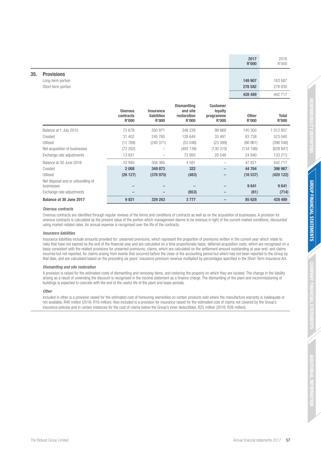|     |                                                           | 2017<br><b>R'000</b> | 2016<br>R'000 |
|-----|-----------------------------------------------------------|----------------------|---------------|
| 35. | <b>Provisions</b>                                         |                      |               |
|     | Long-term portion                                         | 149 907              | 163 887       |
|     | Short-term portion                                        | 278 582              | 278 830       |
|     |                                                           | 428 489              | 442 717       |
|     | <b>Dismantling</b><br><b>Customer</b><br>.<br>.<br>$\sim$ |                      |               |

|                                                 | <b>Onerous</b><br>contracts<br>R'000 | <b>Insurance</b><br><b>liabilities</b><br>R'000 | and site<br>restoration<br><b>R'000</b> | loyalty<br>programme<br><b>R'000</b> | <b>Other</b><br>R'000 | Total<br><b>R'000</b> |
|-------------------------------------------------|--------------------------------------|-------------------------------------------------|-----------------------------------------|--------------------------------------|-----------------------|-----------------------|
| Balance at 1 July 2015                          | 73 678                               | 350 971                                         | 348 239                                 | 99 669                               | 140 300               | 1 012 857             |
| Created                                         | 31 402                               | 245 765                                         | 128 644                                 | 33 491                               | 83738                 | 523 040               |
| Utilised                                        | (12769)                              | (240371)                                        | (53046)                                 | (23 399)                             | (66961)               | (396 546)             |
| Net acquisition of businesses                   | (72 202)                             |                                                 | (493139)                                | (130310)                             | (134196)              | (829 847)             |
| Exchange rate adjustments                       | 13831                                |                                                 | 73893                                   | 20 549                               | 24 940                | 133 213               |
| Balance at 30 June 2016                         | 33 940                               | 356 365                                         | 4 5 9 1                                 |                                      | 47821                 | 442717                |
| Created                                         | 2 0 0 8                              | 349 873                                         | 322                                     | -                                    | 44 764                | 396 967               |
| Utilised                                        | (26127)                              | (376975)                                        | (483)                                   | -                                    | (16537)               | (420122)              |
| Net disposal and or unbundling of<br>businesses |                                      |                                                 |                                         |                                      | 9641                  | 9641                  |
| Exchange rate adjustments                       |                                      |                                                 | (653)                                   | -                                    | (61)                  | (714)                 |
| Balance at 30 June 2017                         | 9821                                 | 329 263                                         | 3777                                    |                                      | 85 628                | 428 489               |

### Onerous contracts

Onerous contracts are identified through regular reviews of the terms and conditions of contracts as well as on the acquisition of businesses. A provision for onerous contracts is calculated as the present value of the portion which management deems to be onerous in light of the current market conditions, discounted using market-related rates. An annual expense is recognised over the life of the contracts.

### Insurance liabilities

Insurance liabilities include amounts provided for: unearned premiums, which represent the proportion of premiums written in the current year which relate to risks that have not expired by the end of the financial year and are calculated on a time proportionate basis; deferred acquisition costs, which are recognised on a basis consistent with the related provisions for unearned premiums; claims, which are calculated on the settlement amount outstanding at year-end; and claims incurred but not reported, for claims arising from events that occurred before the close of the accounting period but which had not been reported to the Group by that date, and are calculated based on the preceding six years' insurance premium revenue multiplied by percentages specified in the Short-Term Insurance Act.

### Dismantling and site restoration

A provision is raised for the estimated costs of dismantling and removing items, and restoring the property on which they are located. The change in the liability arising as a result of unwinding the discount is recognised in the income statement as a finance charge. The dismantling of the plant and recommissioning of buildings is expected to coincide with the end of the useful life of the plant and lease periods.

#### **Other**

Included in other is a provision raised for the estimated cost of honouring warranties on certain products sold where the manufacture warranty is inadequate or not available, R40 million (2016: R16 million). Also included is a provision for insurance raised for the estimated cost of claims not covered by the Group's insurance policies and in certain instances for the cost of claims below the Group's inner deductibles, R25 million (2016: R26 million).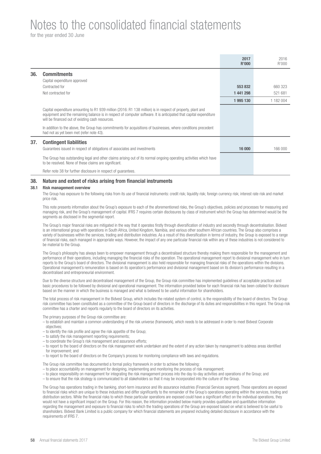for the year ended 30 June

|     |                                                                                                                                                                                                                                                                                       | 2017<br>R'000 | 2016<br>R'000 |
|-----|---------------------------------------------------------------------------------------------------------------------------------------------------------------------------------------------------------------------------------------------------------------------------------------|---------------|---------------|
| 36. | <b>Commitments</b>                                                                                                                                                                                                                                                                    |               |               |
|     | Capital expenditure approved                                                                                                                                                                                                                                                          |               |               |
|     | Contracted for                                                                                                                                                                                                                                                                        | 553 832       | 660 323       |
|     | Not contracted for                                                                                                                                                                                                                                                                    | 1 441 298     | 521 681       |
|     |                                                                                                                                                                                                                                                                                       | 1995 130      | 1 182 004     |
|     | Capital expenditure amounting to R1 939 million (2016: R1 138 million) is in respect of property, plant and<br>equipment and the remaining balance is in respect of computer software. It is anticipated that capital expenditure<br>will be financed out of existing cash resources. |               |               |
|     | In addition to the above, the Group has commitments for acquisitions of businesses, where conditions precedent<br>had not as yet been met (refer note 43).                                                                                                                            |               |               |
| 37. | <b>Contingent liabilities</b>                                                                                                                                                                                                                                                         |               |               |
|     | Guarantees issued in respect of obligations of associates and investments                                                                                                                                                                                                             | 16 000        | 166 000       |
|     | The Group has outstanding legal and other claims arising out of its normal ongoing operating activities which have<br>to be resolved. None of these claims are significant.                                                                                                           |               |               |
|     | Refer note 38 for further disclosure in respect of quarantees.                                                                                                                                                                                                                        |               |               |

## **38. Nature and extent of risks arising from financial instruments**

#### **38.1 Risk management overview**

The Group has exposure to the following risks from its use of financial instruments: credit risk; liquidity risk; foreign currency risk; interest rate risk and market price risk.

This note presents information about the Group's exposure to each of the aforementioned risks, the Group's objectives, policies and processes for measuring and managing risk, and the Group's management of capital. IFRS 7 requires certain disclosures by class of instrument which the Group has determined would be the segments as disclosed in the segmental report.

The Group's major financial risks are mitigated in the way that it operates firstly through diversification of industry and secondly through decentralisation. Bidvest is an international group with operations in South Africa, United Kingdom, Namibia, and various other southern African countries. The Group also comprises a variety of businesses within the services, trading and distribution industries. As a result of this diversification in terms of industry, the Group is exposed to a range of financial risks, each managed in appropriate ways. However, the impact of any one particular financial risk within any of these industries is not considered to be material to the Group.

The Group's philosophy has always been to empower management through a decentralised structure thereby making them responsible for the management and performance of their operations, including managing the financial risks of the operation. The operational management report to divisional management who in turn reports to the Group's board of directors. The divisional management is also held responsible for managing financial risks of the operations within the divisions. Operational management's remuneration is based on its operation's performance and divisional management based on its division's performance resulting in a decentralised and entrepreneurial environment.

Due to the diverse structure and decentralised management of the Group, the Group risk committee has implemented guidelines of acceptable practices and basic procedures to be followed by divisional and operational management. The information provided below for each financial risk has been collated for disclosure based on the manner in which the business is managed and what is believed to be useful information for shareholders.

The total process of risk management in the Bidvest Group, which includes the related system of control, is the responsibility of the board of directors. The Group risk committee has been constituted as a committee of the Group board of directors in the discharge of its duties and responsibilities in this regard. The Group risk committee has a charter and reports regularly to the board of directors on its activities.

The primary purposes of the Group risk committee are:

- to establish and maintain a common understanding of the risk universe (framework), which needs to be addressed in order to meet Bidvest Corporate objectives;
- to identify the risk profile and agree the risk appetite of the Group;
- to satisfy the risk management reporting requirements;
- to coordinate the Group's risk management and assurance efforts;
- to report to the board of directors on the risk management work undertaken and the extent of any action taken by management to address areas identified for improvement; and
- to report to the board of directors on the Company's process for monitoring compliance with laws and regulations.

The Group risk committee has documented a formal policy framework in order to achieve the following:

- to place accountability on management for designing, implementing and monitoring the process of risk management;
- to place responsibility on management for integrating the risk management process into the day-to-day activities and operations of the Group; and
- to ensure that the risk strategy is communicated to all stakeholders so that it may be incorporated into the culture of the Group.

The Group has operations trading in the banking, short-term insurance and life assurance industries (Financial Services segment). These operations are exposed to financial risks which are unique to these industries and differ significantly to the remainder of the Group's operations operating within the services, trading and distribution sectors. While the financial risks to which these particular operations are exposed could have a significant effect on the individual operations, they would not have a significant impact on the Group. For this reason, the information provided below mainly provides qualitative and quantitative information regarding the management and exposure to financial risks to which the trading operations of the Group are exposed based on what is believed to be useful to shareholders. Bidvest Bank Limited is a public company for which financial statements are prepared including detailed disclosure in accordance with the requirements of IFRS 7.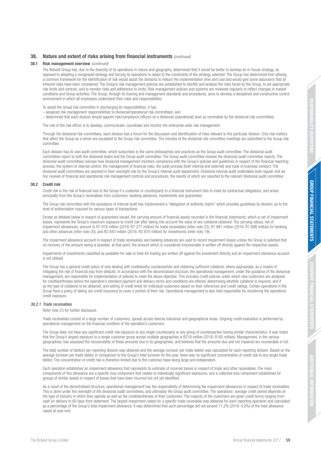## **38.** Nature and extent of risks arising from financial instruments (continued)

### **38.1 Risk management overview** (continued)

The Bidvest Group has, due to the diversity of its operations in nature and geography, determined that it would be better to develop an in-house strategy, as opposed to adopting a recognised strategy and forcing its operations to adapt to the constraints of the strategy selected. The Group has determined that utilising a common framework for the identification of risk would assist the divisions to reduce the implementation time and cost and would give some assurance that all inherent risks have been considered. The Group's risk management policies are established to identify and analyse the risks faced by the Group, to set appropriate risk limits and controls, and to monitor risks and adherence to limits. Risk management policies and systems are reviewed regularly to reflect changes in market conditions and Group activities. The Group, through its training and management standards and procedures, aims to develop a disciplined and constructive control environment in which all employees understand their roles and responsibilities.

To assist the Group risk committee in discharging its responsibilities, it has:

- assigned risk management responsibilities to divisional/operational risk committees; and
- determined that each division should appoint risk/compliance officers on a divisional (operational) level as nominated by the divisional risk committees.

The role of the risk officer is to develop, communicate, coordinate and monitor the enterprise-wide risk management.

Through the divisional risk committees, each division has a forum for the discussion and identification of risks relevant to the particular division. Only risk matters that affect the Group as a whole are escalated to the Group risk committee. The minutes of the divisional risk committee meetings are submitted to the Group risk committee.

Each division has its own audit committee, which subscribes to the same philosophies and practices as the Group audit committee. The divisional audit committees report to both the divisional board and the Group audit committee. The Group audit committee reviews the divisional audit committee reports. The divisional audit committees oversee how divisional management monitors compliance with the Group's policies and guidelines in respect of the financial reporting process, the system of internal control, the management of financial risks, the audit process (both internal and external) and code of business conduct. The divisional audit committees are assisted in their oversight role by the Group's internal audit department. Divisional internal audit undertakes both regular and ad hoc reviews of financial and operational risk management controls and procedures, the results of which are reported to the relevant divisional audit committee.

#### **38.2 Credit risk**

Credit risk is the risk of financial loss to the Group if a customer or counterparty to a financial instrument fails to meet its contractual obligations, and arises principally from the Group's receivables from customers, banking advances, investments and guarantees.

The Group risk committee with the assistance of internal audit has implemented a "delegation of authority matrix" which provides guidelines by division, as to the level of authorisation required for various types of transactions.

Except as detailed below in respect of guarantees issued, the carrying amount of financial assets recorded in the financial statements, which is net of impairment losses, represents the Group's maximum exposure to credit risk after taking into account the value of any collateral obtained. The carrying values, net of impairment allowances, amount to R7 918 million (2016: R7 277 million) for trade receivables (refer note 23), R1 891 million (2016: R1 698 million) for banking and other advances (refer note 20), and R2 843 million (2016: R2 870 million) for investments (refer note 19).

The impairment allowance account in respect of trade receivables and banking advances are used to record impairment losses unless the Group is satisfied that no recovery of the amount owing is possible; at that point, the amount which is considered irrecoverable is written off directly against the respective assets.

Impairments of investments classified as available-for-sale or held-for-trading are written off against the investment directly and an impairment allowance account is not utilised.

The Group has a general credit policy of only dealing with creditworthy counterparties and obtaining sufficient collateral, where appropriate, as a means of mitigating the risk of financial loss from defaults. In accordance with the decentralised structure, the operational management, under the guidance of the divisional management, are responsible for implementation of policies to meet the above objective. This includes credit policies under which new customers are analysed for creditworthiness before the operation's standard payment and delivery terms and conditions are offered, determining whether collateral is required, and if so the type of collateral to be obtained, and setting of credit limits for individual customers based on their references and credit ratings. Certain operations in the Group have a policy of taking out credit insurance to cover a portion of their risk. Operational management is also held responsible for monitoring the operations' credit exposure.

### 38.2.1 Trade receivables

Refer note 23 for further disclosure.

Trade receivables consist of a large number of customers, spread across diverse industries and geographical areas. Ongoing credit evaluation is performed by operational management on the financial condition of the operation's customers.

The Group does not have any significant credit risk exposure to any single counterparty or any group of counterparties having similar characteristics. It was noted that the Group's largest exposure to a single customer group across multiple geographies is R218 million (2016: R165 million). Management, in the various geographies, has assessed the recoverability of these amounts due in its geographies, and believes that the amounts due and not impaired are recoverable in full.

The total number of debtors per reporting division was obtained and the average turnover per trade debtor was calculated for each reporting division. Based on the average turnover per trade debtor in comparison to the Group's total turnover for the year, there was no significant concentration of credit risk to any single trade debtor. The concentration of credit risk is therefore limited due to the customer base being large and independent.

Each operation establishes an impairment allowance that represents its estimate of incurred losses in respect of trade and other receivables. The main components of this allowance are a specific loss component that relates to individually significant exposures, and a collective loss component established for groups of similar assets in respect of losses that have been incurred but not yet identified.

As a result of the decentralised structure, operational management has the responsibility of determining the impairment allowances in respect of trade receivables. This is done under the oversight of the divisional audit committees, and ultimately the Group audit committee. The operations' average credit period depends on the type of industry in which they operate as well as the creditworthiness of their customers. The majority of the customers are given credit terms ranging from cash on delivery to 60 days from statement. The largest impairment raised for a specific trade receivable was obtained for each reporting operation and calculated as a percentage of the Group's total impairment allowance. It was determined that such percentage did not exceed 11,2% (2016: 4,0%) of the total allowance raised at year-end.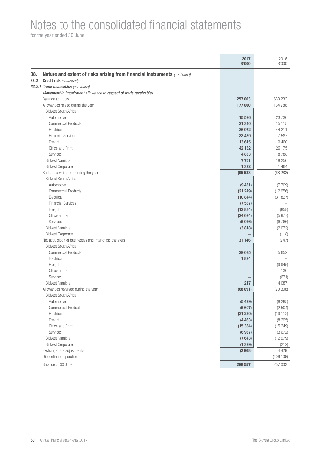for the year ended 30 June

|      |                                                                           | 2017<br><b>R'000</b> | 2016<br>R'000      |
|------|---------------------------------------------------------------------------|----------------------|--------------------|
| 38.  | Nature and extent of risks arising from financial instruments (continued) |                      |                    |
| 38.2 | <b>Credit risk</b> (continued)                                            |                      |                    |
|      | 38.2.1 Trade receivables (continued)                                      |                      |                    |
|      | Movement in impairment allowance in respect of trade receivables          |                      |                    |
|      | Balance at 1 July                                                         | 257 003              | 633 232            |
|      | Allowances raised during the year                                         | 177 000              | 164 786            |
|      | <b>Bidvest South Africa</b>                                               |                      |                    |
|      | Automotive                                                                | 15 596               | 23 7 30            |
|      | <b>Commercial Products</b>                                                | 21 340               | 15 115             |
|      | Electrical                                                                | 36 972               | 44 211             |
|      | <b>Financial Services</b>                                                 | 33 439               | 7587               |
|      | Freight                                                                   | 13615                | 9 4 6 0            |
|      | Office and Print                                                          | 42 132               | 26 175             |
|      | Services                                                                  | 4833                 | 18788              |
|      | <b>Bidvest Namibia</b>                                                    | 7751                 | 18 25 6            |
|      | <b>Bidvest Corporate</b>                                                  | 1 3 2 2              | 1 4 6 4            |
|      | Bad debts written off during the year                                     | (95533)              | (68 283)           |
|      | <b>Bidvest South Africa</b>                                               |                      |                    |
|      | Automotive                                                                | (9431)               | (7709)             |
|      | <b>Commercial Products</b>                                                | (21 249)             | (12956)            |
|      | Electrical                                                                | (10844)              | (31 827)           |
|      | <b>Financial Services</b>                                                 | (7587)               |                    |
|      | Freight                                                                   | (12884)              | (858)              |
|      | Office and Print                                                          | (24694)              | (5977)             |
|      | Services                                                                  | (5026)               | (6766)             |
|      | <b>Bidvest Namibia</b>                                                    | (3818)               | (2072)             |
|      | <b>Bidvest Corporate</b>                                                  |                      | (118)              |
|      | Net acquisition of businesses and inter-class transfers                   | 31 146               | (747)              |
|      | <b>Bidvest South Africa</b>                                               |                      |                    |
|      | <b>Commercial Products</b>                                                | 29 035               | 5 6 5 2            |
|      | Electrical                                                                | 1894                 |                    |
|      | Freight                                                                   |                      | (9945)             |
|      | Office and Print                                                          |                      | 130                |
|      | Services                                                                  |                      | (671)              |
|      | <b>Bidvest Namibia</b>                                                    | 217                  | 4 0 8 7            |
|      | Allowances reversed during the year                                       | (68091)              | (70308)            |
|      | <b>Bidvest South Africa</b>                                               |                      |                    |
|      | Automotive                                                                | (5429)               | (8285)             |
|      | <b>Commercial Products</b>                                                | (5607)               | (2504)<br>(19112)  |
|      | Electrical                                                                | (21 229)             |                    |
|      | Freight<br>Office and Print                                               | (4463)<br>(15384)    | (8 295)<br>(15249) |
|      | Services                                                                  | (6937)               | (3672)             |
|      | <b>Bidvest Namibia</b>                                                    | (7643)               | (12979)            |
|      | <b>Bidvest Corporate</b>                                                  | (1399)               |                    |
|      | Exchange rate adjustments                                                 | (2968)               | (212)<br>4 4 2 9   |
|      | Discontinued operations                                                   |                      | (406 106)          |
|      |                                                                           |                      |                    |
|      | Balance at 30 June                                                        | 298 557              | 257 003            |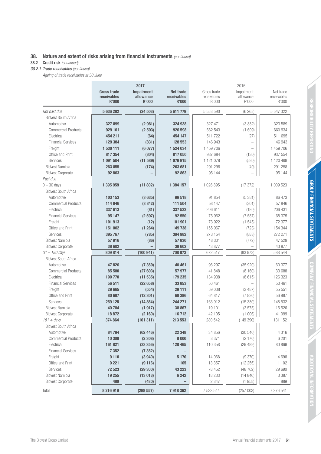## **38.** Nature and extent of risks arising from financial instruments (continued)

## **38.2 Credit risk** (continued)

38.2.1 Trade receivables (continued)

Ageing of trade receivables at 30 June

|                             | 2017               |                           |                             | 2016                 |                    |             |  |
|-----------------------------|--------------------|---------------------------|-----------------------------|----------------------|--------------------|-------------|--|
|                             | <b>Gross trade</b> | Impairment                | <b>Net trade</b>            | Gross trade          | Impairment         | Net trade   |  |
|                             | receivables        | allowance<br><b>R'000</b> | receivables<br><b>R'000</b> | receivables<br>R'000 | allowance<br>R'000 | receivables |  |
|                             | <b>R'000</b>       |                           |                             |                      |                    | R'000       |  |
| Not past due                | 5 636 282          | (24503)                   | 5 611 779                   | 5 553 590            | (6268)             | 5 547 322   |  |
| <b>Bidvest South Africa</b> |                    |                           |                             |                      |                    |             |  |
| Automotive                  | 327899             | (2961)                    | 324 938                     | 327 471              | (3882)             | 323 589     |  |
| <b>Commercial Products</b>  | 929 101            | (2503)                    | 926 598                     | 662 543              | (1609)             | 660 934     |  |
| Electrical                  | 454 211            | (64)                      | 454 147                     | 511722               | (27)               | 511 695     |  |
| <b>Financial Services</b>   | 129 384            | (831)                     | 128 553                     | 146 943              |                    | 146 943     |  |
| Freight                     | 1 530 111          | (6077)                    | 1 524 034                   | 1 459 706            |                    | 1 459 706   |  |
| Office and Print            | 817 354            | (304)                     | 817050                      | 937 684              | (130)              | 937 554     |  |
| Services                    | 1 091 504          | (11589)                   | 1079915                     | 1 121 079            | (580)              | 1 120 499   |  |
| <b>Bidvest Namibia</b>      | 263 855            | (174)                     | 263 681                     | 291 298              | (40)               | 291 258     |  |
| <b>Bidvest Corporate</b>    | 92 863             |                           | 92 863                      | 95 144               |                    | 95 144      |  |
| Past due                    |                    |                           |                             |                      |                    |             |  |
| $0 - 30$ days               | 1 395 959          | (11 802)                  | 1 384 157                   | 1 026 895            | (17372)            | 1 009 523   |  |
| <b>Bidvest South Africa</b> |                    |                           |                             |                      |                    |             |  |
| Automotive                  | 103 153            | (3635)                    | 99 518                      | 91 854               | (5381)             | 86 473      |  |
| <b>Commercial Products</b>  | 114 846            | (3342)                    | 111 504                     | 58 147               | (301)              | 57 846      |  |
| Electrical                  | 337 613            | (81)                      | 337 532                     | 206 611              | (180)              | 206 431     |  |
| <b>Financial Services</b>   | 95 147             | (2597)                    | 92 550                      | 75 962               | (7587)             | 68 375      |  |
| Freight                     | 101 913            | (12)                      | 101 901                     | 73 922               | (1545)             | 72 377      |  |
| Office and Print            | 151 002            | (1264)                    | 149 738                     | 155 067              | (723)              | 154 344     |  |
| Services                    | 395 767            | (785)                     | 394 982                     | 273 154              | (883)              | 272 271     |  |
| <b>Bidvest Namibia</b>      | 57916              | (86)                      | 57830                       | 48 301               | (772)              | 47 529      |  |
| <b>Bidvest Corporate</b>    | 38 602             |                           | 38 602                      | 43 877               |                    | 43 877      |  |
| $31 - 180$ days             | 809 814            | (100941)                  | 708 873                     | 672 517              | (83973)            | 588 544     |  |
| <b>Bidvest South Africa</b> |                    |                           |                             |                      |                    |             |  |
| Automotive                  | 47820              | (7359)                    | 40 461                      | 96 297               | (35920)            | 60 377      |  |
| <b>Commercial Products</b>  | 85 580             | (27603)                   | 57 977                      | 41 848               | (8160)             | 33 688      |  |
| Electrical                  | 190770             | (11535)                   | 179 235                     | 134 938              | (8615)             | 126 323     |  |
| <b>Financial Services</b>   | 56 511             | (22658)                   | 33 853                      | 50 461               |                    | 50 461      |  |
| Freight                     | 29 665             | (554)                     | 29 111                      | 59 038               | (3487)             | 55 551      |  |
| Office and Print            | 80 687             | (12301)                   | 68 386                      | 64 817               | (7830)             | 56 987      |  |
| Services                    | 259 125            | (14854)                   | 244 271                     | 163 912              | (15380)            | 148 532     |  |
| <b>Bidvest Namibia</b>      | 40784              | (1917)                    | 38 867                      | 19 101               | (3575)             | 15 5 26     |  |
| <b>Bidvest Corporate</b>    | 18872              | (2160)                    | 16712                       | 42 105               | (1006)             | 41 099      |  |
| $181 + \text{days}$         | 374 864            | (161311)                  | 213 553                     | 280 542              | (149390)           | 131 152     |  |
| <b>Bidvest South Africa</b> |                    |                           |                             |                      |                    |             |  |
| Automotive                  | 84 794             | (62446)                   | 22 348                      | 34 856               | (30 540)           | 4 3 1 6     |  |
| <b>Commercial Products</b>  | 10 308             | (2308)                    | 8 0 0 0                     | 8 3 7 1              | (2170)             | 6 201       |  |
| Electrical                  | 161 821            | (33 356)                  | 128 465                     | 110 358              | (29 489)           | 80 869      |  |
| <b>Financial Services</b>   | 7 3 5 2            | (7352)                    |                             |                      |                    |             |  |
| Freight                     | 9 1 1 0            | (3940)                    | 5 1 7 0                     | 14 068               | (9370)             | 4698        |  |
| Office and Print            | 9 2 21             | (9116)                    | 105                         | 13 357               | (12 255)           | 1 1 0 2     |  |
| Services                    | 72 523             | (29300)                   | 43 223                      | 78 452               | (48762)            | 29 690      |  |
| <b>Bidvest Namibia</b>      | 19 255             | (13013)                   | 6 2 4 2                     | 18 233               | (14846)            | 3 3 8 7     |  |
| <b>Bidvest Corporate</b>    | 480                | (480)                     |                             | 2847                 | (1958)             | 889         |  |
|                             |                    |                           |                             |                      |                    |             |  |
| Total                       | 8 216 919          | (298 557)                 | 7918362                     | 7 533 544            | (257003)           | 7 276 541   |  |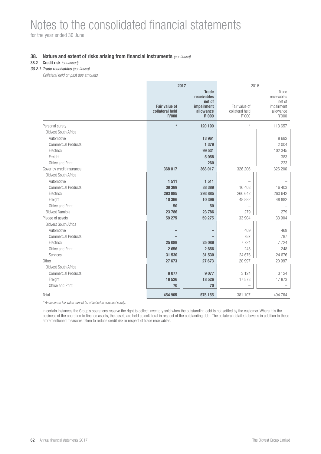for the year ended 30 June

## **38.** Nature and extent of risks arising from financial instruments (continued)

## **38.2 Credit risk** (continued)

38.2.1 Trade receivables (continued)

Collateral held on past due amounts

|                             | 2017                                                    |                                                                                  | 2016                                      |                                                                    |
|-----------------------------|---------------------------------------------------------|----------------------------------------------------------------------------------|-------------------------------------------|--------------------------------------------------------------------|
|                             | <b>Fair value of</b><br>collateral held<br><b>R'000</b> | <b>Trade</b><br>receivables<br>net of<br>impairment<br>allowance<br><b>R'000</b> | Fair value of<br>collateral held<br>R'000 | Trade<br>receivables<br>net of<br>impairment<br>allowance<br>R'000 |
| Personal surety             | $\star$                                                 | 120 190                                                                          | $\star$                                   | 113 657                                                            |
| <b>Bidvest South Africa</b> |                                                         |                                                                                  |                                           |                                                                    |
| Automotive                  |                                                         | 13 961                                                                           |                                           | 8 6 9 2                                                            |
| <b>Commercial Products</b>  |                                                         | 1 3 7 9                                                                          |                                           | 2 0 0 4                                                            |
| Electrical                  |                                                         | 99 531                                                                           |                                           | 102 345                                                            |
| Freight                     |                                                         | 5058                                                                             |                                           | 383                                                                |
| Office and Print            |                                                         | 260                                                                              |                                           | 233                                                                |
| Cover by credit insurance   | 368 017                                                 | 368 017                                                                          | 326 206                                   | 326 206                                                            |
| <b>Bidvest South Africa</b> |                                                         |                                                                                  |                                           |                                                                    |
| Automotive                  | 1511                                                    | 1511                                                                             |                                           |                                                                    |
| <b>Commercial Products</b>  | 38 389                                                  | 38 389                                                                           | 16 403                                    | 16 403                                                             |
| Electrical                  | 293 885                                                 | 293 885                                                                          | 260 642                                   | 260 642                                                            |
| Freight                     | 10 396                                                  | 10 396                                                                           | 48 882                                    | 48 882                                                             |
| Office and Print            | 50                                                      | 50                                                                               |                                           |                                                                    |
| <b>Bidvest Namibia</b>      | 23786                                                   | 23 786                                                                           | 279                                       | 279                                                                |
| Pledge of assets            | 59 275                                                  | 59 275                                                                           | 33 904                                    | 33 904                                                             |
| <b>Bidvest South Africa</b> |                                                         |                                                                                  |                                           |                                                                    |
| Automotive                  |                                                         |                                                                                  | 469                                       | 469                                                                |
| <b>Commercial Products</b>  |                                                         |                                                                                  | 787                                       | 787                                                                |
| Electrical                  | 25 089                                                  | 25 089                                                                           | 7724                                      | 7724                                                               |
| Office and Print            | 2656                                                    | 2656                                                                             | 248                                       | 248                                                                |
| Services                    | 31 530                                                  | 31 530                                                                           | 24 676                                    | 24 676                                                             |
| Other                       | 27673                                                   | 27 673                                                                           | 20 997                                    | 20 997                                                             |
| <b>Bidvest South Africa</b> |                                                         |                                                                                  |                                           |                                                                    |
| <b>Commercial Products</b>  | 9077                                                    | 9077                                                                             | 3 1 2 4                                   | 3 1 2 4                                                            |
| Freight                     | 18526                                                   | 18 526                                                                           | 17873                                     | 17873                                                              |
| Office and Print            | 70                                                      | 70                                                                               |                                           |                                                                    |
| Total                       | 454 965                                                 | 575 155                                                                          | 381 107                                   | 494 764                                                            |

\* An accurate fair value cannot be attached to personal surety.

In certain instances the Group's operations reserve the right to collect inventory sold when the outstanding debt is not settled by the customer. Where it is the business of the operation to finance assets, the assets are held as collateral in respect of the outstanding debt. The collateral detailed above is in addition to these aforementioned measures taken to reduce credit risk in respect of trade receivables.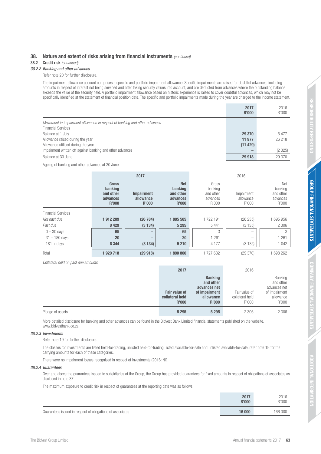## **38.** Nature and extent of risks arising from financial instruments (continued)

### **38.2 Credit risk** (continued)

### 38.2.2 Banking and other advances

Refer note 20 for further disclosure.

The impairment allowance account comprises a specific and portfolio impairment allowance. Specific impairments are raised for doubtful advances, including amounts in respect of interest not being serviced and after taking security values into account, and are deducted from advances where the outstanding balance exceeds the value of the security held. A portfolio impairment allowance based on historic experience is raised to cover doubtful advances, which may not be specifically identified at the statement of financial position date. The specific and portfolio impairments made during the year are charged to the income statement.

|                                                                           | 2017<br>R'000 | 2016<br>R'000 |
|---------------------------------------------------------------------------|---------------|---------------|
| Movement in impairment allowance in respect of banking and other advances |               |               |
| <b>Financial Services</b>                                                 |               |               |
| Balance at 1 July                                                         | 29 370        | 5477          |
| Allowance raised during the year                                          | 11 977        | 26 218        |
| Allowance utilised during the year                                        | (11 429)      |               |
| Impairment written off against banking and other advances                 |               | (2325)        |
| Balance at 30 June                                                        | 29 918        | 29 370        |

Ageing of banking and other advances at 30 June

|                           |                                                                  | 2017                                           |                                                                |                                                    | 2016                             |                                                  |
|---------------------------|------------------------------------------------------------------|------------------------------------------------|----------------------------------------------------------------|----------------------------------------------------|----------------------------------|--------------------------------------------------|
|                           | <b>Gross</b><br>banking<br>and other<br>advances<br><b>R'000</b> | <b>Impairment</b><br>allowance<br><b>R'000</b> | <b>Net</b><br>banking<br>and other<br>advances<br><b>R'000</b> | Gross<br>banking<br>and other<br>advances<br>R'000 | Impairment<br>allowance<br>R'000 | Net<br>banking<br>and other<br>advances<br>R'000 |
| <b>Financial Services</b> |                                                                  |                                                |                                                                |                                                    |                                  |                                                  |
| Not past due              | 1912289                                                          | (26784)                                        | 1885 505                                                       | 1722191                                            | (26 235)                         | 695 956                                          |
| Past due                  | 8 4 2 9                                                          | (3134)                                         | 5 2 9 5                                                        | 5 4 4 1                                            | (3135)                           | 2 3 0 6                                          |
| $0 - 30$ days             | 65                                                               | -                                              | 65                                                             | 3                                                  | -                                | 3                                                |
| $31 - 180$ days           | 20                                                               | $\hspace{0.05cm}$                              | 20                                                             | 261                                                | $\overline{\phantom{a}}$         | 1 2 6 1                                          |
| $181 + days$              | 8 3 4 4                                                          | (3134)                                         | 5 2 1 0                                                        | 4 1 7 7                                            | (3135)                           | 1 0 4 2                                          |
| Total                     | 1920718                                                          | (29918)                                        | 1890800                                                        | 1727632                                            | (29370)                          | 698 262                                          |

Collateral held on past due amounts

|                  | 2017                                                    |                                                                                    | 2016                                      |                                                                             |
|------------------|---------------------------------------------------------|------------------------------------------------------------------------------------|-------------------------------------------|-----------------------------------------------------------------------------|
|                  | <b>Fair value of</b><br>collateral held<br><b>R'000</b> | <b>Banking</b><br>and other<br>advances net<br>of impairment<br>allowance<br>R'000 | Fair value of<br>collateral held<br>R'000 | Banking<br>and other<br>advances net<br>of impairment<br>allowance<br>R'000 |
| Pledge of assets | 5 2 9 5                                                 | 5 2 9 5                                                                            | 2 306                                     | 2 3 0 6                                                                     |

More detailed disclosure for banking and other advances can be found in the Bidvest Bank Limited financial statements published on the website, www.bidvestbank.co.za.

### 38.2.3 Investments

Refer note 19 for further disclosure.

The classes for investments are listed held-for-trading, unlisted held-for-trading, listed available-for-sale and unlisted available-for-sale, refer note 19 for the carrying amounts for each of these categories.

There were no impairment losses recognised in respect of investments (2016: Nil).

#### 38.2.4 Guarantees

Over and above the guarantees issued to subsidiaries of the Group, the Group has provided guarantees for fixed amounts in respect of obligations of associates as disclosed in note 37.

The maximum exposure to credit risk in respect of guarantees at the reporting date was as follows:

|                                                           | 2017<br>R'000 | 2016<br>R'000 |
|-----------------------------------------------------------|---------------|---------------|
| Guarantees issued in respect of obligations of associates | 16 000        | 166 000       |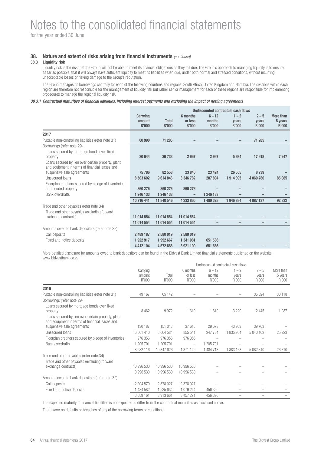for the year ended 30 June

## **38.** Nature and extent of risks arising from financial instruments (continued)

## **38.3 Liquidity risk**

Liquidity risk is the risk that the Group will not be able to meet its financial obligations as they fall due. The Group's approach to managing liquidity is to ensure, as far as possible, that it will always have sufficient liquidity to meet its liabilities when due, under both normal and stressed conditions, without incurring unacceptable losses or risking damage to the Group's reputation.

The Group manages its borrowings centrally for each of the following countries and regions: South Africa, United Kingdom and Namibia. The divisions within each region are therefore not responsible for the management of liquidity risk but rather senior management for each of these regions are responsible for implementing procedures to manage the regional liquidity risk.

#### 38.3.1 Contractual maturities of financial liabilities, including interest payments and excluding the impact of netting agreements

|                                                                                                      |                             |                              |                                     |                             | Undiscounted contractual cash flows |                           |                               |
|------------------------------------------------------------------------------------------------------|-----------------------------|------------------------------|-------------------------------------|-----------------------------|-------------------------------------|---------------------------|-------------------------------|
|                                                                                                      | Carrying<br>amount<br>R'000 | <b>Total</b><br><b>R'000</b> | 6 months<br>or less<br><b>R'000</b> | $6 - 12$<br>months<br>R'000 | $1 - 2$<br>years<br>R'000           | $2 - 5$<br>years<br>R'000 | More than<br>5 years<br>R'000 |
| 2017                                                                                                 |                             |                              |                                     |                             |                                     |                           |                               |
| Puttable non-controlling liabilities (refer note 31)                                                 | 60 990                      | 71 285                       |                                     |                             |                                     | 71 285                    |                               |
| Borrowings (refer note 29)                                                                           |                             |                              |                                     |                             |                                     |                           |                               |
| Loans secured by mortgage bonds over fixed<br>property                                               | 30 644                      | 36733                        | 2967                                | 2 9 67                      | 5934                                | 17618                     | 7 247                         |
| Loans secured by lien over certain property, plant<br>and equipment in terms of financial leases and |                             |                              |                                     |                             |                                     |                           |                               |
| suspensive sale agreements                                                                           | 75 786                      | 82 558                       | 23 840                              | 23 4 24                     | 26 555                              | 8739                      |                               |
| Unsecured loans                                                                                      | 8 503 602                   | 9614846                      | 3 346 782                           | 207 804                     | 1 914 395                           | 4 060 780                 | 85 0 85                       |
| Floorplan creditors secured by pledge of inventories                                                 |                             |                              |                                     |                             |                                     |                           |                               |
| and bonded property                                                                                  | 860 276                     | 860 276                      | 860 276                             |                             |                                     |                           |                               |
| <b>Bank overdrafts</b>                                                                               | 1 246 133                   | 1 246 133                    | $\qquad \qquad -$                   | 1 246 133                   |                                     |                           |                               |
|                                                                                                      | 10 716 441                  | 11 840 546                   | 4 233 865                           | 1 480 328                   | 1946884                             | 4 087 137                 | 92 332                        |
| Trade and other payables (refer note 34)                                                             |                             |                              |                                     |                             |                                     |                           |                               |
| Trade and other payables (excluding forward                                                          |                             |                              |                                     |                             |                                     |                           |                               |
| exchange contracts)                                                                                  | 11 014 554                  | 11 014 554                   | 11 014 554                          |                             |                                     |                           |                               |
|                                                                                                      | 11 014 554                  | 11 014 554                   | 11 014 554                          | $\overline{\phantom{0}}$    |                                     | -                         |                               |
| Amounts owed to bank depositors (refer note 32)                                                      |                             |                              |                                     |                             |                                     |                           |                               |
| Call deposits                                                                                        | 2 489 187                   | 2580019                      | 2 580 019                           |                             |                                     |                           |                               |
| Fixed and notice deposits                                                                            | 1 922 917                   | 1992667                      | 1 341 081                           | 651 586                     |                                     |                           |                               |
|                                                                                                      | 4 4 1 2 1 0 4               | 4572686                      | 3 921 100                           | 651 586                     |                                     |                           |                               |

More detailed disclosure for amounts owed to bank depositors can be found in the Bidvest Bank Limited financial statements published on the website, www.bidvestbank.co.za.

|                                                                                                      |                             |                |                              | Undiscounted contractual cash flows |                           |                           |                               |
|------------------------------------------------------------------------------------------------------|-----------------------------|----------------|------------------------------|-------------------------------------|---------------------------|---------------------------|-------------------------------|
|                                                                                                      | Carrying<br>amount<br>R'000 | Total<br>R'000 | 6 months<br>or less<br>R'000 | $6 - 12$<br>months<br>R'000         | $1 - 2$<br>vears<br>R'000 | $2 - 5$<br>years<br>R'000 | More than<br>5 years<br>R'000 |
| 2016                                                                                                 |                             |                |                              |                                     |                           |                           |                               |
| Puttable non-controlling liabilities (refer note 31)                                                 | 49 167                      | 65 142         |                              |                                     | -                         | 35 0 24                   | 30 118                        |
| Borrowings (refer note 29)                                                                           |                             |                |                              |                                     |                           |                           |                               |
| Loans secured by mortgage bonds over fixed<br>property                                               | 8 4 6 2                     | 9972           | 1610                         | 1610                                | 3 2 2 0                   | 2 4 4 5                   | 1087                          |
| Loans secured by lien over certain property, plant<br>and equipment in terms of financial leases and |                             |                |                              |                                     |                           |                           |                               |
| suspensive sale agreements                                                                           | 130 187                     | 151 013        | 37618                        | 29673                               | 43 959                    | 39 763                    |                               |
| Unsecured loans                                                                                      | 6 661 410                   | 8 004 584      | 855 541                      | 247 734                             | 1835984                   | 5 040 102                 | 25 2 23                       |
| Floorplan creditors secured by pledge of inventories                                                 | 976 356                     | 976 356        | 976 356                      |                                     |                           |                           |                               |
| <b>Bank overdrafts</b>                                                                               | 1 205 701                   | 1 205 701      | -                            | 1 205 701                           |                           |                           |                               |
|                                                                                                      | 8 982 116                   | 10 347 626     | 1871125                      | 1 484 718                           | 1883163                   | 5 082 310                 | 26 310                        |
| Trade and other payables (refer note 34)                                                             |                             |                |                              |                                     |                           |                           |                               |
| Trade and other payables (excluding forward<br>exchange contracts)                                   | 10 996 530                  | 10 996 530     | 10 996 530                   |                                     |                           |                           |                               |
|                                                                                                      | 10 996 530                  | 10 996 530     | 10 996 530                   |                                     |                           | $\overline{\phantom{0}}$  |                               |
| Amounts owed to bank depositors (refer note 32)                                                      |                             |                |                              |                                     |                           |                           |                               |
| Call deposits                                                                                        | 2 204 579                   | 2 378 027      | 2 378 027                    |                                     |                           |                           |                               |
| Fixed and notice deposits                                                                            | 1484582                     | 1 535 634      | 1 079 244                    | 456 390                             |                           |                           |                               |
|                                                                                                      | 3 689 161                   | 3913661        | 3 457 271                    | 456 390                             |                           |                           |                               |

The expected maturity of financial liabilities is not expected to differ from the contractual maturities as disclosed above.

There were no defaults or breaches of any of the borrowing terms or conditions.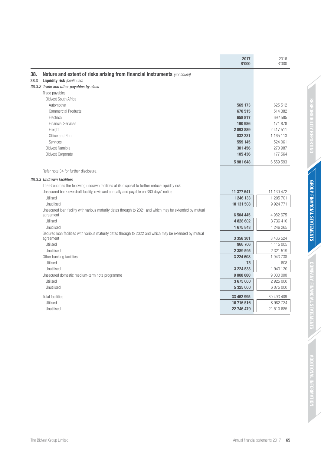| Nature and extent of risks arising from financial instruments (continued)<br>38.<br>38.3<br><b>Liquidity risk</b> (continued)<br>38.3.2 Trade and other payables by class<br>Trade payables<br><b>Bidvest South Africa</b><br>Automotive<br>569 173<br><b>Commercial Products</b><br>670 515<br>Electrical<br>658 817<br><b>Financial Services</b><br>190 986<br>2 417 511<br>Freight<br>2093889<br>Office and Print<br>832 231<br>Services<br>559 145<br>524 061<br><b>Bidvest Namibia</b><br>301 456<br>105 436<br><b>Bidvest Corporate</b><br>5981648<br>Refer note 34 for further disclosure.<br>38.3.3 Undrawn facilities<br>The Group has the following undrawn facilities at its disposal to further reduce liquidity risk:<br>Unsecured bank overdraft facility, reviewed annually and payable on 360 days' notice<br>11 377 641<br>11 130 472<br>Utilised<br>1 246 133<br>Unutilised<br>10 131 508<br>9 9 2 4 7 7 1<br>Unsecured loan facility with various maturity dates through to 2021 and which may be extended by mutual<br>6 504 445<br>agreement<br>Utilised<br>4 828 602<br>1675843<br>Unutilised<br>Secured loan facilities with various maturity dates through to 2022 and which may be extended by mutual<br>3 356 301<br>agreement<br>Utilised<br>966 706<br>2 389 595<br>Unutilised<br>3 224 608<br>Other banking facilities<br>Utilised<br>75<br>Unutilised<br>3 2 2 4 5 3 3<br>Unsecured domestic medium-term note programme<br>9 000 000<br>Utilised<br>3675000<br>Unutilised<br>5 325 000<br><b>Total facilities</b><br>33 462 995<br>10 716 516<br>Utilised |            | 2017<br><b>R'000</b> | 2016<br>R'000 |
|-----------------------------------------------------------------------------------------------------------------------------------------------------------------------------------------------------------------------------------------------------------------------------------------------------------------------------------------------------------------------------------------------------------------------------------------------------------------------------------------------------------------------------------------------------------------------------------------------------------------------------------------------------------------------------------------------------------------------------------------------------------------------------------------------------------------------------------------------------------------------------------------------------------------------------------------------------------------------------------------------------------------------------------------------------------------------------------------------------------------------------------------------------------------------------------------------------------------------------------------------------------------------------------------------------------------------------------------------------------------------------------------------------------------------------------------------------------------------------------------------------------------------------------------------------------------------------------------|------------|----------------------|---------------|
|                                                                                                                                                                                                                                                                                                                                                                                                                                                                                                                                                                                                                                                                                                                                                                                                                                                                                                                                                                                                                                                                                                                                                                                                                                                                                                                                                                                                                                                                                                                                                                                         |            |                      |               |
|                                                                                                                                                                                                                                                                                                                                                                                                                                                                                                                                                                                                                                                                                                                                                                                                                                                                                                                                                                                                                                                                                                                                                                                                                                                                                                                                                                                                                                                                                                                                                                                         |            |                      |               |
|                                                                                                                                                                                                                                                                                                                                                                                                                                                                                                                                                                                                                                                                                                                                                                                                                                                                                                                                                                                                                                                                                                                                                                                                                                                                                                                                                                                                                                                                                                                                                                                         |            |                      |               |
|                                                                                                                                                                                                                                                                                                                                                                                                                                                                                                                                                                                                                                                                                                                                                                                                                                                                                                                                                                                                                                                                                                                                                                                                                                                                                                                                                                                                                                                                                                                                                                                         |            |                      |               |
|                                                                                                                                                                                                                                                                                                                                                                                                                                                                                                                                                                                                                                                                                                                                                                                                                                                                                                                                                                                                                                                                                                                                                                                                                                                                                                                                                                                                                                                                                                                                                                                         |            |                      |               |
|                                                                                                                                                                                                                                                                                                                                                                                                                                                                                                                                                                                                                                                                                                                                                                                                                                                                                                                                                                                                                                                                                                                                                                                                                                                                                                                                                                                                                                                                                                                                                                                         |            |                      | 625 512       |
|                                                                                                                                                                                                                                                                                                                                                                                                                                                                                                                                                                                                                                                                                                                                                                                                                                                                                                                                                                                                                                                                                                                                                                                                                                                                                                                                                                                                                                                                                                                                                                                         |            |                      | 514 382       |
|                                                                                                                                                                                                                                                                                                                                                                                                                                                                                                                                                                                                                                                                                                                                                                                                                                                                                                                                                                                                                                                                                                                                                                                                                                                                                                                                                                                                                                                                                                                                                                                         |            |                      | 692 585       |
|                                                                                                                                                                                                                                                                                                                                                                                                                                                                                                                                                                                                                                                                                                                                                                                                                                                                                                                                                                                                                                                                                                                                                                                                                                                                                                                                                                                                                                                                                                                                                                                         |            |                      | 171 878       |
|                                                                                                                                                                                                                                                                                                                                                                                                                                                                                                                                                                                                                                                                                                                                                                                                                                                                                                                                                                                                                                                                                                                                                                                                                                                                                                                                                                                                                                                                                                                                                                                         |            |                      |               |
|                                                                                                                                                                                                                                                                                                                                                                                                                                                                                                                                                                                                                                                                                                                                                                                                                                                                                                                                                                                                                                                                                                                                                                                                                                                                                                                                                                                                                                                                                                                                                                                         |            |                      | 1 1 6 5 1 1 3 |
|                                                                                                                                                                                                                                                                                                                                                                                                                                                                                                                                                                                                                                                                                                                                                                                                                                                                                                                                                                                                                                                                                                                                                                                                                                                                                                                                                                                                                                                                                                                                                                                         |            |                      |               |
|                                                                                                                                                                                                                                                                                                                                                                                                                                                                                                                                                                                                                                                                                                                                                                                                                                                                                                                                                                                                                                                                                                                                                                                                                                                                                                                                                                                                                                                                                                                                                                                         |            |                      | 270 987       |
|                                                                                                                                                                                                                                                                                                                                                                                                                                                                                                                                                                                                                                                                                                                                                                                                                                                                                                                                                                                                                                                                                                                                                                                                                                                                                                                                                                                                                                                                                                                                                                                         |            |                      | 177 564       |
|                                                                                                                                                                                                                                                                                                                                                                                                                                                                                                                                                                                                                                                                                                                                                                                                                                                                                                                                                                                                                                                                                                                                                                                                                                                                                                                                                                                                                                                                                                                                                                                         |            |                      | 6 559 593     |
|                                                                                                                                                                                                                                                                                                                                                                                                                                                                                                                                                                                                                                                                                                                                                                                                                                                                                                                                                                                                                                                                                                                                                                                                                                                                                                                                                                                                                                                                                                                                                                                         |            |                      |               |
|                                                                                                                                                                                                                                                                                                                                                                                                                                                                                                                                                                                                                                                                                                                                                                                                                                                                                                                                                                                                                                                                                                                                                                                                                                                                                                                                                                                                                                                                                                                                                                                         |            |                      |               |
|                                                                                                                                                                                                                                                                                                                                                                                                                                                                                                                                                                                                                                                                                                                                                                                                                                                                                                                                                                                                                                                                                                                                                                                                                                                                                                                                                                                                                                                                                                                                                                                         |            |                      |               |
|                                                                                                                                                                                                                                                                                                                                                                                                                                                                                                                                                                                                                                                                                                                                                                                                                                                                                                                                                                                                                                                                                                                                                                                                                                                                                                                                                                                                                                                                                                                                                                                         |            |                      |               |
|                                                                                                                                                                                                                                                                                                                                                                                                                                                                                                                                                                                                                                                                                                                                                                                                                                                                                                                                                                                                                                                                                                                                                                                                                                                                                                                                                                                                                                                                                                                                                                                         |            |                      | 1 205 701     |
|                                                                                                                                                                                                                                                                                                                                                                                                                                                                                                                                                                                                                                                                                                                                                                                                                                                                                                                                                                                                                                                                                                                                                                                                                                                                                                                                                                                                                                                                                                                                                                                         |            |                      |               |
|                                                                                                                                                                                                                                                                                                                                                                                                                                                                                                                                                                                                                                                                                                                                                                                                                                                                                                                                                                                                                                                                                                                                                                                                                                                                                                                                                                                                                                                                                                                                                                                         |            |                      |               |
|                                                                                                                                                                                                                                                                                                                                                                                                                                                                                                                                                                                                                                                                                                                                                                                                                                                                                                                                                                                                                                                                                                                                                                                                                                                                                                                                                                                                                                                                                                                                                                                         |            |                      | 4 982 675     |
|                                                                                                                                                                                                                                                                                                                                                                                                                                                                                                                                                                                                                                                                                                                                                                                                                                                                                                                                                                                                                                                                                                                                                                                                                                                                                                                                                                                                                                                                                                                                                                                         |            |                      | 3736410       |
|                                                                                                                                                                                                                                                                                                                                                                                                                                                                                                                                                                                                                                                                                                                                                                                                                                                                                                                                                                                                                                                                                                                                                                                                                                                                                                                                                                                                                                                                                                                                                                                         |            |                      | 1 246 265     |
|                                                                                                                                                                                                                                                                                                                                                                                                                                                                                                                                                                                                                                                                                                                                                                                                                                                                                                                                                                                                                                                                                                                                                                                                                                                                                                                                                                                                                                                                                                                                                                                         |            |                      |               |
|                                                                                                                                                                                                                                                                                                                                                                                                                                                                                                                                                                                                                                                                                                                                                                                                                                                                                                                                                                                                                                                                                                                                                                                                                                                                                                                                                                                                                                                                                                                                                                                         |            |                      | 3 436 524     |
|                                                                                                                                                                                                                                                                                                                                                                                                                                                                                                                                                                                                                                                                                                                                                                                                                                                                                                                                                                                                                                                                                                                                                                                                                                                                                                                                                                                                                                                                                                                                                                                         |            |                      | 1 115 005     |
|                                                                                                                                                                                                                                                                                                                                                                                                                                                                                                                                                                                                                                                                                                                                                                                                                                                                                                                                                                                                                                                                                                                                                                                                                                                                                                                                                                                                                                                                                                                                                                                         |            |                      | 2 321 519     |
|                                                                                                                                                                                                                                                                                                                                                                                                                                                                                                                                                                                                                                                                                                                                                                                                                                                                                                                                                                                                                                                                                                                                                                                                                                                                                                                                                                                                                                                                                                                                                                                         |            |                      | 1 943 738     |
|                                                                                                                                                                                                                                                                                                                                                                                                                                                                                                                                                                                                                                                                                                                                                                                                                                                                                                                                                                                                                                                                                                                                                                                                                                                                                                                                                                                                                                                                                                                                                                                         |            |                      | 608           |
|                                                                                                                                                                                                                                                                                                                                                                                                                                                                                                                                                                                                                                                                                                                                                                                                                                                                                                                                                                                                                                                                                                                                                                                                                                                                                                                                                                                                                                                                                                                                                                                         |            |                      | 1 943 130     |
|                                                                                                                                                                                                                                                                                                                                                                                                                                                                                                                                                                                                                                                                                                                                                                                                                                                                                                                                                                                                                                                                                                                                                                                                                                                                                                                                                                                                                                                                                                                                                                                         |            |                      | 9 000 000     |
|                                                                                                                                                                                                                                                                                                                                                                                                                                                                                                                                                                                                                                                                                                                                                                                                                                                                                                                                                                                                                                                                                                                                                                                                                                                                                                                                                                                                                                                                                                                                                                                         |            |                      | 2 925 000     |
|                                                                                                                                                                                                                                                                                                                                                                                                                                                                                                                                                                                                                                                                                                                                                                                                                                                                                                                                                                                                                                                                                                                                                                                                                                                                                                                                                                                                                                                                                                                                                                                         |            |                      | 6 075 000     |
|                                                                                                                                                                                                                                                                                                                                                                                                                                                                                                                                                                                                                                                                                                                                                                                                                                                                                                                                                                                                                                                                                                                                                                                                                                                                                                                                                                                                                                                                                                                                                                                         |            |                      | 30 493 409    |
|                                                                                                                                                                                                                                                                                                                                                                                                                                                                                                                                                                                                                                                                                                                                                                                                                                                                                                                                                                                                                                                                                                                                                                                                                                                                                                                                                                                                                                                                                                                                                                                         |            |                      | 8 982 724     |
|                                                                                                                                                                                                                                                                                                                                                                                                                                                                                                                                                                                                                                                                                                                                                                                                                                                                                                                                                                                                                                                                                                                                                                                                                                                                                                                                                                                                                                                                                                                                                                                         | Unutilised | 22 746 479           | 21 510 685    |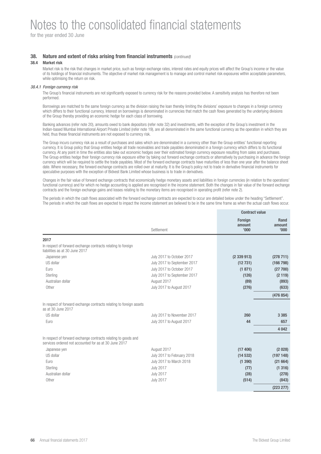for the year ended 30 June

## **38.** Nature and extent of risks arising from financial instruments (continued)

### **38.4 Market risk**

Market risk is the risk that changes in market price, such as foreign exchange rates, interest rates and equity prices will affect the Group's income or the value of its holdings of financial instruments. The objective of market risk management is to manage and control market risk exposures within acceptable parameters, while optimising the return on risk.

### 38.4.1 Foreign currency risk

The Group's financial instruments are not significantly exposed to currency risk for the reasons provided below. A sensitivity analysis has therefore not been performed.

Borrowings are matched to the same foreign currency as the division raising the loan thereby limiting the divisions' exposure to changes in a foreign currency which differs to their functional currency. Interest on borrowings is denominated in currencies that match the cash flows generated by the underlying divisions of the Group thereby providing an economic hedge for each class of borrowing.

Banking advances (refer note 20), amounts owed to bank depositors (refer note 32) and investments, with the exception of the Group's investment in the Indian-based Mumbai International Airport Private Limited (refer note 19), are all denominated in the same functional currency as the operation in which they are held, thus these financial instruments are not exposed to currency risk.

The Group incurs currency risk as a result of purchases and sales which are denominated in a currency other than the Group entities' functional reporting currency. It is Group policy that Group entities hedge all trade receivables and trade payables denominated in a foreign currency which differs to its functional currency. At any point in time the entities also take out economic hedges over their estimated foreign currency exposure resulting from sales and purchases. The Group entities hedge their foreign currency risk exposure either by taking out forward exchange contracts or alternatively by purchasing in advance the foreign currency which will be required to settle the trade payables. Most of the forward exchange contracts have maturities of less than one year after the balance sheet date. Where necessary, the forward exchange contracts are rolled over at maturity. It is the Group's policy not to trade in derivative financial instruments for speculative purposes with the exception of Bidvest Bank Limited whose business is to trade in derivatives.

Changes in the fair value of forward exchange contracts that economically hedge monetary assets and liabilities in foreign currencies (in relation to the operations' functional currency) and for which no hedge accounting is applied are recognised in the income statement. Both the changes in fair value of the forward exchange contracts and the foreign exchange gains and losses relating to the monetary items are recognised in operating profit (refer note 2).

The periods in which the cash flows associated with the forward exchange contracts are expected to occur are detailed below under the heading "Settlement". The periods in which the cash flows are expected to impact the income statement are believed to be in the same time frame as when the actual cash flows occur.

| Settlement                  | Foreign<br>amount<br>'000' | <b>Rand</b><br>amount<br>'000' |
|-----------------------------|----------------------------|--------------------------------|
|                             |                            |                                |
|                             |                            |                                |
| July 2017 to October 2017   | (2339913)                  | (278 711)                      |
| July 2017 to September 2017 | (12731)                    | (166 798)                      |
| July 2017 to October 2017   | (1871)                     | (27700)                        |
| July 2017 to September 2017 | (126)                      | (2119)                         |
| August 2017                 | (89)                       | (893)                          |
| July 2017 to August 2017    | (276)                      | (633)                          |
|                             |                            | (476 854)                      |
|                             |                            |                                |
| July 2017 to November 2017  | 260                        | 3 3 8 5                        |
| July 2017 to August 2017    | 44                         | 657                            |
|                             |                            | 4 0 4 2                        |
|                             |                            |                                |
| August 2017                 | (17406)                    | (2028)                         |
| July 2017 to February 2018  | (14532)                    | (197148)                       |
| July 2017 to March 2018     | (1390)                     | (21664)                        |
| <b>July 2017</b>            | (77)                       | (1316)                         |
| <b>July 2017</b>            | (28)                       | (278)                          |
| <b>July 2017</b>            | (514)                      | (843)                          |
|                             |                            | (223 277)                      |
|                             |                            | <b>Contract value</b>          |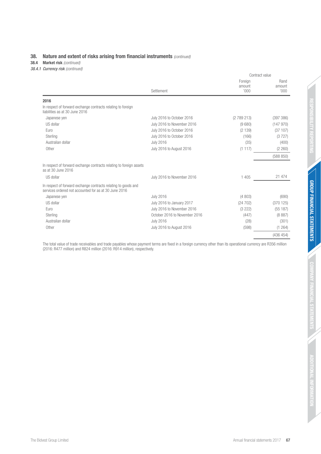## **38.** Nature and extent of risks arising from financial instruments (continued)

**38.4 Market risk** (continued)

38.4.1 Currency risk (continued)

|                                                                                                                         |                               | Contract value             |                         |  |
|-------------------------------------------------------------------------------------------------------------------------|-------------------------------|----------------------------|-------------------------|--|
|                                                                                                                         | Settlement                    | Foreign<br>amount<br>'000' | Rand<br>amount<br>'000' |  |
| 2016                                                                                                                    |                               |                            |                         |  |
| In respect of forward exchange contracts relating to foreign<br>liabilities as at 30 June 2016                          |                               |                            |                         |  |
| Japanese yen                                                                                                            | July 2016 to October 2016     | (2789213)                  | (397 386)               |  |
| US dollar                                                                                                               | July 2016 to November 2016    | (9680)                     | (147970)                |  |
| Euro                                                                                                                    | July 2016 to October 2016     | (2139)                     | (37107)                 |  |
| Sterling                                                                                                                | July 2016 to October 2016     | (166)                      | (3727)                  |  |
| Australian dollar                                                                                                       | <b>July 2016</b>              | (35)                       | (400)                   |  |
| Other                                                                                                                   | July 2016 to August 2016      | (1117)                     | (2 260)                 |  |
|                                                                                                                         |                               |                            | (588 850)               |  |
| In respect of forward exchange contracts relating to foreign assets<br>as at 30 June 2016                               |                               |                            |                         |  |
| US dollar                                                                                                               | July 2016 to November 2016    | 1 4 0 5                    | 21 474                  |  |
| In respect of forward exchange contracts relating to goods and<br>services ordered not accounted for as at 30 June 2016 |                               |                            |                         |  |
| Japanese yen                                                                                                            | <b>July 2016</b>              | (4803)                     | (690)                   |  |
| US dollar                                                                                                               | July 2016 to January 2017     | (24702)                    | (370125)                |  |
| Euro                                                                                                                    | July 2016 to November 2016    | (3 222)                    | (55187)                 |  |
| Sterling                                                                                                                | October 2016 to November 2016 | (447)                      | (8887)                  |  |
| Australian dollar                                                                                                       | <b>July 2016</b>              | (28)                       | (301)                   |  |
| Other                                                                                                                   | July 2016 to August 2016      | (598)                      | (1264)                  |  |
|                                                                                                                         |                               |                            | (436 454)               |  |

The total value of trade receivables and trade payables whose payment terms are fixed in a foreign currency other than its operational currency are R356 million (2016: R477 million) and R824 million (2016: R914 million), respectively.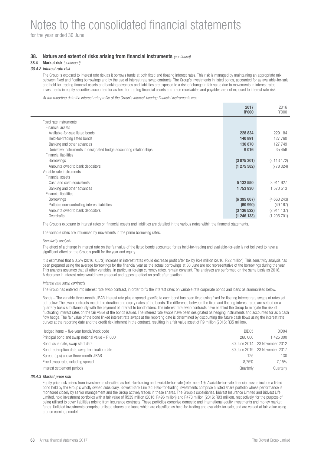for the year ended 30 June

### **38.** Nature and extent of risks arising from financial instruments (continued)

## **38.4 Market risk** (continued)

### 38.4.2 Interest rate risk

The Group is exposed to interest rate risk as it borrows funds at both fixed and floating interest rates. This risk is managed by maintaining an appropriate mix between fixed and floating borrowings and by the use of interest rate swap contracts. The Group's investments in listed bonds, accounted for as available-for-sale and held-for-trading financial assets and banking advances and liabilities are exposed to a risk of change in fair value due to movements in interest rates. Investments in equity securities accounted for as held for trading financial assets and trade receivables and payables are not exposed to interest rate risk.

At the reporting date the interest rate profile of the Group's interest-bearing financial instruments was:

|                                                                     | 2017<br>R'000 | 2016<br>R'000 |
|---------------------------------------------------------------------|---------------|---------------|
| Fixed rate instruments                                              |               |               |
| Financial assets                                                    |               |               |
| Available-for-sale listed bonds                                     | 228 834       | 229 184       |
| Held-for-trading listed bonds                                       | 140 891       | 127 760       |
| Banking and other advances                                          | 136 870       | 127 749       |
| Derivative instruments in designated hedge accounting relationships | 9016          | 35 456        |
| Financial liabilities                                               |               |               |
| <b>Borrowings</b>                                                   | (3075301)     | (3113172)     |
| Amounts owed to bank depositors                                     | (1275582)     | (778024)      |
| Variable rate instruments                                           |               |               |
| Financial assets                                                    |               |               |
| Cash and cash equivalents                                           | 5 132 550     | 3 911 927     |
| Banking and other advances                                          | 1753930       | 1 570 513     |
| <b>Financial liabilities</b>                                        |               |               |
| <b>Borrowings</b>                                                   | (6395007)     | (4663243)     |
| Puttable non-controlling interest liabilities                       | (60990)       | (49167)       |
| Amounts owed to bank depositors                                     | (3136522)     | (2911137)     |
| Overdrafts                                                          | (1246133)     | (1205701)     |

The Group's exposure to interest rates on financial assets and liabilities are detailed in the various notes within the financial statements.

The variable rates are influenced by movements in the prime borrowing rates.

#### Sensitivity analysis

The effect of a change in interest rate on the fair value of the listed bonds accounted for as held-for-trading and available-for-sale is not believed to have a significant effect on the Group's profit for the year and equity.

It is estimated that a 0,5% (2016: 0,5%) increase in interest rates would decrease profit after tax by R24 million (2016: R22 million). This sensitivity analysis has been prepared using the average borrowings for the financial year as the actual borrowings at 30 June are not representative of the borrowings during the year. This analysis assumes that all other variables, in particular foreign currency rates, remain constant. The analyses are performed on the same basis as 2016. A decrease in interest rates would have an equal and opposite effect on profit after taxation.

#### Interest rate swap contracts

The Group has entered into interest rate swap contract, in order to fix the interest rates on variable rate corporate bonds and loans as summarised below.

Bonds – The variable three-month JIBAR interest rate plus a spread specific to each bond has been fixed using fixed for floating interest rate swaps at rates set out below. The swap contracts match the duration and expiry dates of the bonds. The difference between the fixed and floating interest rates are settled on a quarterly basis simultaneously with the payment of interest to bondholders. The interest rate swap contracts have enabled the Group to mitigate the risk of fluctuating interest rates on the fair value of the bonds issued. The interest rate swaps have been designated as hedging instruments and accounted for as a cash flow hedge. The fair value of the bond linked interest rate swaps at the reporting date is determined by discounting the future cash flows using the interest rate curves at the reporting date and the credit risk inherent in the contract, resulting in a fair value asset of R9 million (2016: R35 million).

| BID05     | BID <sub>04</sub>             |
|-----------|-------------------------------|
| 260,000   | 1 425 000                     |
|           | 30 June 2014 23 November 2012 |
|           | 30 June 2019 23 November 2017 |
| 125       | 130                           |
| 8.75%     | 7.15%                         |
| Quarterly | Quarterly                     |
|           |                               |

#### 38.4.3 Market price risk

Equity price risk arises from investments classified as held-for-trading and available-for-sale (refer note 19). Available-for-sale financial assets include a listed bond held by the Group's wholly owned subsidiary, Bidvest Bank Limited. Held-for-trading investments comprise a listed share portfolio whose performance is monitored closely by senior management and the Group actively trades in these shares. The Group's subsidiaries, Bidvest Insurance Limited and Bidvest Life Limited, hold investment portfolios with a fair value of R539 million (2016: R496 million) and R473 million (2016: R93 million), respectively, for the purpose of being utilised to cover liabilities arising from insurance contracts. These portfolios comprise domestic and international equity investments and money market funds. Unlisted investments comprise unlisted shares and loans which are classified as held-for-trading and available-for-sale, and are valued at fair value using a price earnings model.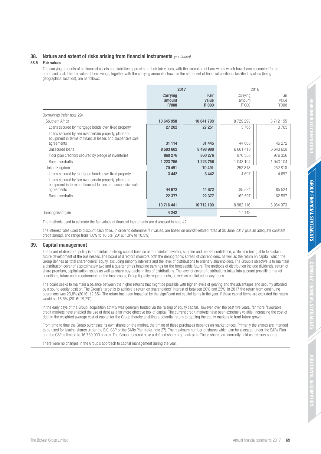## **38.** Nature and extent of risks arising from financial instruments (continued)

### **38.5 Fair values**

The carrying amounts of all financial assets and liabilities approximate their fair values, with the exception of borrowings which have been accounted for at amortised cost. The fair value of borrowings, together with the carrying amounts shown in the statement of financial position, classified by class (being geographical location), are as follows:

|                                                                                                                                    | 2017                        |                               | 2016                        |                        |
|------------------------------------------------------------------------------------------------------------------------------------|-----------------------------|-------------------------------|-----------------------------|------------------------|
|                                                                                                                                    | Carrying<br>amount<br>R'000 | Fair<br>value<br><b>R'000</b> | Carrying<br>amount<br>R'000 | Fair<br>value<br>R'000 |
| Borrowings (refer note 29)                                                                                                         |                             |                               |                             |                        |
| Southern Africa                                                                                                                    | 10 645 950                  | 10 641 708                    | 8729298                     | 8712155                |
| Loans secured by mortgage bonds over fixed property                                                                                | 27 202                      | 27 251                        | 3765                        | 3765                   |
| Loans secured by lien over certain property, plant and<br>equipment in terms of financial leases and suspensive sale<br>agreements | 31 114                      | 31 445                        | 44 663                      | 45 27 2                |
| Unsecured loans                                                                                                                    | 8 503 602                   | 8 498 980                     | 6 661 410                   | 6 643 658              |
| Floor plan creditors secured by pledge of inventories                                                                              | 860 276                     | 860 276                       | 976 356                     | 976 356                |
| <b>Bank overdrafts</b>                                                                                                             | 1 223 756                   | 1 223 756                     | 1 043 104                   | 1 043 104              |
| United Kingdom                                                                                                                     | 70 491                      | 70 491                        | 252 818                     | 252 818                |
| Loans secured by mortgage bonds over fixed property                                                                                | 3 4 4 2                     | 3 4 4 2                       | 4697                        | 4697                   |
| Loans secured by lien over certain property, plant and<br>equipment in terms of financial leases and suspensive sale<br>agreements | 44 672                      | 44 672                        | 85 524                      | 85 5 24                |
| <b>Bank overdrafts</b>                                                                                                             | 22 377                      | 22 377                        | 162 597                     | 162 597                |
|                                                                                                                                    | 10 716 441                  | 10 712 199                    | 8 982 116                   | 8 9 6 4 9 7 3          |
| Unrecognised gain                                                                                                                  | 4 2 4 2                     |                               | 17 143                      |                        |

The methods used to estimate the fair values of financial instruments are discussed in note 42.

The interest rates used to discount cash flows, in order to determine fair values, are based on market-related rates at 30 June 2017 plus an adequate constant credit spread, and range from 1,0% to 10,5% (2016: 1,0% to 10,5%).

### **39. Capital management**

The board of directors' policy is to maintain a strong capital base so as to maintain investor, supplier and market confidence, while also being able to sustain future development of the businesses. The board of directors monitors both the demographic spread of shareholders, as well as the return on capital, which the Group defines as total shareholders' equity, excluding minority interests and the level of distributions to ordinary shareholders. The Group's objective is to maintain a distribution cover of approximately two and a quarter times headline earnings for the foreseeable future. The methods of distribution include dividends, return of share premium, capitalisation issues as well as share buy-backs in lieu of distributions. The level of cover of distributions takes into account prevailing market conditions, future cash requirements of the businesses, Group liquidity requirements, as well as capital adequacy ratios.

The board seeks to maintain a balance between the higher returns that might be possible with higher levels of gearing and the advantages and security afforded by a sound equity position. The Group's target is to achieve a return on shareholders' interest of between 20% and 25%. In 2017 the return from continuing operations was 23,8% (2016: 12,6%). The return has been impacted by the significant net capital items in the year. If these capital items are excluded the return would be 18,6% (2016: 19,2%).

In the early days of the Group, acquisition activity was generally funded via the raising of equity capital. However, over the past five years, far more favourable credit markets have enabled the use of debt as a far more effective tool of capital. The current credit markets have been extremely volatile, increasing the cost of debt in the weighted average cost of capital for the Group thereby enabling a potential return to tapping the equity markets to fund future growth.

From time to time the Group purchases its own shares on the market, the timing of these purchases depends on market prices. Primarily the shares are intended to be used for issuing shares under the BIS, CSP or the SARs Plan (refer note 27). The maximum number of shares which can be allocated under the SARs Plan and the CSP is limited to 16 750 000 shares. The Group does not have a defined share buy-back plan. These shares are currently held as treasury shares.

There were no changes in the Group's approach to capital management during the year.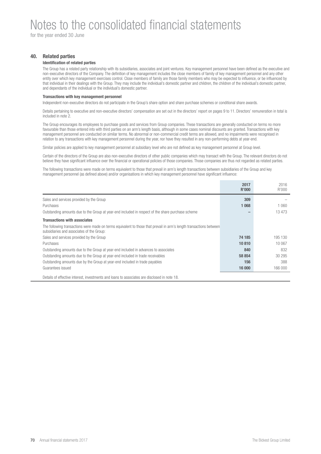for the year ended 30 June

## **40. Related parties**

## **Identification of related parties**

The Group has a related party relationship with its subsidiaries, associates and joint ventures. Key management personnel have been defined as the executive and non-executive directors of the Company. The definition of key management includes the close members of family of key management personnel and any other entity over which key management exercises control. Close members of family are those family members who may be expected to influence, or be influenced by that individual in their dealings with the Group. They may include the individual's domestic partner and children, the children of the individual's domestic partner, and dependants of the individual or the individual's domestic partner.

### **Transactions with key management personnel**

Independent non-executive directors do not participate in the Group's share option and share purchase schemes or conditional share awards.

Details pertaining to executive and non-executive directors' compensation are set out in the directors' report on pages 9 to 11. Directors' remuneration in total is included in note 2.

The Group encourages its employees to purchase goods and services from Group companies. These transactions are generally conducted on terms no more favourable than those entered into with third parties on an arm's length basis, although in some cases nominal discounts are granted. Transactions with key management personnel are conducted on similar terms. No abnormal or non-commercial credit terms are allowed, and no impairments were recognised in relation to any transactions with key management personnel during the year, nor have they resulted in any non-performing debts at year-end.

Similar policies are applied to key management personnel at subsidiary level who are not defined as key management personnel at Group level.

Certain of the directors of the Group are also non-executive directors of other public companies which may transact with the Group. The relevant directors do not believe they have significant influence over the financial or operational policies of those companies. Those companies are thus not regarded as related parties.

The following transactions were made on terms equivalent to those that prevail in arm's length transactions between subsidiaries of the Group and key management personnel (as defined above) and/or organisations in which key management personnel have significant influence:

|                                                                                                                                                                  | 2017<br>R'000 | 2016<br>R'000 |
|------------------------------------------------------------------------------------------------------------------------------------------------------------------|---------------|---------------|
| Sales and services provided by the Group                                                                                                                         | 309           |               |
| <b>Purchases</b>                                                                                                                                                 | 1 0 68        | 1 060         |
| Outstanding amounts due to the Group at year-end included in respect of the share purchase scheme                                                                |               | 13 4 73       |
| <b>Transactions with associates</b>                                                                                                                              |               |               |
| The following transactions were made on terms equivalent to those that prevail in arm's length transactions between<br>subsidiaries and associates of the Group: |               |               |
| Sales and services provided by the Group                                                                                                                         | 74 185        | 195 130       |
| <b>Purchases</b>                                                                                                                                                 | 10810         | 10 067        |
| Outstanding amounts due to the Group at year-end included in advances to associates                                                                              | 840           | 832           |
| Outstanding amounts due to the Group at year-end included in trade receivables                                                                                   | 58 854        | 30 295        |
| Outstanding amounts due by the Group at year-end included in trade payables                                                                                      | 156           | 388           |
| Guarantees issued                                                                                                                                                | 16 000        | 166 000       |
| Details of effective interest, investments and loans to associates are disclosed in note 18.                                                                     |               |               |

**70** Annual financial statements 2017 **The Bidvest Group Limited The Bidvest Group Limited**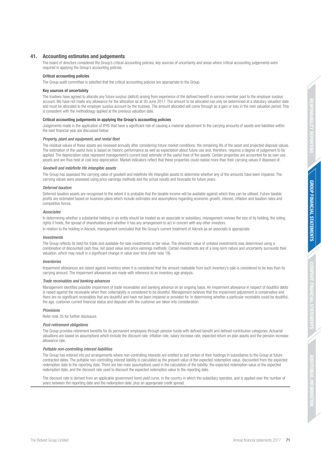#### **41. Accounting estimates and judgements**

The board of directors considered the Group's critical accounting policies, key sources of uncertainty and areas where critical accounting judgements were required in applying the Group's accounting policies.

#### **Critical accounting policies**

The Group audit committee is satisfied that the critical accounting policies are appropriate to the Group.

#### **Key sources of uncertainty**

The trustees have agreed to allocate any future surplus (deficit) arising from experience of the defined benefit in-service member pool to the employer surplus account. We have not made any allowance for the allocation as at 30 June 2017. The amount to be allocated can only be determined at a statutory valuation date and must be allocated to the employer surplus account by the trustees. The amount allocated will come through as a gain or loss in the next valuation period. This is consistent with the methodology applied at the previous valuation date.

#### **Critical accounting judgements in applying the Group's accounting policies**

Judgements made in the application of IFRS that have a significant risk of causing a material adjustment to the carrying amounts of assets and liabilities within the next financial year are discussed below:

#### Property, plant and equipment, and rental fleet

The residual values of these assets are reviewed annually after considering future market conditions, the remaining life of the asset and projected disposal values. The estimation of the useful lives is based on historic performance as well as expectation about future use and, therefore, requires a degree of judgement to be applied. The depreciation rates represent management's current best estimate of the useful lives of the assets. Certain properties are accounted for as own use assets and are thus held at cost less depreciation. Market indicators reflect that these properties could realise more than their carrying values if disposed of.

#### Goodwill and indefinite life intangible assets

The Group has assessed the carrying value of goodwill and indefinite life intangible assets to determine whether any of the amounts have been impaired. The carrying values were assessed using price earnings methods and the actual results and forecasts for future years.

#### Deferred taxation

Deferred taxation assets are recognised to the extent it is probable that the taxable income will be available against which they can be utilised. Future taxable profits are estimated based on business plans which include estimates and assumptions regarding economic growth, interest, inflation and taxation rates and competitive forces.

#### **Associates**

In determining whether a substantial holding in an entity should be treated as an associate or subsidiary, management reviews the size of its holding, the voting rights it holds, the spread of shareholders and whether it has any arrangement to act in concert with any other investors.

In relation to the holding in Adcock, management concluded that the Group's current treatment of Adcock as an associate is appropriate.

#### Investments

The Group reflects its held-for-trade and available-for-sale investments at fair value. The directors' value of unlisted investments was determined using a combination of discounted cash flow, net asset value and price earnings methods. Certain investments are of a long-term nature and uncertainty surrounds their valuation, which may result in a significant change in value over time (refer note 19).

#### Inventories

Impairment allowances are raised against inventory when it is considered that the amount realisable from such inventory's sale is considered to be less than its carrying amount. The impairment allowances are made with reference to an inventory age analysis.

#### Trade receivables and banking advances

Management identifies possible impairment of trade receivables and banking advance on an ongoing basis. An impairment allowance in respect of doubtful debts is raised against the receivable when their collectability is considered to be doubtful. Management believes that the impairment adjustment is conservative and there are no significant receivables that are doubtful and have not been impaired or provided for. In determining whether a particular receivable could be doubtful, the age, customer current financial status and disputes with the customer are taken into consideration.

#### Provisions

Refer note 35 for further disclosure.

#### Post-retirement obligations

The Group provides retirement benefits for its permanent employees through pension funds with defined benefit and defined contribution categories. Actuarial valuations are based on assumptions which include the discount rate, inflation rate, salary increase rate, expected return on plan assets and the pension increase allowance rate.

#### Puttable non-controlling interest liabilities

The Group has entered into put arrangements where non-controlling interests are entitled to sell certain of their holdings in subsidiaries to the Group at future contracted dates. The puttable non-controlling interest liability is calculated as the present value of the expected redemption value, discounted from the expected redemption date to the reporting date. There are two main assumptions used in the calculation of the liability: the expected redemption value at the expected redemption date; and the discount rate used to discount the expected redemption value to the reporting date.

The discount rate is derived from an applicable government bond yield curve, in the country in which the subsidiary operates, and is applied over the number of years between the reporting date and the redemption date, plus an appropriate credit spread.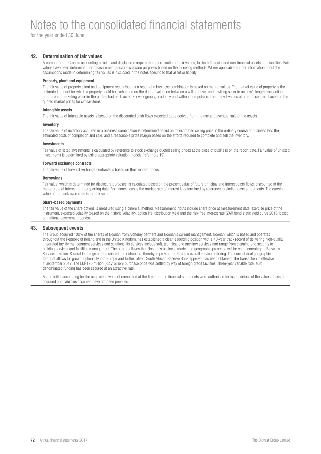### Notes to the consolidated financial statements

for the year ended 30 June

#### **42. Determination of fair values**

A number of the Group's accounting policies and disclosures require the determination of fair values, for both financial and non-financial assets and liabilities. Fair values have been determined for measurement and/or disclosure purposes based on the following methods. Where applicable, further information about the assumptions made in determining fair values is disclosed in the notes specific to that asset or liability.

#### **Property, plant and equipment**

The fair value of property, plant and equipment recognised as a result of a business combination is based on market values. The market value of property is the estimated amount for which a property could be exchanged on the date of valuation between a willing buyer and a willing seller in an arm's length transaction after proper marketing wherein the parties had each acted knowledgeably, prudently and without compulsion. The market values of other assets are based on the quoted market prices for similar items.

#### **Intangible assets**

The fair value of intangible assets is based on the discounted cash flows expected to be derived from the use and eventual sale of the assets.

#### **Inventory**

The fair value of inventory acquired in a business combination is determined based on its estimated selling price in the ordinary course of business less the estimated costs of completion and sale, and a reasonable profit margin based on the efforts required to complete and sell the inventory.

#### **Investments**

Fair value of listed investments is calculated by reference to stock exchange quoted selling prices at the close of business on the report date. Fair value of unlisted investments is determined by using appropriate valuation models (refer note 19).

#### **Forward exchange contracts**

The fair value of forward exchange contracts is based on their market prices.

#### **Borrowings**

Fair value, which is determined for disclosure purposes, is calculated based on the present value of future principal and interest cash flows, discounted at the market rate of interest at the reporting date. For finance leases the market rate of interest is determined by reference to similar lease agreements. The carrying value of the bank overdrafts is the fair value.

#### **Share-based payments**

The fair value of the share options is measured using a binomial method. Measurement inputs include share price at measurement date, exercise price of the instrument, expected volatility (based on the historic volatility), option life, distribution yield and the risk-free interest rate (ZAR bond static yield curve 2016: based on national government bonds).

#### **43. Subsequent events**

The Group acquired 100% of the shares of Noonan from Alchemy partners and Noonan's current management. Noonan, which is based and operates throughout the Republic of Ireland and in the United Kingdom, has established a clear leadership position with a 40-year track record of delivering high-quality integrated facility management services and solutions. Its services include soft, technical and ancillary services and range from cleaning and security to building services and facilities management. The board believes that Noonan's business model and geographic presence will be complementary to Bidvest's Services division. Several learnings can be shared and enhanced, thereby improving the Group's overall services offering. The current dual geographic footprint allows for growth optionality into Europe and further afield. South African Reserve Bank approval has been obtained. The transaction is effective 1 September 2017. The EUR175 million (R2,7 billion) purchase price was settled by way of foreign credit facilities. Three-year variable rate, euro denominated funding has been secured at an attractive rate.

As the initial accounting for the acquisition was not completed at the time that the financial statements were authorised for issue, details of the values of assets acquired and liabilities assumed have not been provided.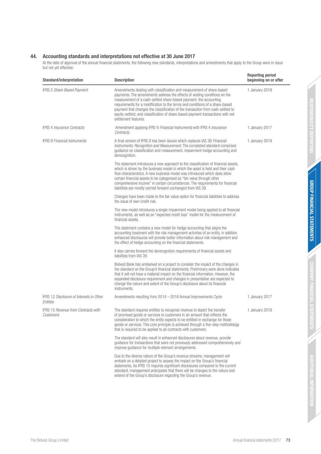#### **44. Accounting standards and interpretations not effective at 30 June 2017**

At the date of approval of the annual financial statements, the following new standards, interpretations and amendments that apply to the Group were in issue but not yet effective:

| <b>Standard/interpretation</b>                          | <b>Description</b>                                                                                                                                                                                                                                                                                                                                                                                                                                                                                    | <b>Reporting period</b><br>beginning on or after |
|---------------------------------------------------------|-------------------------------------------------------------------------------------------------------------------------------------------------------------------------------------------------------------------------------------------------------------------------------------------------------------------------------------------------------------------------------------------------------------------------------------------------------------------------------------------------------|--------------------------------------------------|
| IFRS 2 Share-Based Payment                              | Amendments dealing with classification and measurement of share-based<br>payments. The amendments address the effects of vesting conditions on the<br>measurement of a cash-settled share-based payment; the accounting<br>requirements for a modification to the terms and conditions of a share-based<br>payment that changes the classification of the transaction from cash-settled to<br>equity-settled; and classification of share-based payment transactions with net<br>settlement features. | 1 January 2018                                   |
| <b>IFRS 4 Insurance Contracts</b>                       | Amendment applying IFRS 9 Financial Instruments with IFRS 4 Insurance<br>Contracts.                                                                                                                                                                                                                                                                                                                                                                                                                   | 1 January 2017                                   |
| <b>IFRS 9 Financial Instruments</b>                     | A final version of IFRS 9 has been issued which replaces IAS 39 Financial<br>Instruments: Recognition and Measurement. The completed standard comprises<br>guidance on classification and measurement, impairment hedge accounting and<br>derecognition.                                                                                                                                                                                                                                              | 1 January 2018                                   |
|                                                         | The statement introduces a new approach to the classification of financial assets,<br>which is driven by the business model in which the asset is held and their cash<br>flow characteristics. A new business model was introduced which does allow<br>certain financial assets to be categorised as "fair value through other<br>comprehensive income" in certain circumstances. The requirements for financial<br>liabilities are mostly carried forward unchanged from IAS 39.                     |                                                  |
|                                                         | Changes have been made to the fair value option for financial liabilities to address<br>the issue of own credit risk.                                                                                                                                                                                                                                                                                                                                                                                 |                                                  |
|                                                         | The new model introduces a single impairment model being applied to all financial<br>instruments, as well as an "expected credit loss" model for the measurement of<br>financial assets.                                                                                                                                                                                                                                                                                                              |                                                  |
|                                                         | The statement contains a new model for hedge accounting that aligns the<br>accounting treatment with the risk management activities of an entity, in addition<br>enhanced disclosures will provide better information about risk management and<br>the effect of hedge accounting on the financial statements.                                                                                                                                                                                        |                                                  |
|                                                         | It also carries forward the derecognition requirements of financial assets and<br>liabilities from IAS 39.                                                                                                                                                                                                                                                                                                                                                                                            |                                                  |
|                                                         | Bidvest Bank has embarked on a project to consider the impact of the changes in<br>the standard on the Group's financial statements. Preliminary work done indicates<br>that it will not have a material impact on the financial information. However, the<br>expanded disclosure requirement and changes in presentation are expected to<br>change the nature and extent of the Group's disclosure about its financial<br>instruments.                                                               |                                                  |
| IFRS 12 Disclosure of Interests in Other<br>Entities    | Amendments resulting from 2014 - 2016 Annual Improvements Cycle                                                                                                                                                                                                                                                                                                                                                                                                                                       | 1 January 2017                                   |
| <b>IFRS 15 Revenue from Contracts with</b><br>Customers | The standard requires entities to recognise revenue to depict the transfer<br>of promised goods or services to customers in an amount that reflects the<br>consideration to which the entity expects to be entitled in exchange for those<br>goods or services. This core principle is achieved through a five-step methodology<br>that is required to be applied to all contracts with customers.                                                                                                    | 1 January 2018                                   |
|                                                         | The standard will also result in enhanced disclosures about revenue, provide<br>guidance for transactions that were not previously addressed comprehensively and<br>improve quidance for multiple-element arrangements.                                                                                                                                                                                                                                                                               |                                                  |
|                                                         | Due to the diverse nature of the Group's revenue streams, management will<br>embark on a detailed project to assess the impact on the Group's financial<br>statements. As IFRS 15 requires significant disclosures compared to the current<br>standard, management anticipates that there will be changes to the nature and<br>extend of the Group's disclosure regarding the Group's revenue.                                                                                                        |                                                  |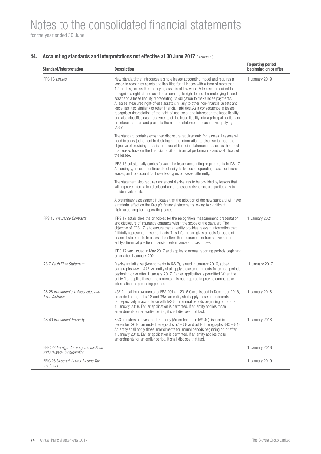## Notes to the consolidated financial statements

for the year ended 30 June

#### **44.** Accounting standards and interpretations not effective at 30 June 2017 (continued)

| <b>Standard/interpretation</b>                                             | <b>Description</b>                                                                                                                                                                                                                                                                                                                                                                                                                                                                                                                                                                                                                                                                                                                                                                                                                                                                            | <b>Reporting period</b><br>beginning on or after |
|----------------------------------------------------------------------------|-----------------------------------------------------------------------------------------------------------------------------------------------------------------------------------------------------------------------------------------------------------------------------------------------------------------------------------------------------------------------------------------------------------------------------------------------------------------------------------------------------------------------------------------------------------------------------------------------------------------------------------------------------------------------------------------------------------------------------------------------------------------------------------------------------------------------------------------------------------------------------------------------|--------------------------------------------------|
| <b>IFRS 16 Leases</b>                                                      | New standard that introduces a single lessee accounting model and requires a<br>lessee to recognise assets and liabilities for all leases with a term of more than<br>12 months, unless the underlying asset is of low value. A lessee is required to<br>recognise a right-of-use asset representing its right to use the underlying leased<br>asset and a lease liability representing its obligation to make lease payments.<br>A lessee measures right-of-use assets similarly to other non-financial assets and<br>lease liabilities similarly to other financial liabilities. As a consequence, a lessee<br>recognises depreciation of the right-of-use asset and interest on the lease liability,<br>and also classifies cash repayments of the lease liability into a principal portion and<br>an interest portion and presents them in the statement of cash flows applying<br>IAS 7. | 1 January 2019                                   |
|                                                                            | The standard contains expanded disclosure requirements for lessees. Lessees will<br>need to apply judgement in deciding on the information to disclose to meet the<br>objective of providing a basis for users of financial statements to assess the effect<br>that leases have on the financial position, financial performance and cash flows of<br>the lessee.                                                                                                                                                                                                                                                                                                                                                                                                                                                                                                                             |                                                  |
|                                                                            | IFRS 16 substantially carries forward the lessor accounting requirements in IAS 17.<br>Accordingly, a lessor continues to classify its leases as operating leases or finance<br>leases, and to account for those two types of leases differently.                                                                                                                                                                                                                                                                                                                                                                                                                                                                                                                                                                                                                                             |                                                  |
|                                                                            | The statement also requires enhanced disclosures to be provided by lessors that<br>will improve information disclosed about a lessor's risk exposure, particularly to<br>residual value risk.                                                                                                                                                                                                                                                                                                                                                                                                                                                                                                                                                                                                                                                                                                 |                                                  |
|                                                                            | A preliminary assessment indicates that the adoption of the new standard will have<br>a material effect on the Group's financial statements, owing to significant<br>high-value long-term operating leases.                                                                                                                                                                                                                                                                                                                                                                                                                                                                                                                                                                                                                                                                                   |                                                  |
| <b>IFRS 17 Insurance Contracts</b>                                         | IFRS 17 establishes the principles for the recognition, measurement, presentation<br>and disclosure of insurance contracts within the scope of the standard. The<br>objective of IFRS 17 is to ensure that an entity provides relevant information that<br>faithfully represents those contracts. This information gives a basis for users of<br>financial statements to assess the effect that insurance contracts have on the<br>entity's financial position, financial performance and cash flows.                                                                                                                                                                                                                                                                                                                                                                                         | 1 January 2021                                   |
|                                                                            | IFRS 17 was issued in May 2017 and applies to annual reporting periods beginning<br>on or after 1 January 2021.                                                                                                                                                                                                                                                                                                                                                                                                                                                                                                                                                                                                                                                                                                                                                                               |                                                  |
| <b>IAS 7 Cash Flow Statement</b>                                           | Disclosure Initiative (Amendments to IAS 7), issued in January 2016, added<br>paragraphs 44A - 44E. An entity shall apply those amendments for annual periods<br>beginning on or after 1 January 2017. Earlier application is permitted. When the<br>entity first applies those amendments, it is not required to provide comparative<br>information for preceding periods.                                                                                                                                                                                                                                                                                                                                                                                                                                                                                                                   | 1 January 2017                                   |
| IAS 28 Investments in Associates and<br>Joint Ventures                     | 45E Annual Improvements to IFRS 2014 - 2016 Cycle, issued in December 2016,<br>amended paragraphs 18 and 36A. An entity shall apply those amendments<br>retrospectively in accordance with IAS 8 for annual periods beginning on or after<br>1 January 2018. Earlier application is permitted. If an entity applies those<br>amendments for an earlier period, it shall disclose that fact.                                                                                                                                                                                                                                                                                                                                                                                                                                                                                                   | 1 January 2018                                   |
| IAS 40 Investment Property                                                 | 85G Transfers of Investment Property (Amendments to IAS 40), issued in<br>December 2016, amended paragraphs $57 - 58$ and added paragraphs $84C - 84E$ .<br>An entity shall apply those amendments for annual periods beginning on or after<br>1 January 2018. Earlier application is permitted. If an entity applies those<br>amendments for an earlier period, it shall disclose that fact.                                                                                                                                                                                                                                                                                                                                                                                                                                                                                                 | 1 January 2018                                   |
| <b>IFRIC 22 Foreign Currency Transactions</b><br>and Advance Consideration |                                                                                                                                                                                                                                                                                                                                                                                                                                                                                                                                                                                                                                                                                                                                                                                                                                                                                               | 1 January 2018                                   |
| <b>IFRIC 23 Uncertainty over Income Tax</b><br>Treatment                   |                                                                                                                                                                                                                                                                                                                                                                                                                                                                                                                                                                                                                                                                                                                                                                                                                                                                                               | 1 January 2019                                   |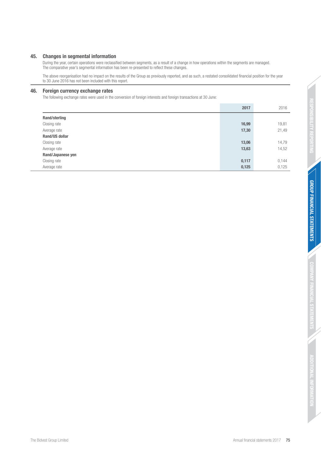#### **45. Changes in segmental information**

During the year, certain operations were reclassified between segments, as a result of a change in how operations within the segments are managed. The comparative year's segmental information has been re-presented to reflect these changes.

The above reorganisation had no impact on the results of the Group as previously reported, and as such, a restated consolidated financial position for the year to 30 June 2016 has not been included with this report.

#### **46. Foreign currency exchange rates**

The following exchange rates were used in the conversion of foreign interests and foreign transactions at 30 June:

|                       | 2017  | 2016  |
|-----------------------|-------|-------|
| Rand/sterling         |       |       |
| Closing rate          | 16,99 | 19,81 |
| Average rate          | 17,30 | 21,49 |
| <b>Rand/US dollar</b> |       |       |
| Closing rate          | 13,06 | 14,79 |
| Average rate          | 13,63 | 14,52 |
| Rand/Japanese yen     |       |       |
| Closing rate          | 0,117 | 0,144 |
| Average rate          | 0,125 | 0,125 |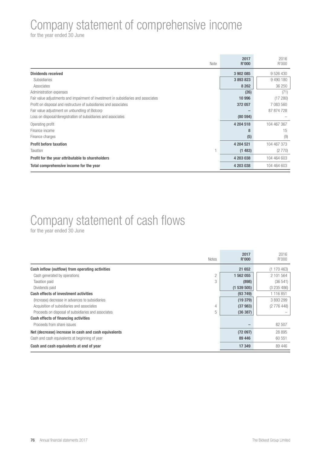### Company statement of comprehensive income

for the year ended 30 June

| Note                                                                               | 2017<br>R'000 | 2016<br>R'000 |
|------------------------------------------------------------------------------------|---------------|---------------|
| <b>Dividends received</b>                                                          | 3 902 085     | 9 5 2 6 4 3 0 |
| Subsidiaries                                                                       | 3893823       | 9 490 180     |
| Associates                                                                         | 8 2 6 2       | 36 250        |
| Administration expenses                                                            | (26)          | (71)          |
| Fair value adjustments and impairment of investment in subsidiaries and associates | 10 996        | (17280)       |
| Profit on disposal and restructure of subsidiaries and associates                  | 372 057       | 7 083 560     |
| Fair value adjustment on unbundling of Bidcorp                                     |               | 87 874 728    |
| Loss on disposal/deregistration of subsidiaries and associates                     | (80 594)      |               |
| Operating profit                                                                   | 4 204 518     | 104 467 367   |
| Finance income                                                                     | 8             | 15            |
| Finance charges                                                                    | (5)           | (9)           |
| <b>Profit before taxation</b>                                                      | 4 204 521     | 104 467 373   |
| Taxation                                                                           | (1483)        | (2770)        |
| Profit for the year attributable to shareholders                                   | 4 203 038     | 104 464 603   |
| Total comprehensive income for the year                                            | 4 203 038     | 104 464 603   |

# Company statement of cash flows

for the year ended 30 June

| <b>Notes</b>                                             | 2017<br><b>R'000</b> | 2016<br>R'000 |
|----------------------------------------------------------|----------------------|---------------|
| Cash inflow (outflow) from operating activities          | 21 652               | (1170463)     |
| $\overline{c}$<br>Cash generated by operations           | 1 562 055            | 2 101 564     |
| 3<br><b>Taxation paid</b>                                | (898)                | (36541)       |
| Dividends paid                                           | (1539505)            | (3235486)     |
| <b>Cash effects of investment activities</b>             | (93749)              | 1 116 851     |
| (Increase) decrease in advances to subsidiaries          | (19379)              | 3893299       |
| Acquisition of subsidiaries and associates<br>4          | (37983)              | (2776448)     |
| 5<br>Proceeds on disposal of subsidiaries and associates | (36 387)             |               |
| <b>Cash effects of financing activities</b>              |                      |               |
| Proceeds from share issues                               |                      | 82 507        |
| Net (decrease) increase in cash and cash equivalents     | (72097)              | 28 895        |
| Cash and cash equivalents at beginning of year           | 89 44 6              | 60 551        |
| Cash and cash equivalents at end of year                 | 17 349               | 89 446        |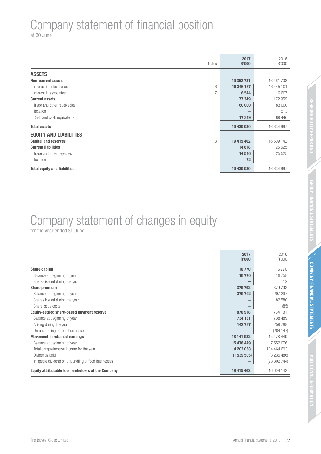## Company statement of financial position

at 30 June

| Notes                               | 2017<br>R'000 | 2016<br>R'000            |
|-------------------------------------|---------------|--------------------------|
| <b>ASSETS</b>                       |               |                          |
| <b>Non-current assets</b>           | 19 352 731    | 16 461 708               |
| 6<br>Interest in subsidiaries       | 19 346 187    | 16 445 101               |
| ⇁<br>Interest in associates         | 6 5 4 4       | 16 607                   |
| <b>Current assets</b>               | 77 349        | 172 959                  |
| Trade and other receivables         | 60 000        | 83 000                   |
| Taxation                            |               | 513                      |
| Cash and cash equivalents           | 17 349        | 89 446                   |
| <b>Total assets</b>                 | 19 430 080    | 16 634 667               |
| <b>EQUITY AND LIABILITIES</b>       |               |                          |
| 8<br><b>Capital and reserves</b>    | 19 415 462    | 16 609 142               |
| <b>Current liabilities</b>          | 14 618        | 25 5 25                  |
| Trade and other payables            | 14 546        | 25 5 25                  |
| Taxation                            | 72            | $\overline{\phantom{0}}$ |
| <b>Total equity and liabilities</b> | 19 430 080    | 16 634 667               |

# Company statement of changes in equity

for the year ended 30 June

|                                                     | 2017<br><b>R'000</b> | 2016<br>R'000 |
|-----------------------------------------------------|----------------------|---------------|
| Share capital                                       | 16770                | 16770         |
| Balance at beginning of year                        | 16770                | 16758         |
| Shares issued during the year                       | -                    | 12            |
| Share premium                                       | 379 792              | 379 792       |
| Balance at beginning of year                        | 379 792              | 297 297       |
| Shares issued during the year                       |                      | 82 580        |
| Share issue costs                                   |                      | (85)          |
| Equity-settled share-based payment reserve          | 876918               | 734 131       |
| Balance at beginning of year                        | 734 131              | 738 489       |
| Arising during the year                             | 142 787              | 259 789       |
| On unbundling of food businesses                    |                      | (264147)      |
| <b>Movement in retained earnings</b>                | 18 141 982           | 15 478 449    |
| Balance at beginning of year                        | 15 478 449           | 7 552 076     |
| Total comprehensive income for the year             | 4 203 038            | 104 464 603   |
| Dividends paid                                      | (1539505)            | (3235486)     |
| In specie dividend on unbundling of food businesses |                      | (93302744)    |
| Equity attributable to shareholders of the Company  | 19 415 462           | 16 609 142    |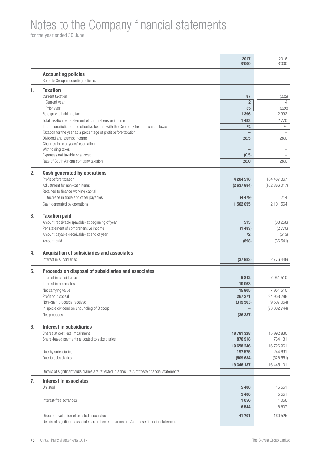### Notes to the Company financial statements

for the year ended 30 June

|    |                                                                                                | 2017<br><b>R'000</b> | 2016<br>R'000           |
|----|------------------------------------------------------------------------------------------------|----------------------|-------------------------|
|    | <b>Accounting policies</b>                                                                     |                      |                         |
|    | Refer to Group accounting policies.                                                            |                      |                         |
| 1. | <b>Taxation</b>                                                                                |                      |                         |
|    | Current taxation                                                                               | 87                   | (222)                   |
|    | Current year                                                                                   | $\overline{2}$       | $\overline{4}$          |
|    | Prior year<br>Foreign withholdings tax                                                         | 85<br>1 3 9 6        | (226)<br>2 9 9 2        |
|    | Total taxation per statement of comprehensive income                                           | 1 4 8 3              | 2770                    |
|    | The reconciliation of the effective tax rate with the Company tax rate is as follows:          | $\%$                 | $\%$                    |
|    | Taxation for the year as a percentage of profit before taxation                                |                      |                         |
|    | Dividend and exempt income                                                                     | 28,5                 | 28,0                    |
|    | Changes in prior years' estimation                                                             |                      |                         |
|    | Withholding taxes                                                                              |                      |                         |
|    | Expenses not taxable or allowed<br>Rate of South African company taxation                      | (0,5)<br>28,0        | 28,0                    |
|    |                                                                                                |                      |                         |
| 2. | <b>Cash generated by operations</b>                                                            |                      |                         |
|    | Profit before taxation                                                                         | 4 204 518            | 104 467 367             |
|    | Adjustment for non-cash items                                                                  | (2637984)            | (102 366 017)           |
|    | Retained to finance working capital                                                            |                      |                         |
|    | Decrease in trade and other payables                                                           | (4479)               | 214                     |
|    | Cash generated by operations                                                                   | 1 562 055            | 2 101 564               |
| 3. | <b>Taxation paid</b>                                                                           |                      |                         |
|    | Amount receivable (payable) at beginning of year                                               | 513                  | (33 258)                |
|    | Per statement of comprehensive income                                                          | (1483)               | (2770)                  |
|    | Amount payable (receivable) at end of year                                                     | 72                   | (513)                   |
|    | Amount paid                                                                                    | (898)                | (36541)                 |
|    |                                                                                                |                      |                         |
| 4. | <b>Acquisition of subsidiaries and associates</b><br>Interest in subsidiaries                  | (37983)              | (2776448)               |
|    |                                                                                                |                      |                         |
| 5. | Proceeds on disposal of subsidiaries and associates                                            |                      |                         |
|    | Interest in subsidiaries                                                                       | 5842                 | 7 951 510               |
|    | Interest in associates                                                                         | 10 063               |                         |
|    | Net carrying value                                                                             | 15 905               | 7 951 510               |
|    | Profit on disposal                                                                             | 267 271              | 94 958 288              |
|    | Non-cash proceeds received<br>In specie dividend on unbundling of Bidcorp                      | (319 563)            | (9607054)<br>(93302744) |
|    | Net proceeds                                                                                   | (36 387)             |                         |
|    |                                                                                                |                      |                         |
| 6. | <b>Interest in subsidiaries</b>                                                                |                      |                         |
|    | Shares at cost less impairment                                                                 | 18 781 328           | 15 992 830              |
|    | Share-based payments allocated to subsidiaries                                                 | 876 918              | 734 131                 |
|    |                                                                                                | 19 658 246           | 16 726 961              |
|    | Due by subsidiaries                                                                            | 197 575              | 244 691                 |
|    | Due to subsidiaries                                                                            | (509634)             | (526 551)               |
|    |                                                                                                | 19 346 187           | 16 445 101              |
|    | Details of significant subsidiaries are reflected in annexure A of these financial statements. |                      |                         |
| 7. | <b>Interest in associates</b>                                                                  |                      |                         |
|    | Unlisted                                                                                       | 5 4 8 8              | 15 551                  |
|    |                                                                                                | 5 4 8 8              | 15 551                  |
|    | Interest-free advances                                                                         | 1 0 5 6              | 1 0 5 6                 |
|    |                                                                                                | 6 5 4 4              | 16 607                  |
|    | Directors' valuation of unlisted associates                                                    | 41 701               | 160 525                 |
|    | Details of significant associates are reflected in annexure A of these financial statements.   |                      |                         |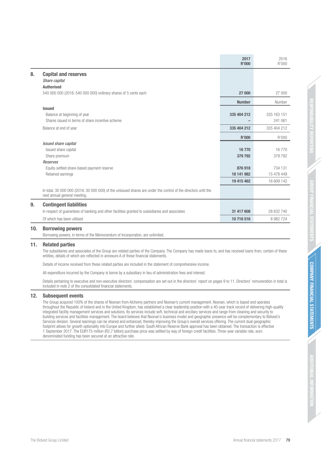|    |                                                                                                                                                 | 2017<br>R'000 | 2016<br>R'000 |
|----|-------------------------------------------------------------------------------------------------------------------------------------------------|---------------|---------------|
| 8. | <b>Capital and reserves</b><br>Share capital                                                                                                    |               |               |
|    | <b>Authorised</b>                                                                                                                               |               |               |
|    | 540 000 000 (2016: 540 000 000) ordinary shares of 5 cents each                                                                                 | 27 000        | 27 000        |
|    |                                                                                                                                                 | <b>Number</b> | Number        |
|    | <b>Issued</b>                                                                                                                                   |               |               |
|    | Balance at beginning of year                                                                                                                    | 335 404 212   | 335 163 151   |
|    | Shares issued in terms of share incentive scheme                                                                                                |               | 241 061       |
|    | Balance at end of year                                                                                                                          | 335 404 212   | 335 404 212   |
|    |                                                                                                                                                 | <b>R'000</b>  | R'000         |
|    | Issued share capital                                                                                                                            |               |               |
|    | Issued share capital                                                                                                                            | 16770         | 16 770        |
|    | Share premium                                                                                                                                   | 379 792       | 379 792       |
|    | Reserves                                                                                                                                        |               |               |
|    | Equity-settled share-based payment reserve                                                                                                      | 876918        | 734 131       |
|    | Retained earnings                                                                                                                               | 18 141 982    | 15 478 449    |
|    |                                                                                                                                                 | 19 415 462    | 16 609 142    |
|    | In total, 30 000 000 (2016: 30 000 000) of the unissued shares are under the control of the directors until the<br>next annual general meeting. |               |               |
| 9. | <b>Contingent liabilities</b>                                                                                                                   |               |               |
|    | In respect of guarantees of banking and other facilities granted to subsidiaries and associates                                                 | 31 417 608    | 28 632 740    |
|    | Of which has been utilised                                                                                                                      | 10 716 516    | 8 982 724     |

#### **10. Borrowing powers**

Borrowing powers, in terms of the Memorandum of Incorporation, are unlimited.

#### **11. Related parties**

The subsidiaries and associates of the Group are related parties of the Company. The Company has made loans to, and has received loans from, certain of these entities, details of which are reflected in annexure A of these financial statements.

Details of income received from these related parties are included in the statement of comprehensive income.

All expenditure incurred by the Company is borne by a subsidiary in lieu of administration fees and interest.

Details pertaining to executive and non-executive directors' compensation are set out in the directors' report on pages 9 to 11. Directors' remuneration in total is included in note 2 of the consolidated financial statements.

#### **12. Subsequent events**

The Group acquired 100% of the shares of Noonan from Alchemy partners and Noonan's current management. Noonan, which is based and operates throughout the Republic of Ireland and in the United Kingdom, has established a clear leadership position with a 40-year track record of delivering high-quality integrated facility management services and solutions. Its services include soft, technical and ancillary services and range from cleaning and security to building services and facilities management. The board believes that Noonan's business model and geographic presence will be complementary to Bidvest's Services division. Several learnings can be shared and enhanced, thereby improving the Group's overall services offering. The current dual geographic footprint allows for growth optionality into Europe and further afield. South African Reserve Bank approval has been obtained. The transaction is effective 1 September 2017. The EUR175 million (R2,7 billion) purchase price was settled by way of foreign credit facilities. Three-year variable rate, euro denominated funding has been secured at an attractive rate.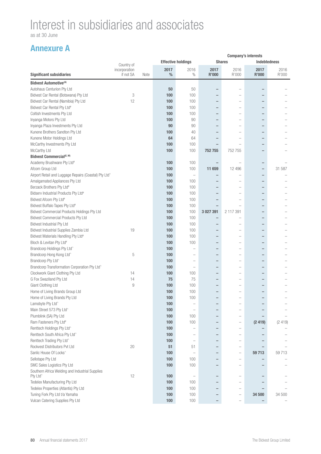as at 30 June

|                                                       |                            | <b>Company's interests</b> |           |                                   |                          |                          |                          |                     |
|-------------------------------------------------------|----------------------------|----------------------------|-----------|-----------------------------------|--------------------------|--------------------------|--------------------------|---------------------|
|                                                       | Country of                 |                            |           | <b>Effective holdings</b>         |                          | <b>Shares</b>            |                          | <b>Indebtedness</b> |
| <b>Significant subsidiaries</b>                       | incorporation<br>if not SA | Note                       | 2017<br>% | 2016<br>$\%$                      | 2017<br><b>R'000</b>     | 2016<br>R'000            | 2017<br><b>R'000</b>     | 2016<br>R'000       |
| <b>Bidvest Automotive</b> <sup>(A)</sup>              |                            |                            |           |                                   |                          |                          |                          |                     |
| Autohaus Centurion Pty Ltd                            |                            |                            | 50        | 50                                |                          |                          |                          |                     |
| Bidvest Car Rental (Botswana) Pty Ltd                 | 3                          |                            | 100       | 100                               |                          |                          |                          |                     |
|                                                       | 12                         |                            | 100       | 100                               | -                        |                          |                          |                     |
| Bidvest Car Rental (Namibia) Pty Ltd                  |                            |                            | 100       | 100                               |                          |                          |                          |                     |
| Bidvest Car Rental Pty Ltd#                           |                            |                            |           |                                   |                          |                          |                          |                     |
| Coltish Investments Pty Ltd                           |                            |                            | 100       | 100                               |                          |                          |                          |                     |
| Inyanga Motors Pty Ltd                                |                            |                            | 100       | 90                                |                          |                          |                          |                     |
| Inyanga Plaza Investments Pty Ltd                     |                            |                            | 90        | 90                                | $\overline{\phantom{0}}$ |                          | -                        |                     |
| Kunene Brothers Sandton Pty Ltd                       |                            |                            | 100       | 40                                | $\overline{\phantom{0}}$ |                          | $\overline{\phantom{0}}$ |                     |
| Kunene Motor Holdings Ltd                             |                            |                            | 64        | 64                                |                          |                          |                          |                     |
| McCarthy Investments Pty Ltd                          |                            |                            | 100       | 100                               |                          |                          |                          |                     |
| McCarthy Ltd                                          |                            |                            | 100       | 100                               | 752 755                  | 752 755                  |                          |                     |
| Bidvest Commercial <sup>(E, M)</sup>                  |                            |                            |           |                                   |                          |                          |                          |                     |
| Academy Brushware Pty Ltd <sup>#</sup>                |                            |                            | 100       | 100                               |                          | $\overline{\phantom{a}}$ | -                        |                     |
| Afcom Group Ltd                                       |                            |                            | 100       | 100                               | 11 659                   | 12 4 9 6                 | -                        | 31 587              |
| Airport Retail and Luggage Repairs (Coastal) Pty Ltd^ |                            |                            | 100       | $\hspace{1.0cm} - \hspace{1.0cm}$ | -                        |                          | $\overline{\phantom{0}}$ |                     |
| Amalgamated Appliances Pty Ltd                        |                            |                            | 100       | 100                               |                          |                          | -                        |                     |
| Berzack Brothers Pty Ltd#                             |                            |                            | 100       | 100                               | $\overline{\phantom{0}}$ |                          | -                        |                     |
| Bidserv Industrial Products Pty Ltd <sup>#</sup>      |                            |                            | 100       | 100                               | $\qquad \qquad -$        |                          | -                        |                     |
| Bidvest Afcom Pty Ltd#                                |                            |                            | 100       | 100                               | -                        |                          |                          |                     |
| Bidvest Buffalo Tapes Pty Ltd <sup>#</sup>            |                            |                            | 100       | 100                               |                          |                          |                          |                     |
| Bidvest Commercial Products Holdings Pty Ltd          |                            |                            | 100       | 100                               | 3 027 391                | 2 117 391                |                          |                     |
| <b>Bidvest Commercial Products Pty Ltd</b>            |                            |                            | 100       | 100                               |                          |                          |                          |                     |
| Bidvest Industrial Pty Ltd                            |                            |                            | 100       | 100                               |                          |                          |                          |                     |
| Bidvest Industrial Supplies Zambia Ltd                | 19                         |                            | 100       | 100                               |                          |                          |                          |                     |
| Bidvest Materials Handling Pty Ltd <sup>#</sup>       |                            |                            | 100       | 100                               | -                        |                          | ۳                        |                     |
| Bloch & Levitan Pty Ltd#                              |                            |                            | 100       | 100                               | -                        |                          |                          |                     |
| Brandcorp Holdings Pty Ltd^                           |                            |                            | 100       | Ē,                                | $\overline{\phantom{0}}$ | $\overline{\phantom{a}}$ | $\overline{\phantom{0}}$ |                     |
| Brandcorp Hong Kong Ltd^                              | 5                          |                            | 100       | $\overline{\phantom{0}}$          | $\qquad \qquad -$        | -                        | -                        |                     |
| Brandcorp Pty Ltd^                                    |                            |                            | 100       | $\overline{\phantom{0}}$          | $\overline{\phantom{0}}$ |                          | -                        |                     |
| Brandcorp Transformation Corporation Pty Ltd^         |                            |                            | 100       | $\overline{\phantom{a}}$          | $\overline{\phantom{0}}$ |                          |                          |                     |
| Clockwork Giant Clothing Pty Ltd                      | 14                         |                            | 100       | 100                               | $\overline{\phantom{0}}$ |                          |                          |                     |
| G Fox Swaziland Pty Ltd                               | 14                         |                            | 75        | 75                                | $\overline{\phantom{0}}$ |                          |                          |                     |
| Giant Clothing Ltd                                    | $\overline{9}$             |                            | 100       | 100                               |                          |                          |                          |                     |
| Home of Living Brands Group Ltd                       |                            |                            | 100       | 100                               | $\overline{\phantom{0}}$ |                          |                          |                     |
| Home of Living Brands Pty Ltd                         |                            |                            | 100       | 100                               |                          |                          |                          |                     |
| Lamobyte Pty Ltd^                                     |                            |                            | 100       |                                   |                          |                          |                          |                     |
| Main Street 573 Pty Ltd^                              |                            |                            | 100       | $\overline{\phantom{m}}$          | $\overline{\phantom{0}}$ |                          |                          |                     |
| Plumblink (SA) Pty Ltd                                |                            |                            | 100       | 100                               | -                        |                          |                          |                     |
| Ram Fasteners Pty Ltd <sup>#</sup>                    |                            |                            | 100       | 100                               | $\qquad \qquad -$        | $\overline{\phantom{a}}$ | (2419)                   | (2419)              |
| Renttech Holdings Pty Ltd <sup>^</sup>                |                            |                            | 100       |                                   | $\overline{\phantom{0}}$ | -                        |                          |                     |
| Renttech South Africa Pty Ltd^                        |                            |                            | 100       | $\overbrace{\phantom{12322111}}$  | $\overline{\phantom{0}}$ | $\overline{\phantom{0}}$ |                          |                     |
| Renttech Trading Pty Ltd^                             |                            |                            | 100       | $\overbrace{\phantom{12322111}}$  | $\overline{\phantom{0}}$ |                          |                          |                     |
| Rockvest Distributors Pvt Ltd                         | 20                         |                            | 51        | 51                                | -                        |                          |                          |                     |
| Sanlic House Of Locks <sup>^</sup>                    |                            |                            | 100       | $\hspace{1.0cm} - \hspace{1.0cm}$ | -                        | -                        | 59713                    | 59713               |
| Sellotape Pty Ltd                                     |                            |                            | 100       | 100                               | -                        | $\overline{\phantom{0}}$ |                          |                     |
| SMC Sales Logistics Pty Ltd                           |                            |                            | 100       | 100                               | $\overline{\phantom{0}}$ | -                        | -                        |                     |
| Southern Africa Welding and Industrial Supplies       |                            |                            |           |                                   |                          |                          |                          |                     |
| Pty Ltd <sup>^</sup>                                  | 12                         |                            | 100       | $\overline{\phantom{a}}$          | $\qquad \qquad -$        | -                        |                          |                     |
| Tedelex Manufacturing Pty Ltd                         |                            |                            | 100       | 100                               |                          |                          |                          |                     |
| Tedelex Properties (Atlantis) Pty Ltd                 |                            |                            | 100       | 100                               | $\overline{\phantom{0}}$ |                          | -                        |                     |
| Tuning Fork Pty Ltd t/a Yamaha                        |                            |                            | 100       | 100                               | -                        | $\overline{\phantom{0}}$ | 34 500                   | 34 500              |
| Vulcan Catering Supplies Pty Ltd                      |                            |                            | 100       | 100                               | $\qquad \qquad -$        |                          |                          |                     |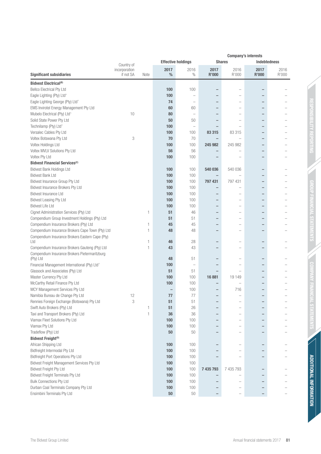|                                                                                          |                            |      | <b>Company's interests</b> |                           |                          |                          |                          |               |
|------------------------------------------------------------------------------------------|----------------------------|------|----------------------------|---------------------------|--------------------------|--------------------------|--------------------------|---------------|
|                                                                                          | Country of                 |      |                            | <b>Effective holdings</b> |                          | <b>Shares</b>            | <b>Indebtedness</b>      |               |
| <b>Significant subsidiaries</b>                                                          | incorporation<br>if not SA | Note | 2017<br>%                  | 2016<br>$\%$              | 2017<br><b>R'000</b>     | 2016<br>R'000            | 2017<br><b>R'000</b>     | 2016<br>R'000 |
| <b>Bidvest Electrical<sup>(B)</sup></b>                                                  |                            |      |                            |                           |                          |                          |                          |               |
| <b>Bellco Electrical Pty Ltd</b>                                                         |                            |      | 100                        | 100                       | $\overline{\phantom{0}}$ |                          | $\qquad \qquad$          |               |
| Eagle Lighting (Pty) Ltd^                                                                |                            |      | 100                        |                           |                          |                          |                          |               |
| Eagle Lighting George (Pty) Ltd^                                                         |                            |      | 74                         | $\overline{\phantom{a}}$  | $\overline{\phantom{0}}$ | $\overline{\phantom{a}}$ | $\qquad \qquad$          |               |
| EMS Invirotel Energy Management Pty Ltd                                                  |                            |      | 60                         | 60                        |                          |                          |                          |               |
| Mubelo Electrical (Pty) Ltd <sup>^</sup>                                                 | 10                         |      | 80                         | $\overline{\phantom{0}}$  | $\overline{\phantom{0}}$ |                          | $\overline{\phantom{0}}$ |               |
| Solid State Power Pty Ltd                                                                |                            |      | 50                         | 50                        |                          |                          | $\overline{\phantom{0}}$ |               |
| Technilamp (Pty) Ltd^                                                                    |                            |      | 100                        | $\overline{\phantom{0}}$  | $\overline{\phantom{0}}$ |                          | $\overline{\phantom{0}}$ |               |
| Versalec Cables Pty Ltd                                                                  |                            |      | 100                        | 100                       | 83 315                   | 83 315                   | $\overline{\phantom{0}}$ |               |
| Voltex Botswana Pty Ltd                                                                  | 3                          |      | 70                         | 70                        | $\qquad \qquad -$        |                          |                          |               |
| Voltex Holdings Ltd                                                                      |                            |      | 100                        | 100                       | 245 982                  | 245 982                  | $\overline{\phantom{0}}$ |               |
| Voltex MVLV Solutions Pty Ltd                                                            |                            |      | 56                         | 56                        | $\qquad \qquad -$        |                          | $\overline{\phantom{0}}$ |               |
| Voltex Pty Ltd                                                                           |                            |      | 100                        | 100                       |                          |                          | $\qquad \qquad -$        |               |
| <b>Bidvest Financial Services<sup>(C)</sup></b>                                          |                            |      |                            |                           |                          |                          |                          |               |
| <b>Bidvest Bank Holdings Ltd</b>                                                         |                            |      | 100                        | 100                       | 540 036                  | 540 036                  | $\qquad \qquad -$        |               |
| <b>Bidvest Bank Ltd</b>                                                                  |                            |      | 100                        | 100                       | $\qquad \qquad -$        |                          | $\overline{\phantom{0}}$ |               |
| Bidvest Insurance Group Pty Ltd                                                          |                            |      | 100                        | 100                       | 797 431                  | 797 431                  | $\qquad \qquad -$        |               |
| Bidvest Insurance Brokers Pty Ltd                                                        |                            |      | 100                        | 100                       |                          |                          | $\qquad \qquad -$        |               |
| Bidvest Insurance Ltd                                                                    |                            |      | 100                        | 100                       | $\qquad \qquad -$        |                          | $\overline{\phantom{0}}$ |               |
|                                                                                          |                            |      | 100                        | 100                       | $\qquad \qquad -$        |                          | $\overline{\phantom{0}}$ |               |
| Bidvest Leasing Pty Ltd<br><b>Bidvest Life Ltd</b>                                       |                            |      | 100                        | 100                       | $\overline{\phantom{0}}$ | $\overline{\phantom{a}}$ | $\overline{\phantom{0}}$ |               |
|                                                                                          |                            | 1    | 51                         | 46                        | $\qquad \qquad -$        |                          | $\overline{\phantom{0}}$ |               |
| Cignet Administration Services (Pty) Ltd                                                 |                            |      |                            |                           | $\overline{\phantom{0}}$ | $\overline{\phantom{a}}$ | $\overline{\phantom{0}}$ |               |
| Compendium Group Investment Holdings (Pty) Ltd<br>Compendium Insurance Brokers (Pty) Ltd |                            | 1    | 51<br>45                   | 51<br>45                  |                          |                          | $\overline{\phantom{0}}$ |               |
| Compendium Insurance Brokers Cape Town (Pty) Ltd                                         |                            | 1    | 48                         | 48                        |                          | -                        | $\overline{\phantom{0}}$ |               |
|                                                                                          |                            |      |                            |                           |                          |                          |                          |               |
| Compendium Insurance Brokers Eastern Cape (Pty)<br>Ltd                                   |                            | 1    | 46                         | 28                        | $\overline{\phantom{0}}$ |                          | $\overline{\phantom{0}}$ |               |
| Compendium Insurance Brokers Gauteng (Pty) Ltd                                           |                            | 1    | 43                         | 43                        |                          |                          |                          |               |
| Compendium Insurance Brokers Pietermaritzburg                                            |                            |      |                            |                           |                          |                          |                          |               |
| (Pty) Ltd                                                                                |                            |      | 48                         | 51                        |                          |                          | $\qquad \qquad -$        |               |
| Financial Management International (Pty) Ltd <sup>^</sup>                                |                            |      | 100                        | $\qquad \qquad -$         |                          |                          | $\qquad \qquad -$        |               |
| Glassock and Associates (Pty) Ltd                                                        |                            |      | 51                         | 51                        | $\qquad \qquad -$        |                          | $\overline{\phantom{0}}$ |               |
| Master Currency Pty Ltd                                                                  |                            |      | 100                        | 100                       | 16881                    | 19 149                   | $\overline{\phantom{0}}$ |               |
| McCarthy Retail Finance Pty Ltd                                                          |                            |      | 100                        | 100                       |                          |                          |                          |               |
| MCY Management Services Pty Ltd                                                          |                            |      | $\overline{\phantom{0}}$   | 100                       | $\overline{\phantom{0}}$ | 716                      | $\overline{\phantom{0}}$ |               |
| Namibia Bureau de Change Pty Ltd                                                         | 12                         |      | 77                         | 77                        |                          |                          |                          |               |
| Rennies Foreign Exchange (Botswana) Pty Ltd                                              | 3                          |      | 51                         | 51                        |                          |                          |                          |               |
| Swift Auto Brokers (Pty) Ltd                                                             |                            | 1    | 51                         | 26                        |                          |                          | $\qquad \qquad$          |               |
| Taxi and Transport Brokers (Pty) Ltd                                                     |                            | 1    | 36                         | 36                        | $\overline{\phantom{0}}$ |                          | $\qquad \qquad -$        |               |
| Viamax Fleet Solutions Pty Ltd                                                           |                            |      | 100                        | 100                       |                          |                          | $\qquad \qquad -$        |               |
| Viamax Pty Ltd                                                                           |                            |      | 100                        | 100                       |                          |                          | -                        |               |
| Tradeflow (Pty) Ltd                                                                      |                            |      | 50                         | 50                        |                          | $\overline{\phantom{0}}$ | $\qquad \qquad -$        |               |
| Bidvest Freight <sup>(D)</sup>                                                           |                            |      |                            |                           |                          |                          |                          |               |
| African Shipping Ltd                                                                     |                            |      | 100                        | 100                       |                          |                          | $\qquad \qquad$          |               |
| Bidfreight Intermodal Pty Ltd                                                            |                            |      | 100                        | 100                       |                          |                          | $\qquad \qquad -$        |               |
| Bidfreight Port Operations Pty Ltd                                                       |                            |      | 100                        | 100                       |                          |                          | -                        |               |
| Bidvest Freight Management Services Pty Ltd                                              |                            |      | 100                        | 100                       |                          |                          |                          |               |
| <b>Bidvest Freight Pty Ltd</b>                                                           |                            |      | 100                        | 100                       | 7 435 793                | 7 435 793                | $\overline{\phantom{0}}$ |               |
| <b>Bidvest Freight Terminals Pty Ltd</b>                                                 |                            |      | 100                        | 100                       |                          |                          | $\qquad \qquad$          |               |
| Bulk Connections Pty Ltd                                                                 |                            |      | 100                        | 100                       |                          |                          | $\overline{\phantom{0}}$ |               |
| Durban Coal Terminals Company Pty Ltd                                                    |                            |      | 100                        | 100                       |                          |                          |                          |               |
| Ensimbini Terminals Pty Ltd                                                              |                            |      | $50\,$                     | $50\,$                    |                          |                          |                          |               |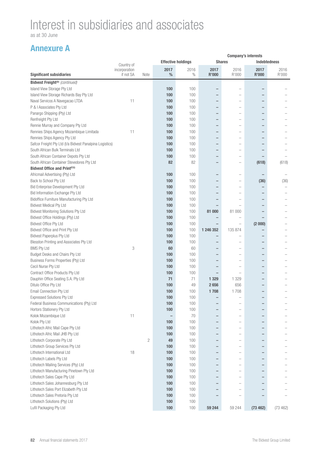as at 30 June

|                                                          | <b>Company's interests</b> |              |                          |                           |              |                          |                          |                     |
|----------------------------------------------------------|----------------------------|--------------|--------------------------|---------------------------|--------------|--------------------------|--------------------------|---------------------|
|                                                          | Country of                 |              |                          | <b>Effective holdings</b> |              | <b>Shares</b>            |                          | <b>Indebtedness</b> |
|                                                          | incorporation              |              | 2017                     | 2016                      | 2017         | 2016                     | 2017                     | 2016                |
| <b>Significant subsidiaries</b>                          | if not SA                  | Note         | $\%$                     | $\%$                      | <b>R'000</b> | R'000                    | <b>R'000</b>             | R'000               |
| Bidvest Freight <sup>(D)</sup> (continued)               |                            |              |                          |                           |              |                          |                          |                     |
| Island View Storage Pty Ltd                              |                            |              | 100                      | 100                       |              |                          |                          |                     |
| Island View Storage Richards Bay Pty Ltd                 |                            |              | 100                      | 100                       | -            |                          |                          |                     |
| Naval Servicos A Navegacao LTDA                          | 11                         |              | 100                      | 100                       |              |                          |                          |                     |
| P & I Associates Pty Ltd                                 |                            |              | 100                      | 100                       | —            |                          |                          |                     |
| Panargo Shipping (Pty) Ltd                               |                            |              | 100                      | 100                       | —            |                          |                          |                     |
| Renfreight Pty Ltd                                       |                            |              | 100                      | 100                       | -            |                          | $\overline{\phantom{0}}$ |                     |
| Rennie Murray and Company Pty Ltd                        |                            |              | 100                      | 100                       | -            | -                        | $\overline{\phantom{0}}$ |                     |
| Rennies Ships Agency Mozambique Limitada                 | 11                         |              | 100                      | 100                       | -            |                          |                          |                     |
| Rennies Ships Agency Pty Ltd                             |                            |              | 100                      | 100                       | -            | $\overline{\phantom{0}}$ | $\overline{\phantom{0}}$ |                     |
| Safcor Freight Pty Ltd (t/a Bidvest Panalpina Logistics) |                            |              | 100                      | 100                       | -            |                          |                          |                     |
| South African Bulk Terminals Ltd                         |                            |              | 100                      | 100                       | -            |                          |                          |                     |
| South African Container Depots Pty Ltd                   |                            |              | 100                      | 100                       | -            | $\overline{\phantom{0}}$ | $\overline{\phantom{0}}$ |                     |
| South African Container Stevedores Pty Ltd               |                            |              | 82                       | 82                        | -            |                          | (618)                    | (618)               |
| Bidvest Office and Print <sup>(F,G)</sup>                |                            |              |                          |                           |              |                          |                          |                     |
| Africmail Advertising (Pty) Ltd                          |                            |              | 100                      | 100                       |              |                          |                          |                     |
| Back to School Pty Ltd                                   |                            |              | 100                      | 100                       | -            |                          | (36)                     | (36)                |
| Bid Enterprise Development Pty Ltd                       |                            |              | 100                      | 100                       |              |                          | -                        |                     |
|                                                          |                            |              |                          |                           | -            | $\overline{\phantom{0}}$ |                          |                     |
| Bid Information Exchange Pty Ltd                         |                            |              | 100                      | 100                       |              |                          |                          |                     |
| Bidoffice Furniture Manufacturing Pty Ltd                |                            |              | 100                      | 100                       |              |                          |                          |                     |
| <b>Bidvest Medical Pty Ltd</b>                           |                            |              | 100                      | 100                       |              |                          |                          |                     |
| Bidvest Monitoring Solutions Pty Ltd                     |                            |              | 100                      | 100                       | 81 000       | 81 000                   | -                        |                     |
| Bidvest Office Holdings (Pty) Ltd                        |                            |              | 100                      | 100                       |              |                          |                          |                     |
| <b>Bidvest Office Pty Ltd</b>                            |                            |              | 100                      | 100                       |              |                          | (2000)                   |                     |
| Bidvest Office and Print Pty Ltd                         |                            |              | 100                      | 100                       | 1 246 352    | 135 874                  |                          |                     |
| Bidvest Paperplus Pty Ltd                                |                            |              | 100                      | 100                       |              |                          |                          |                     |
| Blesston Printing and Associates Pty Ltd                 |                            |              | 100                      | 100                       | -            |                          | $\overline{\phantom{0}}$ |                     |
| <b>BMS Pty Ltd</b>                                       | 3                          |              | 60                       | 60                        | -            | $\overline{\phantom{0}}$ | $\overline{\phantom{0}}$ |                     |
| Budget Desks and Chairs Pty Ltd                          |                            |              | 100                      | 100                       | -            |                          | -                        |                     |
| Business Forms Properties (Pty) Ltd                      |                            |              | 100                      | 100                       | —            |                          |                          |                     |
| Cecil Nurse Pty Ltd                                      |                            |              | 100                      | 100                       | -            |                          | -                        |                     |
| Contract Office Products Pty Ltd                         |                            |              | 100                      | 100                       | -            |                          | $\overline{\phantom{0}}$ |                     |
| Dauphin Office Seating S.A. Pty Ltd                      |                            |              | 71                       | 71                        | 1 3 2 9      | 1 3 2 9                  |                          |                     |
| Ditulo Office Pty Ltd                                    |                            |              | 100                      | 49                        | 2656         | 656                      |                          |                     |
| Email Connection Pty Ltd                                 |                            |              | 100                      | 100                       | 1708         | 1708                     |                          |                     |
| <b>Expressed Solutions Pty Ltd</b>                       |                            |              | 100                      | 100                       |              |                          |                          |                     |
| Federal Business Communications (Pty) Ltd                |                            |              | 100                      | 100                       | -            |                          |                          |                     |
| Hortors Stationery Pty Ltd                               |                            |              | 100                      | 100                       | -            |                          |                          |                     |
| Kolok Mozambique Ltd                                     | 11                         |              | $\overline{\phantom{0}}$ | 70                        | -            | $\overline{\phantom{0}}$ | -                        |                     |
| Kolok Pty Ltd                                            |                            |              | 100                      | 100                       | -            | $\overline{\phantom{0}}$ | -                        |                     |
| Lithotech Afric Mail Cape Pty Ltd                        |                            |              | 100                      | 100                       | -            |                          | -                        |                     |
| Lithotech Afric Mail JHB Pty Ltd                         |                            |              | 100                      | 100                       | -            |                          | -                        |                     |
| Lithotech Corporate Pty Ltd                              |                            | $\mathbf{2}$ | 49                       | 100                       | -            |                          |                          |                     |
| Lithotech Group Services Pty Ltd                         |                            |              | 100                      | 100                       | -            |                          | -                        |                     |
| Lithotech International Ltd                              | 18                         |              | 100                      | 100                       | -            |                          |                          |                     |
| Lithotech Labels Pty Ltd                                 |                            |              | 100                      | 100                       | -            |                          | $\overline{\phantom{0}}$ |                     |
| Lithotech Mailing Services (Pty) Ltd                     |                            |              | 100                      | 100                       | -            |                          |                          |                     |
| Lithotech Manufacturing Pinetown Pty Ltd                 |                            |              | 100                      | 100                       |              |                          |                          |                     |
|                                                          |                            |              |                          |                           | -            |                          |                          |                     |
| Lithotech Sales Cape Pty Ltd                             |                            |              | 100                      | 100                       | -            |                          |                          |                     |
| Lithotech Sales Johannesburg Pty Ltd                     |                            |              | 100                      | 100                       |              |                          |                          |                     |
| Lithotech Sales Port Elizabeth Pty Ltd                   |                            |              | 100                      | 100                       | -            |                          |                          |                     |
| Lithotech Sales Pretoria Pty Ltd                         |                            |              | 100                      | 100                       |              |                          |                          |                     |
| Lithotech Solutions (Pty) Ltd                            |                            |              | 100                      | 100                       |              |                          |                          |                     |
| Lufil Packaging Pty Ltd                                  |                            |              | 100                      | 100                       | 59 244       | 59 244                   | (73 462)                 | (73 462)            |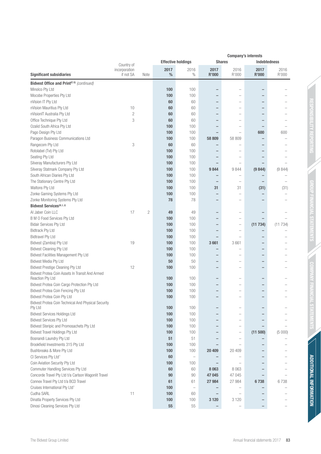|                                                                     |                            | <b>Company's interests</b> |                       |                           |                          |                          |                          |               |
|---------------------------------------------------------------------|----------------------------|----------------------------|-----------------------|---------------------------|--------------------------|--------------------------|--------------------------|---------------|
|                                                                     | Country of                 |                            |                       | <b>Effective holdings</b> |                          | <b>Shares</b>            | <b>Indebtedness</b>      |               |
| <b>Significant subsidiaries</b>                                     | incorporation<br>if not SA | Note                       | 2017<br>$\frac{0}{0}$ | 2016<br>$\%$              | 2017<br><b>R'000</b>     | 2016<br>R'000            | 2017<br><b>R'000</b>     | 2016<br>R'000 |
| Bidvest Office and Print <sup>(F, G)</sup> (continued)              |                            |                            |                       |                           |                          |                          |                          |               |
| Minolco Pty Ltd                                                     |                            |                            | 100                   | 100                       | -                        |                          |                          |               |
| Mocobe Properties Pty Ltd                                           |                            |                            | 100                   | 100                       | $\overline{\phantom{0}}$ |                          |                          |               |
| nVision IT Pty Ltd                                                  |                            |                            | 60                    | 60                        | -                        |                          |                          |               |
| nVision Mauritius Pty Ltd                                           | 10                         |                            | 60                    | 60                        | -                        | $\overline{\phantom{a}}$ |                          |               |
| nVisionIT Australia Pty Ltd                                         | $\overline{c}$             |                            | 60                    | 60                        |                          |                          |                          |               |
| Office Technique Pty Ltd                                            | 3                          |                            | 60                    | 60                        |                          | $\overline{\phantom{a}}$ |                          |               |
| Ozalid South Africa Pty Ltd                                         |                            |                            | 100                   | 100                       |                          |                          |                          |               |
| Pago Design Pty Ltd                                                 |                            |                            | 100                   | 100                       |                          | -                        | 600                      | 600           |
| Paragon Business Communications Ltd                                 |                            |                            | 100                   | 100                       | 58 809                   | 58 809                   |                          |               |
| Rangecom Pty Ltd                                                    | 3                          |                            | 60                    | 60                        |                          |                          |                          |               |
| Rotolabel (Tvl) Pty Ltd                                             |                            |                            | 100                   | 100                       | -                        | $\overline{\phantom{a}}$ |                          |               |
| Seating Pty Ltd                                                     |                            |                            | 100                   | 100                       |                          | -                        |                          |               |
| Silveray Manufacturers Pty Ltd                                      |                            |                            | 100                   | 100                       |                          | -                        |                          |               |
| Silveray Statmark Company Pty Ltd                                   |                            |                            | 100                   | 100                       | 9844                     | 9844                     | (9844)                   | (9844)        |
| South African Diaries Pty Ltd                                       |                            |                            | 100                   | 100                       |                          | -                        |                          |               |
| The Stationary Centre Pty Ltd                                       |                            |                            | 100                   | 100                       | -                        | -                        |                          |               |
| Waltons Pty Ltd                                                     |                            |                            | 100                   | 100                       | 31                       | 31                       | (31)                     | (31)          |
| Zonke Gaming Systems Pty Ltd                                        |                            |                            | 100                   | 100                       | -                        | $\overline{\phantom{0}}$ |                          |               |
| Zonke Monitoring Systems Pty Ltd                                    |                            |                            | 78                    | 78                        | $\overline{\phantom{0}}$ |                          |                          |               |
| Bidvest Services <sup>(H, I, J)</sup>                               |                            |                            |                       |                           |                          |                          |                          |               |
| Al Jaber Coin LLC                                                   | 17                         | $\overline{c}$             | 49                    | 49                        |                          | $\overline{\phantom{0}}$ |                          |               |
| <b>B M O Food Services Pty Ltd</b>                                  |                            |                            | 100                   | 100                       |                          | $\overline{\phantom{0}}$ |                          |               |
| <b>Bidair Services Pty Ltd</b>                                      |                            |                            | 100                   | 100                       |                          | $\overline{\phantom{0}}$ | (11734)                  | (11734)       |
| <b>Bidtrack Pty Ltd</b>                                             |                            |                            | 100                   | 100                       |                          | L.                       |                          |               |
| <b>Bidtravel Pty Ltd</b>                                            |                            |                            | 100                   | 100                       |                          |                          |                          |               |
| Bidvest (Zambia) Pty Ltd                                            | 19                         |                            | 100                   | 100                       | 3661                     | 3661                     |                          |               |
| Bidvest Cleaning Pty Ltd                                            |                            |                            | 100                   | 100                       |                          |                          |                          |               |
| Bidvest Facilities Management Pty Ltd                               |                            |                            | 100                   | 100                       |                          | ۰                        |                          |               |
| <b>Bidvest Media Pty Ltd</b>                                        | 12                         |                            | 50                    | 50                        | -                        | L.                       |                          |               |
| <b>Bidvest Prestige Cleaning Pty Ltd</b>                            |                            |                            | 100                   | 100                       | $\overline{\phantom{0}}$ | -                        |                          |               |
| Bidvest Protea Coin Assets In Transit And Armed<br>Reaction Pty Ltd |                            |                            | 100                   | 100                       | -                        |                          |                          |               |
| Bidvest Protea Coin Cargo Protection Pty Ltd                        |                            |                            | 100                   | 100                       |                          |                          |                          |               |
| Bidvest Protea Coin Fencing Pty Ltd                                 |                            |                            | 100                   | 100                       | $\overline{\phantom{0}}$ | $\overline{\phantom{a}}$ | $\overline{\phantom{0}}$ |               |
| Bidvest Protea Coin Pty Ltd                                         |                            |                            | 100                   | 100                       |                          |                          |                          |               |
| Bidvest Protea Coin Technical And Physical Security                 |                            |                            |                       |                           |                          |                          |                          |               |
| Pty Ltd                                                             |                            |                            | 100                   | 100                       |                          | -                        |                          |               |
| <b>Bidvest Services Holdings Ltd</b>                                |                            |                            | 100                   | 100                       |                          | L.                       |                          |               |
| <b>Bidvest Services Pty Ltd</b>                                     |                            |                            | 100                   | 100                       |                          |                          |                          |               |
| Bidvest Steripic and Promosachets Pty Ltd                           |                            |                            | 100                   | 100                       |                          | $\overline{\phantom{0}}$ |                          |               |
| <b>Bidvest Travel Holdings Pty Ltd</b>                              |                            |                            | 100                   | 100                       |                          | $\overline{\phantom{0}}$ | (11 500)                 | (5000)        |
| Bosnandi Laundry Pty Ltd                                            |                            |                            | 51                    | 51                        |                          | $\overline{\phantom{0}}$ |                          |               |
| Brookfield Investments 315 Pty Ltd                                  |                            |                            | 100                   | 100                       |                          | $\overline{\phantom{0}}$ |                          |               |
| Bushbreaks & More Pty Ltd                                           |                            |                            | 100                   | 100                       | 20 409                   | 20 409                   |                          |               |
| CI Services Pty Ltd^                                                |                            |                            | 60                    | $\overline{\phantom{0}}$  |                          |                          |                          |               |
| Coin Aviation Security Pty Ltd                                      |                            |                            | 100                   | 100                       |                          |                          |                          |               |
| Commuter Handling Services Pty Ltd                                  |                            |                            | 60                    | 60                        | 8 0 6 3                  | 8 0 6 3                  |                          |               |
| Concorde Travel Pty Ltd t/a Carlson Wagonlit Travel                 |                            |                            | 90                    | 90                        | 47 045                   | 47 045                   |                          |               |
| Connex Travel Pty Ltd t/a BCD Travel                                |                            |                            | 61                    | 61                        | 27 984                   | 27 984                   | 6738                     | 6738          |
| Cruises International Pty Ltd <sup>^</sup>                          |                            |                            | 100                   | $\qquad \qquad -$         |                          |                          |                          |               |
| Cudha SARL                                                          | 11                         |                            | 100                   | 60                        | $\overline{\phantom{0}}$ | L.                       |                          |               |
| Dinatla Property Services Pty Ltd                                   |                            |                            | 100                   | 100                       | 3 1 2 0                  | 3 1 2 0                  |                          |               |
| Dinosi Cleaning Services Pty Ltd                                    |                            |                            | 55                    | 55                        |                          |                          |                          |               |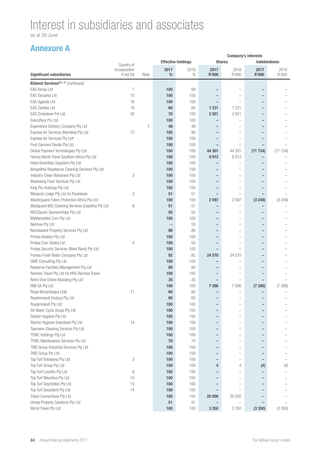as at 30 June

|                                                                   | <b>Company's interests</b> |      |           |                           |                          |                          |                      |                     |
|-------------------------------------------------------------------|----------------------------|------|-----------|---------------------------|--------------------------|--------------------------|----------------------|---------------------|
|                                                                   | Country of                 |      |           | <b>Effective holdings</b> |                          | <b>Shares</b>            |                      | <b>Indebtedness</b> |
| <b>Significant subsidiaries</b>                                   | incorporation<br>if not SA | Note | 2017<br>% | 2016<br>$\%$              | 2017<br><b>R'000</b>     | 2016<br>R'000            | 2017<br><b>R'000</b> | 2016<br>R'000       |
| Bidvest Services <sup>(H, I, J)</sup> (continued)                 |                            |      |           |                           |                          |                          |                      |                     |
| EAS Kenya Ltd                                                     | 7                          |      | 100       | 99                        |                          |                          |                      |                     |
| EAS Tanzania Ltd                                                  | 15                         |      | 100       | 100                       |                          |                          |                      |                     |
| EAS Uganda Ltd                                                    | 16                         |      | 100       | 100                       |                          |                          |                      |                     |
| EAS Zambia Ltd                                                    | 19                         |      | 60        | 60                        | 1 2 3 1                  | 1 2 3 1                  |                      |                     |
| EAS Zimbabwe Pvt Ltd                                              | 20                         |      | 70        | 100                       | 2921                     | 2921                     |                      |                     |
| Execuflora Pty Ltd                                                |                            |      | 100       | 100                       |                          |                          |                      |                     |
| Experience Delivery Company Pty Ltd                               |                            | 1    | 48        | 48                        |                          |                          |                      |                     |
| Express Air Services (Namibia) Pty Ltd                            | 12                         |      | 100       | 90                        |                          |                          |                      |                     |
| Express Air Services Pty Ltd <sup>#</sup>                         |                            |      | 100       | 100                       |                          |                          |                      |                     |
| First Garment Rental Pty Ltd                                      |                            |      | 100       | 100                       |                          |                          |                      |                     |
| Global Payment Technologies Pty Ltd                               |                            |      | 100       | 100                       | 44 301                   | 44 301                   | (71734)              | (71734)             |
| Harvey World Travel Southern Africa Pty Ltd                       |                            |      | 100       | 100                       | 9912                     | 9912                     | -                    |                     |
| Hotel Amenities Suppliers Pty Ltd                                 |                            |      | 100       | 100                       |                          |                          |                      |                     |
| Ikhayelihle Royalserve Cleaning Services Pty Ltd                  |                            |      | 100       | 100                       | $\overline{\phantom{0}}$ |                          |                      |                     |
| Industro-Clean Botswana Pty Ltd                                   | 3                          |      | 100       | 100                       |                          |                          |                      |                     |
| Ithabeleng Food Services Pty Ltd                                  |                            |      | 100       | 100                       | $\qquad \qquad -$        |                          |                      |                     |
|                                                                   |                            |      | 100       | 100                       | $\overline{\phantom{0}}$ |                          |                      |                     |
| King Pie Holdings Pty Ltd<br>Macardo Lodge Pty Ltd t/a Travelwise | 3                          |      | 51        | 51                        | $\overline{\phantom{0}}$ | -                        | -                    |                     |
| Masterguard Fabric Protection Africa Pty Ltd                      |                            |      |           |                           |                          |                          |                      |                     |
| Mediguard WIC Cleaning Services (Lesotho) Pty Ltd                 | 8                          |      | 100<br>51 | 100<br>51                 | 2 5 9 7                  | 2597                     | (3 248)              | (3 248)             |
|                                                                   |                            |      | 50        | 50                        | -                        |                          | ۳                    |                     |
| MSCSports Sponsorships Pty Ltd                                    |                            |      |           |                           |                          |                          |                      |                     |
| MyMarketdot Com Pty Ltd                                           |                            |      | 100       | 100<br>55                 |                          |                          |                      |                     |
| Nelimax Pty Ltd                                                   |                            |      |           | 86                        |                          |                          |                      |                     |
| Nomtsalane Property Services Pty Ltd                              |                            |      | 86        |                           |                          |                          |                      |                     |
| Protea Aviation Pty Ltd                                           |                            |      | 100       | 100                       |                          |                          |                      |                     |
| Protea Coin Ghana Ltd                                             | 4                          |      | 100       | 50                        |                          |                          |                      |                     |
| Protea Security Services (West Rand) Pty Ltd                      |                            |      | 100       | 100                       |                          |                          |                      |                     |
| Pureau Fresh Water Company Pty Ltd                                |                            |      | 82        | 82                        | 24 570                   | 24 570                   | -                    |                     |
| QMS Consulting Pty Ltd                                            |                            |      | 100       | 100                       | $\qquad \qquad -$        | -                        |                      |                     |
| Rebserve Facilities Management Pty Ltd                            |                            |      | 80        | 80                        | -                        |                          |                      |                     |
| Rennies Travel Pty Ltd t/a HRG Rennies Travel                     |                            |      | 100       | 100                       | -                        |                          |                      |                     |
| Retro Viral Online Branding Pty Ltd                               |                            |      | 35        | 35                        |                          |                          |                      |                     |
| RMI SA Pty Ltd                                                    |                            |      | 100       | 100                       | 7 266                    | 7 2 6 6                  | (7266)               | (7266)              |
| Royal Mozambique Ltda                                             | 11                         |      | 60        | 60                        |                          | $\overline{\phantom{0}}$ | -                    |                     |
| Royalmnandi Duduza Pty Ltd                                        |                            |      | 60        | 60                        |                          |                          |                      |                     |
| Royalmnandi Pty Ltd                                               |                            |      | 100       | 100                       |                          |                          |                      |                     |
| SA Water Cycle Group Pty Ltd                                      |                            |      | 100       | 100                       | -                        |                          |                      |                     |
| Steiner Hygiene Pty Ltd                                           |                            |      | 100       | 100                       | $\qquad \qquad -$        | -                        | -                    |                     |
| Steiner Hygiene Swaziland Pty Ltd                                 | 14                         |      | 100       | 100                       | $\qquad \qquad -$        | -                        |                      |                     |
| Taemane Cleaning Services Pty Ltd                                 |                            |      | 100       | 100                       | -                        |                          | -                    |                     |
| TFMC Holdings Pty Ltd                                             |                            |      | 100       | 100                       | $\overline{\phantom{0}}$ |                          |                      |                     |
| TFMC Maintenance Services Pty Ltd                                 |                            |      | 70        | 70                        | -                        |                          |                      |                     |
| TMS Group Industrial Services Pty Ltd                             |                            |      | 100       | 100                       | $\qquad \qquad -$        |                          | ۳                    |                     |
| TMS Group Pty Ltd                                                 |                            |      | 100       | 100                       | -                        |                          |                      |                     |
| Top Turf Botswana Pty Ltd                                         | 3                          |      | 100       | 100                       | -                        | -                        |                      |                     |
| Top Turf Group Pty Ltd                                            |                            |      | 100       | 100                       | 4                        | 4                        | (4)                  | (4)                 |
| Top Turf Lesotho Pty Ltd                                          | 8                          |      | 100       | 100                       |                          |                          |                      |                     |
| Top Turf Mauritius Pty Ltd                                        | 10                         |      | 100       | 100                       | $\overline{\phantom{0}}$ |                          | -                    |                     |
| Top Turf Seychelles Pty Ltd                                       | 13                         |      | 100       | 100                       | -                        |                          |                      |                     |
| Top Turf Swaziland Pty Ltd                                        | 14                         |      | 100       | 100                       |                          |                          |                      |                     |
| Travel Connections Pty Ltd                                        |                            |      | 100       | 100                       | 20 500                   | 20 500                   |                      |                     |
| Umoja Property Solutions Pty Ltd                                  |                            |      | 51        | 51                        |                          |                          |                      |                     |
| World Travel Pty Ltd                                              |                            |      | 100       | 100                       | 3 3 5 0                  | 3 3 5 0                  | (3350)               | (3 350)             |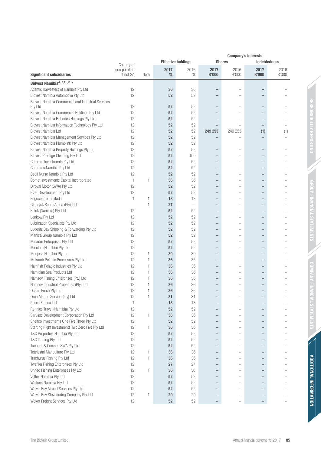|                                                               | <b>Company's interests</b> |      |           |                           |                          |                                  |                          |               |
|---------------------------------------------------------------|----------------------------|------|-----------|---------------------------|--------------------------|----------------------------------|--------------------------|---------------|
|                                                               | Country of                 |      |           | <b>Effective holdings</b> | <b>Shares</b>            |                                  | <b>Indebtedness</b>      |               |
| <b>Significant subsidiaries</b>                               | incorporation<br>if not SA | Note | 2017<br>% | 2016<br>$\%$              | 2017<br>R'000            | 2016<br>R'000                    | 2017<br><b>R'000</b>     | 2016<br>R'000 |
|                                                               |                            |      |           |                           |                          |                                  |                          |               |
| Bidvest Namibia(B, D, F, J, K, L)                             |                            |      |           |                           |                          |                                  |                          |               |
| Atlantic Harvesters of Namibia Pty Ltd                        | 12                         |      | 36        | 36                        |                          |                                  | $\overline{\phantom{0}}$ |               |
| Bidvest Namibia Automotive Pty Ltd                            | 12                         |      | 52        | 52                        | -                        |                                  | $\overline{\phantom{0}}$ |               |
| Bidvest Namibia Commercial and Industrial Services<br>Pty Ltd | 12                         |      | 52        | 52                        | $\overline{\phantom{0}}$ | $\overline{\phantom{a}}$         | $\qquad \qquad -$        |               |
| Bidvest Namibia Commercial Holdings Pty Ltd                   | 12                         |      | 52        | 52                        |                          |                                  |                          |               |
| Bidvest Namibia Fisheries Holdings Pty Ltd                    | 12                         |      | 52        | 52                        | $\overline{\phantom{0}}$ |                                  |                          |               |
| Bidvest Namibia Information Technology Pty Ltd                | 12                         |      | 52        | 52                        | $\qquad \qquad -$        |                                  | $\qquad \qquad -$        |               |
| Bidvest Namibia Ltd                                           | 12                         |      | 52        | 52                        | 249 253                  | 249 253                          | (1)                      | (1)           |
| Bidvest Namibia Management Services Pty Ltd                   | 12                         |      | 52        | 52                        | $\overline{\phantom{0}}$ |                                  | $\qquad \qquad -$        |               |
| Bidvest Namibia Plumblink Pty Ltd                             | 12                         |      | 52        | 52                        |                          |                                  |                          |               |
| Bidvest Namibia Property Holdings Pty Ltd                     | 12                         |      | 52        | 52                        | -                        |                                  | $\qquad \qquad -$        |               |
| <b>Bidvest Prestige Cleaning Pty Ltd</b>                      | 12                         |      | 52        | 100                       | $\overline{\phantom{0}}$ |                                  | $\qquad \qquad -$        |               |
| Carheim Investments Pty Ltd                                   | 12                         |      | 52        | 52                        | -                        |                                  | $\qquad \qquad -$        |               |
| Caterplus Namibia Pty Ltd                                     | 12                         |      | 52        | 52                        | $\overline{\phantom{0}}$ | -                                | $\qquad \qquad -$        |               |
| Cecil Nurse Namibia Pty Ltd                                   | 12                         |      | 52        | 52                        | -                        |                                  | -                        |               |
| Comet Investments Capital Incorporated                        | $\mathbf{1}$               | 1    | 36        | 36                        | $\overline{\phantom{0}}$ |                                  |                          |               |
| Diroyal Motor (SWA) Pty Ltd                                   | 12                         |      | 52        | 52                        | $\qquad \qquad -$        |                                  | $\overline{\phantom{0}}$ |               |
| Elzet Development Pty Ltd                                     | 12                         |      | 52        | 52                        | $\overline{\phantom{0}}$ | $\overline{\phantom{a}}$         |                          |               |
| Frigocentre Limitada                                          | $\mathbf{1}$               | 1    | 18        | 18                        | $\overline{\phantom{0}}$ | $\overline{\phantom{0}}$         | $\qquad \qquad -$        |               |
| Glenryck South Africa (Pty) Ltd <sup>^</sup>                  |                            | 1    | 27        | $\overline{\phantom{m}}$  | $\overline{\phantom{0}}$ | $\overline{\phantom{a}}$         | $\overline{\phantom{0}}$ |               |
| Kolok (Namibia) Pty Ltd                                       | 12                         |      | 52        | 52                        | $\overline{\phantom{0}}$ | $\overline{\phantom{a}}$         |                          |               |
| Lenkow Pty Ltd                                                | 12                         |      | 52        | 52                        | -                        |                                  | -                        |               |
| Lubrication Specialists Pty Ltd                               | 12                         |      | 52        | 52                        | $\overline{\phantom{0}}$ |                                  | $\qquad \qquad -$        |               |
| Luderitz Bay Shipping & Forwarding Pty Ltd                    | 12                         |      | 52        | 52                        | -                        |                                  | $\overline{\phantom{0}}$ |               |
| Manica Group Namibia Pty Ltd                                  | 12                         |      | 52        | 52                        | $\overline{\phantom{0}}$ |                                  |                          |               |
| Matador Enterprises Pty Ltd                                   | 12                         |      | 52        | 52                        | $\overline{\phantom{0}}$ | $\overline{\phantom{a}}$         |                          |               |
| Minolco (Namibia) Pty Ltd                                     | 12                         |      | 52        | 52                        | -                        |                                  | $\overline{\phantom{0}}$ |               |
| Monjasa Namibia Pty Ltd                                       | 12                         | 1    | 30        | 30                        | $\overline{\phantom{0}}$ |                                  | $\qquad \qquad -$        |               |
| Mukorob Pelagic Processors Pty Ltd                            | 12                         | 1    | 36        | 36                        | $\overline{\phantom{0}}$ | $\overline{\phantom{0}}$         | $\qquad \qquad -$        |               |
| Namfish Pelagic Industries Pty Ltd                            | 12                         | 1    | 36        | 36                        | -                        |                                  | $\qquad \qquad -$        |               |
| Namibian Sea Products Ltd                                     | 12                         | 1    | 36        | 36                        | $\overline{\phantom{0}}$ |                                  | $\qquad \qquad -$        |               |
| Namsov Fishing Enterprises (Pty) Ltd                          | 12                         | 1    | 36        | 36                        | -                        |                                  | -                        |               |
| Namsov Industrial Properties (Pty) Ltd                        | 12                         | 1    | 36        | 36                        | $\overline{\phantom{0}}$ |                                  |                          |               |
| Ocean Fresh Pty Ltd                                           | 12                         | 1    | 36        | 36                        | -                        |                                  |                          |               |
| Orca Marine Service (Pty) Ltd                                 | 12                         | 1    | 31        | 31                        |                          |                                  |                          |               |
| Pesca Fresca Ltd                                              | 1                          |      | 18        | 18                        |                          |                                  |                          |               |
| Rennies Travel (Namibia) Pty Ltd                              | 12                         |      | 52        | 52                        | -                        |                                  | $\qquad \qquad -$        |               |
| Sarusas Development Corporation Pty Ltd                       | 12                         | 1    | 36        | 36                        | $\overline{\phantom{0}}$ | $\overline{\phantom{0}}$         | $\overline{\phantom{m}}$ |               |
| Shelfco Investments One Five Three Pty Ltd                    | 12                         |      | 52        | 52                        | -                        | $\overline{\phantom{0}}$         | $\qquad \qquad -$        |               |
| Starting Right Investments Two Zero Five Pty Ltd              | 12                         | 1    | 36        | 36                        | -                        |                                  | $\qquad \qquad -$        |               |
| T&C Properties Namibia Pty Ltd                                | 12                         |      | 52        | 52                        | -                        | -                                | $\qquad \qquad -$        |               |
| T&C Trading Pty Ltd                                           | 12                         |      | 52        | 52                        | -                        | $\overline{\phantom{0}}$         | $\qquad \qquad -$        |               |
| Taeuber & Corssen SWA Pty Ltd                                 | 12                         |      | 52        | 52                        | $\overline{\phantom{0}}$ | $\overline{\phantom{0}}$         | $\qquad \qquad -$        |               |
| Tetelestai Mariculture Pty Ltd                                | 12                         | 1    | 36        | 36                        | -                        |                                  | $\qquad \qquad -$        |               |
| Trachurus Fishing Pty Ltd                                     | 12                         | 1    | 36        | 36                        | $\overline{\phantom{0}}$ | $\overline{\phantom{0}}$         | $\qquad \qquad -$        |               |
| Twafika Fishing Enterprises Pty Ltd                           | 12                         |      | 27        | 27                        |                          | -                                | $\overline{\phantom{0}}$ |               |
| United Fishing Enterprises Pty Ltd                            | 12                         | 1    | 36        | 36                        | $\overline{\phantom{0}}$ | $\overline{\phantom{0}}$         | $\qquad \qquad -$        |               |
| Voltex Namibia Pty Ltd                                        | 12                         |      | 52        | 52                        |                          | $\overbrace{\phantom{12322111}}$ | $\qquad \qquad -$        |               |
| Waltons Namibia Pty Ltd                                       | 12                         |      | 52        | 52                        |                          | -                                | -                        |               |
| Walvis Bay Airport Services Pty Ltd                           | 12                         |      | 52        | 52                        | -                        | $\overline{\phantom{0}}$         | $\qquad \qquad -$        |               |
| Walvis Bay Stevedoring Company Pty Ltd                        | 12                         | 1    | 29        | 29                        |                          |                                  |                          |               |
| Woker Freight Services Pty Ltd                                | 12                         |      | 52        | 52                        |                          |                                  |                          |               |

 $\overline{z}$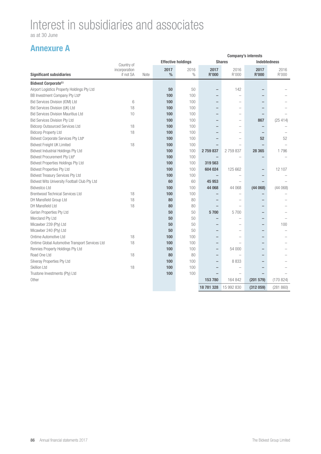as at 30 June

|                                                 |               |      | <b>Company's interests</b> |                           |                          |                          |                          |                     |
|-------------------------------------------------|---------------|------|----------------------------|---------------------------|--------------------------|--------------------------|--------------------------|---------------------|
|                                                 | Country of    |      |                            | <b>Effective holdings</b> |                          | <b>Shares</b>            |                          | <b>Indebtedness</b> |
|                                                 | incorporation |      | 2017                       | 2016                      | 2017                     | 2016                     | 2017                     | 2016                |
| <b>Significant subsidiaries</b>                 | if not SA     | Note | %                          | $\%$                      | <b>R'000</b>             | R'000                    | R'000                    | R'000               |
| <b>Bidvest Corporate(L)</b>                     |               |      |                            |                           |                          |                          |                          |                     |
| Airport Logistics Property Holdings Pty Ltd     |               |      | 50                         | 50                        | $\overline{\phantom{0}}$ | 142                      |                          |                     |
| BB Investment Company Pty Ltd <sup>#</sup>      |               |      | 100                        | 100                       | $\overline{\phantom{0}}$ | L.                       |                          |                     |
| Bid Services Division (IOM) Ltd                 | 6             |      | 100                        | 100                       | $\overline{\phantom{0}}$ |                          |                          |                     |
| Bid Services Division (UK) Ltd                  | 18            |      | 100                        | 100                       | $\overline{\phantom{0}}$ | $\overline{\phantom{a}}$ |                          |                     |
| <b>Bid Services Division Mauritius Ltd</b>      | 10            |      | 100                        | 100                       | $\overline{\phantom{0}}$ | $\overline{\phantom{0}}$ |                          |                     |
| <b>Bid Services Division Pty Ltd</b>            |               |      | 100                        | 100                       |                          |                          | 867                      | (25414)             |
| <b>Bidcorp Outsourced Services Ltd</b>          | 18            |      | 100                        | 100                       |                          | $\overline{\phantom{a}}$ |                          |                     |
| <b>Bidcorp Property Ltd</b>                     | 18            |      | 100                        | 100                       |                          |                          | $\overline{\phantom{a}}$ |                     |
| Bidvest Corporate Services Pty Ltd <sup>#</sup> |               |      | 100                        | 100                       |                          |                          | 52                       | 52                  |
| <b>Bidvest Freight UK Limited</b>               | 18            |      | 100                        | 100                       |                          |                          |                          |                     |
| <b>Bidvest Industrial Holdings Pty Ltd</b>      |               |      | 100                        | 100                       | 2759837                  | 2759837                  | 28 365                   | 1796                |
| Bidvest Procurement Pty Ltd <sup>#</sup>        |               |      | 100                        | 100                       | ۳                        | $\overline{\phantom{a}}$ |                          |                     |
| <b>Bidvest Properties Holdings Pty Ltd</b>      |               |      | 100                        | 100                       | 319 563                  |                          |                          |                     |
| <b>Bidvest Properties Pty Ltd</b>               |               |      | 100                        | 100                       | 604 024                  | 125 662                  |                          | 12 107              |
| <b>Bidvest Treasury Services Pty Ltd</b>        |               |      | 100                        | 100                       | $\overline{\phantom{0}}$ |                          |                          |                     |
| Bidvest Wits University Football Club Pty Ltd   |               |      | 60                         | 60                        | 45 953                   |                          |                          |                     |
| <b>Bidvestco Ltd</b>                            |               |      | 100                        | 100                       | 44 068                   | 44 068                   | (44068)                  | (44068)             |
| <b>Brentwood Technical Services Ltd</b>         | 18            |      | 100                        | 100                       |                          | $\sim$                   |                          |                     |
| DH Mansfield Group Ltd                          | 18            |      | 80                         | 80                        |                          |                          |                          |                     |
| <b>DH Mansfield Ltd</b>                         | 18            |      | 80                         | 80                        |                          |                          |                          |                     |
| Gerlan Properties Pty Ltd                       |               |      | 50                         | 50                        | 5700                     | 5700                     |                          |                     |
| Mercland Pty Ltd                                |               |      | 50                         | 50                        | $\overline{\phantom{0}}$ |                          | -                        |                     |
| Micawber 239 (Pty) Ltd                          |               |      | 50                         | 50                        |                          |                          |                          | 100                 |
| Micawber 240 (Pty) Ltd                          |               |      | 50                         | 50                        | $\overline{\phantom{0}}$ |                          |                          |                     |
| Ontime Automotive Ltd                           | 18            |      | 100                        | 100                       | $\overline{\phantom{0}}$ | $\overline{\phantom{a}}$ |                          |                     |
| Ontime Global Automotive Transport Services Ltd | 18            |      | 100                        | 100                       | $\overline{\phantom{0}}$ |                          |                          |                     |
| Rennies Property Holdings Pty Ltd               |               |      | 100                        | 100                       | $\qquad \qquad -$        | 54 000                   |                          |                     |
| Road One Ltd                                    | 18            |      | 80                         | 80                        | $\qquad \qquad -$        | $\equiv$                 |                          |                     |
| Silveray Properties Pty Ltd                     |               |      | 100                        | 100                       | $\overline{\phantom{0}}$ | 8 8 3 3                  |                          |                     |
| <b>Skillion Ltd</b>                             | 18            |      | 100                        | 100                       | $\overline{\phantom{0}}$ |                          |                          |                     |
| Trustone Investments (Pty) Ltd                  |               |      | 100                        | 100                       |                          |                          |                          |                     |
| Other                                           |               |      |                            |                           | 153 780                  | 164 842                  | (201 579)                | (170824)            |
|                                                 |               |      |                            |                           | 18 781 328               | 15 992 830               | (312059)                 | (281 860)           |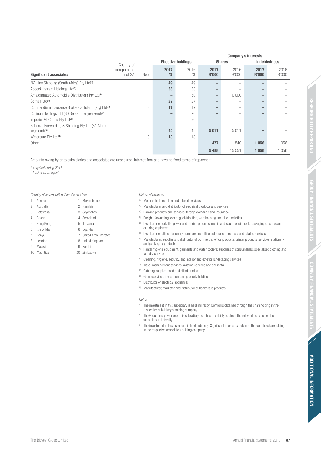**ADDITIONAL INFORMATION**

**ADDITIONAL INFORMATION** 

|                                                                             | Country of                 |      | -----------------     |              |                      |               |                      |               |
|-----------------------------------------------------------------------------|----------------------------|------|-----------------------|--------------|----------------------|---------------|----------------------|---------------|
| <b>Significant associates</b>                                               | incorporation<br>if not SA | Note | 2017<br>$\frac{0}{0}$ | 2016<br>$\%$ | 2017<br><b>R'000</b> | 2016<br>R'000 | 2017<br><b>R'000</b> | 2016<br>R'000 |
| "K" Line Shipping (South Africa) Pty Ltd <sup>(D)</sup>                     |                            |      | 49                    | 49           |                      |               |                      |               |
| Adcock Ingram Holdings Ltd <sup>(N)</sup>                                   |                            |      | 38                    | 38           |                      |               |                      |               |
| Amalgamated Automobile Distributors Pty Ltd <sup>(A)</sup>                  |                            |      |                       | 50           | -                    | 10 000        |                      |               |
| Comair Ltd <sup>(J)</sup>                                                   |                            |      | 27                    | 27           |                      |               |                      |               |
| Compendium Insurance Brokers Zululand (Pty) Ltd <sup>(c)</sup>              |                            | 3    | 17                    | 17           |                      | -             |                      |               |
| Cullinan Holdings Ltd (30 September year-end) <sup>(J)</sup>                |                            |      | -                     | 20           |                      |               |                      |               |
| Imperial McCarthy Pty Ltd <sup>(A)</sup>                                    |                            |      |                       | 50           |                      |               |                      |               |
| Sebenza Forwarding & Shipping Pty Ltd (31 March<br>year-end) <sup>(D)</sup> |                            |      | 45                    | 45           | 5011                 | 5011          |                      |               |
| Watersure Pty Ltd <sup>(c)</sup>                                            |                            | 3    | 13                    | 13           |                      |               |                      |               |
| Other                                                                       |                            |      |                       |              | 477                  | 540           | 1 0 5 6              | 1 0 5 6       |
|                                                                             |                            |      |                       |              | 5488                 | 15 551        | 1056                 | 056           |

Amounts owing by or to subsidiaries and associates are unsecured, interest-free and have no fixed terms of repayment.

^ Acquired during 2017.

# Trading as an agent.

#### Country of incorporation if not South Africa

- 1 Angola 11 Mozambique
- 2 Australia 12 Namibia
- 3 Botswana 13 Seychelles
- 4 Ghana 14 Swaziland
- 5 Hong Kong 15 Tanzania
- 6 Isle of Man 16 Uganda
	-
- 7 Kenya 17 United Arab Emirates
- 8 Lesotho 18 United Kingdom
- 9 Malawi 19 Zambia
- 10 Mauritius 20 Zimbabwe

#### Nature of business

- (A) Motor vehicle retailing and related services
- <sup>(B)</sup> Manufacturer and distributor of electrical products and services
- <sup>(C)</sup> Banking products and services, foreign exchange and insurance
- $\Box$  Freight, forwarding, clearing, distribution, warehousing and allied activities
- $E$  Distributor of forklifts, power and marine products, music and sound equipment, packaging closures and catering equipment

 **Company's interests** 

**Effective holdings** Shares **Indebtedness** 

- $F$  Distributor of office stationery; furniture and office automation products and related services
- (G) Manufacturer, supplier and distributor of commercial office products, printer products, services, stationery and packaging products
- $H$  Rental hygiene equipment, garments and water coolers; suppliers of consumables, specialised clothing and laundry services
- <sup>®</sup> Cleaning, hygiene, security, and interior and exterior landscaping services
- $\omega$  Travel management services, aviation services and car rental
- $(k)$  Catering supplies, food and allied products
- $\Box$  Group services, investment and property holding
- (M) Distributor of electrical appliances
- (N) Manufacturer, marketer and distributor of healthcare products

Notes

- <sup>1</sup> The investment in this subsidiary is held indirectly. Control is obtained through the shareholding in the respective subsidiary's holding company.
- <sup>2</sup> The Group has power over this subsidiary as it has the ability to direct the relevant activities of the subsidiary unilaterally.
- <sup>3</sup> The investment in this associate is held indirectly. Significant interest is obtained through the shareholding in the respective associate's holding company.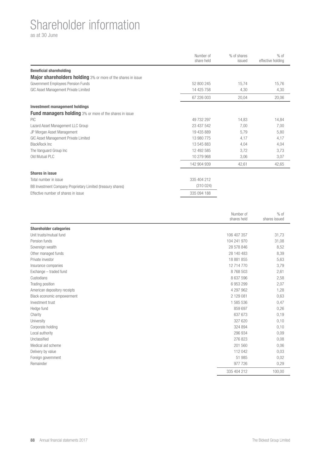### Shareholder information

as at 30 June

|                                                                     | Number of<br>share held | % of shares<br>issued | $%$ of<br>effective holding |
|---------------------------------------------------------------------|-------------------------|-----------------------|-----------------------------|
| <b>Beneficial shareholding</b>                                      |                         |                       |                             |
| <b>Major shareholders holding</b> 3% or more of the shares in issue |                         |                       |                             |
| Government Employees Pension Funds                                  | 52 800 245              | 15,74                 | 15,76                       |
| GIC Asset Management Private Limited                                | 14 425 758              | 4,30                  | 4,30                        |
|                                                                     | 67 226 003              | 20,04                 | 20,06                       |
| <b>Investment management holdings</b>                               |                         |                       |                             |
| <b>Fund managers holding</b> 3% or more of the shares in issue      |                         |                       |                             |
| <b>PIC</b>                                                          | 49 732 297              | 14,83                 | 14,84                       |
| Lazard Asset Management LLC Group                                   | 23 437 542              | 7,00                  | 7,00                        |
| JP Morgan Asset Management                                          | 19 435 889              | 5,79                  | 5,80                        |
| GIC Asset Management Private Limited                                | 13 980 775              | 4,17                  | 4,17                        |
| <b>BlackRock Inc.</b>                                               | 13 545 883              | 4,04                  | 4,04                        |
| The Vanguard Group Inc                                              | 12 492 585              | 3,72                  | 3,73                        |
| Old Mutual PLC                                                      | 10 279 968              | 3,06                  | 3,07                        |
|                                                                     | 142 904 939             | 42,61                 | 42,65                       |
| <b>Shares in issue</b>                                              |                         |                       |                             |
| Total number in issue                                               | 335 404 212             |                       |                             |
| BB Investment Company Proprietary Limited (treasury shares)         | (310024)                |                       |                             |
| Effective number of shares in issue                                 | 335 094 188             |                       |                             |

|                               | Number of<br>shares held | $%$ of<br>shares issued |
|-------------------------------|--------------------------|-------------------------|
| <b>Shareholder categories</b> |                          |                         |
| Unit trusts/mutual fund       | 106 407 357              | 31,73                   |
| Pension funds                 | 104 241 970              | 31,08                   |
| Sovereign wealth              | 28 578 846               | 8,52                    |
| Other managed funds           | 28 140 483               | 8,39                    |
| Private investor              | 18 881 855               | 5,63                    |
| Insurance companies           | 12 714 770               | 3,79                    |
| Exchange - traded fund        | 8768503                  | 2,61                    |
| Custodians                    | 8 637 596                | 2,58                    |
| Trading position              | 6953299                  | 2,07                    |
| American depository receipts  | 4 297 962                | 1,28                    |
| Black economic empowerment    | 2 129 081                | 0,63                    |
| Investment trust              | 1 585 536                | 0,47                    |
| Hedge fund                    | 859 697                  | 0,26                    |
| Charity                       | 637 673                  | 0,19                    |
| University                    | 327 620                  | 0,10                    |
| Corporate holding             | 324 894                  | 0,10                    |
| Local authority               | 296 934                  | 0,09                    |
| Unclassified                  | 276 823                  | 0,08                    |
| Medical aid scheme            | 201 560                  | 0,06                    |
| Delivery by value             | 112 042                  | 0,03                    |
| Foreign government            | 51 985                   | 0,02                    |
| Remainder                     | 977 726                  | 0,29                    |
|                               | 335 404 212              | 100,00                  |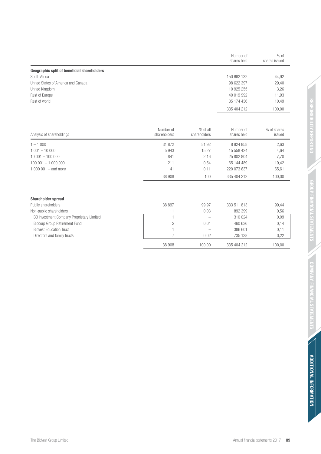|                                             | Number of<br>shares held | $%$ of<br>shares issued |
|---------------------------------------------|--------------------------|-------------------------|
| Geographic split of beneficial shareholders |                          |                         |
| South Africa                                | 150 662 132              | 44,92                   |
| United States of America and Canada         | 98 622 397               | 29,40                   |
| United Kingdom                              | 10 925 255               | 3,26                    |
| Rest of Europe                              | 40 019 992               | 11,93                   |
| Rest of world                               | 35 174 436               | 10,49                   |
|                                             | 335 404 212              | 100,00                  |

| Analysis of shareholdings | Number of<br>shareholders | % of all<br>shareholders | Number of<br>shares held | % of shares<br>issued |
|---------------------------|---------------------------|--------------------------|--------------------------|-----------------------|
| $1 - 1000$                | 31 872                    | 81.92                    | 8 824 858                | 2,63                  |
| $1001 - 10000$            | 5943                      | 15,27                    | 15 558 424               | 4,64                  |
| $10001 - 100000$          | 841                       | 2.16                     | 25 802 804               | 7,70                  |
| $100001 - 1000000$        | 211                       | 0.54                     | 65 144 489               | 19,42                 |
| 1,000,001 – and more      | 41                        | 0.11                     | 220 073 637              | 65,61                 |
|                           | 38 908                    | 100                      | 335 404 212              | 100,00                |

| <b>Shareholder spread</b>                 |        |        |             |        |
|-------------------------------------------|--------|--------|-------------|--------|
| Public shareholders                       | 38 897 | 99.97  | 333 511 813 | 99,44  |
| Non-public shareholders                   |        | 0.03   | 1892399     | 0,56   |
| BB Investment Company Proprietary Limited |        | -      | 310 024     | 0,09   |
| <b>Bidcorp Group Retirement Fund</b>      |        | 0.01   | 460 636     | 0,14   |
| <b>Bidvest Education Trust</b>            |        |        | 386 601     | 0,11   |
| Directors and family trusts               |        | 0.02   | 735 138     | 0,22   |
|                                           | 38 908 | 100.00 | 335 404 212 | 100.00 |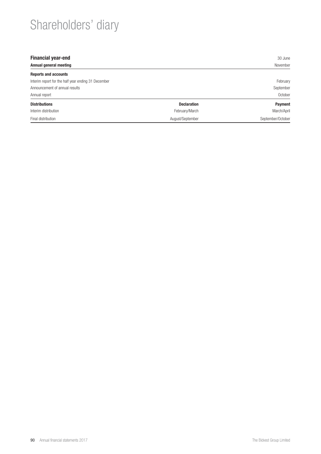# Shareholders' diary

| <b>Financial year-end</b>                           |                    | 30 June           |
|-----------------------------------------------------|--------------------|-------------------|
| Annual general meeting                              | November           |                   |
| <b>Reports and accounts</b>                         |                    |                   |
| Interim report for the half year ending 31 December |                    | February          |
| Announcement of annual results                      |                    | September         |
| Annual report                                       |                    | October           |
| <b>Distributions</b>                                | <b>Declaration</b> | <b>Payment</b>    |
| Interim distribution                                | February/March     | March/April       |
| Final distribution                                  | August/September   | September/October |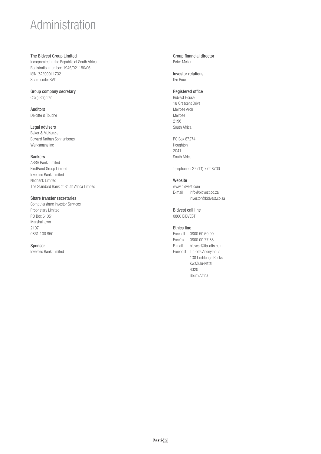## Administration

#### The Bidvest Group Limited

Incorporated in the Republic of South Africa Registration number: 1946/021180/06 ISIN: ZAE000117321 Share code: BVT

#### Group company secretary Craig Brighten

Auditors Deloitte & Touche

#### Legal advisers

Baker & McKenzie Edward Nathan Sonnenbergs Werksmans Inc

#### Bankers

ABSA Bank Limited FirstRand Group Limited Investec Bank Limited Nedbank Limited The Standard Bank of South Africa Limited

#### Share transfer secretaries

Computershare Investor Services Proprietary Limited PO Box 61051 Marshalltown 2107 0861 100 950

#### Sponsor

Investec Bank Limited

#### Group financial director Peter Meijer

Investor relations Ilze Roux

#### Registered office

Bidvest House 18 Crescent Drive Melrose Arch Melrose 2196 South Africa

PO Box 87274 Houghton 2041 South Africa

Telephone +27 (11) 772 8700

#### Website

www.bidvest.com E-mail info@bidvest.co.za investor@bidvest.co.za

#### Bidvest call line

0860 BIDVEST

#### Ethics line

Freecall 0800 50 60 90 Freefax 0800 00 77 88 E-mail bidvest@tip-offs.com Freepost Tip-offs Anonymous 138 Umhlanga Rocks KwaZulu-Natal 4320 South Africa